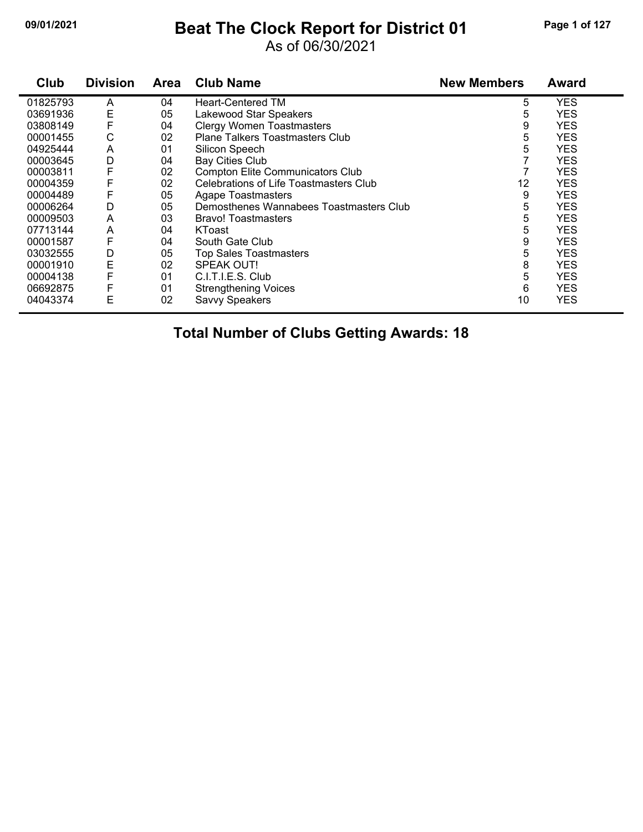## **09/01/2021 Beat The Clock Report for District 01 Page 1 of 127**

As of 06/30/2021

| Club     | <b>Division</b> | <b>Area</b> | <b>Club Name</b>                        | <b>New Members</b> | <b>Award</b> |
|----------|-----------------|-------------|-----------------------------------------|--------------------|--------------|
| 01825793 | A               | 04          | <b>Heart-Centered TM</b>                | 5                  | <b>YES</b>   |
| 03691936 | Е               | 05          | Lakewood Star Speakers                  | 5                  | <b>YES</b>   |
| 03808149 |                 | 04          | <b>Clergy Women Toastmasters</b>        | 9                  | <b>YES</b>   |
| 00001455 | С               | 02          | <b>Plane Talkers Toastmasters Club</b>  | 5                  | <b>YES</b>   |
| 04925444 | A               | 01          | Silicon Speech                          | 5                  | <b>YES</b>   |
| 00003645 | D               | 04          | <b>Bay Cities Club</b>                  |                    | <b>YES</b>   |
| 00003811 |                 | 02          | <b>Compton Elite Communicators Club</b> |                    | <b>YES</b>   |
| 00004359 |                 | 02          | Celebrations of Life Toastmasters Club  | 12                 | <b>YES</b>   |
| 00004489 |                 | 05          | Agape Toastmasters                      | 9                  | <b>YES</b>   |
| 00006264 | D               | 05          | Demosthenes Wannabees Toastmasters Club | 5                  | <b>YES</b>   |
| 00009503 | A               | 03          | <b>Bravo! Toastmasters</b>              | 5                  | <b>YES</b>   |
| 07713144 | A               | 04          | KToast                                  | 5                  | <b>YES</b>   |
| 00001587 | F               | 04          | South Gate Club                         | 9                  | <b>YES</b>   |
| 03032555 | D               | 05          | <b>Top Sales Toastmasters</b>           | 5                  | <b>YES</b>   |
| 00001910 | E               | 02          | SPEAK OUT!                              | 8                  | <b>YES</b>   |
| 00004138 |                 | 01          | C.I.T.I.E.S. Club                       | 5                  | <b>YES</b>   |
| 06692875 | F               | 01          | <b>Strengthening Voices</b>             | 6                  | <b>YES</b>   |
| 04043374 | E               | 02          | Savvy Speakers                          | 10                 | <b>YES</b>   |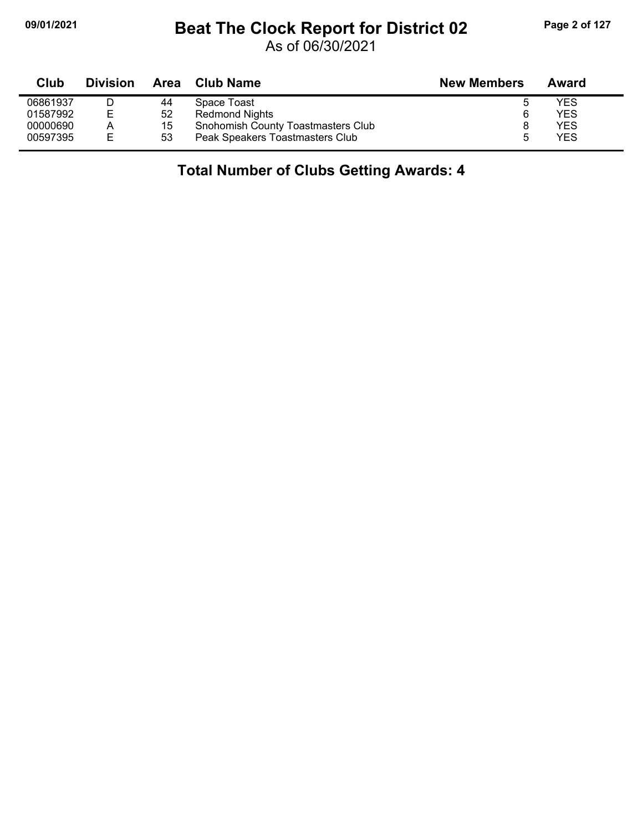## **09/01/2021 Beat The Clock Report for District 02 Page 2 of 127**

As of 06/30/2021

| Club     | <b>Division</b> |    | Area Club Name                     | <b>New Members</b> | Award |  |
|----------|-----------------|----|------------------------------------|--------------------|-------|--|
| 06861937 |                 | 44 | Space Toast                        |                    | YES   |  |
| 01587992 | E               | 52 | Redmond Nights                     | 6                  | YES   |  |
| 00000690 | А               | 15 | Snohomish County Toastmasters Club |                    | YES   |  |
| 00597395 | E               | 53 | Peak Speakers Toastmasters Club    |                    | YES   |  |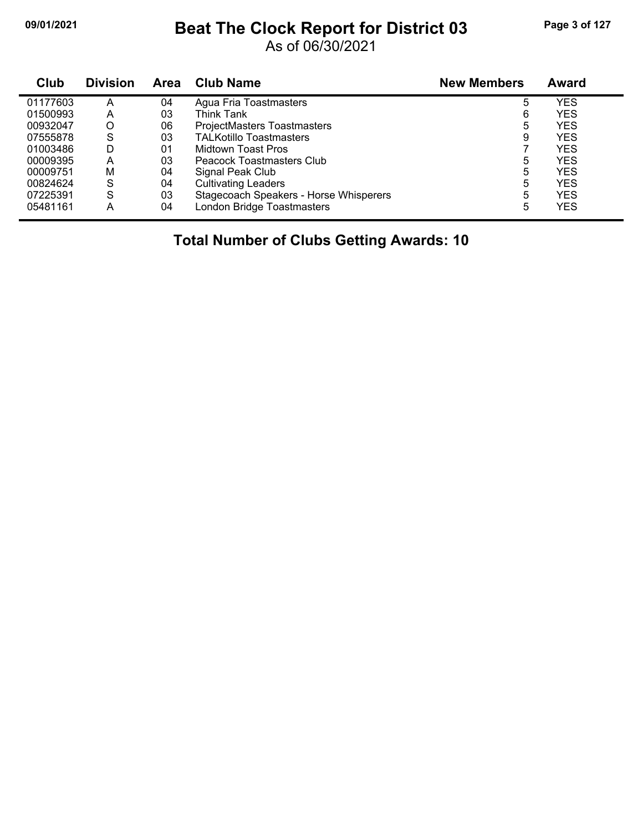## **09/01/2021 Beat The Clock Report for District 03 Page 3 of 127**

As of 06/30/2021

| Club     | <b>Division</b> | <b>Area</b> | <b>Club Name</b>                       | <b>New Members</b> | Award      |
|----------|-----------------|-------------|----------------------------------------|--------------------|------------|
| 01177603 | А               | 04          | Agua Fria Toastmasters                 | 5                  | <b>YES</b> |
| 01500993 | Α               | 03          | Think Tank                             | 6                  | <b>YES</b> |
| 00932047 | O               | 06          | ProjectMasters Toastmasters            | 5                  | <b>YES</b> |
| 07555878 | S               | 03          | <b>TALKotillo Toastmasters</b>         | 9                  | <b>YES</b> |
| 01003486 | D               | 01          | Midtown Toast Pros                     |                    | <b>YES</b> |
| 00009395 | А               | 03          | Peacock Toastmasters Club              | 5                  | <b>YES</b> |
| 00009751 | M               | 04          | Signal Peak Club                       | 5                  | <b>YES</b> |
| 00824624 | S               | 04          | <b>Cultivating Leaders</b>             | 5                  | <b>YES</b> |
| 07225391 | S               | 03          | Stagecoach Speakers - Horse Whisperers | 5                  | <b>YES</b> |
| 05481161 | А               | 04          | London Bridge Toastmasters             | 5                  | <b>YES</b> |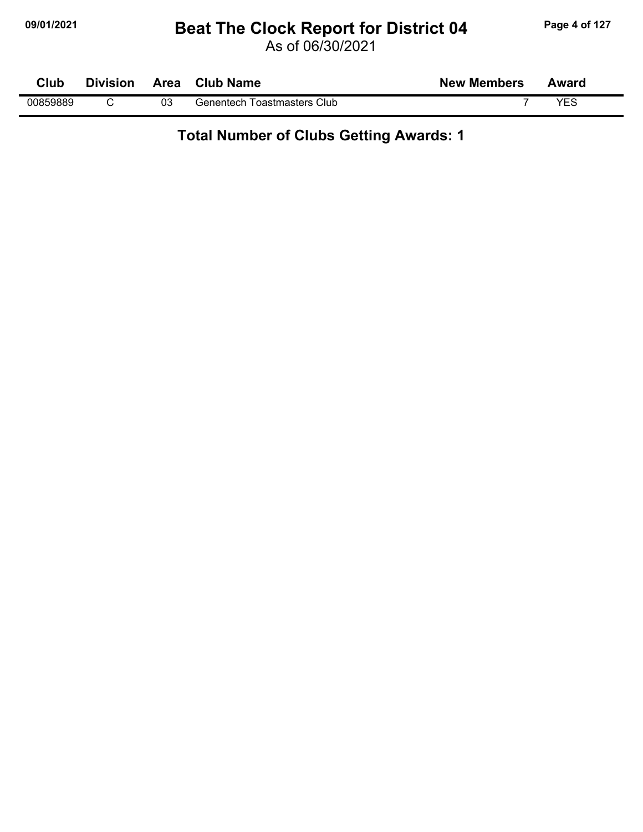#### **09/01/2021 Beat The Clock Report for District 04 Page 4 of 127**

As of 06/30/2021

| Club     | <b>Division</b> | <b>Area</b> | <b>Club Name</b>                   | <b>New Members</b> | Award |
|----------|-----------------|-------------|------------------------------------|--------------------|-------|
| 00859889 |                 | 03          | <b>Genentech Toastmasters Club</b> |                    | VES   |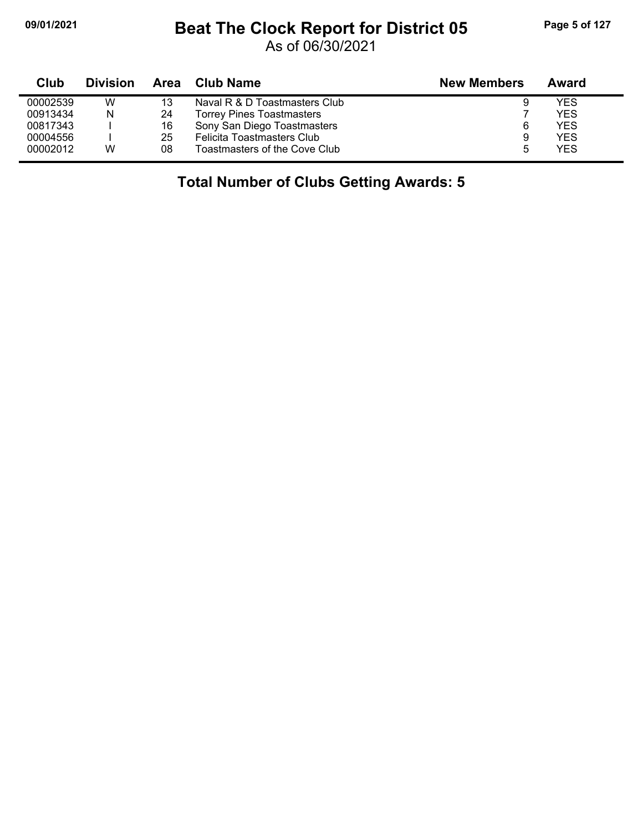## **09/01/2021 Beat The Clock Report for District 05 Page 5 of 127**

As of 06/30/2021

| Club     | <b>Division</b> | Area | Club Name                        | <b>New Members</b> | Award |
|----------|-----------------|------|----------------------------------|--------------------|-------|
| 00002539 | W               | 13   | Naval R & D Toastmasters Club    | 9                  | YES   |
| 00913434 | N               | 24   | <b>Torrey Pines Toastmasters</b> |                    | YES   |
| 00817343 |                 | 16   | Sony San Diego Toastmasters      | 6                  | YES   |
| 00004556 |                 | 25   | Felicita Toastmasters Club       | 9                  | YES   |
| 00002012 | W               | 08   | Toastmasters of the Cove Club    | 5                  | YES   |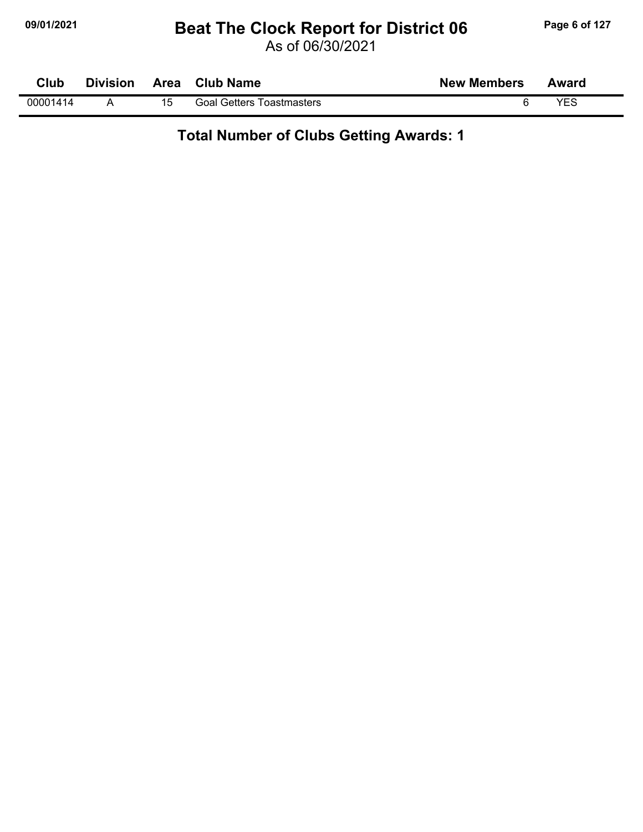#### **09/01/2021 Beat The Clock Report for District 06 Page 6 of 127**

As of 06/30/2021

| Club     | <b>Division</b> | Area Club Name                   | <b>New Members</b> | Award |
|----------|-----------------|----------------------------------|--------------------|-------|
| 00001414 |                 | <b>Goal Getters Toastmasters</b> |                    | YFS   |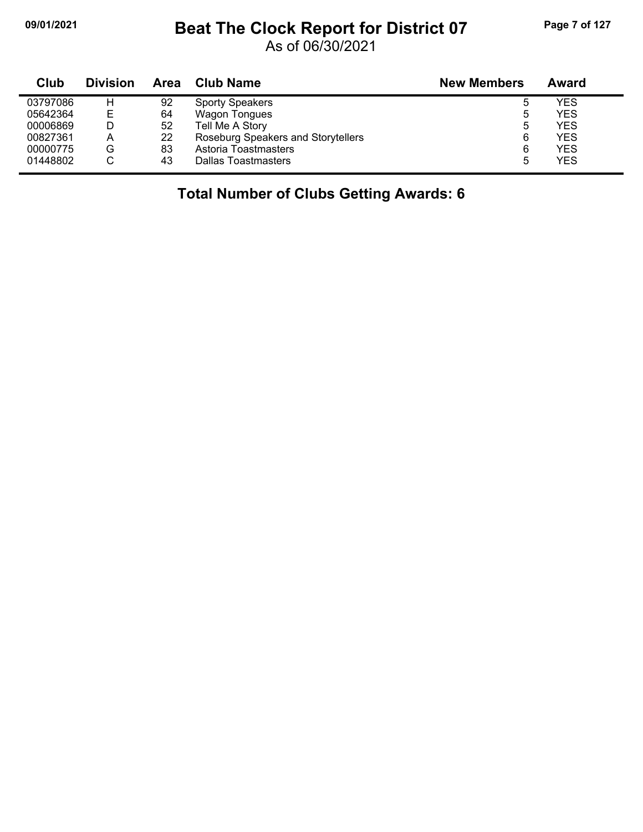#### **09/01/2021 Beat The Clock Report for District 07 Page 7 of 127**

As of 06/30/2021

| Club     | <b>Division</b> | Area | <b>Club Name</b>                   | <b>New Members</b> | Award      |
|----------|-----------------|------|------------------------------------|--------------------|------------|
| 03797086 | н               | 92   | <b>Sporty Speakers</b>             | ხ                  | YES        |
| 05642364 | Е               | 64   | Wagon Tongues                      | Ⴆ                  | <b>YES</b> |
| 00006869 |                 | 52   | Tell Me A Story                    | ხ                  | <b>YES</b> |
| 00827361 | Α               | 22   | Roseburg Speakers and Storytellers | 6                  | <b>YES</b> |
| 00000775 | G               | 83   | Astoria Toastmasters               | 6                  | <b>YES</b> |
| 01448802 |                 | 43   | Dallas Toastmasters                | b                  | <b>YES</b> |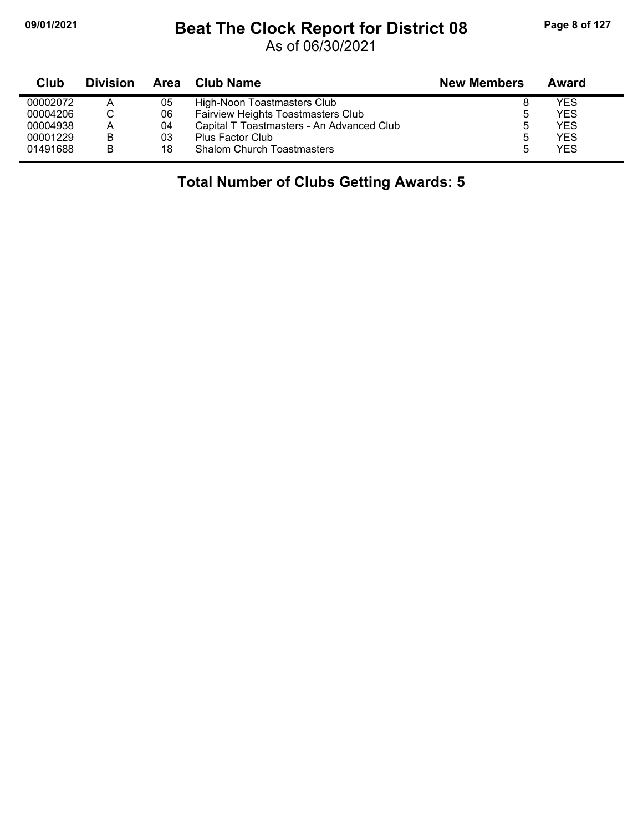## **09/01/2021 Beat The Clock Report for District 08 Page 8 of 127**

As of 06/30/2021

| Club     | <b>Division</b> | Area | <b>Club Name</b>                          | <b>New Members</b> | Award      |  |
|----------|-----------------|------|-------------------------------------------|--------------------|------------|--|
| 00002072 | Α               | 05   | High-Noon Toastmasters Club               |                    | <b>YES</b> |  |
| 00004206 |                 | 06   | Fairview Heights Toastmasters Club        | 5                  | <b>YES</b> |  |
| 00004938 | А               | 04   | Capital T Toastmasters - An Advanced Club | 5                  | <b>YES</b> |  |
| 00001229 | B               | 03   | <b>Plus Factor Club</b>                   | 5                  | <b>YES</b> |  |
| 01491688 | B               | 18   | <b>Shalom Church Toastmasters</b>         |                    | <b>YES</b> |  |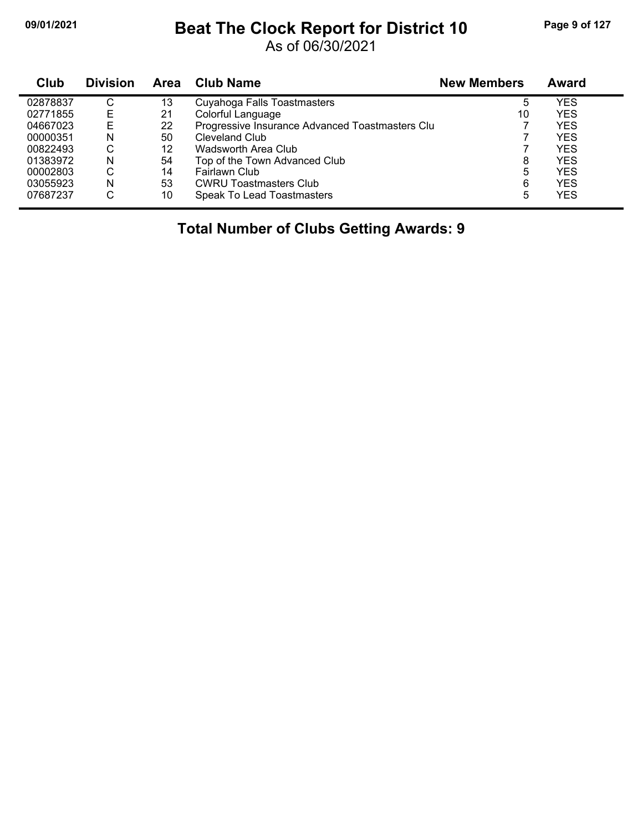#### **09/01/2021 Beat The Clock Report for District 10 Page 9 of 127**

As of 06/30/2021

| Club     | <b>Division</b> | Area | <b>Club Name</b>                                | <b>New Members</b> | Award      |
|----------|-----------------|------|-------------------------------------------------|--------------------|------------|
| 02878837 | С               | 13   | Cuyahoga Falls Toastmasters                     | 5                  | YES        |
| 02771855 | Е               | 21   | Colorful Language                               | 10                 | YES        |
| 04667023 | Е               | 22   | Progressive Insurance Advanced Toastmasters Clu |                    | YES        |
| 00000351 | N               | 50   | Cleveland Club                                  |                    | <b>YES</b> |
| 00822493 | С               | 12   | Wadsworth Area Club                             |                    | YES        |
| 01383972 | N               | 54   | Top of the Town Advanced Club                   | 8                  | <b>YES</b> |
| 00002803 | С               | 14   | Fairlawn Club                                   | 5                  | YES        |
| 03055923 | N               | 53   | <b>CWRU Toastmasters Club</b>                   | 6                  | YES        |
| 07687237 | С               | 10   | Speak To Lead Toastmasters                      | 5                  | YES        |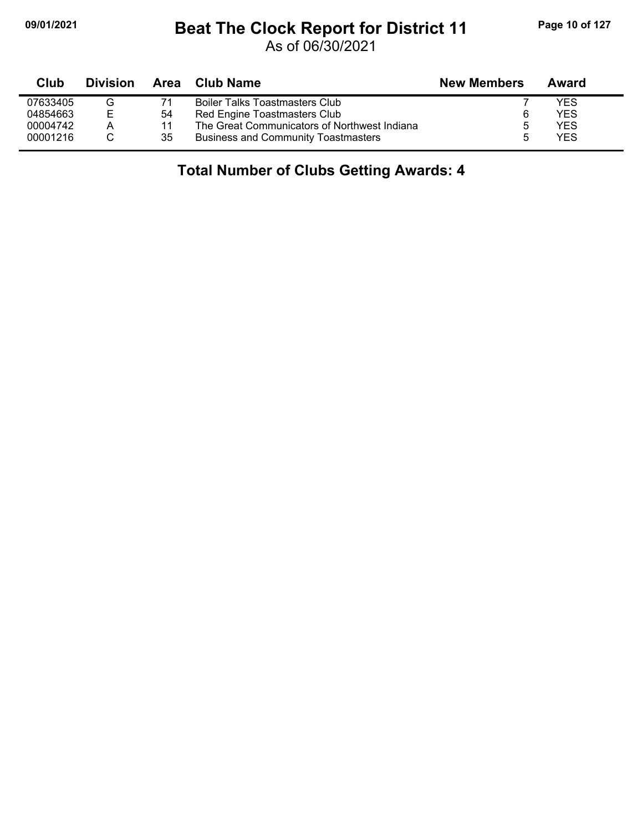## **09/01/2021 Beat The Clock Report for District 11 Page 10 of 127**

As of 06/30/2021

| Club     | <b>Division</b> | Area | <b>Club Name</b>                             | <b>New Members</b> | Award      |
|----------|-----------------|------|----------------------------------------------|--------------------|------------|
| 07633405 |                 |      | <b>Boiler Talks Toastmasters Club</b>        |                    | <b>YES</b> |
| 04854663 | Е               | 54   | Red Engine Toastmasters Club                 | 6                  | <b>YES</b> |
| 00004742 | A               | 11   | The Great Communicators of Northwest Indiana | 5                  | <b>YES</b> |
| 00001216 |                 | 35   | <b>Business and Community Toastmasters</b>   | h                  | <b>YES</b> |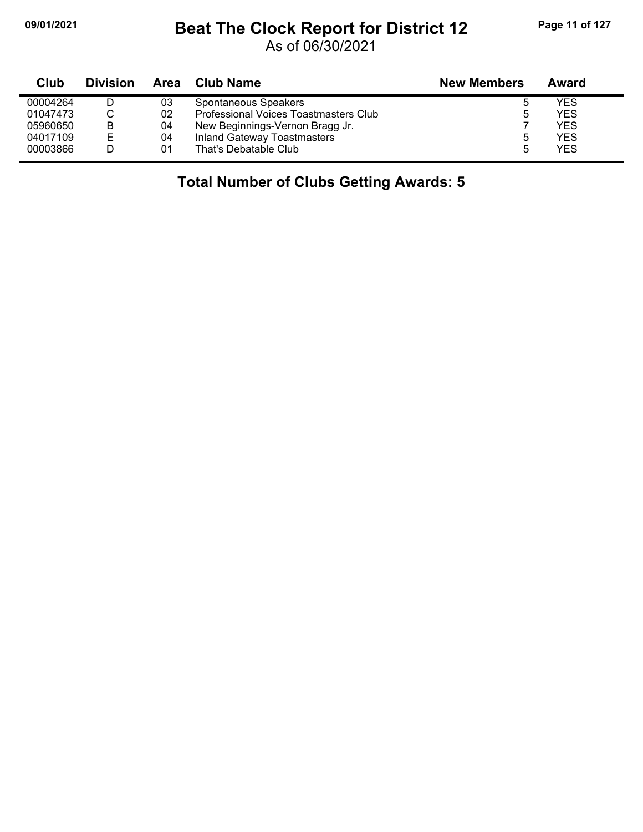## **09/01/2021 Beat The Clock Report for District 12 Page 11 of 127**

As of 06/30/2021

| Club     | <b>Division</b> | Area | Club Name                             | <b>New Members</b> | Award      |
|----------|-----------------|------|---------------------------------------|--------------------|------------|
| 00004264 |                 | 03   | Spontaneous Speakers                  |                    | YES        |
| 01047473 |                 | 02   | Professional Voices Toastmasters Club |                    | YES        |
| 05960650 | в               | 04   | New Beginnings-Vernon Bragg Jr.       |                    | <b>YES</b> |
| 04017109 | E               | 04   | <b>Inland Gateway Toastmasters</b>    |                    | YES        |
| 00003866 |                 | 01   | That's Debatable Club                 |                    | YES        |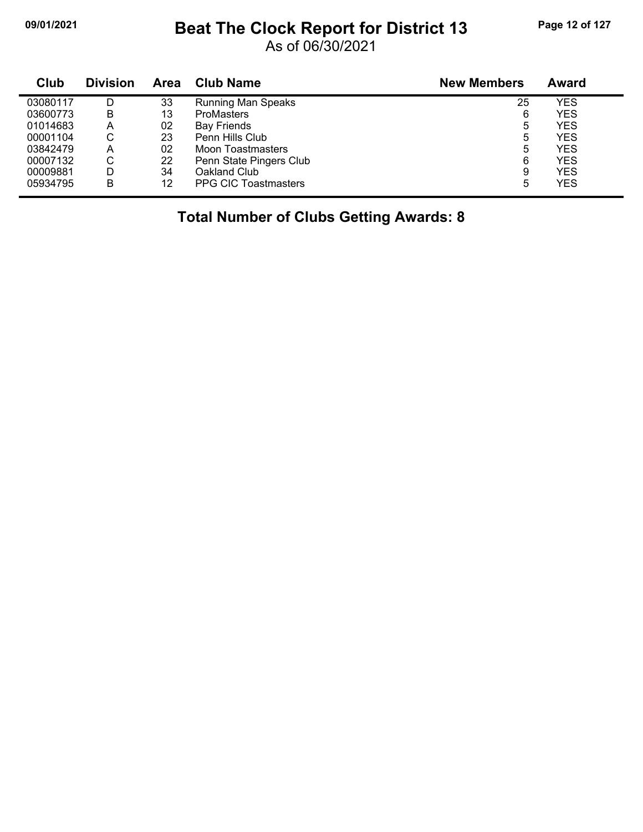## **09/01/2021 Beat The Clock Report for District 13 Page 12 of 127**

As of 06/30/2021

| Club     | <b>Division</b> | Area | <b>Club Name</b>            | <b>New Members</b> | Award      |
|----------|-----------------|------|-----------------------------|--------------------|------------|
| 03080117 | D               | 33   | <b>Running Man Speaks</b>   | 25                 | YES        |
| 03600773 | в               | 13   | <b>ProMasters</b>           | 6                  | <b>YES</b> |
| 01014683 | Α               | 02   | <b>Bay Friends</b>          | 5                  | YES        |
| 00001104 | С               | 23   | Penn Hills Club             | 5                  | <b>YES</b> |
| 03842479 | Α               | 02   | Moon Toastmasters           | 5                  | <b>YES</b> |
| 00007132 | С               | 22   | Penn State Pingers Club     | 6                  | <b>YES</b> |
| 00009881 | D               | 34   | Oakland Club                | 9                  | <b>YES</b> |
| 05934795 | в               | 12   | <b>PPG CIC Toastmasters</b> | 5                  | YES        |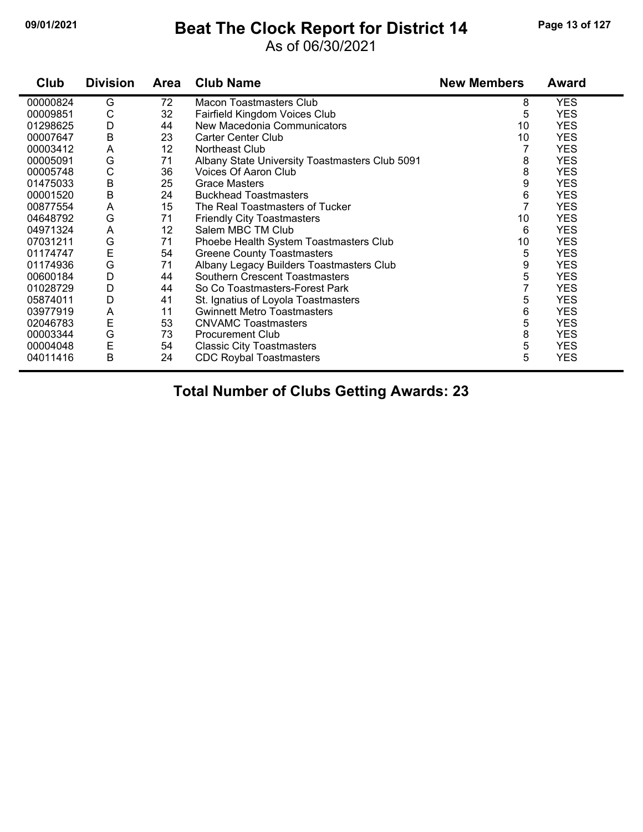#### **09/01/2021 Beat The Clock Report for District 14 Page 13 of 127**

#### As of 06/30/2021

| Club     | <b>Division</b> | <b>Area</b> | <b>Club Name</b>                               | <b>New Members</b> | <b>Award</b> |
|----------|-----------------|-------------|------------------------------------------------|--------------------|--------------|
| 00000824 | G               | 72          | <b>Macon Toastmasters Club</b>                 | 8                  | <b>YES</b>   |
| 00009851 | С               | 32          | Fairfield Kingdom Voices Club                  | 5                  | <b>YES</b>   |
| 01298625 | D               | 44          | New Macedonia Communicators                    | 10                 | <b>YES</b>   |
| 00007647 | $\sf B$         | 23          | <b>Carter Center Club</b>                      | 10                 | <b>YES</b>   |
| 00003412 | A               | 12          | Northeast Club                                 |                    | <b>YES</b>   |
| 00005091 | G               | 71          | Albany State University Toastmasters Club 5091 | 8                  | <b>YES</b>   |
| 00005748 | С               | 36          | Voices Of Aaron Club                           | 8                  | <b>YES</b>   |
| 01475033 | B               | 25          | <b>Grace Masters</b>                           | 9                  | <b>YES</b>   |
| 00001520 | $\sf B$         | 24          | <b>Buckhead Toastmasters</b>                   | 6                  | <b>YES</b>   |
| 00877554 | A               | 15          | The Real Toastmasters of Tucker                | $\overline{7}$     | <b>YES</b>   |
| 04648792 | G               | 71          | <b>Friendly City Toastmasters</b>              | 10                 | <b>YES</b>   |
| 04971324 | A               | 12          | Salem MBC TM Club                              | 6                  | <b>YES</b>   |
| 07031211 | G               | 71          | Phoebe Health System Toastmasters Club         | 10                 | <b>YES</b>   |
| 01174747 | $\mathsf E$     | 54          | <b>Greene County Toastmasters</b>              | 5                  | <b>YES</b>   |
| 01174936 | G               | 71          | Albany Legacy Builders Toastmasters Club       | 9                  | <b>YES</b>   |
| 00600184 | D               | 44          | Southern Crescent Toastmasters                 | 5                  | <b>YES</b>   |
| 01028729 | D               | 44          | So Co Toastmasters-Forest Park                 |                    | <b>YES</b>   |
| 05874011 | D               | 41          | St. Ignatius of Loyola Toastmasters            | 5                  | <b>YES</b>   |
| 03977919 | A               | 11          | <b>Gwinnett Metro Toastmasters</b>             | 6                  | <b>YES</b>   |
| 02046783 | E               | 53          | <b>CNVAMC Toastmasters</b>                     | 5                  | <b>YES</b>   |
| 00003344 | G               | 73          | <b>Procurement Club</b>                        | 8                  | <b>YES</b>   |
| 00004048 | $\mathsf E$     | 54          | <b>Classic City Toastmasters</b>               | 5                  | <b>YES</b>   |
| 04011416 | B               | 24          | <b>CDC Roybal Toastmasters</b>                 | 5                  | <b>YES</b>   |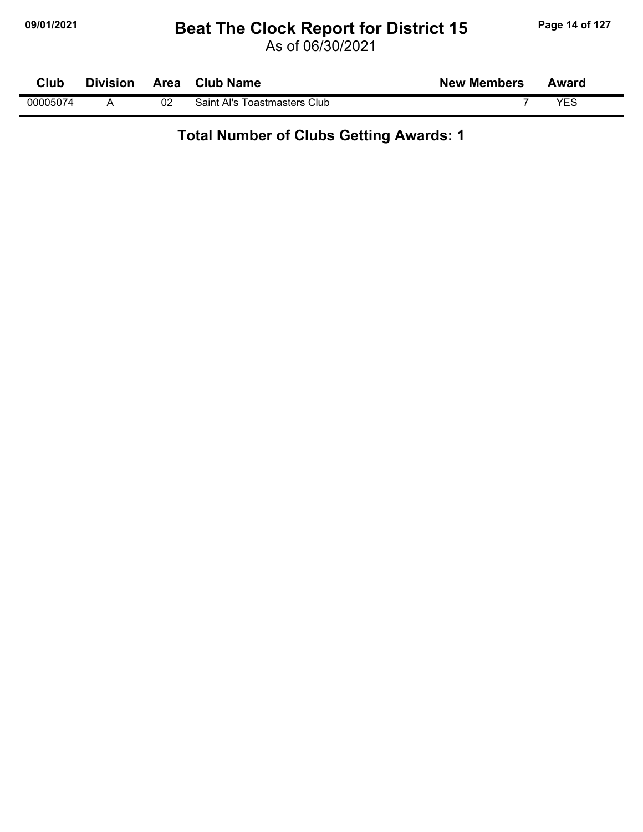# **09/01/2021 Beat The Clock Report for District 15 Page 14 of 127**

As of 06/30/2021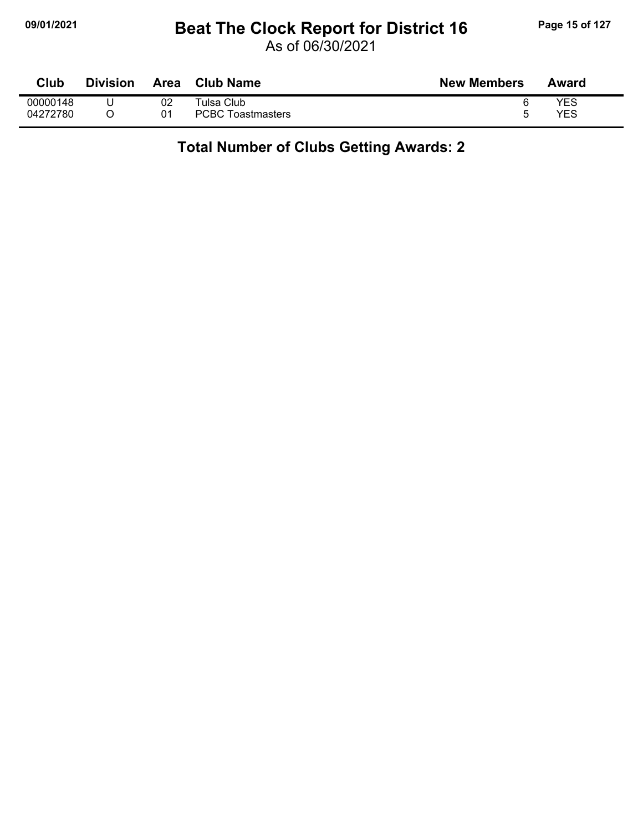## **09/01/2021 Beat The Clock Report for District 16 Page 15 of 127**

As of 06/30/2021

| Club     | <b>Division</b> | Area | Club Name                | <b>New Members</b> | Award |
|----------|-----------------|------|--------------------------|--------------------|-------|
| 00000148 |                 | 02   | ™ulsa Club               |                    | YES   |
| 04272780 |                 | 01   | <b>PCBC Toastmasters</b> |                    | YES   |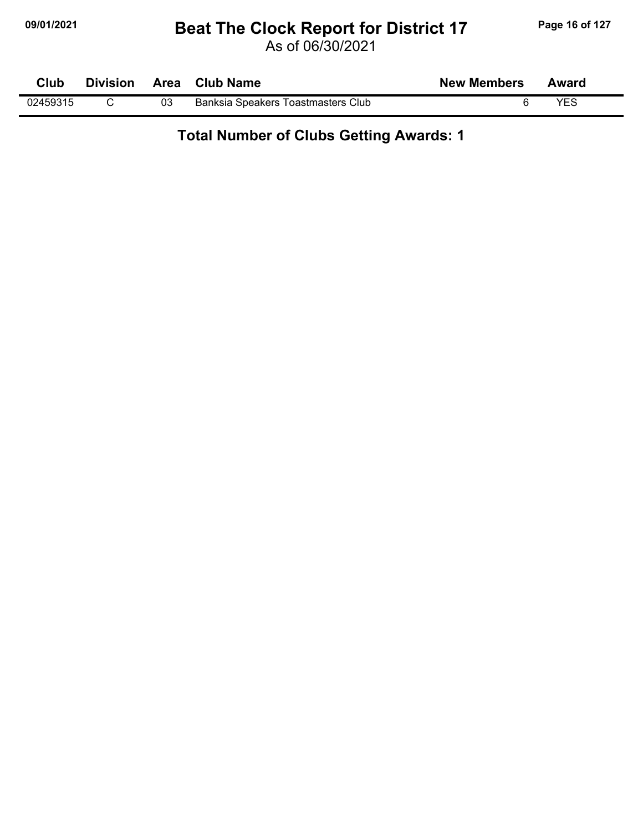### **09/01/2021 Beat The Clock Report for District 17 Page 16 of 127**

As of 06/30/2021

| <b>Club</b> |    | Division Area Club Name            | <b>New Members</b> | Award |  |
|-------------|----|------------------------------------|--------------------|-------|--|
| 02459315    | 03 | Banksia Speakers Toastmasters Club |                    | YES   |  |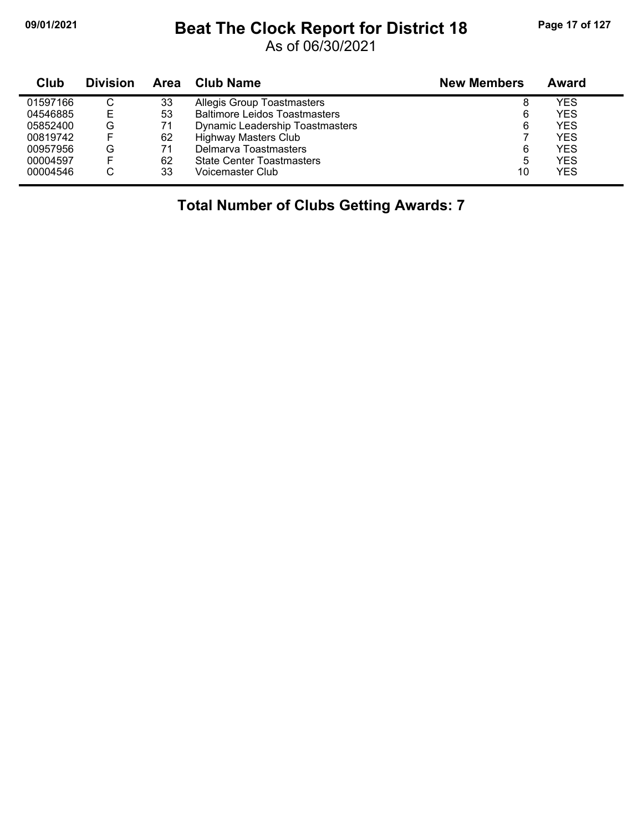## **09/01/2021 Beat The Clock Report for District 18 Page 17 of 127**

As of 06/30/2021

| Club     | <b>Division</b> | Area | <b>Club Name</b>                     | <b>New Members</b> | Award      |
|----------|-----------------|------|--------------------------------------|--------------------|------------|
| 01597166 | C               | 33   | <b>Allegis Group Toastmasters</b>    | 8                  | YES        |
| 04546885 | Е               | 53   | <b>Baltimore Leidos Toastmasters</b> | 6                  | YES        |
| 05852400 | G               | 71   | Dynamic Leadership Toastmasters      | 6                  | YES        |
| 00819742 |                 | 62   | <b>Highway Masters Club</b>          |                    | <b>YES</b> |
| 00957956 | G               | 71   | Delmarya Toastmasters                | 6                  | YES        |
| 00004597 |                 | 62   | <b>State Center Toastmasters</b>     | 5                  | <b>YES</b> |
| 00004546 | ◡               | 33   | Voicemaster Club                     | 10                 | YES        |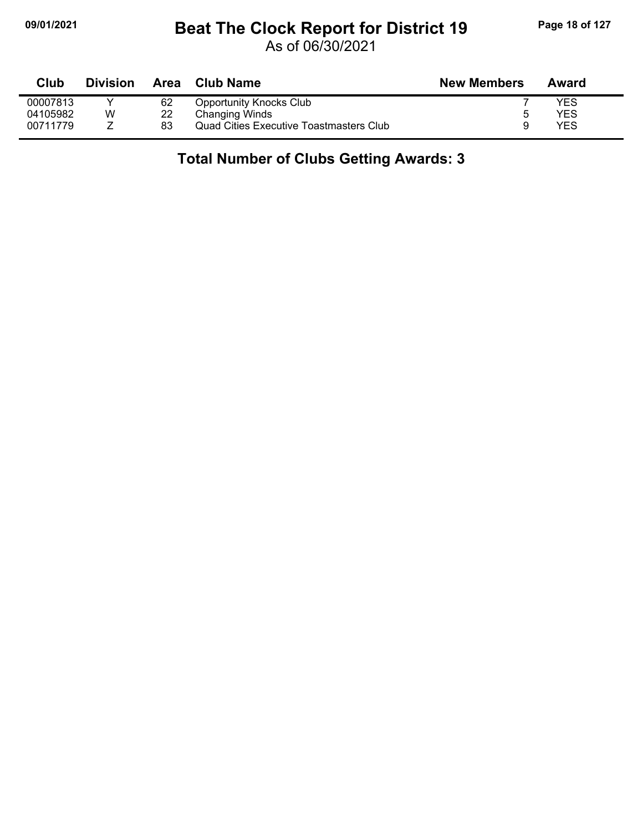## **09/01/2021 Beat The Clock Report for District 19 Page 18 of 127**

As of 06/30/2021

| <b>Club</b> | <b>Division</b> |    | Area Club Name                                 | <b>New Members</b> | Award |  |
|-------------|-----------------|----|------------------------------------------------|--------------------|-------|--|
| 00007813    |                 | 62 | <b>Opportunity Knocks Club</b>                 |                    | YES   |  |
| 04105982    | W               | 22 | Changing Winds                                 | ∽                  | YES   |  |
| 00711779    |                 | 83 | <b>Quad Cities Executive Toastmasters Club</b> | Q                  | YES   |  |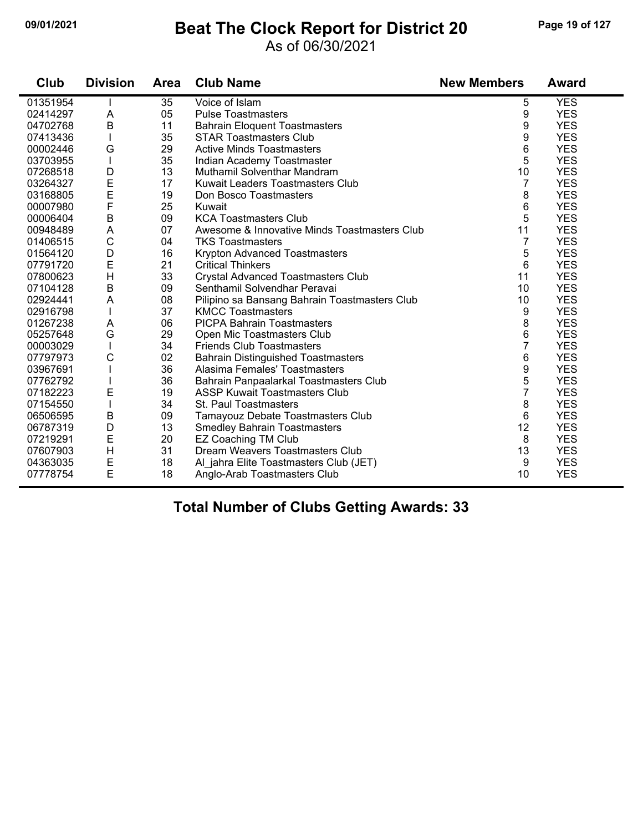#### **09/01/2021 Beat The Clock Report for District 20 Page 19 of 127**

#### As of 06/30/2021

| Club     | <b>Division</b> | <b>Area</b> | <b>Club Name</b>                              | <b>New Members</b> | <b>Award</b> |
|----------|-----------------|-------------|-----------------------------------------------|--------------------|--------------|
| 01351954 |                 | 35          | Voice of Islam                                | 5                  | <b>YES</b>   |
| 02414297 | A               | 05          | <b>Pulse Toastmasters</b>                     | 9                  | <b>YES</b>   |
| 04702768 | B               | 11          | <b>Bahrain Eloquent Toastmasters</b>          | 9                  | <b>YES</b>   |
| 07413436 |                 | 35          | <b>STAR Toastmasters Club</b>                 | 9                  | <b>YES</b>   |
| 00002446 | G               | 29          | <b>Active Minds Toastmasters</b>              | 6                  | <b>YES</b>   |
| 03703955 |                 | 35          | Indian Academy Toastmaster                    | 5                  | <b>YES</b>   |
| 07268518 | D               | 13          | Muthamil Solventhar Mandram                   | 10                 | <b>YES</b>   |
| 03264327 | E               | 17          | Kuwait Leaders Toastmasters Club              | 7                  | <b>YES</b>   |
| 03168805 | E               | 19          | Don Bosco Toastmasters                        | 8                  | <b>YES</b>   |
| 00007980 | $\mathsf F$     | 25          | Kuwait                                        | 6                  | <b>YES</b>   |
| 00006404 | $\mathsf B$     | 09          | <b>KCA Toastmasters Club</b>                  | 5                  | <b>YES</b>   |
| 00948489 | A               | 07          | Awesome & Innovative Minds Toastmasters Club  | 11                 | <b>YES</b>   |
| 01406515 | $\mathsf{C}$    | 04          | <b>TKS Toastmasters</b>                       | 7                  | <b>YES</b>   |
| 01564120 | D               | 16          | Krypton Advanced Toastmasters                 | 5                  | <b>YES</b>   |
| 07791720 | E               | 21          | <b>Critical Thinkers</b>                      | 6                  | <b>YES</b>   |
| 07800623 | $\mathsf{H}$    | 33          | <b>Crystal Advanced Toastmasters Club</b>     | 11                 | <b>YES</b>   |
| 07104128 | $\sf B$         | 09          | Senthamil Solvendhar Peravai                  | 10                 | <b>YES</b>   |
| 02924441 | A               | 08          | Pilipino sa Bansang Bahrain Toastmasters Club | 10                 | <b>YES</b>   |
| 02916798 |                 | 37          | <b>KMCC Toastmasters</b>                      | 9                  | <b>YES</b>   |
| 01267238 | A               | 06          | <b>PICPA Bahrain Toastmasters</b>             | 8                  | <b>YES</b>   |
| 05257648 | G               | 29          | Open Mic Toastmasters Club                    | 6                  | <b>YES</b>   |
| 00003029 |                 | 34          | <b>Friends Club Toastmasters</b>              | 7                  | <b>YES</b>   |
| 07797973 | C               | 02          | <b>Bahrain Distinguished Toastmasters</b>     | 6                  | <b>YES</b>   |
| 03967691 |                 | 36          | Alasima Females' Toastmasters                 | 9                  | <b>YES</b>   |
| 07762792 |                 | 36          | Bahrain Panpaalarkal Toastmasters Club        | 5                  | <b>YES</b>   |
| 07182223 | E               | 19          | <b>ASSP Kuwait Toastmasters Club</b>          | 7                  | <b>YES</b>   |
| 07154550 |                 | 34          | St. Paul Toastmasters                         | 8                  | <b>YES</b>   |
| 06506595 | B               | 09          | Tamayouz Debate Toastmasters Club             | 6                  | <b>YES</b>   |
| 06787319 | D               | 13          | <b>Smedley Bahrain Toastmasters</b>           | 12                 | <b>YES</b>   |
| 07219291 | E               | 20          | <b>EZ Coaching TM Club</b>                    | 8                  | <b>YES</b>   |
| 07607903 | $\mathsf{H}$    | 31          | Dream Weavers Toastmasters Club               | 13                 | <b>YES</b>   |
| 04363035 | E               | 18          | Al_jahra Elite Toastmasters Club (JET)        | 9                  | <b>YES</b>   |
| 07778754 | E               | 18          | Anglo-Arab Toastmasters Club                  | 10                 | <b>YES</b>   |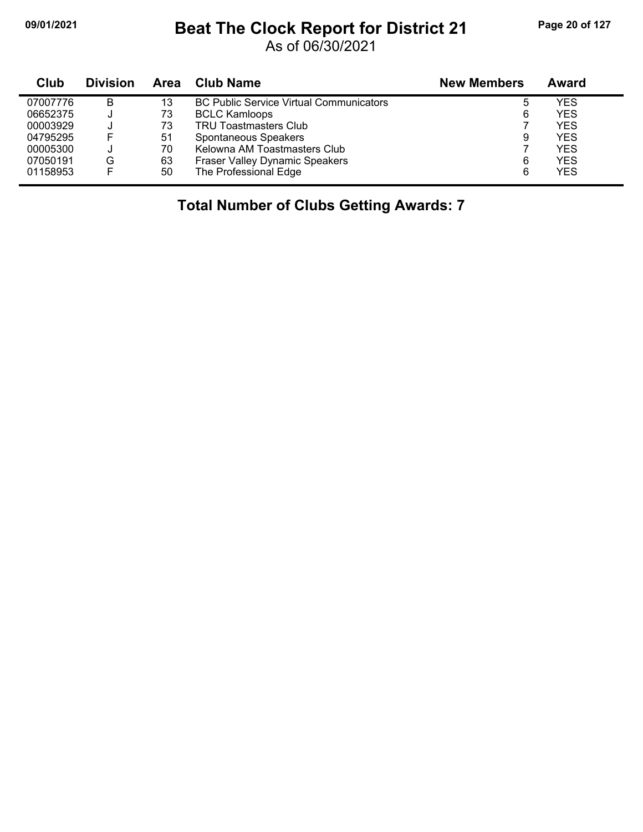## **09/01/2021 Beat The Clock Report for District 21 Page 20 of 127**

As of 06/30/2021

| Club     | <b>Division</b> | Area | Club Name                                      | <b>New Members</b> | Award      |
|----------|-----------------|------|------------------------------------------------|--------------------|------------|
| 07007776 | B               | 13   | <b>BC Public Service Virtual Communicators</b> | ხ                  | YES        |
| 06652375 | J.              | 73   | <b>BCLC Kamloops</b>                           | 6                  | <b>YES</b> |
| 00003929 |                 | 73   | <b>TRU Toastmasters Club</b>                   |                    | <b>YES</b> |
| 04795295 |                 | 51   | Spontaneous Speakers                           | 9                  | <b>YES</b> |
| 00005300 |                 | 70   | Kelowna AM Toastmasters Club                   |                    | <b>YES</b> |
| 07050191 | G               | 63   | <b>Fraser Valley Dynamic Speakers</b>          | 6                  | <b>YES</b> |
| 01158953 |                 | 50   | The Professional Edge                          | 6                  | <b>YES</b> |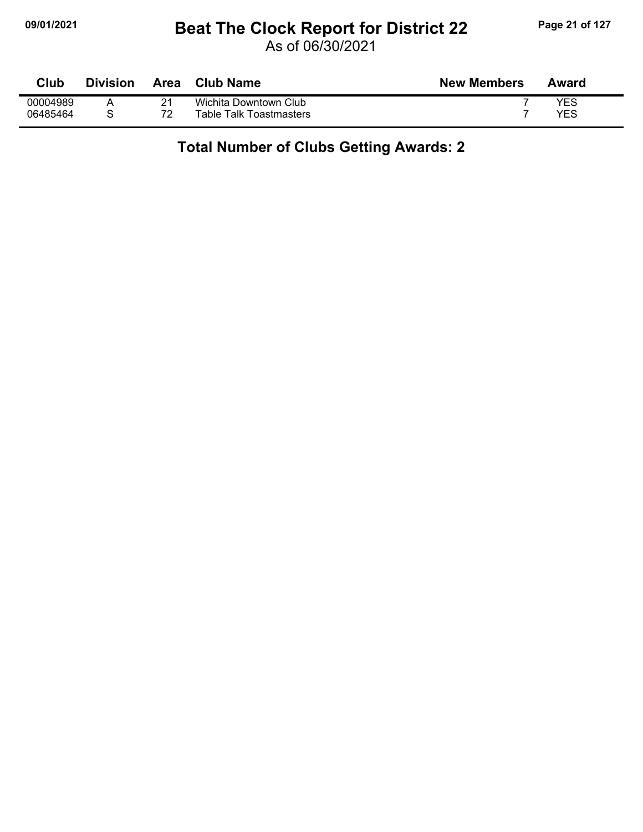### **09/01/2021 Beat The Clock Report for District 22 Page 21 of 127**

As of 06/30/2021

| Club     | Division | Area | <b>Club Name</b>        | <b>New Members</b> | Award |
|----------|----------|------|-------------------------|--------------------|-------|
| 00004989 |          | 94   | Wichita Downtown Club   |                    | YES   |
| 06485464 |          | 72   | Table Talk Toastmasters |                    | YES   |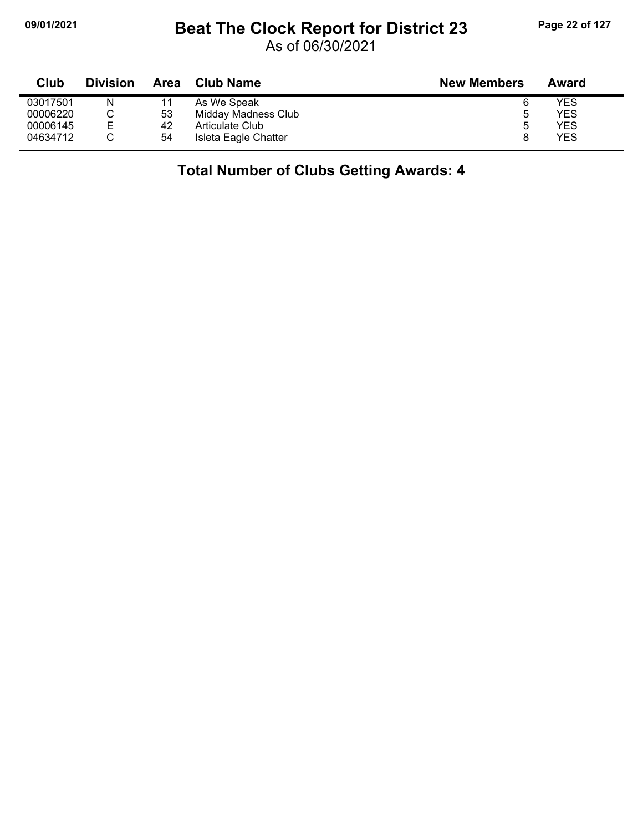## **09/01/2021 Beat The Clock Report for District 23 Page 22 of 127**

As of 06/30/2021

| Club     | <b>Division</b> | <b>Area</b> | <b>Club Name</b>     | <b>New Members</b> | Award |
|----------|-----------------|-------------|----------------------|--------------------|-------|
| 03017501 | N               |             | As We Speak          |                    | YES   |
| 00006220 |                 | 53          | Midday Madness Club  |                    | YES   |
| 00006145 | E               | 42          | Articulate Club      |                    | YES   |
| 04634712 |                 | 54          | Isleta Eagle Chatter |                    | YES   |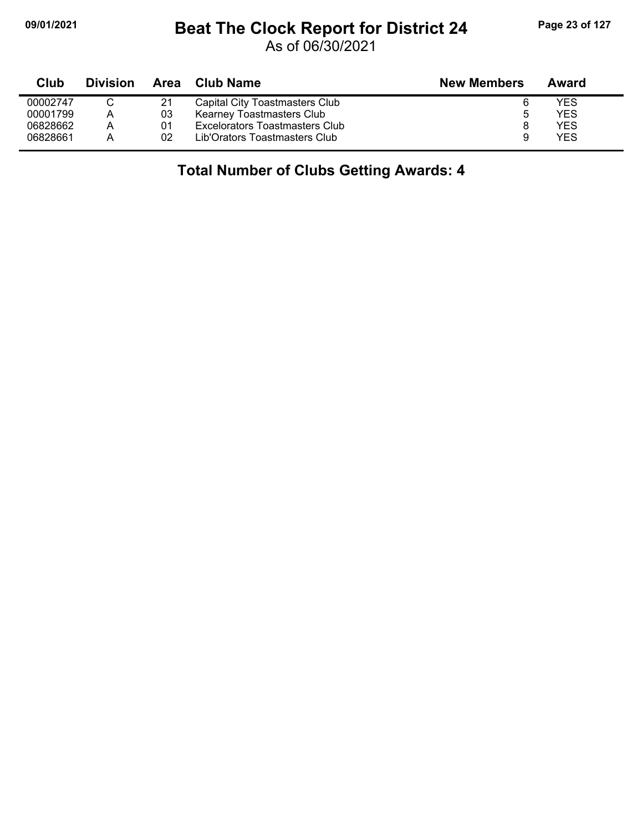### **09/01/2021 Beat The Clock Report for District 24 Page 23 of 127**

As of 06/30/2021

| Club     | <b>Division</b> | Area | Club Name                        | <b>New Members</b> | Award |
|----------|-----------------|------|----------------------------------|--------------------|-------|
| 00002747 |                 | 21   | Capital City Toastmasters Club   |                    | YES   |
| 00001799 | A               | 03   | <b>Kearney Toastmasters Club</b> |                    | YES   |
| 06828662 | Α               | 01   | Excelorators Toastmasters Club   |                    | YES   |
| 06828661 | А               | 02   | Lib'Orators Toastmasters Club    | 9                  | YES   |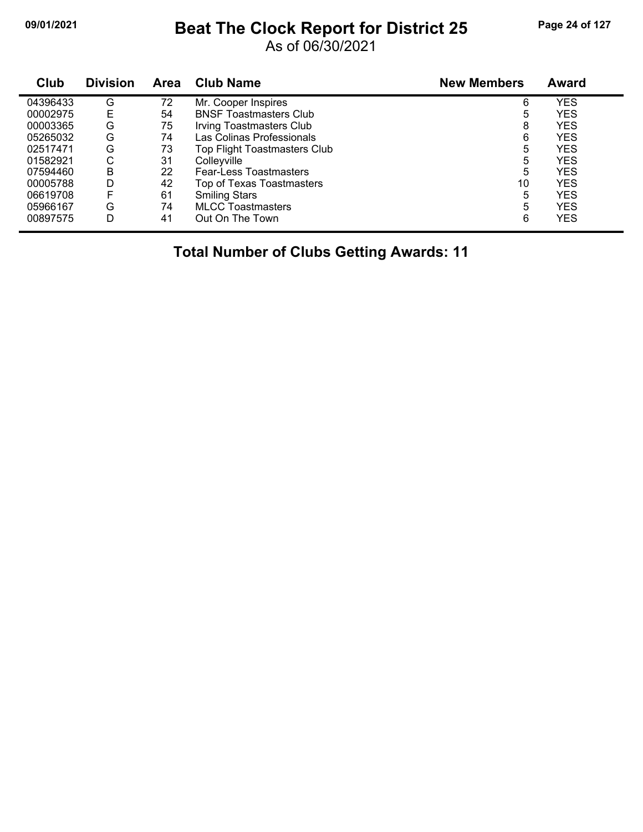## **09/01/2021 Beat The Clock Report for District 25 Page 24 of 127**

As of 06/30/2021

| Club     | <b>Division</b> | <b>Area</b> | <b>Club Name</b>              | <b>New Members</b> | <b>Award</b> |
|----------|-----------------|-------------|-------------------------------|--------------------|--------------|
| 04396433 | G               | 72          | Mr. Cooper Inspires           | 6                  | <b>YES</b>   |
| 00002975 | Е               | 54          | <b>BNSF Toastmasters Club</b> | 5                  | <b>YES</b>   |
| 00003365 | G               | 75          | Irving Toastmasters Club      | 8                  | <b>YES</b>   |
| 05265032 | G               | 74          | Las Colinas Professionals     | 6                  | <b>YES</b>   |
| 02517471 | G               | 73          | Top Flight Toastmasters Club  | 5                  | <b>YES</b>   |
| 01582921 | С               | 31          | Colleyville                   | 5                  | <b>YES</b>   |
| 07594460 | B               | 22          | <b>Fear-Less Toastmasters</b> | 5                  | <b>YES</b>   |
| 00005788 | D               | 42          | Top of Texas Toastmasters     | 10                 | <b>YES</b>   |
| 06619708 | F               | 61          | <b>Smiling Stars</b>          | 5                  | <b>YES</b>   |
| 05966167 | G               | 74          | <b>MLCC Toastmasters</b>      | 5                  | <b>YES</b>   |
| 00897575 | D               | 41          | Out On The Town               | 6                  | <b>YES</b>   |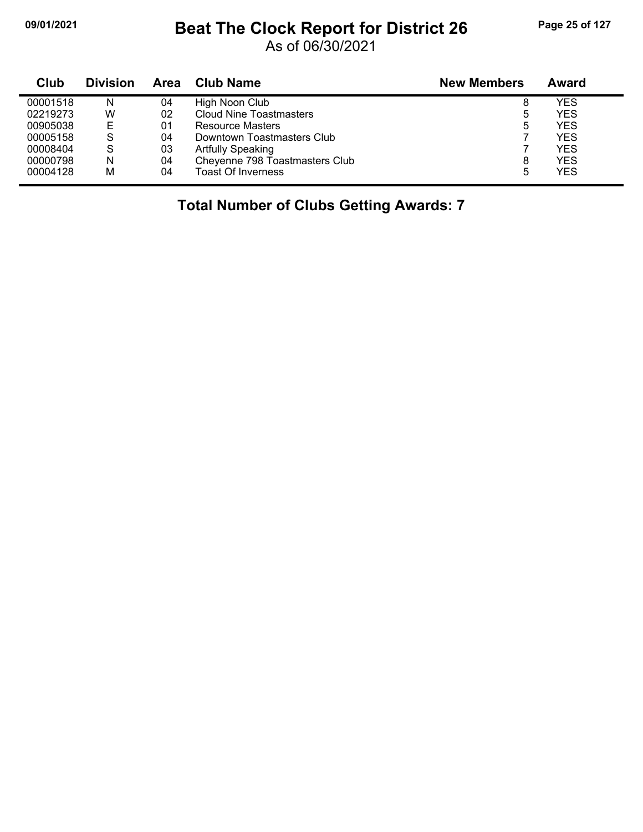## **09/01/2021 Beat The Clock Report for District 26 Page 25 of 127**

As of 06/30/2021

| Club     | <b>Division</b> | Area | <b>Club Name</b>               | <b>New Members</b> | Award      |
|----------|-----------------|------|--------------------------------|--------------------|------------|
| 00001518 | N               | 04   | High Noon Club                 | 8                  | YES        |
| 02219273 | W               | 02   | Cloud Nine Toastmasters        | 5                  | <b>YES</b> |
| 00905038 | Е               | 01   | <b>Resource Masters</b>        | 5                  | <b>YES</b> |
| 00005158 | S               | 04   | Downtown Toastmasters Club     |                    | <b>YES</b> |
| 00008404 | S               | 03   | <b>Artfully Speaking</b>       |                    | <b>YES</b> |
| 00000798 | N               | 04   | Cheyenne 798 Toastmasters Club | 8                  | <b>YES</b> |
| 00004128 | M               | 04   | Toast Of Inverness             | 5                  | <b>YES</b> |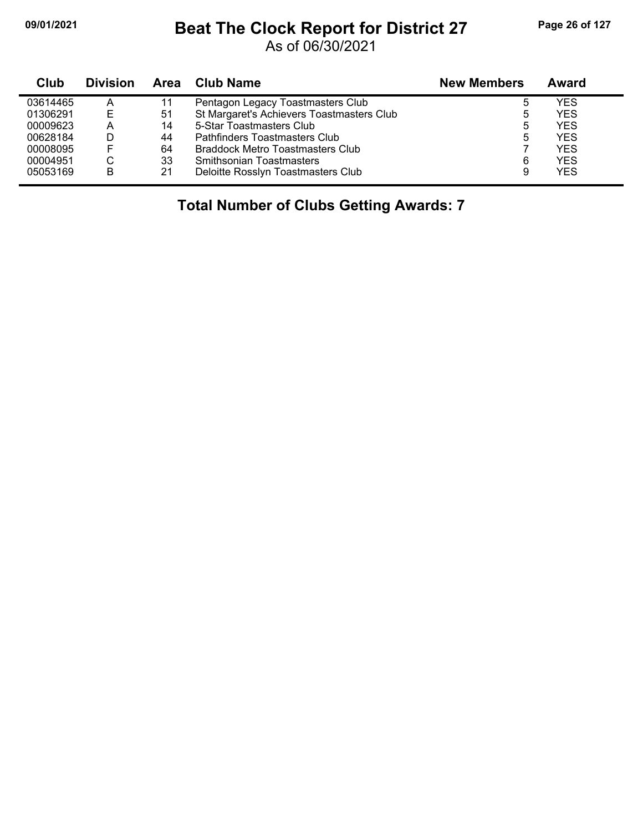#### **09/01/2021 Beat The Clock Report for District 27 Page 26 of 127**

As of 06/30/2021

| <b>Club</b> | <b>Division</b> | Area | Club Name                                 | <b>New Members</b> | Award      |
|-------------|-----------------|------|-------------------------------------------|--------------------|------------|
| 03614465    | Α               | 11   | Pentagon Legacy Toastmasters Club         | b                  | YES        |
| 01306291    |                 | -51  | St Margaret's Achievers Toastmasters Club | ხ                  | <b>YES</b> |
| 00009623    | Α               | 14   | 5-Star Toastmasters Club                  | 5                  | <b>YES</b> |
| 00628184    |                 | 44   | Pathfinders Toastmasters Club             | 5                  | <b>YES</b> |
| 00008095    |                 | 64   | Braddock Metro Toastmasters Club          |                    | <b>YES</b> |
| 00004951    |                 | 33   | <b>Smithsonian Toastmasters</b>           | 6                  | <b>YES</b> |
| 05053169    | в               | 21   | Deloitte Rosslyn Toastmasters Club        | 9                  | <b>YES</b> |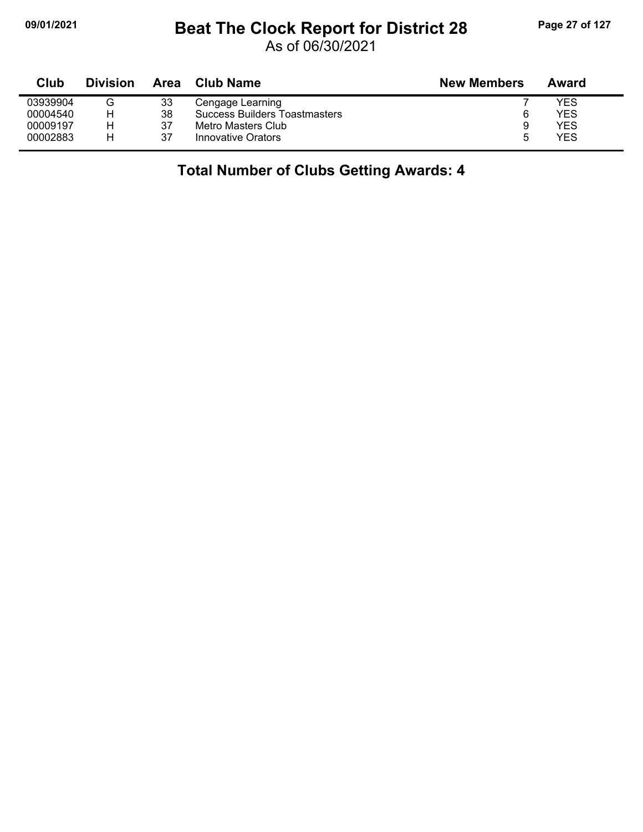## **09/01/2021 Beat The Clock Report for District 28 Page 27 of 127**

As of 06/30/2021

| Club     | <b>Division</b> | Area | <b>Club Name</b>                     | <b>New Members</b> | Award |
|----------|-----------------|------|--------------------------------------|--------------------|-------|
| 03939904 |                 | 33   | Cengage Learning                     |                    | YES   |
| 00004540 |                 | 38   | <b>Success Builders Toastmasters</b> |                    | YES   |
| 00009197 |                 | 37   | Metro Masters Club                   | 9                  | YES   |
| 00002883 | н               | 37   | Innovative Orators                   | h                  | YES   |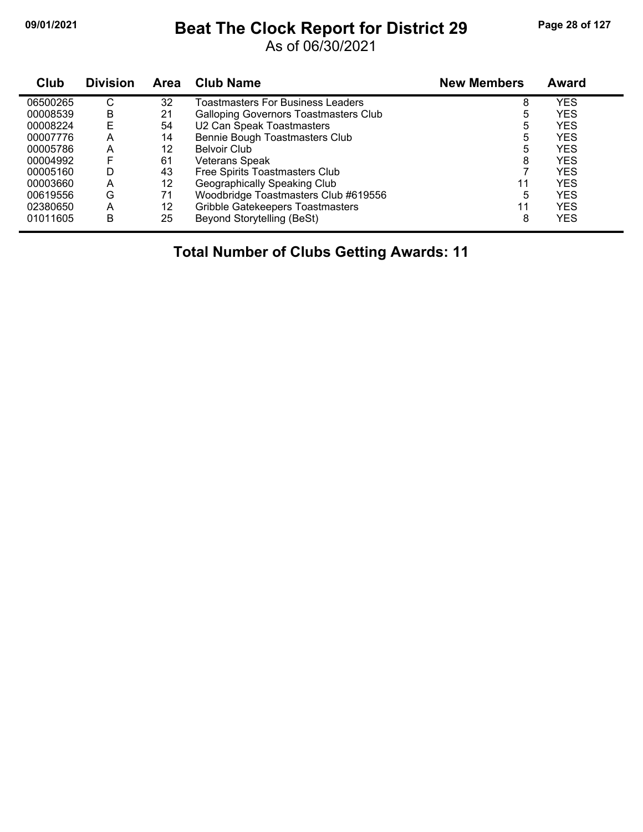#### **09/01/2021 Beat The Clock Report for District 29 Page 28 of 127**

As of 06/30/2021

| Club     | <b>Division</b> | <b>Area</b> | <b>Club Name</b>                             | <b>New Members</b> | <b>Award</b> |
|----------|-----------------|-------------|----------------------------------------------|--------------------|--------------|
| 06500265 | С               | 32          | Toastmasters For Business Leaders            | 8                  | <b>YES</b>   |
| 00008539 | B               | 21          | <b>Galloping Governors Toastmasters Club</b> | 5                  | <b>YES</b>   |
| 00008224 | E               | 54          | U2 Can Speak Toastmasters                    | 5                  | <b>YES</b>   |
| 00007776 | А               | 14          | Bennie Bough Toastmasters Club               | 5                  | <b>YES</b>   |
| 00005786 | Α               | 12          | <b>Belvoir Club</b>                          | 5                  | <b>YES</b>   |
| 00004992 | F               | 61          | <b>Veterans Speak</b>                        | 8                  | <b>YES</b>   |
| 00005160 | D               | 43          | Free Spirits Toastmasters Club               |                    | <b>YES</b>   |
| 00003660 | A               | 12          | Geographically Speaking Club                 | 11                 | <b>YES</b>   |
| 00619556 | G               | 71          | Woodbridge Toastmasters Club #619556         | 5                  | <b>YES</b>   |
| 02380650 | A               | 12          | <b>Gribble Gatekeepers Toastmasters</b>      | 11                 | YES          |
| 01011605 | в               | 25          | Beyond Storytelling (BeSt)                   | 8                  | YES          |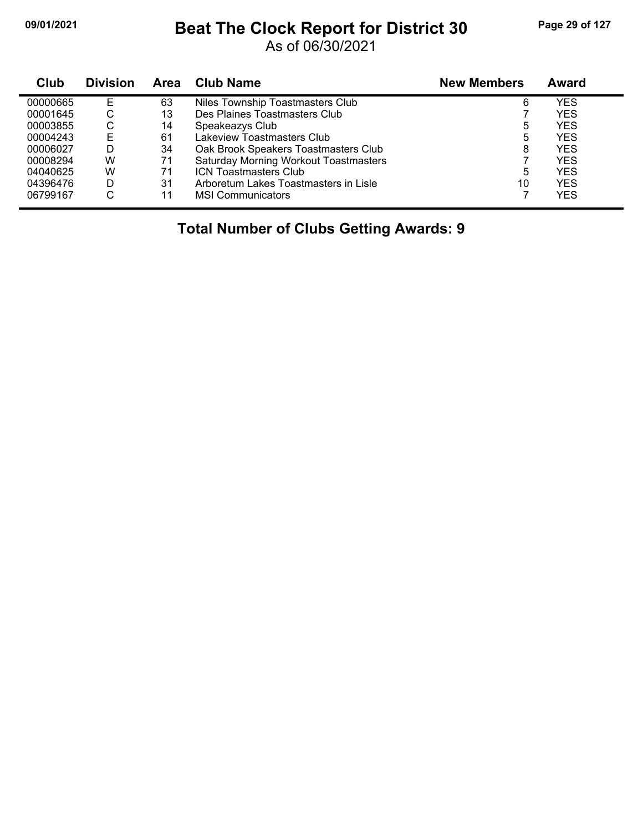#### **09/01/2021 Beat The Clock Report for District 30 Page 29 of 127**

As of 06/30/2021

| Club     | <b>Division</b> | Area | <b>Club Name</b>                             | <b>New Members</b> | Award      |
|----------|-----------------|------|----------------------------------------------|--------------------|------------|
| 00000665 | Е               | 63   | Niles Township Toastmasters Club             | 6                  | YES        |
| 00001645 | ◡               | 13   | Des Plaines Toastmasters Club                |                    | <b>YES</b> |
| 00003855 | C               | 14   | Speakeazys Club                              | 5                  | <b>YES</b> |
| 00004243 | Е               | 61   | Lakeview Toastmasters Club                   | 5                  | <b>YES</b> |
| 00006027 | D               | 34   | Oak Brook Speakers Toastmasters Club         | 8                  | <b>YES</b> |
| 00008294 | W               | 71   | <b>Saturday Morning Workout Toastmasters</b> |                    | <b>YES</b> |
| 04040625 | W               | 71   | <b>ICN Toastmasters Club</b>                 | 5                  | <b>YES</b> |
| 04396476 | D               | 31   | Arboretum Lakes Toastmasters in Lisle        | 10                 | <b>YES</b> |
| 06799167 | C               | 11   | <b>MSI Communicators</b>                     |                    | <b>YES</b> |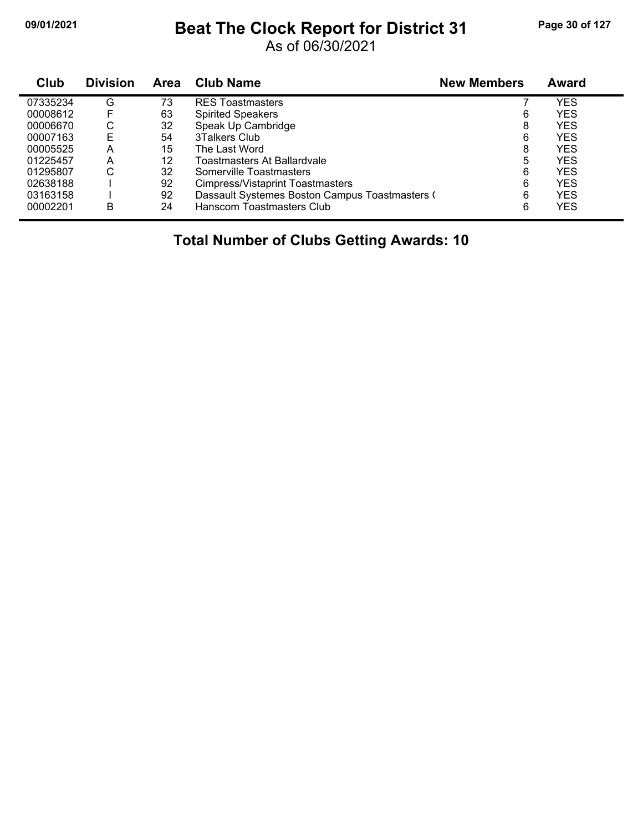#### **09/01/2021 Beat The Clock Report for District 31 Page 30 of 127**

As of 06/30/2021

| <b>Club</b> | <b>Division</b> | <b>Area</b> | <b>Club Name</b>                               | <b>New Members</b> | <b>Award</b> |  |
|-------------|-----------------|-------------|------------------------------------------------|--------------------|--------------|--|
| 07335234    | G               | 73          | <b>RES Toastmasters</b>                        |                    | YES          |  |
| 00008612    |                 | 63          | <b>Spirited Speakers</b>                       | 6                  | <b>YES</b>   |  |
| 00006670    | С               | 32          | Speak Up Cambridge                             | 8                  | <b>YES</b>   |  |
| 00007163    | E               | 54          | 3Talkers Club                                  | 6                  | <b>YES</b>   |  |
| 00005525    | Α               | 15          | The Last Word                                  | 8                  | <b>YES</b>   |  |
| 01225457    | A               | 12          | Toastmasters At Ballardvale                    | 5                  | YES          |  |
| 01295807    | С               | 32          | Somerville Toastmasters                        | 6                  | <b>YES</b>   |  |
| 02638188    |                 | 92          | Cimpress/Vistaprint Toastmasters               | 6                  | <b>YES</b>   |  |
| 03163158    |                 | 92          | Dassault Systemes Boston Campus Toastmasters ( | 6                  | YES          |  |
| 00002201    | B               | 24          | Hanscom Toastmasters Club                      | 6                  | <b>YES</b>   |  |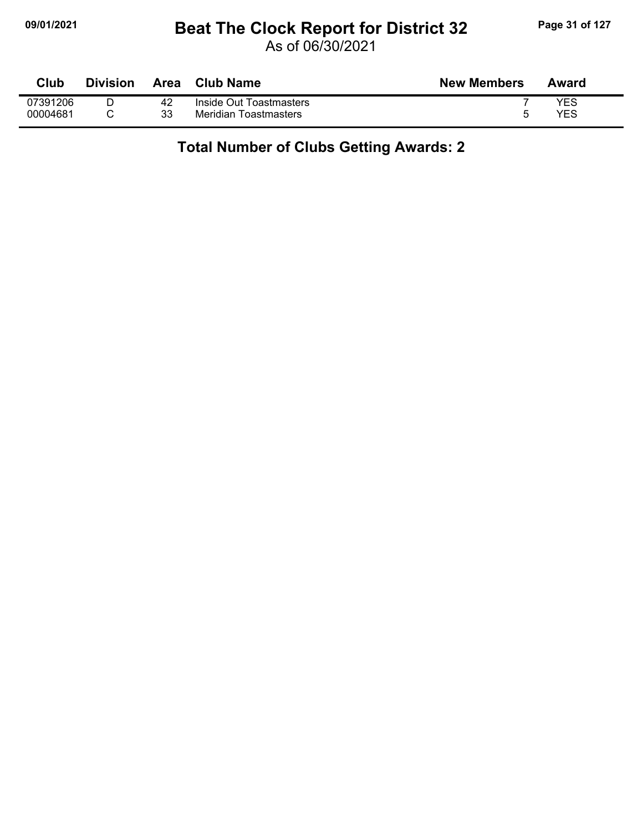### **09/01/2021 Beat The Clock Report for District 32 Page 31 of 127**

As of 06/30/2021

| Club     | Division | Area | Club Name               | <b>New Members</b> | Award |
|----------|----------|------|-------------------------|--------------------|-------|
| 07391206 |          | 42   | Inside Out Toastmasters |                    | YES   |
| 00004681 |          | 33   | Meridian Toastmasters   |                    | YES   |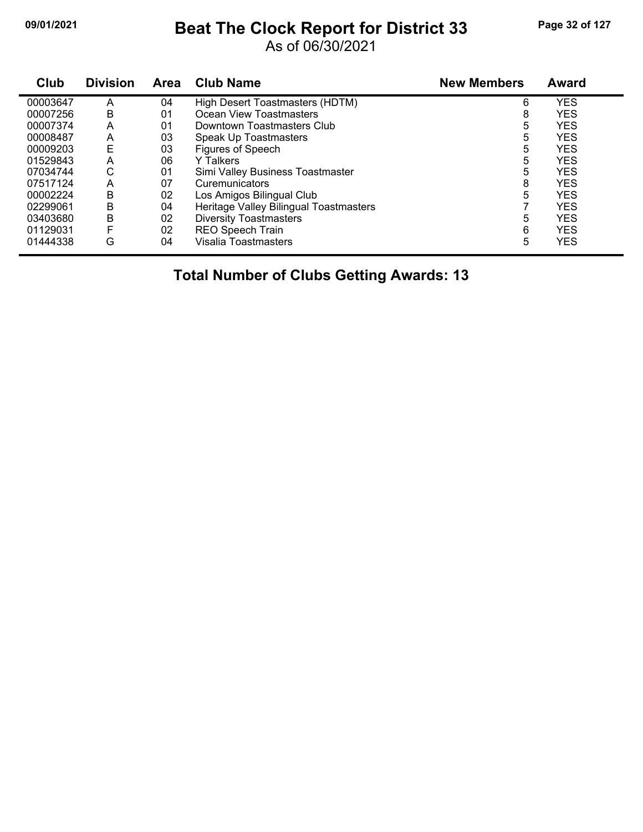#### **09/01/2021 Beat The Clock Report for District 33 Page 32 of 127**

As of 06/30/2021

| Club     | <b>Division</b> | Area | <b>Club Name</b>                       | <b>New Members</b> | <b>Award</b> |
|----------|-----------------|------|----------------------------------------|--------------------|--------------|
| 00003647 | А               | 04   | High Desert Toastmasters (HDTM)        | 6                  | <b>YES</b>   |
| 00007256 | В               | 01   | Ocean View Toastmasters                | 8                  | <b>YES</b>   |
| 00007374 | A               | 01   | Downtown Toastmasters Club             | 5                  | <b>YES</b>   |
| 00008487 | Α               | 03   | Speak Up Toastmasters                  | 5                  | <b>YES</b>   |
| 00009203 | E               | 03   | Figures of Speech                      | 5                  | <b>YES</b>   |
| 01529843 | Α               | 06   | <b>Y</b> Talkers                       | 5                  | <b>YES</b>   |
| 07034744 | С               | 01   | Simi Valley Business Toastmaster       | 5                  | <b>YES</b>   |
| 07517124 | А               | 07   | Curemunicators                         | 8                  | <b>YES</b>   |
| 00002224 | B               | 02   | Los Amigos Bilingual Club              | 5                  | <b>YES</b>   |
| 02299061 | B               | 04   | Heritage Valley Bilingual Toastmasters |                    | <b>YES</b>   |
| 03403680 | В               | 02   | <b>Diversity Toastmasters</b>          | 5                  | <b>YES</b>   |
| 01129031 |                 | 02   | <b>REO Speech Train</b>                | 6                  | <b>YES</b>   |
| 01444338 | G               | 04   | Visalia Toastmasters                   | 5                  | <b>YES</b>   |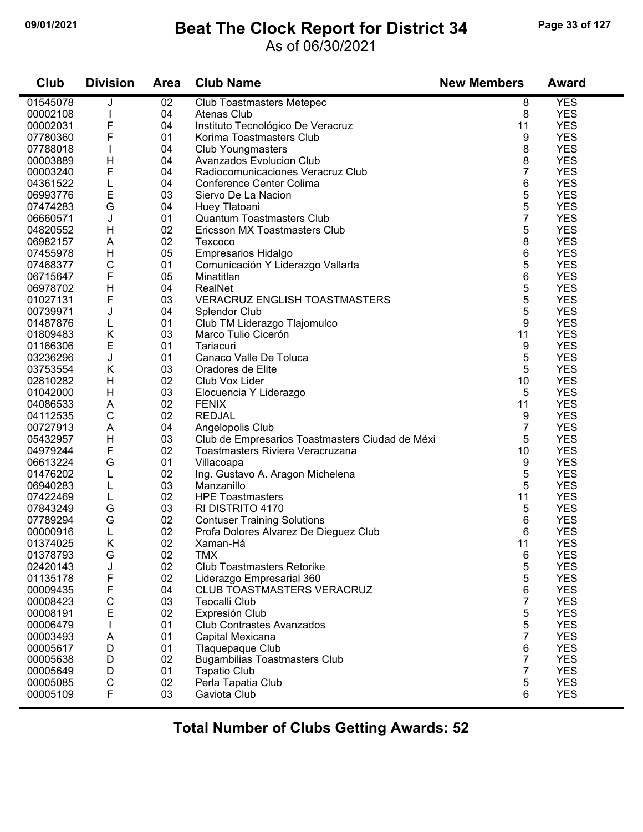#### **09/01/2021 Beat The Clock Report for District 34 Page 33 of 127**

#### As of 06/30/2021

| <b>YES</b><br>01545078<br>02<br>J<br><b>Club Toastmasters Metepec</b><br>8<br>8<br>04<br><b>YES</b><br>00002108<br>Atenas Club<br>F<br>Instituto Tecnológico De Veracruz<br><b>YES</b><br>00002031<br>04<br>11<br>F<br>01<br><b>YES</b><br>07780360<br>Korima Toastmasters Club<br>9<br>8<br><b>YES</b><br>04<br>07788018<br><b>Club Youngmasters</b><br>8<br><b>YES</b><br>H<br>04<br>Avanzados Evolucion Club<br>00003889<br>$\overline{7}$<br>F<br><b>YES</b><br>04<br>00003240<br>Radiocomunicaciones Veracruz Club<br>6<br><b>YES</b><br>04<br>04361522<br>L<br>Conference Center Colima<br>Е<br>5<br><b>YES</b><br>03<br>06993776<br>Siervo De La Nacion<br>G<br>5<br><b>YES</b><br>07474283<br>04<br>Huey Tlatoani<br>$\overline{7}$<br><b>Quantum Toastmasters Club</b><br><b>YES</b><br>06660571<br>J<br>01<br>02<br>5<br><b>YES</b><br>H<br>04820552<br>Ericsson MX Toastmasters Club<br>8<br><b>YES</b><br>A<br>02<br>06982157<br>Texcoco<br>6<br><b>YES</b><br>H<br>05<br>07455978<br>Empresarios Hidalgo<br>C<br>5<br><b>YES</b><br>01<br>07468377<br>Comunicación Y Liderazgo Vallarta<br>F<br>6<br>05<br><b>YES</b><br>06715647<br>Minatitlan<br>5<br>04<br><b>YES</b><br>06978702<br>Н<br>RealNet<br>5<br>F<br><b>YES</b><br>03<br><b>VERACRUZ ENGLISH TOASTMASTERS</b><br>01027131<br>5<br><b>YES</b><br>04<br>00739971<br>J<br>Splendor Club<br>9<br>01<br><b>YES</b><br>01487876<br>Club TM Liderazgo Tlajomulco<br>L<br>Κ<br>11<br><b>YES</b><br>03<br>01809483<br>Marco Tulio Cicerón<br>E<br><b>YES</b><br>01<br>9<br>01166306<br>Tariacuri<br>5<br>J<br>01<br>Canaco Valle De Toluca<br><b>YES</b><br>03236296<br>5<br>K<br>03<br><b>YES</b><br>03753554<br>Oradores de Elite<br>H<br><b>YES</b><br>02<br>10<br>02810282<br>Club Vox Lider<br>5<br><b>YES</b><br>H<br>03<br>01042000<br>Elocuencia Y Liderazgo<br><b>YES</b><br>02<br>11<br>04086533<br>A<br><b>FENIX</b><br>$\mathsf C$<br><b>YES</b><br>02<br><b>REDJAL</b><br>9<br>04112535<br>$\overline{7}$<br>04<br><b>YES</b><br>00727913<br>A<br>Angelopolis Club<br>5<br>03<br>Club de Empresarios Toastmasters Ciudad de Méxi<br><b>YES</b><br>Н<br>05432957<br>F<br><b>YES</b><br>02<br>Toastmasters Riviera Veracruzana<br>10<br>04979244<br>9<br><b>YES</b><br>G<br>01<br>06613224<br>Villacoapa |
|--------------------------------------------------------------------------------------------------------------------------------------------------------------------------------------------------------------------------------------------------------------------------------------------------------------------------------------------------------------------------------------------------------------------------------------------------------------------------------------------------------------------------------------------------------------------------------------------------------------------------------------------------------------------------------------------------------------------------------------------------------------------------------------------------------------------------------------------------------------------------------------------------------------------------------------------------------------------------------------------------------------------------------------------------------------------------------------------------------------------------------------------------------------------------------------------------------------------------------------------------------------------------------------------------------------------------------------------------------------------------------------------------------------------------------------------------------------------------------------------------------------------------------------------------------------------------------------------------------------------------------------------------------------------------------------------------------------------------------------------------------------------------------------------------------------------------------------------------------------------------------------------------------------------------------------------------------------------------------------------------------------------------------------------------------------------------------------------------------------------------------------------------------------------------------------------------------------------------------------------------------------------------------------|
|                                                                                                                                                                                                                                                                                                                                                                                                                                                                                                                                                                                                                                                                                                                                                                                                                                                                                                                                                                                                                                                                                                                                                                                                                                                                                                                                                                                                                                                                                                                                                                                                                                                                                                                                                                                                                                                                                                                                                                                                                                                                                                                                                                                                                                                                                      |
|                                                                                                                                                                                                                                                                                                                                                                                                                                                                                                                                                                                                                                                                                                                                                                                                                                                                                                                                                                                                                                                                                                                                                                                                                                                                                                                                                                                                                                                                                                                                                                                                                                                                                                                                                                                                                                                                                                                                                                                                                                                                                                                                                                                                                                                                                      |
|                                                                                                                                                                                                                                                                                                                                                                                                                                                                                                                                                                                                                                                                                                                                                                                                                                                                                                                                                                                                                                                                                                                                                                                                                                                                                                                                                                                                                                                                                                                                                                                                                                                                                                                                                                                                                                                                                                                                                                                                                                                                                                                                                                                                                                                                                      |
|                                                                                                                                                                                                                                                                                                                                                                                                                                                                                                                                                                                                                                                                                                                                                                                                                                                                                                                                                                                                                                                                                                                                                                                                                                                                                                                                                                                                                                                                                                                                                                                                                                                                                                                                                                                                                                                                                                                                                                                                                                                                                                                                                                                                                                                                                      |
|                                                                                                                                                                                                                                                                                                                                                                                                                                                                                                                                                                                                                                                                                                                                                                                                                                                                                                                                                                                                                                                                                                                                                                                                                                                                                                                                                                                                                                                                                                                                                                                                                                                                                                                                                                                                                                                                                                                                                                                                                                                                                                                                                                                                                                                                                      |
|                                                                                                                                                                                                                                                                                                                                                                                                                                                                                                                                                                                                                                                                                                                                                                                                                                                                                                                                                                                                                                                                                                                                                                                                                                                                                                                                                                                                                                                                                                                                                                                                                                                                                                                                                                                                                                                                                                                                                                                                                                                                                                                                                                                                                                                                                      |
|                                                                                                                                                                                                                                                                                                                                                                                                                                                                                                                                                                                                                                                                                                                                                                                                                                                                                                                                                                                                                                                                                                                                                                                                                                                                                                                                                                                                                                                                                                                                                                                                                                                                                                                                                                                                                                                                                                                                                                                                                                                                                                                                                                                                                                                                                      |
|                                                                                                                                                                                                                                                                                                                                                                                                                                                                                                                                                                                                                                                                                                                                                                                                                                                                                                                                                                                                                                                                                                                                                                                                                                                                                                                                                                                                                                                                                                                                                                                                                                                                                                                                                                                                                                                                                                                                                                                                                                                                                                                                                                                                                                                                                      |
|                                                                                                                                                                                                                                                                                                                                                                                                                                                                                                                                                                                                                                                                                                                                                                                                                                                                                                                                                                                                                                                                                                                                                                                                                                                                                                                                                                                                                                                                                                                                                                                                                                                                                                                                                                                                                                                                                                                                                                                                                                                                                                                                                                                                                                                                                      |
|                                                                                                                                                                                                                                                                                                                                                                                                                                                                                                                                                                                                                                                                                                                                                                                                                                                                                                                                                                                                                                                                                                                                                                                                                                                                                                                                                                                                                                                                                                                                                                                                                                                                                                                                                                                                                                                                                                                                                                                                                                                                                                                                                                                                                                                                                      |
|                                                                                                                                                                                                                                                                                                                                                                                                                                                                                                                                                                                                                                                                                                                                                                                                                                                                                                                                                                                                                                                                                                                                                                                                                                                                                                                                                                                                                                                                                                                                                                                                                                                                                                                                                                                                                                                                                                                                                                                                                                                                                                                                                                                                                                                                                      |
|                                                                                                                                                                                                                                                                                                                                                                                                                                                                                                                                                                                                                                                                                                                                                                                                                                                                                                                                                                                                                                                                                                                                                                                                                                                                                                                                                                                                                                                                                                                                                                                                                                                                                                                                                                                                                                                                                                                                                                                                                                                                                                                                                                                                                                                                                      |
|                                                                                                                                                                                                                                                                                                                                                                                                                                                                                                                                                                                                                                                                                                                                                                                                                                                                                                                                                                                                                                                                                                                                                                                                                                                                                                                                                                                                                                                                                                                                                                                                                                                                                                                                                                                                                                                                                                                                                                                                                                                                                                                                                                                                                                                                                      |
|                                                                                                                                                                                                                                                                                                                                                                                                                                                                                                                                                                                                                                                                                                                                                                                                                                                                                                                                                                                                                                                                                                                                                                                                                                                                                                                                                                                                                                                                                                                                                                                                                                                                                                                                                                                                                                                                                                                                                                                                                                                                                                                                                                                                                                                                                      |
|                                                                                                                                                                                                                                                                                                                                                                                                                                                                                                                                                                                                                                                                                                                                                                                                                                                                                                                                                                                                                                                                                                                                                                                                                                                                                                                                                                                                                                                                                                                                                                                                                                                                                                                                                                                                                                                                                                                                                                                                                                                                                                                                                                                                                                                                                      |
|                                                                                                                                                                                                                                                                                                                                                                                                                                                                                                                                                                                                                                                                                                                                                                                                                                                                                                                                                                                                                                                                                                                                                                                                                                                                                                                                                                                                                                                                                                                                                                                                                                                                                                                                                                                                                                                                                                                                                                                                                                                                                                                                                                                                                                                                                      |
|                                                                                                                                                                                                                                                                                                                                                                                                                                                                                                                                                                                                                                                                                                                                                                                                                                                                                                                                                                                                                                                                                                                                                                                                                                                                                                                                                                                                                                                                                                                                                                                                                                                                                                                                                                                                                                                                                                                                                                                                                                                                                                                                                                                                                                                                                      |
|                                                                                                                                                                                                                                                                                                                                                                                                                                                                                                                                                                                                                                                                                                                                                                                                                                                                                                                                                                                                                                                                                                                                                                                                                                                                                                                                                                                                                                                                                                                                                                                                                                                                                                                                                                                                                                                                                                                                                                                                                                                                                                                                                                                                                                                                                      |
|                                                                                                                                                                                                                                                                                                                                                                                                                                                                                                                                                                                                                                                                                                                                                                                                                                                                                                                                                                                                                                                                                                                                                                                                                                                                                                                                                                                                                                                                                                                                                                                                                                                                                                                                                                                                                                                                                                                                                                                                                                                                                                                                                                                                                                                                                      |
|                                                                                                                                                                                                                                                                                                                                                                                                                                                                                                                                                                                                                                                                                                                                                                                                                                                                                                                                                                                                                                                                                                                                                                                                                                                                                                                                                                                                                                                                                                                                                                                                                                                                                                                                                                                                                                                                                                                                                                                                                                                                                                                                                                                                                                                                                      |
|                                                                                                                                                                                                                                                                                                                                                                                                                                                                                                                                                                                                                                                                                                                                                                                                                                                                                                                                                                                                                                                                                                                                                                                                                                                                                                                                                                                                                                                                                                                                                                                                                                                                                                                                                                                                                                                                                                                                                                                                                                                                                                                                                                                                                                                                                      |
|                                                                                                                                                                                                                                                                                                                                                                                                                                                                                                                                                                                                                                                                                                                                                                                                                                                                                                                                                                                                                                                                                                                                                                                                                                                                                                                                                                                                                                                                                                                                                                                                                                                                                                                                                                                                                                                                                                                                                                                                                                                                                                                                                                                                                                                                                      |
|                                                                                                                                                                                                                                                                                                                                                                                                                                                                                                                                                                                                                                                                                                                                                                                                                                                                                                                                                                                                                                                                                                                                                                                                                                                                                                                                                                                                                                                                                                                                                                                                                                                                                                                                                                                                                                                                                                                                                                                                                                                                                                                                                                                                                                                                                      |
|                                                                                                                                                                                                                                                                                                                                                                                                                                                                                                                                                                                                                                                                                                                                                                                                                                                                                                                                                                                                                                                                                                                                                                                                                                                                                                                                                                                                                                                                                                                                                                                                                                                                                                                                                                                                                                                                                                                                                                                                                                                                                                                                                                                                                                                                                      |
|                                                                                                                                                                                                                                                                                                                                                                                                                                                                                                                                                                                                                                                                                                                                                                                                                                                                                                                                                                                                                                                                                                                                                                                                                                                                                                                                                                                                                                                                                                                                                                                                                                                                                                                                                                                                                                                                                                                                                                                                                                                                                                                                                                                                                                                                                      |
|                                                                                                                                                                                                                                                                                                                                                                                                                                                                                                                                                                                                                                                                                                                                                                                                                                                                                                                                                                                                                                                                                                                                                                                                                                                                                                                                                                                                                                                                                                                                                                                                                                                                                                                                                                                                                                                                                                                                                                                                                                                                                                                                                                                                                                                                                      |
|                                                                                                                                                                                                                                                                                                                                                                                                                                                                                                                                                                                                                                                                                                                                                                                                                                                                                                                                                                                                                                                                                                                                                                                                                                                                                                                                                                                                                                                                                                                                                                                                                                                                                                                                                                                                                                                                                                                                                                                                                                                                                                                                                                                                                                                                                      |
|                                                                                                                                                                                                                                                                                                                                                                                                                                                                                                                                                                                                                                                                                                                                                                                                                                                                                                                                                                                                                                                                                                                                                                                                                                                                                                                                                                                                                                                                                                                                                                                                                                                                                                                                                                                                                                                                                                                                                                                                                                                                                                                                                                                                                                                                                      |
|                                                                                                                                                                                                                                                                                                                                                                                                                                                                                                                                                                                                                                                                                                                                                                                                                                                                                                                                                                                                                                                                                                                                                                                                                                                                                                                                                                                                                                                                                                                                                                                                                                                                                                                                                                                                                                                                                                                                                                                                                                                                                                                                                                                                                                                                                      |
|                                                                                                                                                                                                                                                                                                                                                                                                                                                                                                                                                                                                                                                                                                                                                                                                                                                                                                                                                                                                                                                                                                                                                                                                                                                                                                                                                                                                                                                                                                                                                                                                                                                                                                                                                                                                                                                                                                                                                                                                                                                                                                                                                                                                                                                                                      |
|                                                                                                                                                                                                                                                                                                                                                                                                                                                                                                                                                                                                                                                                                                                                                                                                                                                                                                                                                                                                                                                                                                                                                                                                                                                                                                                                                                                                                                                                                                                                                                                                                                                                                                                                                                                                                                                                                                                                                                                                                                                                                                                                                                                                                                                                                      |
|                                                                                                                                                                                                                                                                                                                                                                                                                                                                                                                                                                                                                                                                                                                                                                                                                                                                                                                                                                                                                                                                                                                                                                                                                                                                                                                                                                                                                                                                                                                                                                                                                                                                                                                                                                                                                                                                                                                                                                                                                                                                                                                                                                                                                                                                                      |
| 5<br>02<br><b>YES</b><br>01476202<br>L<br>Ing. Gustavo A. Aragon Michelena                                                                                                                                                                                                                                                                                                                                                                                                                                                                                                                                                                                                                                                                                                                                                                                                                                                                                                                                                                                                                                                                                                                                                                                                                                                                                                                                                                                                                                                                                                                                                                                                                                                                                                                                                                                                                                                                                                                                                                                                                                                                                                                                                                                                           |
| 03<br>5<br><b>YES</b><br>Manzanillo<br>06940283<br>L                                                                                                                                                                                                                                                                                                                                                                                                                                                                                                                                                                                                                                                                                                                                                                                                                                                                                                                                                                                                                                                                                                                                                                                                                                                                                                                                                                                                                                                                                                                                                                                                                                                                                                                                                                                                                                                                                                                                                                                                                                                                                                                                                                                                                                 |
| 02<br>11<br><b>YES</b><br>07422469<br>L<br><b>HPE Toastmasters</b>                                                                                                                                                                                                                                                                                                                                                                                                                                                                                                                                                                                                                                                                                                                                                                                                                                                                                                                                                                                                                                                                                                                                                                                                                                                                                                                                                                                                                                                                                                                                                                                                                                                                                                                                                                                                                                                                                                                                                                                                                                                                                                                                                                                                                   |
| G<br>03<br>5<br><b>YES</b><br>07843249<br>RI DISTRITO 4170                                                                                                                                                                                                                                                                                                                                                                                                                                                                                                                                                                                                                                                                                                                                                                                                                                                                                                                                                                                                                                                                                                                                                                                                                                                                                                                                                                                                                                                                                                                                                                                                                                                                                                                                                                                                                                                                                                                                                                                                                                                                                                                                                                                                                           |
| G<br>02<br>6<br><b>YES</b><br>07789294<br><b>Contuser Training Solutions</b>                                                                                                                                                                                                                                                                                                                                                                                                                                                                                                                                                                                                                                                                                                                                                                                                                                                                                                                                                                                                                                                                                                                                                                                                                                                                                                                                                                                                                                                                                                                                                                                                                                                                                                                                                                                                                                                                                                                                                                                                                                                                                                                                                                                                         |
| <b>YES</b><br>02<br>6<br>00000916<br>Profa Dolores Alvarez De Dieguez Club<br>L                                                                                                                                                                                                                                                                                                                                                                                                                                                                                                                                                                                                                                                                                                                                                                                                                                                                                                                                                                                                                                                                                                                                                                                                                                                                                                                                                                                                                                                                                                                                                                                                                                                                                                                                                                                                                                                                                                                                                                                                                                                                                                                                                                                                      |
| K<br>02<br>11<br><b>YES</b><br>01374025<br>Xaman-Há                                                                                                                                                                                                                                                                                                                                                                                                                                                                                                                                                                                                                                                                                                                                                                                                                                                                                                                                                                                                                                                                                                                                                                                                                                                                                                                                                                                                                                                                                                                                                                                                                                                                                                                                                                                                                                                                                                                                                                                                                                                                                                                                                                                                                                  |
| <b>TMX</b><br>G<br>02<br>6<br><b>YES</b><br>01378793                                                                                                                                                                                                                                                                                                                                                                                                                                                                                                                                                                                                                                                                                                                                                                                                                                                                                                                                                                                                                                                                                                                                                                                                                                                                                                                                                                                                                                                                                                                                                                                                                                                                                                                                                                                                                                                                                                                                                                                                                                                                                                                                                                                                                                 |
| 02<br>5<br><b>YES</b><br>02420143<br>J<br><b>Club Toastmasters Retorike</b>                                                                                                                                                                                                                                                                                                                                                                                                                                                                                                                                                                                                                                                                                                                                                                                                                                                                                                                                                                                                                                                                                                                                                                                                                                                                                                                                                                                                                                                                                                                                                                                                                                                                                                                                                                                                                                                                                                                                                                                                                                                                                                                                                                                                          |
| 02<br>F<br>5<br><b>YES</b><br>01135178<br>Liderazgo Empresarial 360                                                                                                                                                                                                                                                                                                                                                                                                                                                                                                                                                                                                                                                                                                                                                                                                                                                                                                                                                                                                                                                                                                                                                                                                                                                                                                                                                                                                                                                                                                                                                                                                                                                                                                                                                                                                                                                                                                                                                                                                                                                                                                                                                                                                                  |
| F<br>6<br><b>YES</b><br>04<br><b>CLUB TOASTMASTERS VERACRUZ</b><br>00009435                                                                                                                                                                                                                                                                                                                                                                                                                                                                                                                                                                                                                                                                                                                                                                                                                                                                                                                                                                                                                                                                                                                                                                                                                                                                                                                                                                                                                                                                                                                                                                                                                                                                                                                                                                                                                                                                                                                                                                                                                                                                                                                                                                                                          |
| $\overline{7}$<br>$\mathsf C$<br><b>YES</b><br>03<br>00008423<br><b>Teocalli Club</b>                                                                                                                                                                                                                                                                                                                                                                                                                                                                                                                                                                                                                                                                                                                                                                                                                                                                                                                                                                                                                                                                                                                                                                                                                                                                                                                                                                                                                                                                                                                                                                                                                                                                                                                                                                                                                                                                                                                                                                                                                                                                                                                                                                                                |
| E<br>5<br><b>YES</b><br>02<br>Expresión Club<br>00008191                                                                                                                                                                                                                                                                                                                                                                                                                                                                                                                                                                                                                                                                                                                                                                                                                                                                                                                                                                                                                                                                                                                                                                                                                                                                                                                                                                                                                                                                                                                                                                                                                                                                                                                                                                                                                                                                                                                                                                                                                                                                                                                                                                                                                             |
| 5<br><b>YES</b><br>01<br>00006479<br><b>Club Contrastes Avanzados</b>                                                                                                                                                                                                                                                                                                                                                                                                                                                                                                                                                                                                                                                                                                                                                                                                                                                                                                                                                                                                                                                                                                                                                                                                                                                                                                                                                                                                                                                                                                                                                                                                                                                                                                                                                                                                                                                                                                                                                                                                                                                                                                                                                                                                                |
| 7<br><b>YES</b><br>01<br>00003493<br>A<br>Capital Mexicana                                                                                                                                                                                                                                                                                                                                                                                                                                                                                                                                                                                                                                                                                                                                                                                                                                                                                                                                                                                                                                                                                                                                                                                                                                                                                                                                                                                                                                                                                                                                                                                                                                                                                                                                                                                                                                                                                                                                                                                                                                                                                                                                                                                                                           |
| D<br>01<br>6<br><b>YES</b><br>00005617<br>Tlaquepaque Club                                                                                                                                                                                                                                                                                                                                                                                                                                                                                                                                                                                                                                                                                                                                                                                                                                                                                                                                                                                                                                                                                                                                                                                                                                                                                                                                                                                                                                                                                                                                                                                                                                                                                                                                                                                                                                                                                                                                                                                                                                                                                                                                                                                                                           |
| $\overline{7}$<br>02<br><b>YES</b><br>00005638<br>D<br><b>Bugambilias Toastmasters Club</b>                                                                                                                                                                                                                                                                                                                                                                                                                                                                                                                                                                                                                                                                                                                                                                                                                                                                                                                                                                                                                                                                                                                                                                                                                                                                                                                                                                                                                                                                                                                                                                                                                                                                                                                                                                                                                                                                                                                                                                                                                                                                                                                                                                                          |
| $\overline{7}$<br><b>YES</b><br>D<br>00005649<br>01<br><b>Tapatio Club</b>                                                                                                                                                                                                                                                                                                                                                                                                                                                                                                                                                                                                                                                                                                                                                                                                                                                                                                                                                                                                                                                                                                                                                                                                                                                                                                                                                                                                                                                                                                                                                                                                                                                                                                                                                                                                                                                                                                                                                                                                                                                                                                                                                                                                           |
| $\mathsf C$<br>5<br><b>YES</b><br>02<br>Perla Tapatia Club<br>00005085                                                                                                                                                                                                                                                                                                                                                                                                                                                                                                                                                                                                                                                                                                                                                                                                                                                                                                                                                                                                                                                                                                                                                                                                                                                                                                                                                                                                                                                                                                                                                                                                                                                                                                                                                                                                                                                                                                                                                                                                                                                                                                                                                                                                               |
| F<br>03<br>6<br><b>YES</b><br>00005109<br>Gaviota Club                                                                                                                                                                                                                                                                                                                                                                                                                                                                                                                                                                                                                                                                                                                                                                                                                                                                                                                                                                                                                                                                                                                                                                                                                                                                                                                                                                                                                                                                                                                                                                                                                                                                                                                                                                                                                                                                                                                                                                                                                                                                                                                                                                                                                               |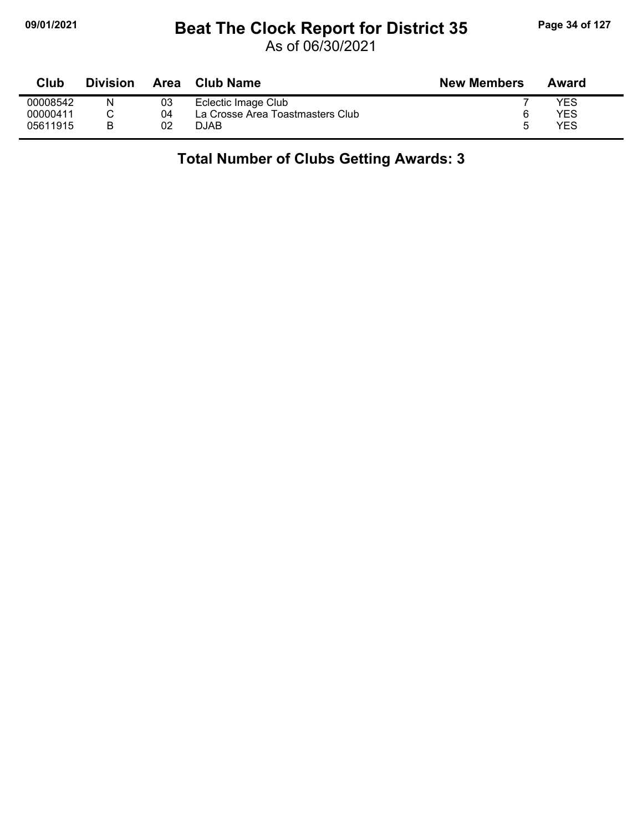## **09/01/2021 Beat The Clock Report for District 35 Page 34 of 127**

As of 06/30/2021

| <b>Club</b> | <b>Division</b> | Area | Club Name                        | <b>New Members</b> | Award |
|-------------|-----------------|------|----------------------------------|--------------------|-------|
| 00008542    |                 | 03   | Eclectic Image Club              |                    | YES   |
| 00000411    |                 | 04   | La Crosse Area Toastmasters Club |                    | YES   |
| 05611915    |                 | 02   | DJAB                             | h                  | YES   |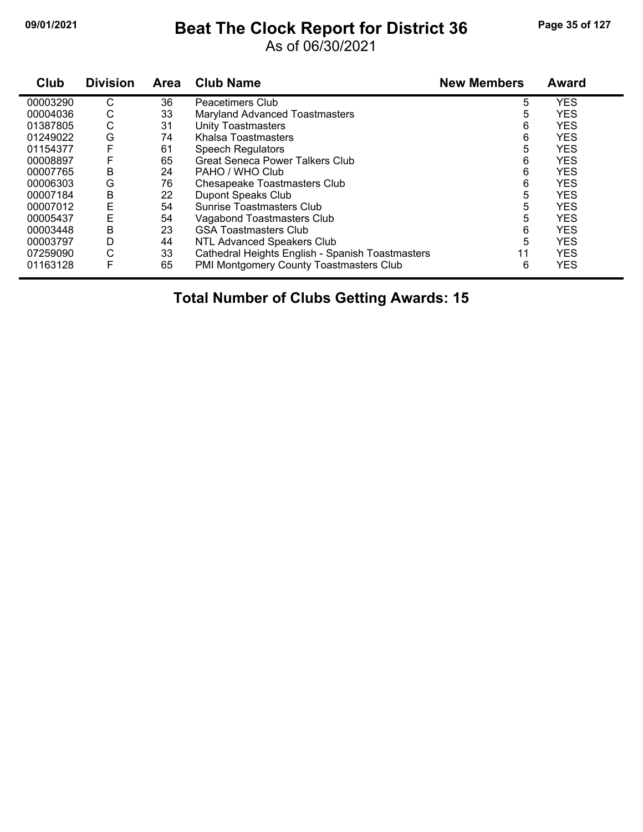## **09/01/2021 Beat The Clock Report for District 36 Page 35 of 127**

As of 06/30/2021

| Club     | <b>Division</b> | Area | <b>Club Name</b>                                 | <b>New Members</b> | Award      |
|----------|-----------------|------|--------------------------------------------------|--------------------|------------|
| 00003290 | С               | 36   | Peacetimers Club                                 | 5                  | <b>YES</b> |
| 00004036 | С               | 33   | <b>Maryland Advanced Toastmasters</b>            | 5                  | <b>YES</b> |
| 01387805 | С               | 31   | <b>Unity Toastmasters</b>                        | 6                  | <b>YES</b> |
| 01249022 | G               | 74   | Khalsa Toastmasters                              | 6                  | <b>YES</b> |
| 01154377 |                 | 61   | <b>Speech Regulators</b>                         | 5                  | <b>YES</b> |
| 00008897 |                 | 65   | <b>Great Seneca Power Talkers Club</b>           | 6                  | <b>YES</b> |
| 00007765 | В               | 24   | PAHO / WHO Club                                  | 6                  | <b>YES</b> |
| 00006303 | G               | 76   | Chesapeake Toastmasters Club                     | 6                  | <b>YES</b> |
| 00007184 | Β               | 22   | Dupont Speaks Club                               | 5                  | <b>YES</b> |
| 00007012 | E               | 54   | Sunrise Toastmasters Club                        | 5                  | <b>YES</b> |
| 00005437 | E               | 54   | Vagabond Toastmasters Club                       | 5                  | <b>YES</b> |
| 00003448 | В               | 23   | <b>GSA Toastmasters Club</b>                     | 6                  | <b>YES</b> |
| 00003797 | D               | 44   | NTL Advanced Speakers Club                       | 5                  | <b>YES</b> |
| 07259090 | C               | 33   | Cathedral Heights English - Spanish Toastmasters | 11                 | <b>YES</b> |
| 01163128 | F               | 65   | PMI Montgomery County Toastmasters Club          | 6                  | <b>YES</b> |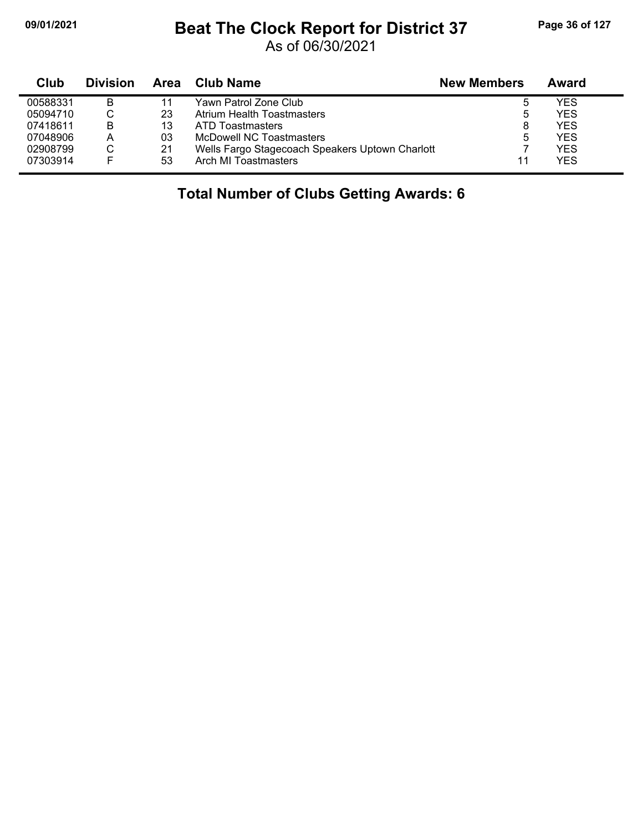j,

#### **09/01/2021 Beat The Clock Report for District 37 Page 36 of 127**

As of 06/30/2021

| Club     | <b>Division</b> | Area | Club Name                                       | <b>New Members</b> | Award |
|----------|-----------------|------|-------------------------------------------------|--------------------|-------|
| 00588331 | В               | 11   | Yawn Patrol Zone Club                           | b                  | YES   |
| 05094710 |                 | 23   | Atrium Health Toastmasters                      | 5                  | YES   |
| 07418611 | B               | 13   | ATD Toastmasters                                | 8                  | YES   |
| 07048906 | А               | 03   | McDowell NC Toastmasters                        | 5                  | YES   |
| 02908799 |                 | 21   | Wells Fargo Stagecoach Speakers Uptown Charlott |                    | YES   |
| 07303914 | E               | 53   | Arch MI Toastmasters                            | 11                 | YES   |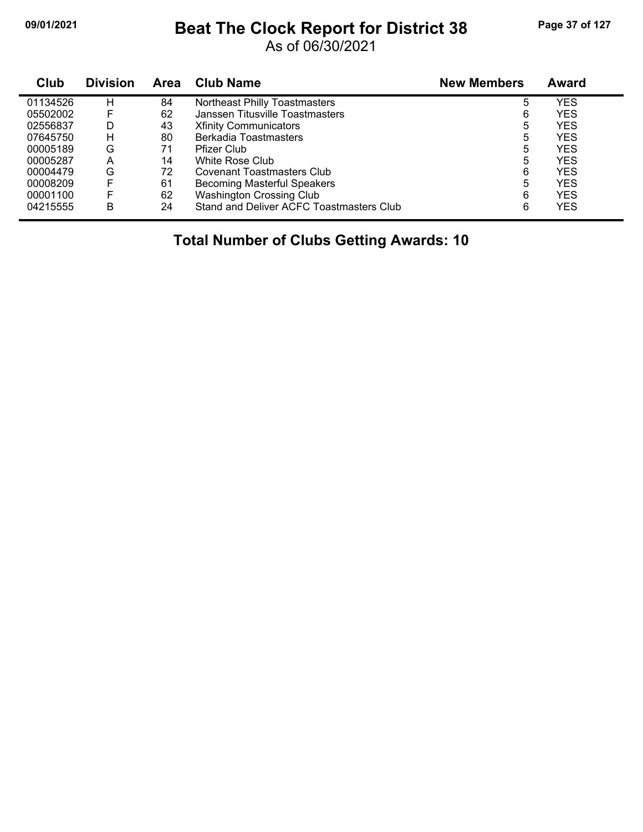## **09/01/2021 Beat The Clock Report for District 38 Page 37 of 127**

As of 06/30/2021

| Club     | <b>Division</b> | <b>Area</b> | <b>Club Name</b>                         | <b>New Members</b> | <b>Award</b> |
|----------|-----------------|-------------|------------------------------------------|--------------------|--------------|
| 01134526 | н               | 84          | Northeast Philly Toastmasters            | 5                  | YES          |
| 05502002 |                 | 62          | Janssen Titusville Toastmasters          | 6                  | <b>YES</b>   |
| 02556837 | D               | 43          | <b>Xfinity Communicators</b>             | 5                  | <b>YES</b>   |
| 07645750 | н               | 80          | Berkadia Toastmasters                    | 5                  | YES          |
| 00005189 | G               | 71          | <b>Pfizer Club</b>                       | 5                  | YES          |
| 00005287 | А               | 14          | White Rose Club                          | 5                  | YES          |
| 00004479 | G               | 72          | <b>Covenant Toastmasters Club</b>        | 6                  | <b>YES</b>   |
| 00008209 | F               | 61          | <b>Becoming Masterful Speakers</b>       | 5                  | YES          |
| 00001100 | F               | 62          | <b>Washington Crossing Club</b>          | 6                  | YES          |
| 04215555 | в               | 24          | Stand and Deliver ACFC Toastmasters Club | 6                  | <b>YES</b>   |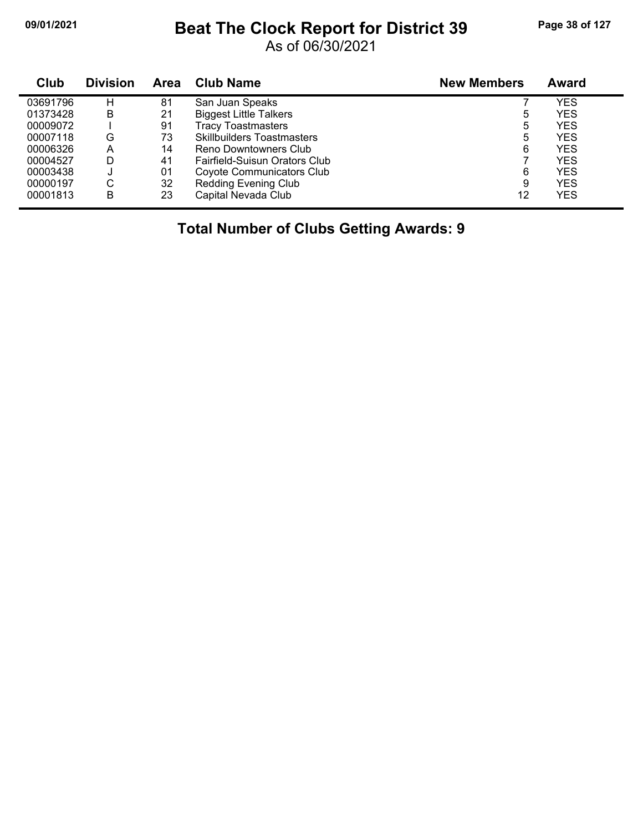#### **09/01/2021 Beat The Clock Report for District 39 Page 38 of 127**

As of 06/30/2021

| Club     | <b>Division</b> | <b>Area</b> | <b>Club Name</b>                  | <b>New Members</b> | <b>Award</b> |
|----------|-----------------|-------------|-----------------------------------|--------------------|--------------|
| 03691796 | н               | 81          | San Juan Speaks                   |                    | YES          |
| 01373428 | в               | 21          | <b>Biggest Little Talkers</b>     | 5                  | YES          |
| 00009072 |                 | 91          | <b>Tracy Toastmasters</b>         | 5                  | <b>YES</b>   |
| 00007118 | G               | 73          | <b>Skillbuilders Toastmasters</b> | 5                  | YES          |
| 00006326 | Α               | 14          | Reno Downtowners Club             | 6                  | <b>YES</b>   |
| 00004527 | D               | 41          | Fairfield-Suisun Orators Club     |                    | <b>YES</b>   |
| 00003438 | J               | 01          | Coyote Communicators Club         | 6                  | <b>YES</b>   |
| 00000197 | С               | 32          | <b>Redding Evening Club</b>       | 9                  | YES          |
| 00001813 | В               | 23          | Capital Nevada Club               | 12                 | YES          |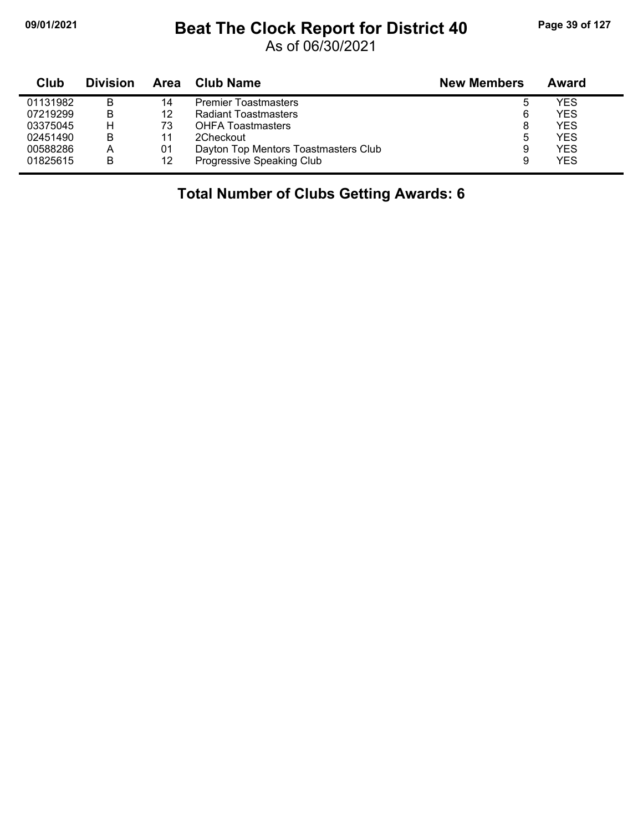## **09/01/2021 Beat The Clock Report for District 40 Page 39 of 127**

As of 06/30/2021

| Club     | <b>Division</b> | Area | Club Name                            | <b>New Members</b> | Award |
|----------|-----------------|------|--------------------------------------|--------------------|-------|
| 01131982 | B               | 14   | <b>Premier Toastmasters</b>          | ა                  | YES   |
| 07219299 | B               | 12   | Radiant Toastmasters                 | 6                  | YES   |
| 03375045 |                 | 73   | <b>OHFA Toastmasters</b>             | 8                  | YES   |
| 02451490 | B               | 11   | 2Checkout                            | 5                  | YES   |
| 00588286 | А               | 01   | Dayton Top Mentors Toastmasters Club | 9                  | YES   |
| 01825615 | B               | 12   | Progressive Speaking Club            | 9                  | YES   |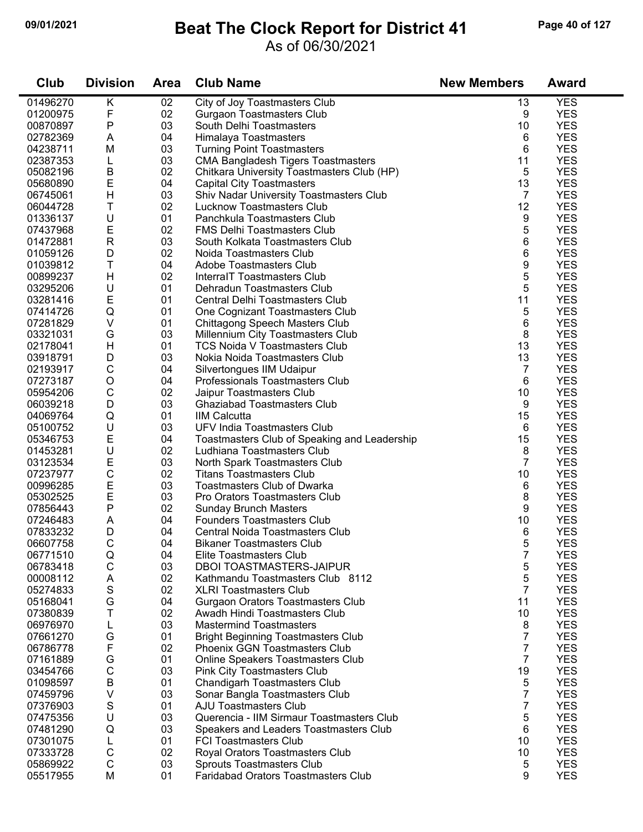### **09/01/2021 Beat The Clock Report for District 41 Page 40 of 127**

#### As of 06/30/2021

| Club     | <b>Division</b> | <b>Area</b> | <b>Club Name</b>                             | <b>New Members</b> | <b>Award</b> |
|----------|-----------------|-------------|----------------------------------------------|--------------------|--------------|
| 01496270 | Κ               | 02          | City of Joy Toastmasters Club                | 13                 | <b>YES</b>   |
| 01200975 | F               | 02          | <b>Gurgaon Toastmasters Club</b>             | 9                  | <b>YES</b>   |
| 00870897 | Ρ               | 03          | South Delhi Toastmasters                     | 10                 | <b>YES</b>   |
| 02782369 | A               | 04          | Himalaya Toastmasters                        | 6                  | <b>YES</b>   |
| 04238711 | M               | 03          | <b>Turning Point Toastmasters</b>            | 6                  | <b>YES</b>   |
| 02387353 | L               | 03          | <b>CMA Bangladesh Tigers Toastmasters</b>    | 11                 | <b>YES</b>   |
| 05082196 | B               | 02          | Chitkara University Toastmasters Club (HP)   | 5                  | <b>YES</b>   |
| 05680890 | E               | 04          | <b>Capital City Toastmasters</b>             | 13                 | <b>YES</b>   |
| 06745061 | Н               | 03          | Shiv Nadar University Toastmasters Club      | 7                  | <b>YES</b>   |
| 06044728 | Τ               | 02          | <b>Lucknow Toastmasters Club</b>             | 12                 | <b>YES</b>   |
| 01336137 | U               | 01          | Panchkula Toastmasters Club                  | 9                  | <b>YES</b>   |
| 07437968 | E               | 02          | <b>FMS Delhi Toastmasters Club</b>           | 5                  | <b>YES</b>   |
| 01472881 | ${\sf R}$       | 03          | South Kolkata Toastmasters Club              | 6                  | <b>YES</b>   |
| 01059126 | D               | 02          | Noida Toastmasters Club                      | 6                  | <b>YES</b>   |
| 01039812 | T               | 04          | Adobe Toastmasters Club                      | 9                  | <b>YES</b>   |
| 00899237 | H               | 02          | InterralT Toastmasters Club                  | 5                  | <b>YES</b>   |
| 03295206 | U               | 01          | Dehradun Toastmasters Club                   | 5                  | <b>YES</b>   |
| 03281416 | E               | 01          | Central Delhi Toastmasters Club              | 11                 | <b>YES</b>   |
| 07414726 | Q               | 01          | One Cognizant Toastmasters Club              | 5                  | <b>YES</b>   |
| 07281829 | V               | 01          | Chittagong Speech Masters Club               | 6                  | <b>YES</b>   |
| 03321031 | G               | 03          | Millennium City Toastmasters Club            | 8                  | <b>YES</b>   |
| 02178041 | Н               | 01          | <b>TCS Noida V Toastmasters Club</b>         | 13                 | <b>YES</b>   |
| 03918791 | D               | 03          | Nokia Noida Toastmasters Club                | 13                 | <b>YES</b>   |
| 02193917 | С               | 04          | Silvertongues IIM Udaipur                    | 7                  | <b>YES</b>   |
| 07273187 | O               | 04          | Professionals Toastmasters Club              | 6                  | <b>YES</b>   |
| 05954206 | $\mathsf C$     | 02          | Jaipur Toastmasters Club                     | 10                 | <b>YES</b>   |
| 06039218 | D               | 03          | <b>Ghaziabad Toastmasters Club</b>           | 9                  | <b>YES</b>   |
| 04069764 | Q               | 01          | <b>IIM Calcutta</b>                          | 15                 | <b>YES</b>   |
| 05100752 | U               | 03          | UFV India Toastmasters Club                  | 6                  | <b>YES</b>   |
| 05346753 | E               | 04          | Toastmasters Club of Speaking and Leadership | 15                 | <b>YES</b>   |
| 01453281 | U               | 02          | Ludhiana Toastmasters Club                   | 8                  | <b>YES</b>   |
| 03123534 | E               | 03          | North Spark Toastmasters Club                | $\overline{7}$     | <b>YES</b>   |
| 07237977 | $\mathsf C$     | 02          | <b>Titans Toastmasters Club</b>              | 10                 | <b>YES</b>   |
| 00996285 | E               | 03          | <b>Toastmasters Club of Dwarka</b>           | 6                  | <b>YES</b>   |
| 05302525 | E               | 03          | Pro Orators Toastmasters Club                | 8                  | <b>YES</b>   |
| 07856443 | P               | 02          | <b>Sunday Brunch Masters</b>                 | 9                  | <b>YES</b>   |
| 07246483 | A               | 04          | <b>Founders Toastmasters Club</b>            | 10                 | <b>YES</b>   |
| 07833232 | D               | 04          | <b>Central Noida Toastmasters Club</b>       | 6                  | <b>YES</b>   |
| 06607758 | C               | 04          | <b>Bikaner Toastmasters Club</b>             | 5                  | <b>YES</b>   |
| 06771510 | Q               | 04          | Elite Toastmasters Club                      | 7                  | <b>YES</b>   |
| 06783418 | C               | 03          | <b>DBOI TOASTMASTERS-JAIPUR</b>              | 5                  | <b>YES</b>   |
| 00008112 | A               | 02          | Kathmandu Toastmasters Club 8112             | 5                  | <b>YES</b>   |
| 05274833 | S               | 02          | <b>XLRI Toastmasters Club</b>                | 7                  | <b>YES</b>   |
| 05168041 | G               | 04          | Gurgaon Orators Toastmasters Club            | 11                 | <b>YES</b>   |
| 07380839 | Τ               | 02          | Awadh Hindi Toastmasters Club                | 10                 | <b>YES</b>   |
| 06976970 | L               | 03          | <b>Mastermind Toastmasters</b>               | 8                  | <b>YES</b>   |
| 07661270 | G               | 01          | <b>Bright Beginning Toastmasters Club</b>    | 7                  | <b>YES</b>   |
| 06786778 | F               | 02          | <b>Phoenix GGN Toastmasters Club</b>         | 7                  | <b>YES</b>   |
| 07161889 | G               | 01          | Online Speakers Toastmasters Club            | 7                  | <b>YES</b>   |
| 03454766 | $\mathsf C$     | 03          | <b>Pink City Toastmasters Club</b>           | 19                 | <b>YES</b>   |
| 01098597 | $\sf B$         | 01          | <b>Chandigarh Toastmasters Club</b>          | 5                  | <b>YES</b>   |
| 07459796 | V               | 03          | Sonar Bangla Toastmasters Club               | 7                  | <b>YES</b>   |
| 07376903 | S               | 01          | <b>AJU Toastmasters Club</b>                 | 7                  | <b>YES</b>   |
| 07475356 | U               | 03          | Querencia - IIM Sirmaur Toastmasters Club    | 5                  | <b>YES</b>   |
| 07481290 | Q               | 03          | Speakers and Leaders Toastmasters Club       | 6                  | <b>YES</b>   |
| 07301075 | L               | 01          | <b>FCI Toastmasters Club</b>                 | 10                 | <b>YES</b>   |
| 07333728 | $\mathsf C$     | 02          | Royal Orators Toastmasters Club              | 10                 | <b>YES</b>   |
| 05869922 | $\mathsf C$     | 03          | <b>Sprouts Toastmasters Club</b>             | 5                  | <b>YES</b>   |
| 05517955 | M               | 01          | <b>Faridabad Orators Toastmasters Club</b>   | 9                  | <b>YES</b>   |
|          |                 |             |                                              |                    |              |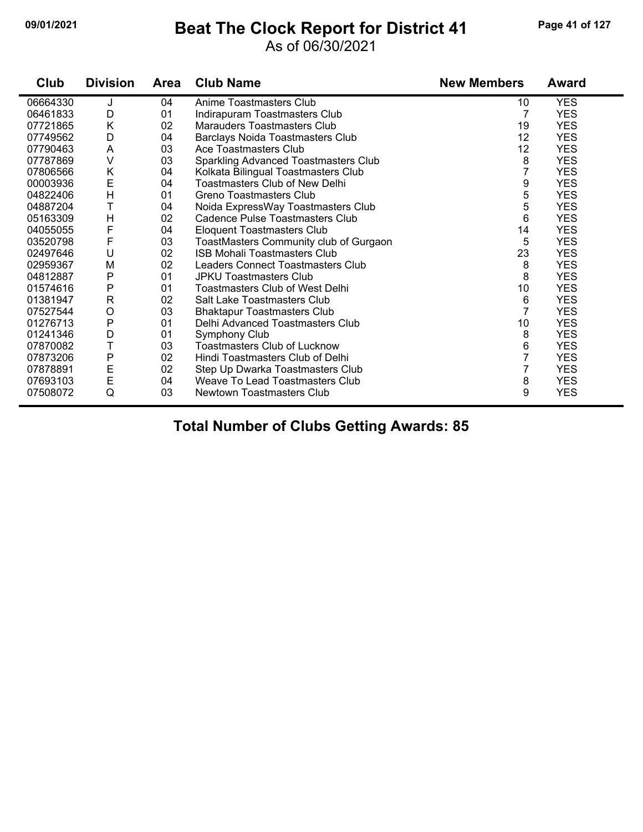#### **09/01/2021 Beat The Clock Report for District 41 Page 41 of 127**

#### As of 06/30/2021

| Club     | <b>Division</b> | Area | <b>Club Name</b>                        | <b>New Members</b> | <b>Award</b> |
|----------|-----------------|------|-----------------------------------------|--------------------|--------------|
| 06664330 | J               | 04   | Anime Toastmasters Club                 | 10                 | <b>YES</b>   |
| 06461833 | D               | 01   | Indirapuram Toastmasters Club           | 7                  | <b>YES</b>   |
| 07721865 | Κ               | 02   | <b>Marauders Toastmasters Club</b>      | 19                 | <b>YES</b>   |
| 07749562 | D               | 04   | <b>Barclays Noida Toastmasters Club</b> | 12                 | <b>YES</b>   |
| 07790463 | A               | 03   | Ace Toastmasters Club                   | 12                 | <b>YES</b>   |
| 07787869 | $\vee$          | 03   | Sparkling Advanced Toastmasters Club    | 8                  | <b>YES</b>   |
| 07806566 | Κ               | 04   | Kolkata Bilingual Toastmasters Club     | 7                  | <b>YES</b>   |
| 00003936 | E               | 04   | <b>Toastmasters Club of New Delhi</b>   | 9                  | <b>YES</b>   |
| 04822406 | H               | 01   | Greno Toastmasters Club                 | 5                  | <b>YES</b>   |
| 04887204 | T               | 04   | Noida ExpressWay Toastmasters Club      | 5                  | <b>YES</b>   |
| 05163309 | $\overline{H}$  | 02   | Cadence Pulse Toastmasters Club         | 6                  | <b>YES</b>   |
| 04055055 | F               | 04   | <b>Eloquent Toastmasters Club</b>       | 14                 | <b>YES</b>   |
| 03520798 | F               | 03   | ToastMasters Community club of Gurgaon  | 5                  | <b>YES</b>   |
| 02497646 | U               | 02   | <b>ISB Mohali Toastmasters Club</b>     | 23                 | <b>YES</b>   |
| 02959367 | M               | 02   | Leaders Connect Toastmasters Club       | 8                  | <b>YES</b>   |
| 04812887 | P               | 01   | <b>JPKU Toastmasters Club</b>           | 8                  | <b>YES</b>   |
| 01574616 | P               | 01   | <b>Toastmasters Club of West Delhi</b>  | 10                 | <b>YES</b>   |
| 01381947 | R               | 02   | Salt Lake Toastmasters Club             | 6                  | <b>YES</b>   |
| 07527544 | O               | 03   | <b>Bhaktapur Toastmasters Club</b>      | 7                  | <b>YES</b>   |
| 01276713 | P               | 01   | Delhi Advanced Toastmasters Club        | 10                 | <b>YES</b>   |
| 01241346 | D               | 01   | Symphony Club                           | 8                  | <b>YES</b>   |
| 07870082 | T               | 03   | <b>Toastmasters Club of Lucknow</b>     | 6                  | <b>YES</b>   |
| 07873206 | P               | 02   | Hindi Toastmasters Club of Delhi        |                    | <b>YES</b>   |
| 07878891 | E               | 02   | Step Up Dwarka Toastmasters Club        | 7                  | <b>YES</b>   |
| 07693103 | $\mathsf E$     | 04   | Weave To Lead Toastmasters Club         | 8                  | <b>YES</b>   |
| 07508072 | Q               | 03   | Newtown Toastmasters Club               | 9                  | <b>YES</b>   |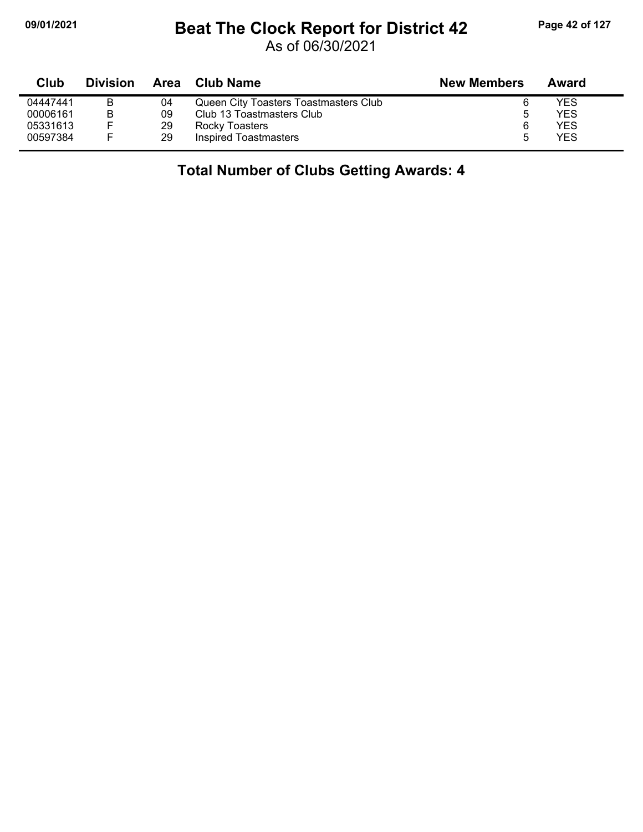# **09/01/2021 Beat The Clock Report for District 42 Page 42 of 127**

As of 06/30/2021

| Club     | <b>Division</b> | Area | Club Name                             | <b>New Members</b> | Award |
|----------|-----------------|------|---------------------------------------|--------------------|-------|
| 04447441 | B               | 04   | Queen City Toasters Toastmasters Club |                    | YES   |
| 00006161 | B               | 09   | Club 13 Toastmasters Club             |                    | YES   |
| 05331613 |                 | 29   | Rocky Toasters                        | 6                  | YES   |
| 00597384 |                 | 29   | Inspired Toastmasters                 |                    | YES   |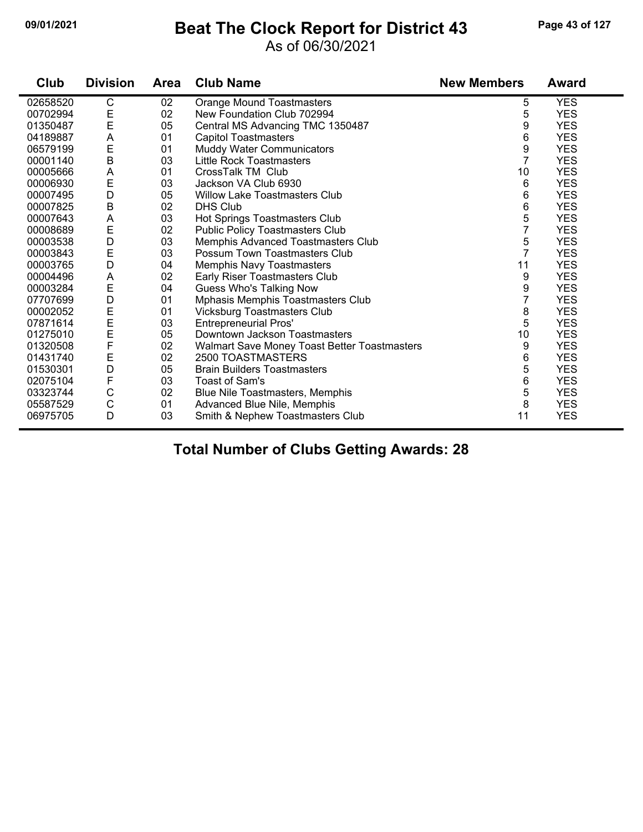#### **09/01/2021 Beat The Clock Report for District 43 Page 43 of 127**

#### As of 06/30/2021

| Club     | <b>Division</b>  | <b>Area</b> | <b>Club Name</b>                                    | <b>New Members</b> | Award      |
|----------|------------------|-------------|-----------------------------------------------------|--------------------|------------|
| 02658520 | C                | 02          | Orange Mound Toastmasters                           | 5                  | <b>YES</b> |
| 00702994 | E<br>E           | 02          | New Foundation Club 702994                          | 5                  | <b>YES</b> |
| 01350487 |                  | 05          | Central MS Advancing TMC 1350487                    | 9                  | <b>YES</b> |
| 04189887 | A                | 01          | <b>Capitol Toastmasters</b>                         | 6                  | <b>YES</b> |
| 06579199 | E                | 01          | Muddy Water Communicators                           | 9                  | <b>YES</b> |
| 00001140 | $\sf B$          | 03          | Little Rock Toastmasters                            | $\overline{7}$     | <b>YES</b> |
| 00005666 | A                | 01          | CrossTalk TM Club                                   | 10                 | <b>YES</b> |
| 00006930 | E                | 03          | Jackson VA Club 6930                                | 6                  | <b>YES</b> |
| 00007495 | D                | 05          | Willow Lake Toastmasters Club                       | 6                  | <b>YES</b> |
| 00007825 | $\sf B$          | 02          | <b>DHS Club</b>                                     | 6                  | <b>YES</b> |
| 00007643 | Α                | 03          | Hot Springs Toastmasters Club                       | 5                  | <b>YES</b> |
| 00008689 | E                | 02          | <b>Public Policy Toastmasters Club</b>              | 7                  | <b>YES</b> |
| 00003538 | D                | 03          | Memphis Advanced Toastmasters Club                  | 5                  | <b>YES</b> |
| 00003843 | E                | 03          | Possum Town Toastmasters Club                       | $\overline{7}$     | <b>YES</b> |
| 00003765 | D                | 04          | <b>Memphis Navy Toastmasters</b>                    | 11                 | <b>YES</b> |
| 00004496 | Α                | 02          | Early Riser Toastmasters Club                       | 9                  | <b>YES</b> |
| 00003284 | E                | 04          | Guess Who's Talking Now                             | 9                  | <b>YES</b> |
| 07707699 | D                | 01          | Mphasis Memphis Toastmasters Club                   | 7                  | <b>YES</b> |
| 00002052 |                  | 01          | Vicksburg Toastmasters Club                         | 8                  | <b>YES</b> |
| 07871614 | E<br>E<br>E<br>E | 03          | <b>Entrepreneurial Pros'</b>                        | 5                  | <b>YES</b> |
| 01275010 |                  | 05          | Downtown Jackson Toastmasters                       | 10                 | <b>YES</b> |
| 01320508 | F                | 02          | <b>Walmart Save Money Toast Better Toastmasters</b> | 9                  | <b>YES</b> |
| 01431740 | E                | 02          | 2500 TOASTMASTERS                                   | 6                  | <b>YES</b> |
| 01530301 | D                | 05          | <b>Brain Builders Toastmasters</b>                  | 5                  | <b>YES</b> |
| 02075104 | $\mathsf F$      | 03          | Toast of Sam's                                      | 6                  | <b>YES</b> |
| 03323744 | C                | 02          | Blue Nile Toastmasters, Memphis                     | 5                  | <b>YES</b> |
| 05587529 | $\mathsf{C}$     | 01          | Advanced Blue Nile, Memphis                         | 8                  | <b>YES</b> |
| 06975705 | D                | 03          | Smith & Nephew Toastmasters Club                    | 11                 | <b>YES</b> |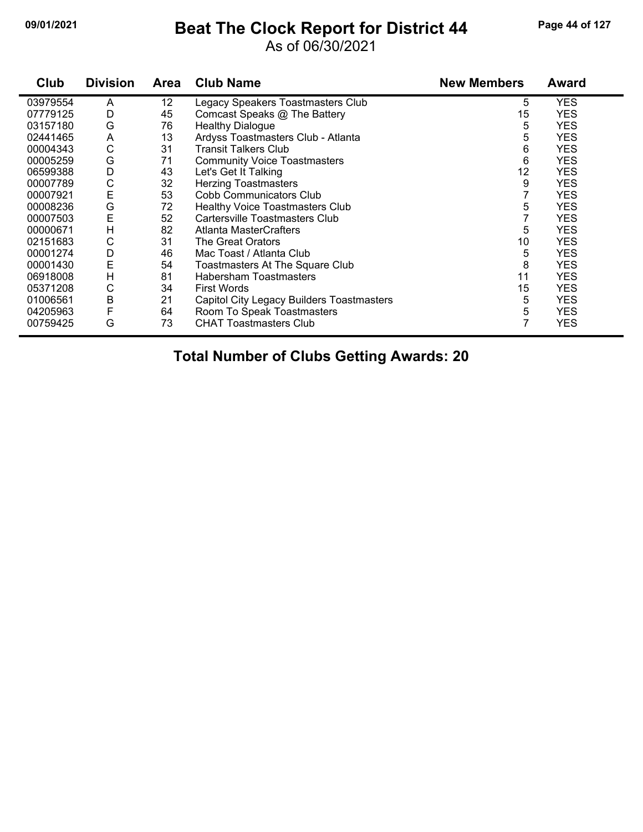#### **09/01/2021 Beat The Clock Report for District 44 Page 44 of 127**

#### As of 06/30/2021

| Club     | <b>Division</b> | Area | <b>Club Name</b>                          | <b>New Members</b> | <b>Award</b> |
|----------|-----------------|------|-------------------------------------------|--------------------|--------------|
| 03979554 | A               | 12   | Legacy Speakers Toastmasters Club         | 5                  | <b>YES</b>   |
| 07779125 | D               | 45   | Comcast Speaks @ The Battery              | 15                 | <b>YES</b>   |
| 03157180 | G               | 76   | <b>Healthy Dialogue</b>                   | 5                  | <b>YES</b>   |
| 02441465 | A               | 13   | Ardyss Toastmasters Club - Atlanta        | 5                  | <b>YES</b>   |
| 00004343 | C               | 31   | <b>Transit Talkers Club</b>               | 6                  | <b>YES</b>   |
| 00005259 | G               | 71   | <b>Community Voice Toastmasters</b>       | 6                  | <b>YES</b>   |
| 06599388 | D               | 43   | Let's Get It Talking                      | 12                 | <b>YES</b>   |
| 00007789 | C               | 32   | <b>Herzing Toastmasters</b>               | 9                  | <b>YES</b>   |
| 00007921 | E               | 53   | Cobb Communicators Club                   |                    | <b>YES</b>   |
| 00008236 | G               | 72   | <b>Healthy Voice Toastmasters Club</b>    | 5                  | <b>YES</b>   |
| 00007503 | E               | 52   | Cartersville Toastmasters Club            |                    | <b>YES</b>   |
| 00000671 | Н               | 82   | Atlanta MasterCrafters                    | 5                  | <b>YES</b>   |
| 02151683 | С               | 31   | The Great Orators                         | 10                 | <b>YES</b>   |
| 00001274 | D               | 46   | Mac Toast / Atlanta Club                  | 5                  | <b>YES</b>   |
| 00001430 | E               | 54   | Toastmasters At The Square Club           | 8                  | <b>YES</b>   |
| 06918008 | H               | 81   | <b>Habersham Toastmasters</b>             | 11                 | <b>YES</b>   |
| 05371208 | С               | 34   | <b>First Words</b>                        | 15                 | <b>YES</b>   |
| 01006561 | B               | 21   | Capitol City Legacy Builders Toastmasters | 5                  | <b>YES</b>   |
| 04205963 | F               | 64   | Room To Speak Toastmasters                | 5                  | <b>YES</b>   |
| 00759425 | G               | 73   | <b>CHAT Toastmasters Club</b>             |                    | <b>YES</b>   |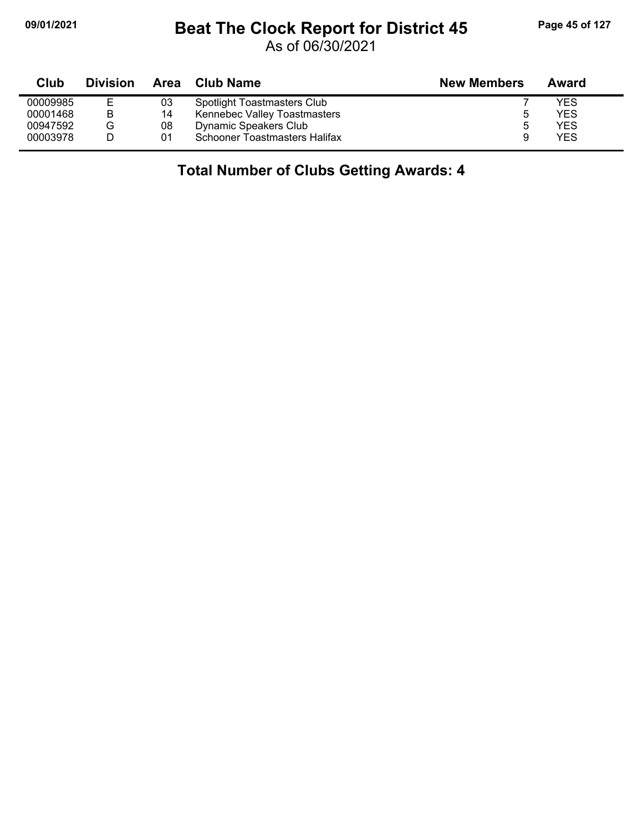## **09/01/2021 Beat The Clock Report for District 45 Page 45 of 127**

As of 06/30/2021

| Club     | <b>Division</b> | Area | Club Name                          | <b>New Members</b> | Award |
|----------|-----------------|------|------------------------------------|--------------------|-------|
| 00009985 | Е               | 03   | <b>Spotlight Toastmasters Club</b> |                    | YES   |
| 00001468 | В               | 14   | Kennebec Valley Toastmasters       |                    | YES   |
| 00947592 | G               | 08   | Dynamic Speakers Club              | 5                  | YES   |
| 00003978 |                 | 01   | Schooner Toastmasters Halifax      |                    | YES   |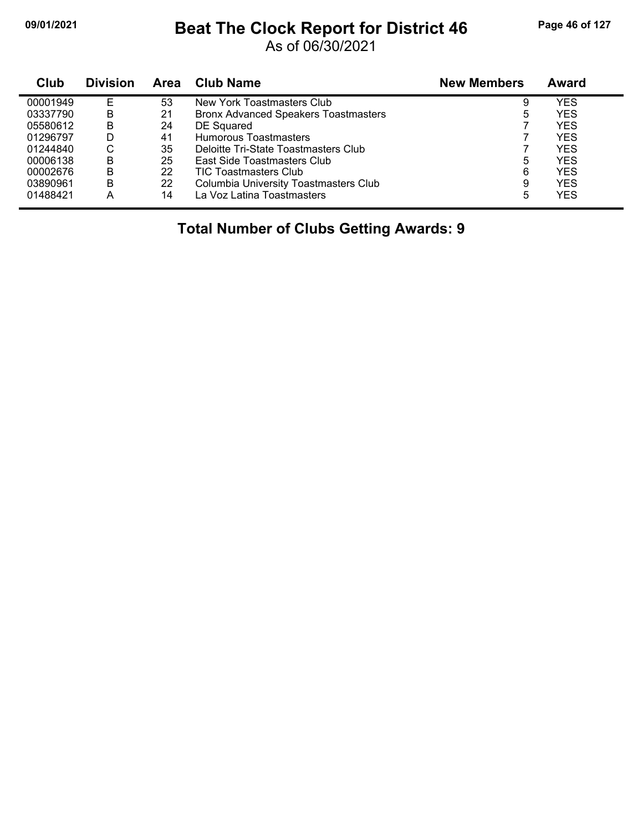## **09/01/2021 Beat The Clock Report for District 46 Page 46 of 127**

As of 06/30/2021

| Club     | <b>Division</b> | <b>Area</b> | Club Name                                   | <b>New Members</b> | Award      |
|----------|-----------------|-------------|---------------------------------------------|--------------------|------------|
| 00001949 |                 | 53          | New York Toastmasters Club                  | 9                  | YES        |
| 03337790 | B               | 21          | <b>Bronx Advanced Speakers Toastmasters</b> | 5                  | <b>YES</b> |
| 05580612 | В               | 24          | DE Squared                                  |                    | <b>YES</b> |
| 01296797 | D               | 41          | Humorous Toastmasters                       |                    | <b>YES</b> |
| 01244840 | С               | 35          | Deloitte Tri-State Toastmasters Club        |                    | <b>YES</b> |
| 00006138 | B               | 25          | East Side Toastmasters Club                 | 5                  | <b>YES</b> |
| 00002676 | B               | 22          | <b>TIC Toastmasters Club</b>                | 6                  | <b>YES</b> |
| 03890961 | B               | 22          | Columbia University Toastmasters Club       | 9                  | <b>YES</b> |
| 01488421 | Α               | 14          | La Voz Latina Toastmasters                  | 5                  | <b>YES</b> |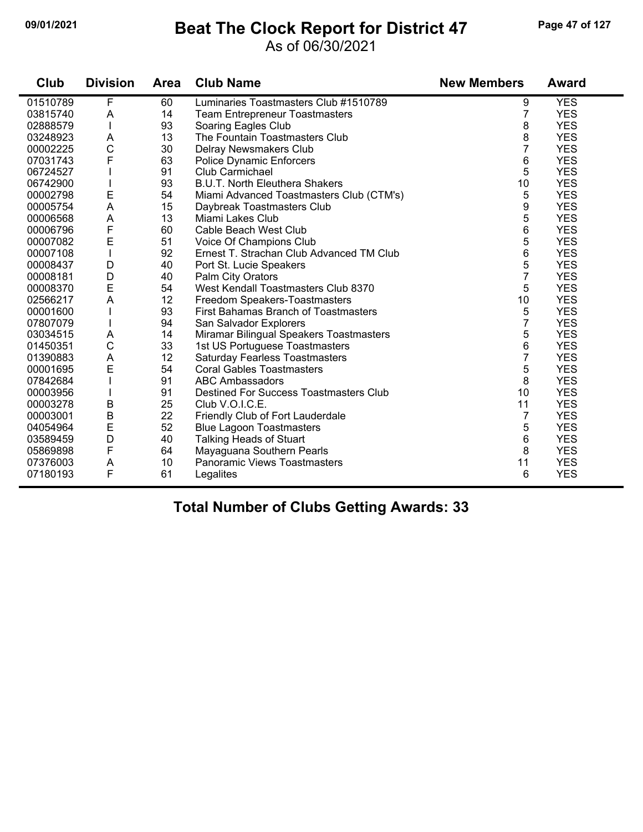#### **09/01/2021 Beat The Clock Report for District 47 Page 47 of 127**

#### As of 06/30/2021

| Club     | <b>Division</b> | <b>Area</b> | <b>Club Name</b>                              | <b>New Members</b> | <b>Award</b> |
|----------|-----------------|-------------|-----------------------------------------------|--------------------|--------------|
| 01510789 | F               | 60          | Luminaries Toastmasters Club #1510789         | 9                  | <b>YES</b>   |
| 03815740 | A               | 14          | <b>Team Entrepreneur Toastmasters</b>         | $\overline{7}$     | <b>YES</b>   |
| 02888579 |                 | 93          | Soaring Eagles Club                           | 8                  | <b>YES</b>   |
| 03248923 | Α               | 13          | The Fountain Toastmasters Club                | 8                  | <b>YES</b>   |
| 00002225 | $\mathsf{C}$    | 30          | Delray Newsmakers Club                        | $\overline{7}$     | <b>YES</b>   |
| 07031743 | F               | 63          | Police Dynamic Enforcers                      | 6                  | <b>YES</b>   |
| 06724527 |                 | 91          | Club Carmichael                               | 5                  | <b>YES</b>   |
| 06742900 |                 | 93          | <b>B.U.T. North Eleuthera Shakers</b>         | 10                 | <b>YES</b>   |
| 00002798 | $\mathsf E$     | 54          | Miami Advanced Toastmasters Club (CTM's)      | 5                  | <b>YES</b>   |
| 00005754 | $\mathsf A$     | 15          | Daybreak Toastmasters Club                    | 9                  | <b>YES</b>   |
| 00006568 | $\mathsf{A}$    | 13          | Miami Lakes Club                              | 5                  | <b>YES</b>   |
| 00006796 | F               | 60          | Cable Beach West Club                         | 6                  | <b>YES</b>   |
| 00007082 | E               | 51          | Voice Of Champions Club                       | 5                  | <b>YES</b>   |
| 00007108 |                 | 92          | Ernest T. Strachan Club Advanced TM Club      | 6                  | <b>YES</b>   |
| 00008437 | D               | 40          | Port St. Lucie Speakers                       | 5                  | <b>YES</b>   |
| 00008181 | D               | 40          | Palm City Orators                             | 7                  | <b>YES</b>   |
| 00008370 | E               | 54          | West Kendall Toastmasters Club 8370           | 5                  | <b>YES</b>   |
| 02566217 | A               | 12          | Freedom Speakers-Toastmasters                 | 10                 | <b>YES</b>   |
| 00001600 |                 | 93          | <b>First Bahamas Branch of Toastmasters</b>   | 5                  | <b>YES</b>   |
| 07807079 |                 | 94          | San Salvador Explorers                        | $\overline{7}$     | <b>YES</b>   |
| 03034515 | A               | 14          | Miramar Bilingual Speakers Toastmasters       | 5                  | <b>YES</b>   |
| 01450351 | $\mathsf{C}$    | 33          | 1st US Portuguese Toastmasters                | 6                  | <b>YES</b>   |
| 01390883 | A               | 12          | Saturday Fearless Toastmasters                | 7                  | <b>YES</b>   |
| 00001695 | E               | 54          | <b>Coral Gables Toastmasters</b>              | 5                  | <b>YES</b>   |
| 07842684 |                 | 91          | <b>ABC Ambassadors</b>                        | 8                  | <b>YES</b>   |
| 00003956 |                 | 91          | <b>Destined For Success Toastmasters Club</b> | 10                 | <b>YES</b>   |
| 00003278 | $\sf B$         | 25          | Club V.O.I.C.E.                               | 11                 | <b>YES</b>   |
| 00003001 | B               | 22          | Friendly Club of Fort Lauderdale              | $\overline{7}$     | <b>YES</b>   |
| 04054964 | E               | 52          | <b>Blue Lagoon Toastmasters</b>               | 5                  | <b>YES</b>   |
| 03589459 | D               | 40          | <b>Talking Heads of Stuart</b>                | 6                  | <b>YES</b>   |
| 05869898 | F               | 64          | Mayaguana Southern Pearls                     | 8                  | <b>YES</b>   |
| 07376003 | A               | 10          | Panoramic Views Toastmasters                  | 11                 | <b>YES</b>   |
| 07180193 | F               | 61          | Legalites                                     | 6                  | <b>YES</b>   |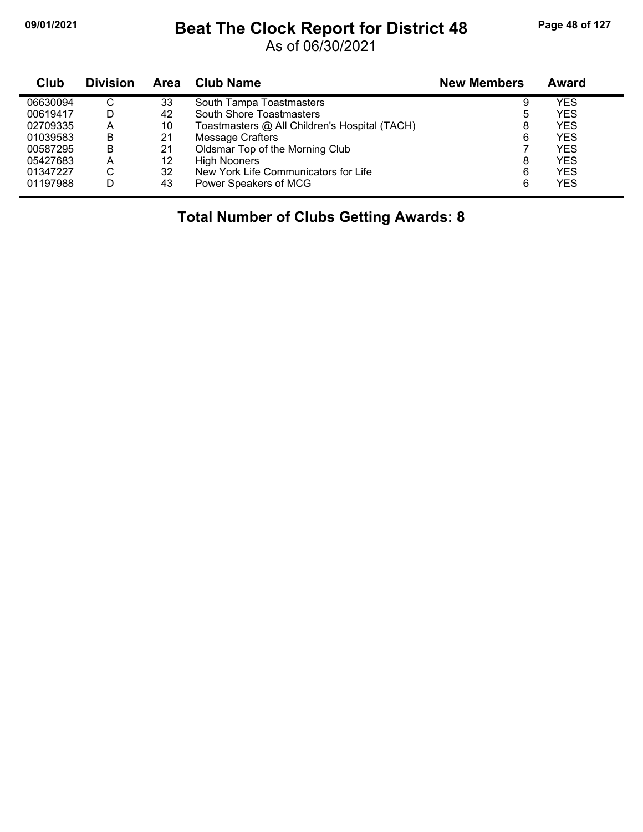## **09/01/2021 Beat The Clock Report for District 48 Page 48 of 127**

As of 06/30/2021

| <b>Club</b> | <b>Division</b> | Area | Club Name                                     | <b>New Members</b> | Award      |
|-------------|-----------------|------|-----------------------------------------------|--------------------|------------|
| 06630094    | C               | 33   | South Tampa Toastmasters                      | 9                  | YES        |
| 00619417    | D               | 42   | South Shore Toastmasters                      | 5                  | YES        |
| 02709335    | A               | 10   | Toastmasters @ All Children's Hospital (TACH) | 8                  | YES        |
| 01039583    | B               | 21   | Message Crafters                              | 6                  | YES        |
| 00587295    | B               | 21   | Oldsmar Top of the Morning Club               |                    | YES        |
| 05427683    | A               | 12   | <b>High Nooners</b>                           | 8                  | YES        |
| 01347227    | С               | 32   | New York Life Communicators for Life          | 6                  | <b>YES</b> |
| 01197988    | D               | 43   | Power Speakers of MCG                         | 6                  | <b>YES</b> |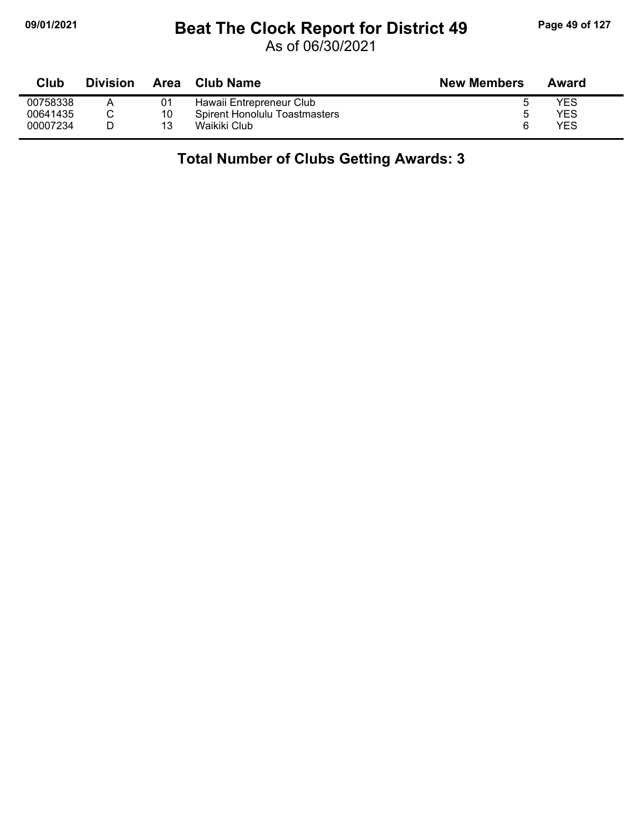# **09/01/2021 Beat The Clock Report for District 49 Page 49 of 127**

As of 06/30/2021

| Club     | <b>Division</b> | Area | <b>Club Name</b>              | <b>New Members</b> | Award |
|----------|-----------------|------|-------------------------------|--------------------|-------|
| 00758338 |                 | 01   | Hawaii Entrepreneur Club      |                    | YES   |
| 00641435 |                 | 10   | Spirent Honolulu Toastmasters |                    | YES   |
| 00007234 |                 | 13   | Waikiki Club                  | ี                  | YES   |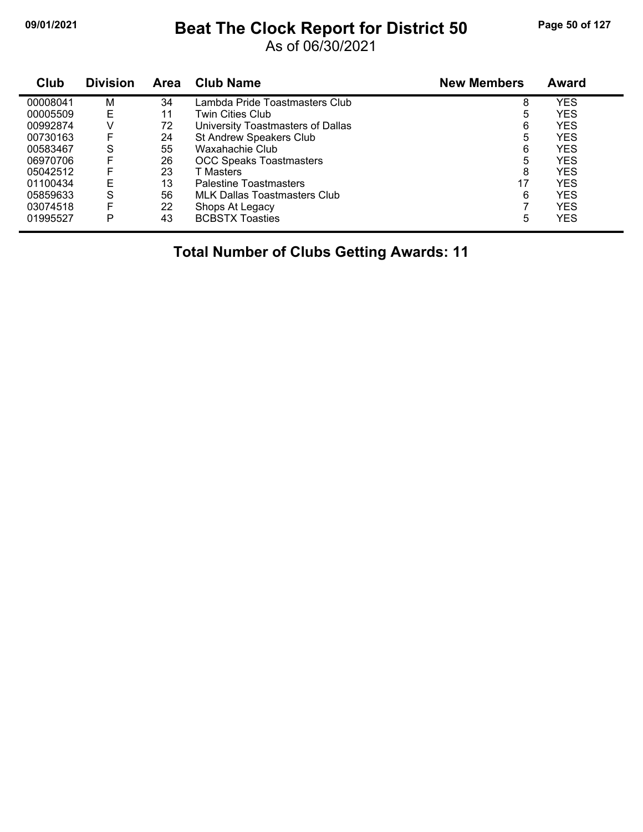## **09/01/2021 Beat The Clock Report for District 50 Page 50 of 127**

As of 06/30/2021

| Club     | <b>Division</b> | Area | <b>Club Name</b>                    | <b>New Members</b> | <b>Award</b> |
|----------|-----------------|------|-------------------------------------|--------------------|--------------|
| 00008041 | M               | 34   | Lambda Pride Toastmasters Club      | 8                  | <b>YES</b>   |
| 00005509 | Е               | 11   | Twin Cities Club                    | 5                  | <b>YES</b>   |
| 00992874 | V               | 72   | University Toastmasters of Dallas   | 6                  | <b>YES</b>   |
| 00730163 | F               | 24   | St Andrew Speakers Club             | 5                  | <b>YES</b>   |
| 00583467 | S               | 55   | Waxahachie Club                     | 6                  | <b>YES</b>   |
| 06970706 | F               | 26   | <b>OCC Speaks Toastmasters</b>      | 5                  | <b>YES</b>   |
| 05042512 | F               | 23   | T Masters                           | 8                  | <b>YES</b>   |
| 01100434 | Е               | 13   | <b>Palestine Toastmasters</b>       | 17                 | <b>YES</b>   |
| 05859633 | S               | 56   | <b>MLK Dallas Toastmasters Club</b> | 6                  | <b>YES</b>   |
| 03074518 | F               | 22   | Shops At Legacy                     | 7                  | <b>YES</b>   |
| 01995527 | P               | 43   | <b>BCBSTX Toasties</b>              | 5                  | <b>YES</b>   |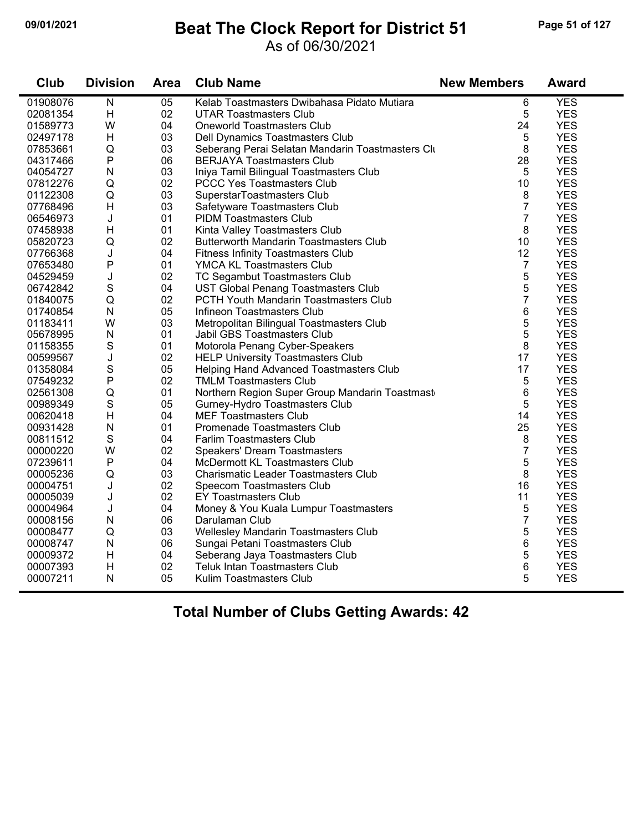#### **09/01/2021 Beat The Clock Report for District 51 Page 51 of 127**

#### As of 06/30/2021

| Club     | <b>Division</b>         | <b>Area</b> | <b>Club Name</b>                                 | <b>New Members</b> | <b>Award</b> |
|----------|-------------------------|-------------|--------------------------------------------------|--------------------|--------------|
| 01908076 | $\overline{\mathsf{N}}$ | 05          | Kelab Toastmasters Dwibahasa Pidato Mutiara      | 6                  | <b>YES</b>   |
| 02081354 | H                       | 02          | <b>UTAR Toastmasters Club</b>                    | 5                  | <b>YES</b>   |
| 01589773 | W                       | 04          | <b>Oneworld Toastmasters Club</b>                | 24                 | <b>YES</b>   |
| 02497178 | H                       | 03          | Dell Dynamics Toastmasters Club                  | 5                  | <b>YES</b>   |
| 07853661 | Q                       | 03          | Seberang Perai Selatan Mandarin Toastmasters Clu | 8                  | <b>YES</b>   |
| 04317466 | P                       | 06          | <b>BERJAYA Toastmasters Club</b>                 | 28                 | <b>YES</b>   |
| 04054727 | ${\sf N}$               | 03          | Iniya Tamil Bilingual Toastmasters Club          | 5                  | <b>YES</b>   |
| 07812276 | Q                       | 02          | <b>PCCC Yes Toastmasters Club</b>                | 10                 | <b>YES</b>   |
| 01122308 | Q                       | 03          | SuperstarToastmasters Club                       | 8                  | <b>YES</b>   |
| 07768496 | H                       | 03          | Safetyware Toastmasters Club                     | $\overline{7}$     | <b>YES</b>   |
| 06546973 | J                       | 01          | <b>PIDM Toastmasters Club</b>                    | $\overline{7}$     | <b>YES</b>   |
| 07458938 | H                       | 01          | Kinta Valley Toastmasters Club                   | 8                  | <b>YES</b>   |
| 05820723 | Q                       | 02          | <b>Butterworth Mandarin Toastmasters Club</b>    | 10                 | <b>YES</b>   |
| 07766368 | J                       | 04          | <b>Fitness Infinity Toastmasters Club</b>        | 12                 | <b>YES</b>   |
| 07653480 | P                       | 01          | YMCA KL Toastmasters Club                        | $\overline{7}$     | <b>YES</b>   |
| 04529459 | J                       | 02          | TC Segambut Toastmasters Club                    | 5                  | <b>YES</b>   |
| 06742842 | $\mathbf S$             | 04          | UST Global Penang Toastmasters Club              | 5                  | <b>YES</b>   |
| 01840075 | Q                       | 02          | PCTH Youth Mandarin Toastmasters Club            | 7                  | <b>YES</b>   |
| 01740854 | ${\sf N}$               | 05          | Infineon Toastmasters Club                       | 6                  | <b>YES</b>   |
| 01183411 | W                       | 03          | Metropolitan Bilingual Toastmasters Club         | 5                  | <b>YES</b>   |
| 05678995 | $\mathsf{N}$            | 01          | Jabil GBS Toastmasters Club                      | 5                  | <b>YES</b>   |
| 01158355 | S                       | 01          | Motorola Penang Cyber-Speakers                   | 8                  | <b>YES</b>   |
| 00599567 | J                       | 02          | <b>HELP University Toastmasters Club</b>         | 17                 | <b>YES</b>   |
| 01358084 | S                       | 05          | Helping Hand Advanced Toastmasters Club          | 17                 | <b>YES</b>   |
| 07549232 | P                       | 02          | <b>TMLM Toastmasters Club</b>                    | 5                  | <b>YES</b>   |
| 02561308 | Q                       | 01          | Northern Region Super Group Mandarin Toastmast   | 6                  | <b>YES</b>   |
| 00989349 | $\mathbf S$             | 05          | Gurney-Hydro Toastmasters Club                   | 5                  | <b>YES</b>   |
| 00620418 | H                       | 04          | <b>MEF Toastmasters Club</b>                     | 14                 | <b>YES</b>   |
| 00931428 | ${\sf N}$               | 01          | Promenade Toastmasters Club                      | 25                 | <b>YES</b>   |
| 00811512 | $\mathbf S$             | 04          | Farlim Toastmasters Club                         | 8                  | <b>YES</b>   |
| 00000220 | W                       | 02          | <b>Speakers' Dream Toastmasters</b>              | $\overline{7}$     | <b>YES</b>   |
| 07239611 | P                       | 04          | McDermott KL Toastmasters Club                   | 5                  | <b>YES</b>   |
| 00005236 | Q                       | 03          | <b>Charismatic Leader Toastmasters Club</b>      | 8                  | <b>YES</b>   |
| 00004751 | J                       | 02          | Speecom Toastmasters Club                        | 16                 | <b>YES</b>   |
| 00005039 | J                       | 02          | <b>EY Toastmasters Club</b>                      | 11                 | <b>YES</b>   |
| 00004964 | J                       | 04          | Money & You Kuala Lumpur Toastmasters            | 5                  | <b>YES</b>   |
| 00008156 | ${\sf N}$               | 06          | Darulaman Club                                   | $\overline{7}$     | <b>YES</b>   |
| 00008477 | Q                       | 03          | Wellesley Mandarin Toastmasters Club             | 5                  | <b>YES</b>   |
| 00008747 | ${\sf N}$               | 06          | Sungai Petani Toastmasters Club                  | 6                  | <b>YES</b>   |
| 00009372 | H                       | 04          | Seberang Jaya Toastmasters Club                  | 5                  | <b>YES</b>   |
| 00007393 | H                       | 02          | <b>Teluk Intan Toastmasters Club</b>             | 6                  | <b>YES</b>   |
| 00007211 | $\mathsf{N}$            | 05          | Kulim Toastmasters Club                          | 5                  | <b>YES</b>   |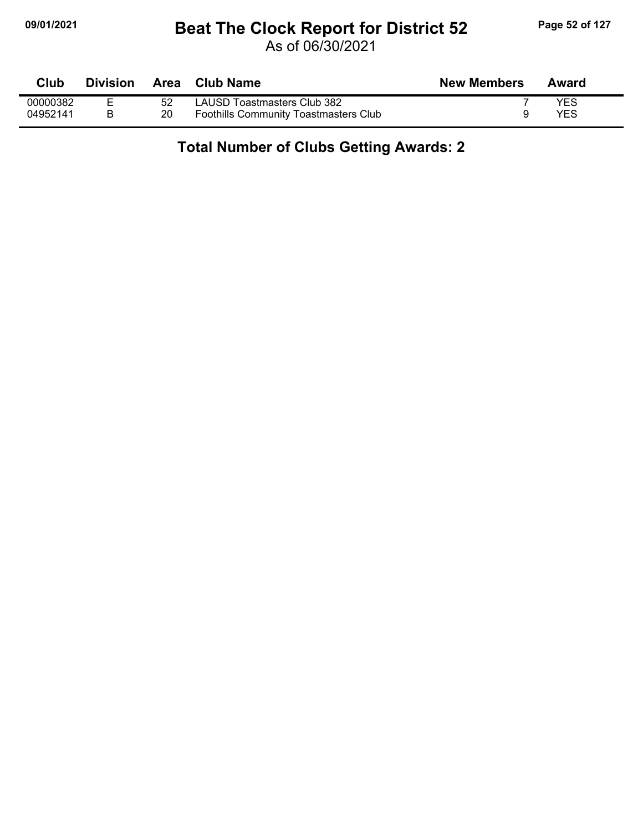## **09/01/2021 Beat The Clock Report for District 52 Page 52 of 127**

As of 06/30/2021

| Club     | <b>Division</b> | Area | Club Name                                    | <b>New Members</b> | Award |
|----------|-----------------|------|----------------------------------------------|--------------------|-------|
| 00000382 |                 | 52   | LAUSD Toastmasters Club 382                  |                    | YES   |
| 04952141 |                 | 20   | <b>Foothills Community Toastmasters Club</b> |                    | YES   |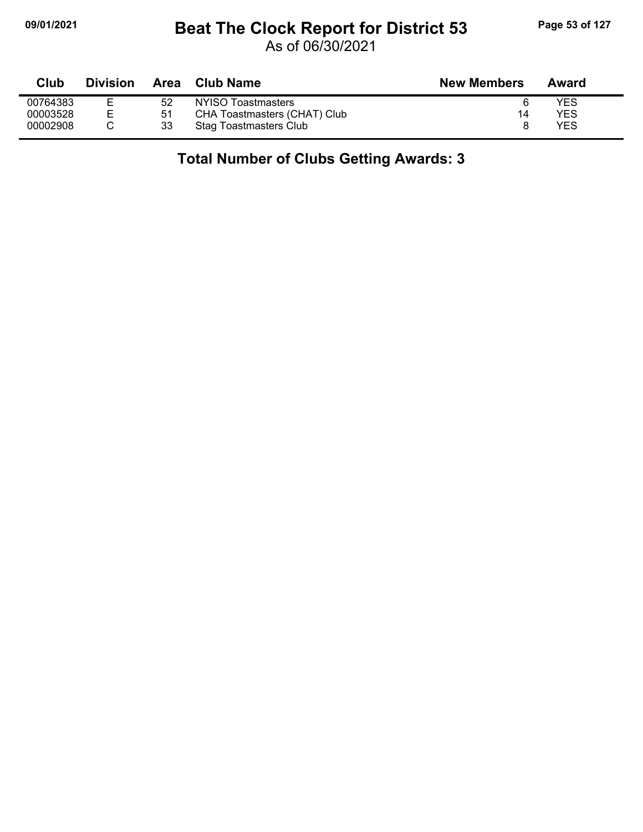# **09/01/2021 Beat The Clock Report for District 53 Page 53 of 127**

As of 06/30/2021

| Club     | <b>Division</b> | Area | <b>Club Name</b>             | <b>New Members</b> | Award |
|----------|-----------------|------|------------------------------|--------------------|-------|
| 00764383 |                 | 52   | NYISO Toastmasters           |                    | YES   |
| 00003528 |                 | 51   | CHA Toastmasters (CHAT) Club | 14                 | YES   |
| 00002908 |                 | 33   | Stag Toastmasters Club       |                    | YES   |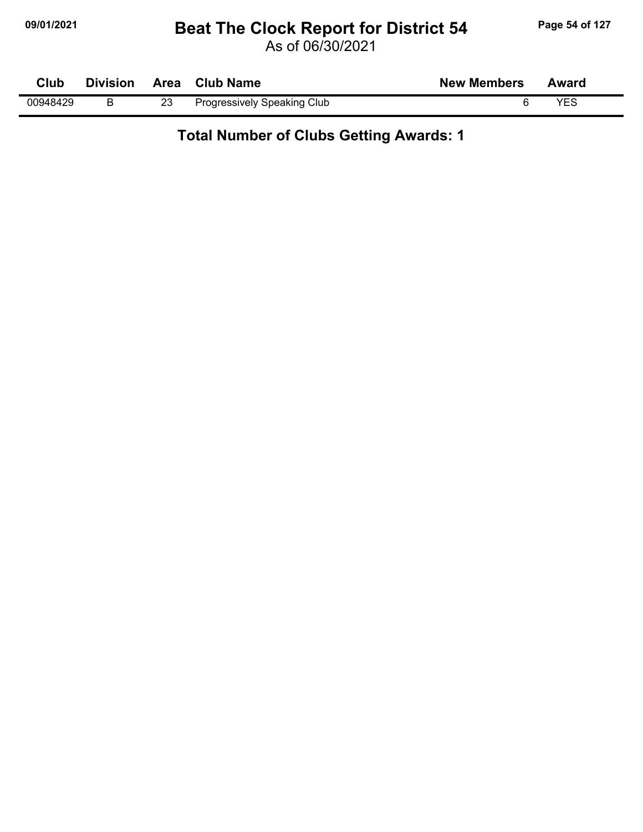## **09/01/2021 Beat The Clock Report for District 54 Page 54 of 127**

As of 06/30/2021

| Club     | <b>Division</b> |    | Area Club Name              | <b>New Members</b> | Award |
|----------|-----------------|----|-----------------------------|--------------------|-------|
| 00948429 |                 | 23 | Progressively Speaking Club |                    | VES   |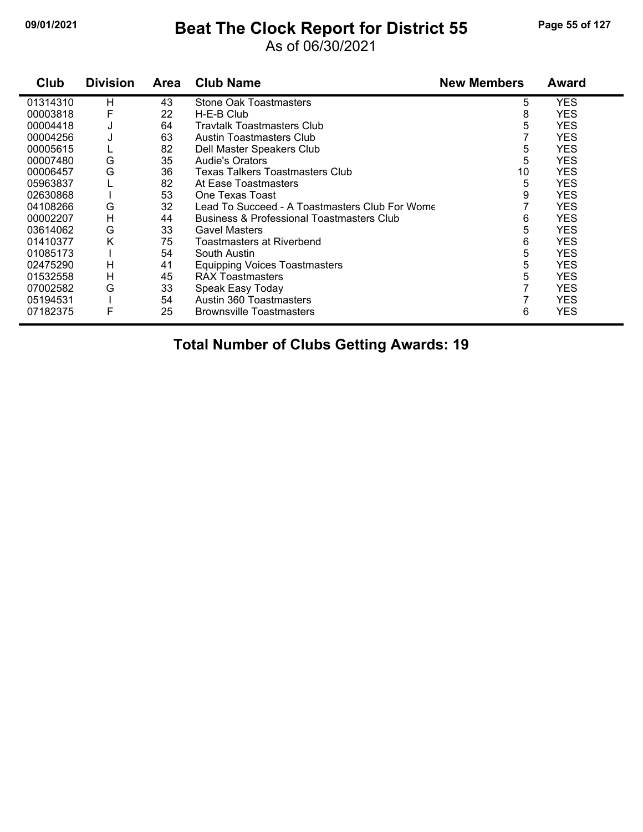#### **09/01/2021 Beat The Clock Report for District 55 Page 55 of 127**

#### As of 06/30/2021

| Club     | <b>Division</b> | <b>Area</b> | <b>Club Name</b>                                     | <b>New Members</b> | <b>Award</b> |
|----------|-----------------|-------------|------------------------------------------------------|--------------------|--------------|
| 01314310 | Н               | 43          | Stone Oak Toastmasters                               | 5                  | <b>YES</b>   |
| 00003818 | F               | 22          | H-E-B Club                                           | 8                  | <b>YES</b>   |
| 00004418 | J               | 64          | <b>Travtalk Toastmasters Club</b>                    | 5                  | <b>YES</b>   |
| 00004256 | J               | 63          | Austin Toastmasters Club                             |                    | <b>YES</b>   |
| 00005615 |                 | 82          | Dell Master Speakers Club                            | 5                  | <b>YES</b>   |
| 00007480 | G               | 35          | <b>Audie's Orators</b>                               | 5                  | <b>YES</b>   |
| 00006457 | G               | 36          | Texas Talkers Toastmasters Club                      | 10                 | <b>YES</b>   |
| 05963837 |                 | 82          | At Ease Toastmasters                                 | 5                  | <b>YES</b>   |
| 02630868 |                 | 53          | One Texas Toast                                      | 9                  | <b>YES</b>   |
| 04108266 | G               | 32          | Lead To Succeed - A Toastmasters Club For Wome       |                    | <b>YES</b>   |
| 00002207 | н               | 44          | <b>Business &amp; Professional Toastmasters Club</b> | 6                  | <b>YES</b>   |
| 03614062 | G               | 33          | <b>Gavel Masters</b>                                 | 5                  | <b>YES</b>   |
| 01410377 | K               | 75          | Toastmasters at Riverbend                            | 6                  | <b>YES</b>   |
| 01085173 |                 | 54          | South Austin                                         | 5                  | <b>YES</b>   |
| 02475290 | н               | 41          | <b>Equipping Voices Toastmasters</b>                 | 5                  | <b>YES</b>   |
| 01532558 | н               | 45          | <b>RAX Toastmasters</b>                              | 5                  | <b>YES</b>   |
| 07002582 | G               | 33          | Speak Easy Today                                     |                    | <b>YES</b>   |
| 05194531 |                 | 54          | Austin 360 Toastmasters                              |                    | <b>YES</b>   |
| 07182375 | F               | 25          | <b>Brownsville Toastmasters</b>                      | 6                  | <b>YES</b>   |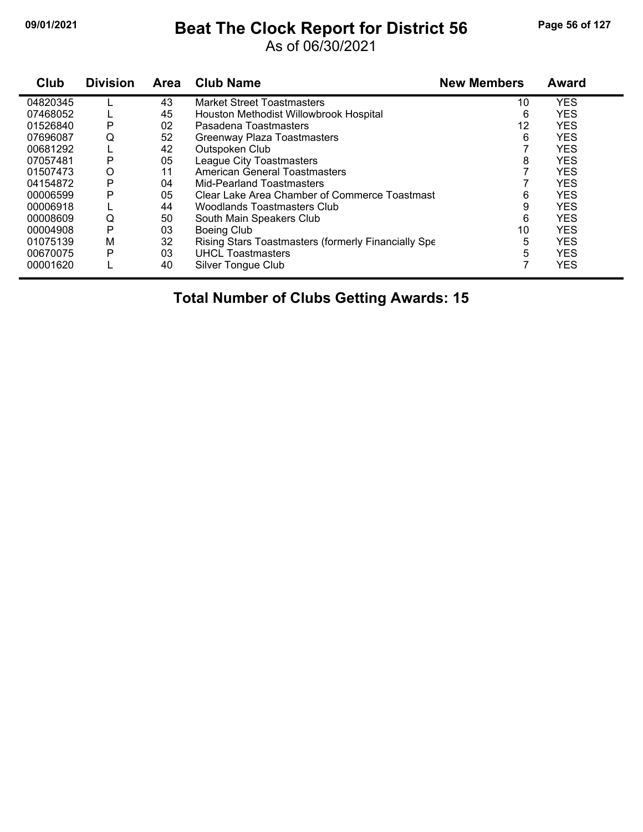# **09/01/2021 Beat The Clock Report for District 56 Page 56 of 127**

As of 06/30/2021

| Club     | <b>Division</b> | Area | <b>Club Name</b>                                    | <b>New Members</b> | <b>Award</b> |
|----------|-----------------|------|-----------------------------------------------------|--------------------|--------------|
| 04820345 |                 | 43   | <b>Market Street Toastmasters</b>                   | 10                 | <b>YES</b>   |
| 07468052 |                 | 45   | Houston Methodist Willowbrook Hospital              | 6                  | <b>YES</b>   |
| 01526840 | P               | 02   | Pasadena Toastmasters                               | 12                 | <b>YES</b>   |
| 07696087 | Q               | 52   | Greenway Plaza Toastmasters                         | 6                  | <b>YES</b>   |
| 00681292 |                 | 42   | Outspoken Club                                      |                    | <b>YES</b>   |
| 07057481 | P               | 05   | League City Toastmasters                            | 8                  | <b>YES</b>   |
| 01507473 | O               | 11   | <b>American General Toastmasters</b>                |                    | <b>YES</b>   |
| 04154872 | P               | 04   | Mid-Pearland Toastmasters                           |                    | <b>YES</b>   |
| 00006599 | P               | 05   | Clear Lake Area Chamber of Commerce Toastmast       | 6                  | <b>YES</b>   |
| 00006918 |                 | 44   | <b>Woodlands Toastmasters Club</b>                  | 9                  | <b>YES</b>   |
| 00008609 | Q               | 50   | South Main Speakers Club                            | 6                  | <b>YES</b>   |
| 00004908 | P               | 03   | <b>Boeing Club</b>                                  | 10                 | <b>YES</b>   |
| 01075139 | M               | 32   | Rising Stars Toastmasters (formerly Financially Spe | 5                  | <b>YES</b>   |
| 00670075 | P               | 03   | <b>UHCL Toastmasters</b>                            | 5                  | <b>YES</b>   |
| 00001620 |                 | 40   | Silver Tongue Club                                  |                    | <b>YES</b>   |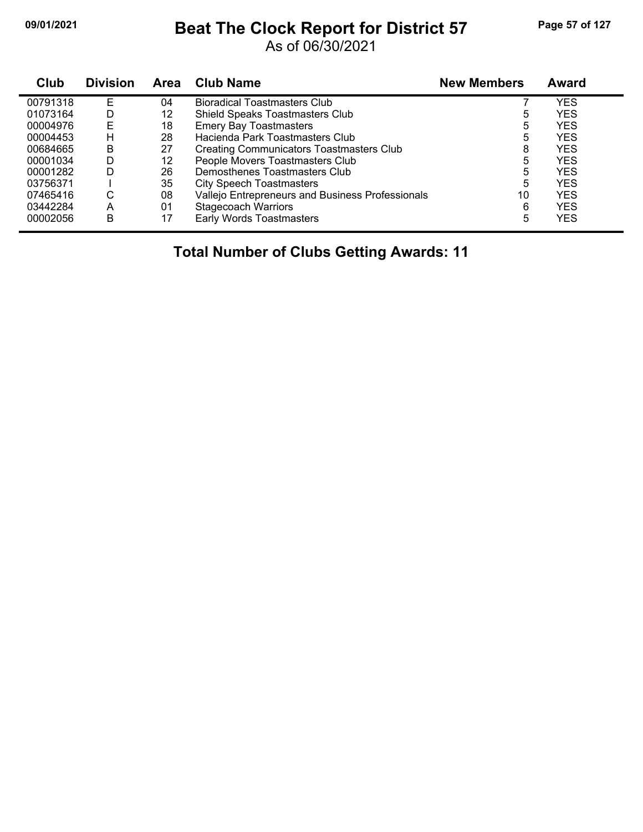#### **09/01/2021 Beat The Clock Report for District 57 Page 57 of 127**

As of 06/30/2021

| Club     | <b>Division</b> | <b>Area</b> | <b>Club Name</b>                                 | <b>New Members</b> | <b>Award</b> |
|----------|-----------------|-------------|--------------------------------------------------|--------------------|--------------|
| 00791318 | F               | 04          | <b>Bioradical Toastmasters Club</b>              |                    | YES          |
| 01073164 | D               | 12          | <b>Shield Speaks Toastmasters Club</b>           | 5                  | <b>YES</b>   |
| 00004976 | E               | 18          | <b>Emery Bay Toastmasters</b>                    | 5                  | <b>YES</b>   |
| 00004453 | н               | 28          | Hacienda Park Toastmasters Club                  | 5                  | <b>YES</b>   |
| 00684665 | B               | 27          | <b>Creating Communicators Toastmasters Club</b>  | 8                  | <b>YES</b>   |
| 00001034 | D               | 12          | People Movers Toastmasters Club                  | 5                  | <b>YES</b>   |
| 00001282 | D               | 26          | Demosthenes Toastmasters Club                    | 5                  | <b>YES</b>   |
| 03756371 |                 | 35          | <b>City Speech Toastmasters</b>                  | 5                  | <b>YES</b>   |
| 07465416 | С               | 08          | Vallejo Entrepreneurs and Business Professionals | 10                 | <b>YES</b>   |
| 03442284 | A               | 01          | <b>Stagecoach Warriors</b>                       | 6                  | <b>YES</b>   |
| 00002056 | B               | 17          | Early Words Toastmasters                         | 5                  | YES          |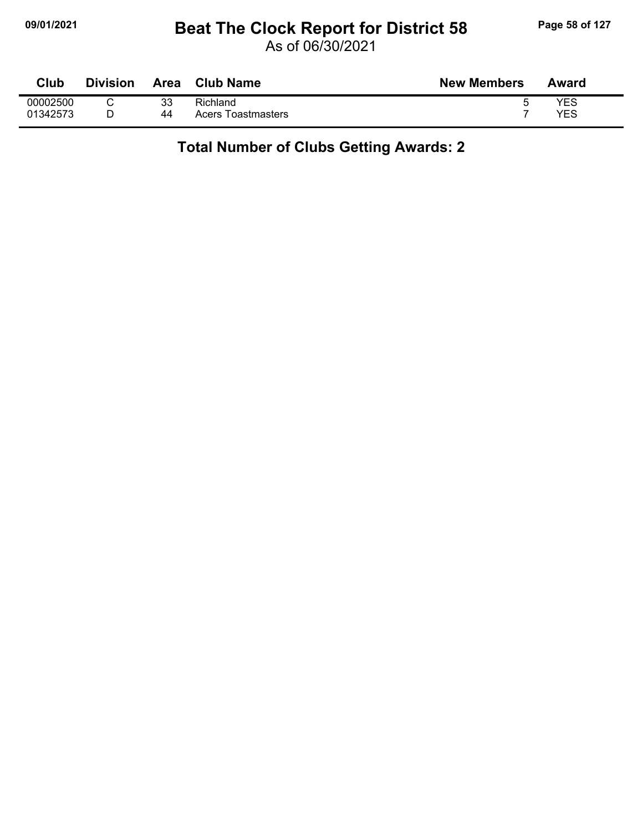## **09/01/2021 Beat The Clock Report for District 58 Page 58 of 127**

As of 06/30/2021

| Club     | <b>Division</b> | <b>Area</b> | <b>Club Name</b>   | <b>New Members</b> | Award      |
|----------|-----------------|-------------|--------------------|--------------------|------------|
| 00002500 |                 | 33          | Richland           | u                  | YES        |
| 01342573 |                 | 44          | Acers Toastmasters |                    | <b>YES</b> |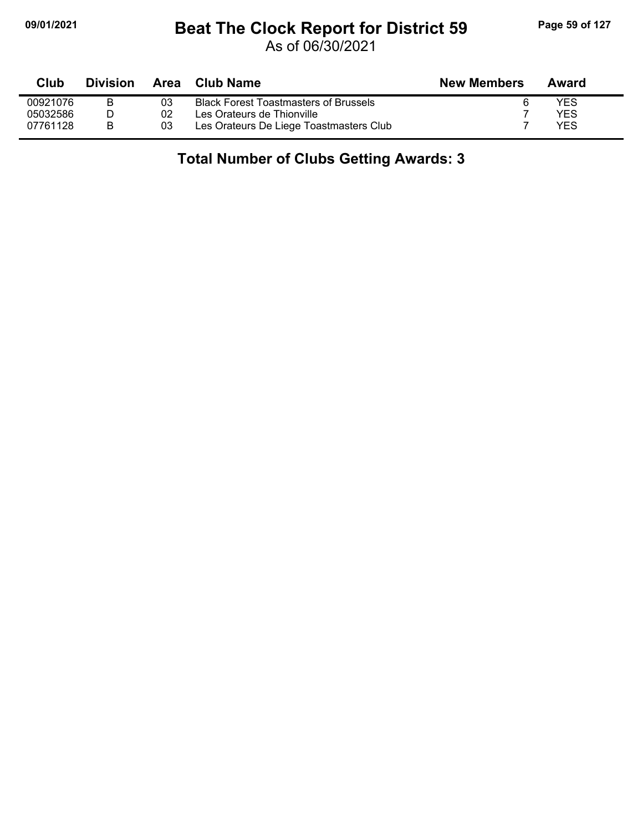# **09/01/2021 Beat The Clock Report for District 59 Page 59 of 127**

As of 06/30/2021

| Club     | <b>Division</b> | Area | Club Name                                    | <b>New Members</b> | Award |
|----------|-----------------|------|----------------------------------------------|--------------------|-------|
| 00921076 |                 | 03   | <b>Black Forest Toastmasters of Brussels</b> |                    | YES   |
| 05032586 |                 | 02   | Les Orateurs de Thionville                   |                    | YES   |
| 07761128 | B               | 03   | Les Orateurs De Liege Toastmasters Club      |                    | YES   |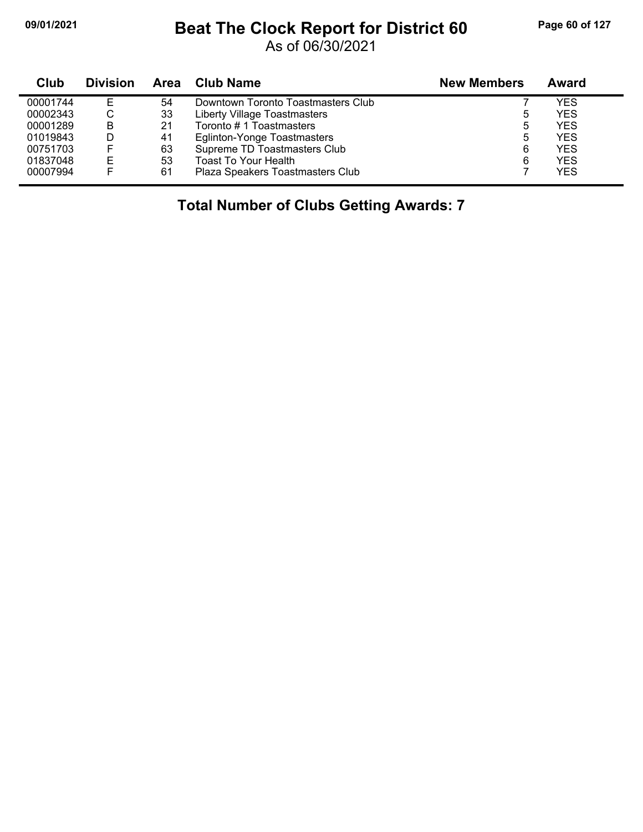## **09/01/2021 Beat The Clock Report for District 60 Page 60 of 127**

As of 06/30/2021

| Club     | <b>Division</b> | Area | Club Name                          | <b>New Members</b> | Award      |
|----------|-----------------|------|------------------------------------|--------------------|------------|
| 00001744 | E               | 54   | Downtown Toronto Toastmasters Club |                    | YES        |
| 00002343 | ◡               | 33   | Liberty Village Toastmasters       | 5                  | <b>YES</b> |
| 00001289 | B               | 21   | Toronto #1 Toastmasters            | 5                  | <b>YES</b> |
| 01019843 |                 | 41   | <b>Eglinton-Yonge Toastmasters</b> | 5                  | <b>YES</b> |
| 00751703 |                 | 63   | Supreme TD Toastmasters Club       | 6                  | <b>YES</b> |
| 01837048 | Е               | 53   | <b>Toast To Your Health</b>        | 6                  | <b>YES</b> |
| 00007994 |                 | 61   | Plaza Speakers Toastmasters Club   |                    | <b>YES</b> |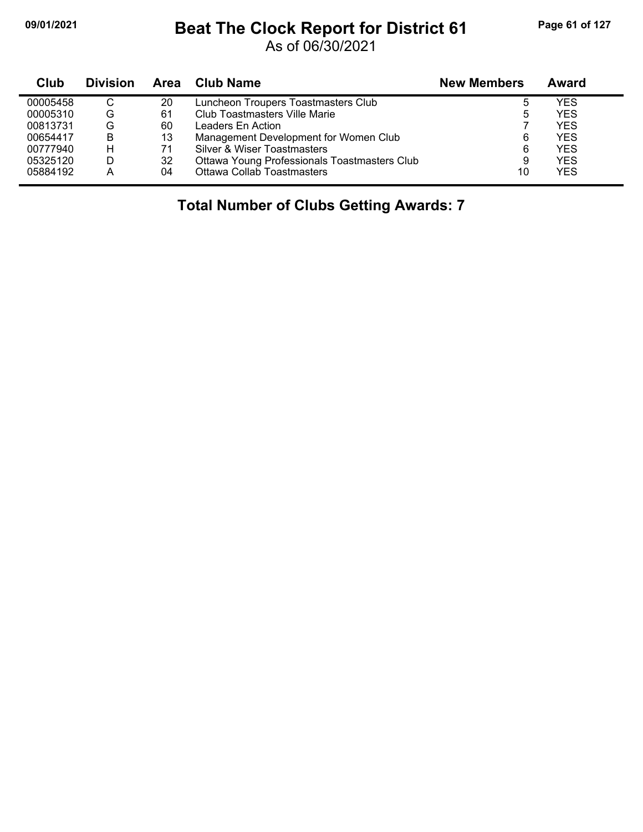## **09/01/2021 Beat The Clock Report for District 61 Page 61 of 127**

As of 06/30/2021

| <b>Club</b> | <b>Division</b> |    | Area Club Name                               | <b>New Members</b> | Award      |
|-------------|-----------------|----|----------------------------------------------|--------------------|------------|
| 00005458    | C               | 20 | Luncheon Troupers Toastmasters Club          | b                  | YES        |
| 00005310    | G               | 61 | Club Toastmasters Ville Marie                | b                  | YES        |
| 00813731    | G               | 60 | Leaders En Action                            |                    | YES        |
| 00654417    | B               | 13 | Management Development for Women Club        | 6                  | YES        |
| 00777940    | н               | 71 | Silver & Wiser Toastmasters                  | 6                  | <b>YES</b> |
| 05325120    | D               | 32 | Ottawa Young Professionals Toastmasters Club | 9                  | YES        |
| 05884192    | А               | 04 | <b>Ottawa Collab Toastmasters</b>            | 10                 | YES        |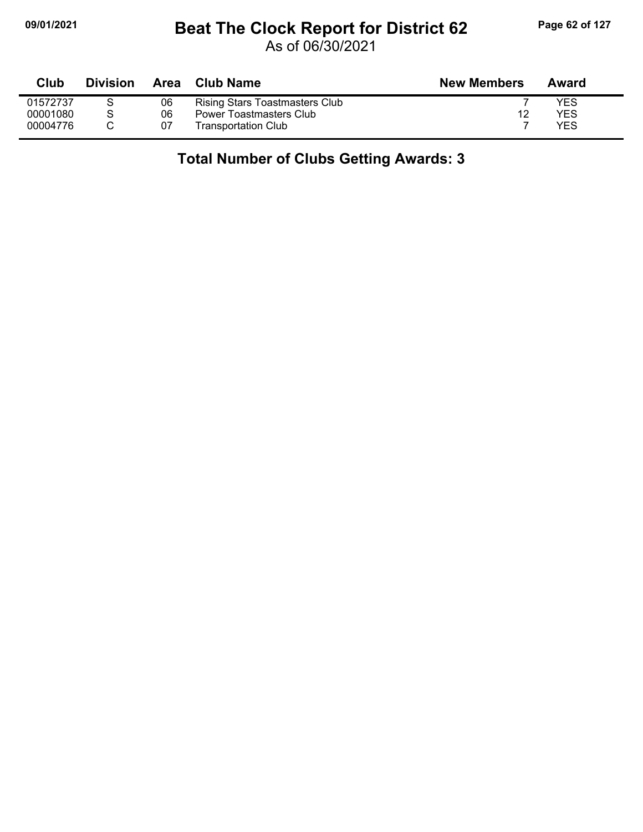# **09/01/2021 Beat The Clock Report for District 62 Page 62 of 127**

As of 06/30/2021

| Club     | <b>Division</b> | Area | <b>Club Name</b>               | <b>New Members</b> | Award |
|----------|-----------------|------|--------------------------------|--------------------|-------|
| 01572737 |                 | 06   | Rising Stars Toastmasters Club |                    | YES   |
| 00001080 |                 | 06   | Power Toastmasters Club        | 12                 | YES   |
| 00004776 |                 | 07   | Transportation Club            |                    | YES   |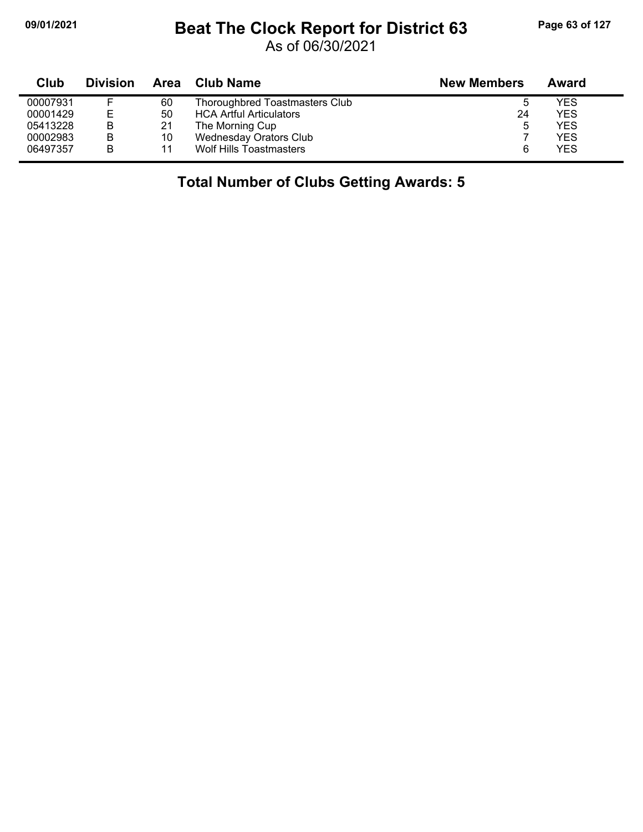## **09/01/2021 Beat The Clock Report for District 63 Page 63 of 127**

As of 06/30/2021

| Club     | <b>Division</b> |    | Area Club Name                        | <b>New Members</b> | Award      |
|----------|-----------------|----|---------------------------------------|--------------------|------------|
| 00007931 |                 | 60 | <b>Thoroughbred Toastmasters Club</b> | ა                  | <b>YES</b> |
| 00001429 | Е               | 50 | <b>HCA Artful Articulators</b>        | 24                 | <b>YES</b> |
| 05413228 | в               | 21 | The Morning Cup                       | 5                  | <b>YES</b> |
| 00002983 | в               | 10 | <b>Wednesday Orators Club</b>         |                    | <b>YES</b> |
| 06497357 | в               | 11 | <b>Wolf Hills Toastmasters</b>        | 6                  | <b>YES</b> |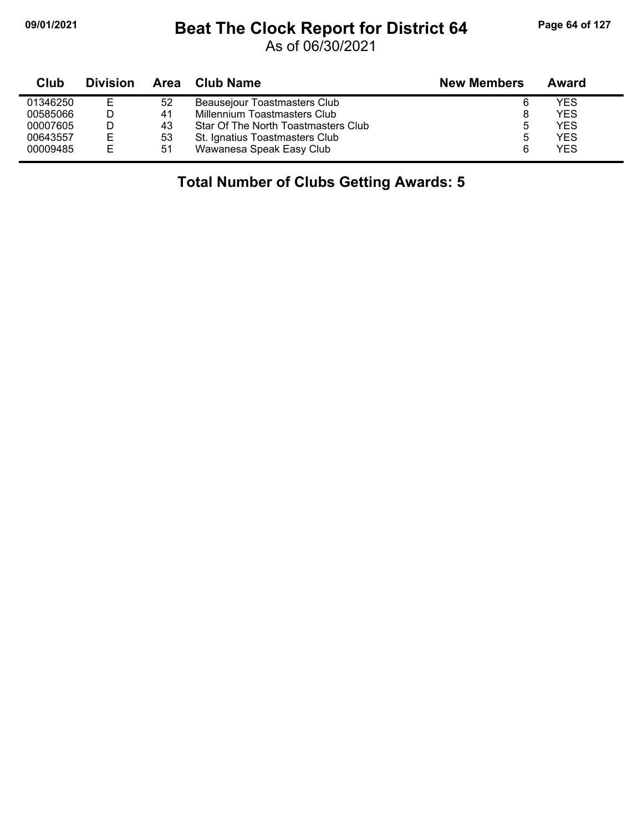## **09/01/2021 Beat The Clock Report for District 64 Page 64 of 127**

As of 06/30/2021

| Club     | <b>Division</b> | Area | Club Name                           | <b>New Members</b> | Award      |
|----------|-----------------|------|-------------------------------------|--------------------|------------|
| 01346250 | E               | 52   | Beausejour Toastmasters Club        | 6                  | YES.       |
| 00585066 |                 | 41   | Millennium Toastmasters Club        |                    | YES        |
| 00007605 |                 | 43   | Star Of The North Toastmasters Club |                    | YES.       |
| 00643557 | E               | 53   | St. Ignatius Toastmasters Club      | b                  | YES        |
| 00009485 | Е               | 51   | Wawanesa Speak Easy Club            |                    | <b>YES</b> |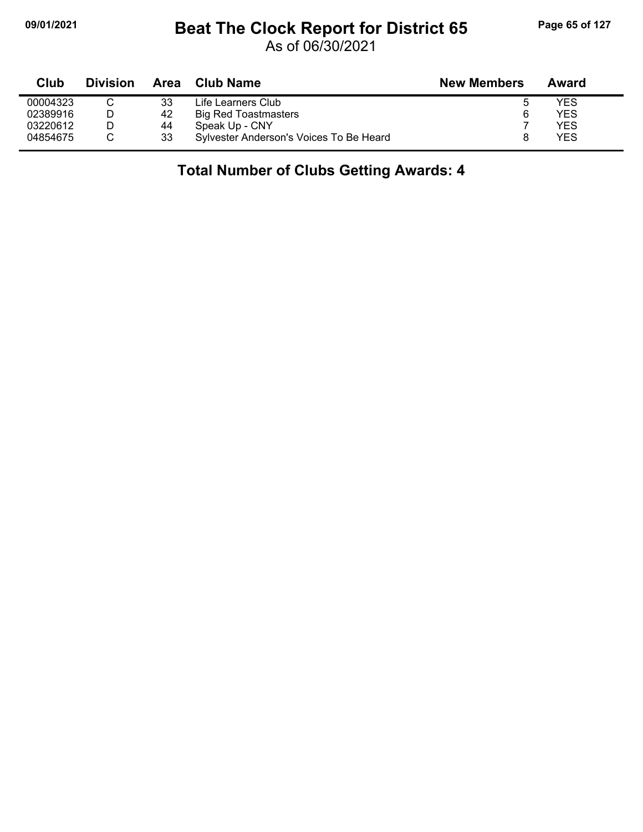## **09/01/2021 Beat The Clock Report for District 65 Page 65 of 127**

As of 06/30/2021

| Club     | <b>Division</b> | Area | Club Name                               | <b>New Members</b> | Award |  |
|----------|-----------------|------|-----------------------------------------|--------------------|-------|--|
| 00004323 |                 | 33   | Life Learners Club                      |                    | YES   |  |
| 02389916 |                 | 42   | <b>Big Red Toastmasters</b>             | 6                  | YES   |  |
| 03220612 |                 | 44   | Speak Up - CNY                          |                    | YES   |  |
| 04854675 |                 | 33   | Sylvester Anderson's Voices To Be Heard |                    | YES   |  |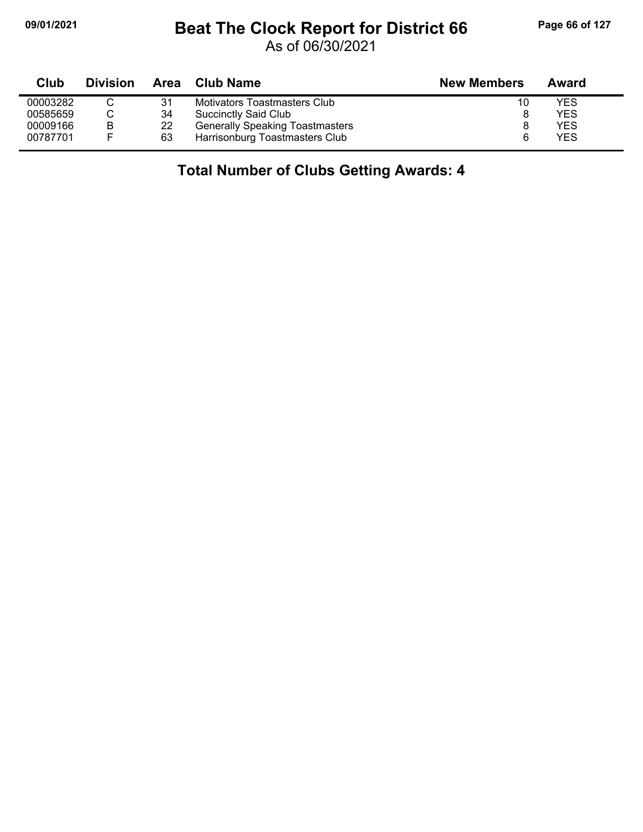## **09/01/2021 Beat The Clock Report for District 66 Page 66 of 127**

As of 06/30/2021

| Club     | <b>Division</b> | Area | Club Name                              | <b>New Members</b> | Award |  |
|----------|-----------------|------|----------------------------------------|--------------------|-------|--|
| 00003282 |                 | 31   | Motivators Toastmasters Club           | 10                 | YES   |  |
| 00585659 |                 | 34   | <b>Succinctly Said Club</b>            |                    | YES   |  |
| 00009166 | B               | 22   | <b>Generally Speaking Toastmasters</b> |                    | YES   |  |
| 00787701 |                 | 63   | Harrisonburg Toastmasters Club         |                    | YES   |  |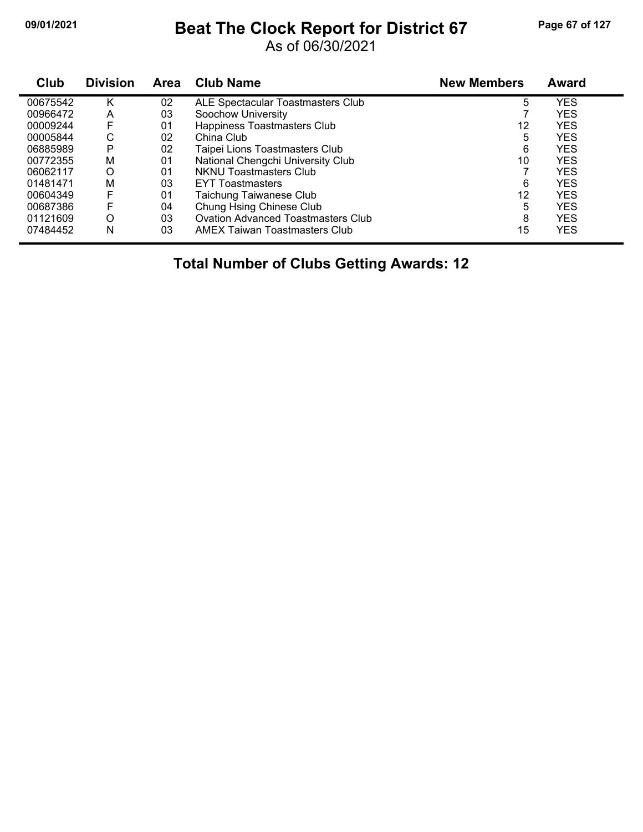## **09/01/2021 Beat The Clock Report for District 67 Page 67 of 127**

As of 06/30/2021

| Club     | <b>Division</b> | <b>Area</b> | <b>Club Name</b>                          | <b>New Members</b> | Award      |  |
|----------|-----------------|-------------|-------------------------------------------|--------------------|------------|--|
| 00675542 | κ               | 02          | ALE Spectacular Toastmasters Club         | 5                  | <b>YES</b> |  |
| 00966472 | A               | 03          | Soochow University                        |                    | <b>YES</b> |  |
| 00009244 | F               | 01          | Happiness Toastmasters Club               | 12                 | <b>YES</b> |  |
| 00005844 | С               | 02          | China Club                                | 5                  | <b>YES</b> |  |
| 06885989 | P               | 02          | Taipei Lions Toastmasters Club            | 6                  | <b>YES</b> |  |
| 00772355 | M               | 01          | National Chengchi University Club         | 10                 | <b>YES</b> |  |
| 06062117 | O               | 01          | <b>NKNU Toastmasters Club</b>             |                    | <b>YES</b> |  |
| 01481471 | M               | 03          | <b>EYT Toastmasters</b>                   | 6                  | <b>YES</b> |  |
| 00604349 | F               | 01          | Taichung Taiwanese Club                   | 12                 | <b>YES</b> |  |
| 00687386 |                 | 04          | Chung Hsing Chinese Club                  | 5                  | <b>YES</b> |  |
| 01121609 | O               | 03          | <b>Ovation Advanced Toastmasters Club</b> | 8                  | <b>YES</b> |  |
| 07484452 | N               | 03          | AMEX Taiwan Toastmasters Club             | 15                 | <b>YES</b> |  |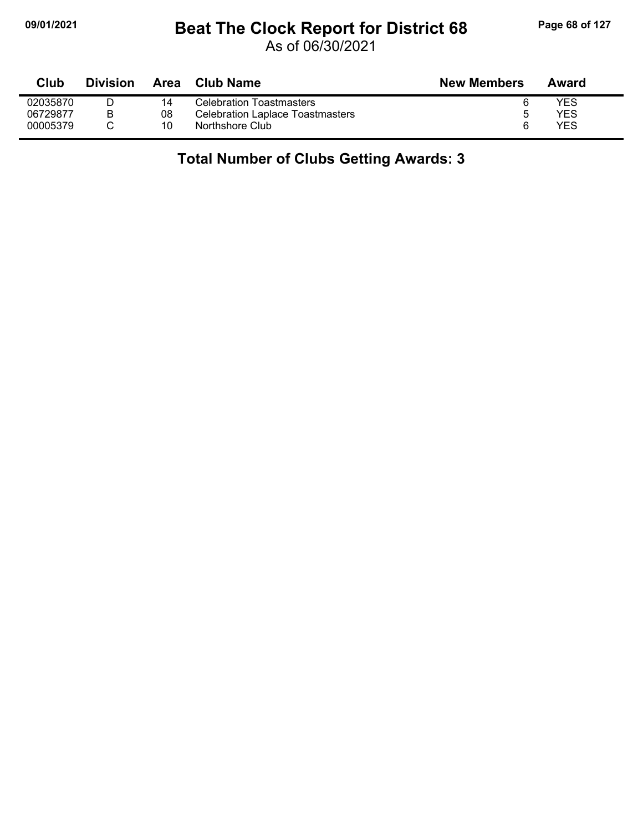# **09/01/2021 Beat The Clock Report for District 68 Page 68 of 127**

As of 06/30/2021

| Club     | <b>Division</b> | Area | <b>Club Name</b>                        | <b>New Members</b> | Award |
|----------|-----------------|------|-----------------------------------------|--------------------|-------|
| 02035870 |                 | 14   | <b>Celebration Toastmasters</b>         |                    | YES   |
| 06729877 |                 | 08   | <b>Celebration Laplace Toastmasters</b> |                    | YES   |
| 00005379 |                 | 10   | Northshore Club                         |                    | YES   |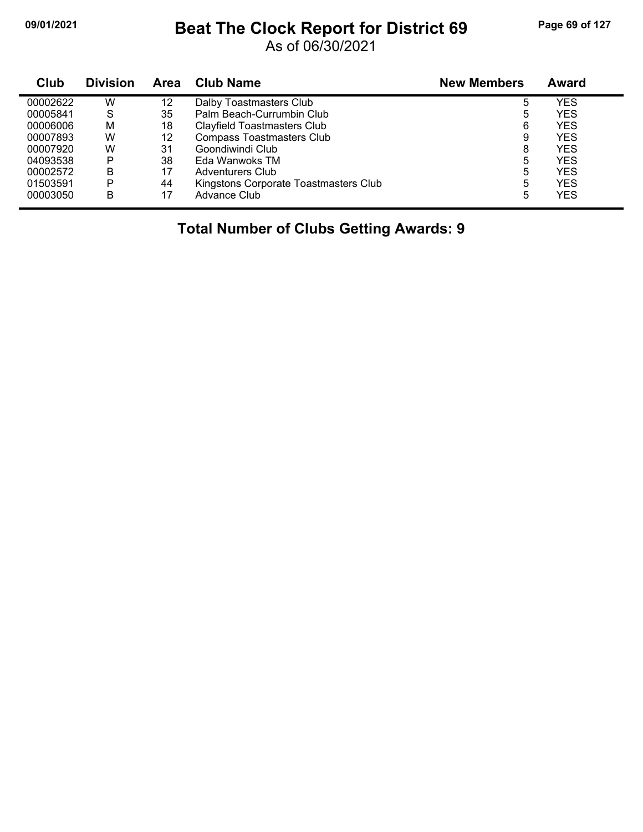## **09/01/2021 Beat The Clock Report for District 69 Page 69 of 127**

As of 06/30/2021

| Club     | <b>Division</b> | Area | <b>Club Name</b>                      | <b>New Members</b> | Award      |
|----------|-----------------|------|---------------------------------------|--------------------|------------|
| 00002622 | W               | 12   | Dalby Toastmasters Club               | 5                  | <b>YES</b> |
| 00005841 | S               | 35   | Palm Beach-Currumbin Club             | 5                  | YES        |
| 00006006 | м               | 18   | Clayfield Toastmasters Club           | 6                  | <b>YES</b> |
| 00007893 | W               | 12   | <b>Compass Toastmasters Club</b>      | 9                  | <b>YES</b> |
| 00007920 | W               | 31   | Goondiwindi Club                      | 8                  | YES        |
| 04093538 | P               | 38   | Eda Wanwoks TM                        | 5                  | YES        |
| 00002572 | В               | 17   | <b>Adventurers Club</b>               | 5                  | <b>YES</b> |
| 01503591 | P               | 44   | Kingstons Corporate Toastmasters Club | 5                  | <b>YES</b> |
| 00003050 | B               | 17   | Advance Club                          | 5                  | <b>YES</b> |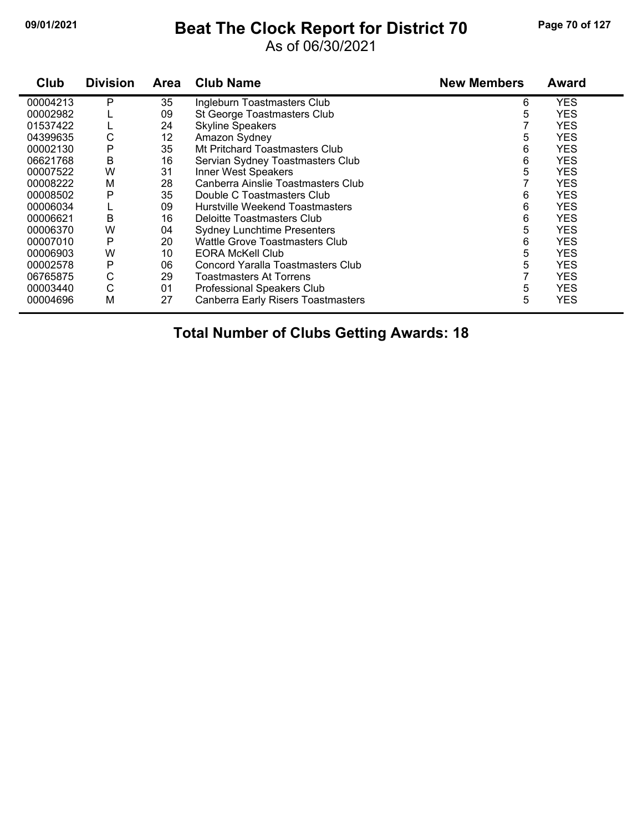# **09/01/2021 Beat The Clock Report for District 70 Page 70 of 127**

#### As of 06/30/2021

| Club     | <b>Division</b> | Area | <b>Club Name</b>                          | <b>New Members</b> | <b>Award</b> |
|----------|-----------------|------|-------------------------------------------|--------------------|--------------|
| 00004213 | P               | 35   | Ingleburn Toastmasters Club               | 6                  | <b>YES</b>   |
| 00002982 |                 | 09   | St George Toastmasters Club               | 5                  | <b>YES</b>   |
| 01537422 |                 | 24   | <b>Skyline Speakers</b>                   |                    | <b>YES</b>   |
| 04399635 | С               | 12   | Amazon Sydney                             | 5                  | <b>YES</b>   |
| 00002130 | P               | 35   | Mt Pritchard Toastmasters Club            | 6                  | <b>YES</b>   |
| 06621768 | В               | 16   | Servian Sydney Toastmasters Club          | 6                  | <b>YES</b>   |
| 00007522 | W               | 31   | Inner West Speakers                       | 5                  | <b>YES</b>   |
| 00008222 | M               | 28   | Canberra Ainslie Toastmasters Club        |                    | <b>YES</b>   |
| 00008502 | Р               | 35   | Double C Toastmasters Club                | 6                  | <b>YES</b>   |
| 00006034 |                 | 09   | Hurstville Weekend Toastmasters           | 6                  | <b>YES</b>   |
| 00006621 | B               | 16   | Deloitte Toastmasters Club                | 6                  | <b>YES</b>   |
| 00006370 | W               | 04   | <b>Sydney Lunchtime Presenters</b>        | 5                  | <b>YES</b>   |
| 00007010 | P               | 20   | Wattle Grove Toastmasters Club            | 6                  | <b>YES</b>   |
| 00006903 | W               | 10   | <b>EORA McKell Club</b>                   | 5                  | <b>YES</b>   |
| 00002578 | P               | 06   | Concord Yaralla Toastmasters Club         | 5                  | <b>YES</b>   |
| 06765875 | C               | 29   | Toastmasters At Torrens                   |                    | <b>YES</b>   |
| 00003440 | C               | 01   | Professional Speakers Club                | 5                  | <b>YES</b>   |
| 00004696 | M               | 27   | <b>Canberra Early Risers Toastmasters</b> | 5                  | <b>YES</b>   |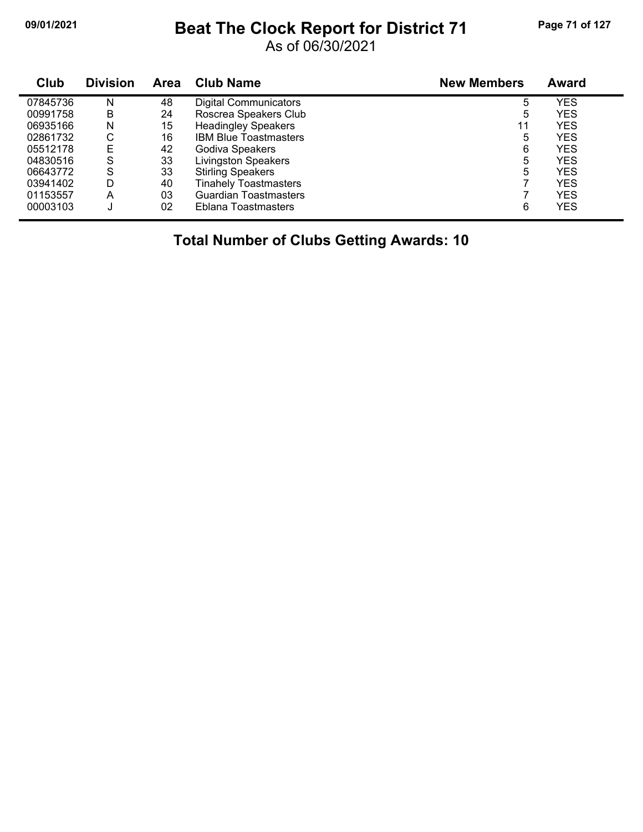## **09/01/2021 Beat The Clock Report for District 71 Page 71 of 127**

As of 06/30/2021

| Club     | <b>Division</b> | <b>Area</b> | <b>Club Name</b>             | <b>New Members</b> | <b>Award</b> |
|----------|-----------------|-------------|------------------------------|--------------------|--------------|
| 07845736 | N               | 48          | <b>Digital Communicators</b> | 5                  | <b>YES</b>   |
| 00991758 | B               | 24          | Roscrea Speakers Club        | 5                  | <b>YES</b>   |
| 06935166 | N               | 15          | <b>Headingley Speakers</b>   | 11                 | YES          |
| 02861732 | С               | 16          | <b>IBM Blue Toastmasters</b> | 5                  | <b>YES</b>   |
| 05512178 | Е               | 42          | Godiva Speakers              | 6                  | YES          |
| 04830516 | S               | 33          | <b>Livingston Speakers</b>   | 5                  | <b>YES</b>   |
| 06643772 | S               | 33          | <b>Stirling Speakers</b>     | 5                  | YES          |
| 03941402 | D               | 40          | <b>Tinahely Toastmasters</b> |                    | <b>YES</b>   |
| 01153557 | A               | 03          | <b>Guardian Toastmasters</b> |                    | <b>YES</b>   |
| 00003103 | J               | 02          | Eblana Toastmasters          | 6                  | <b>YES</b>   |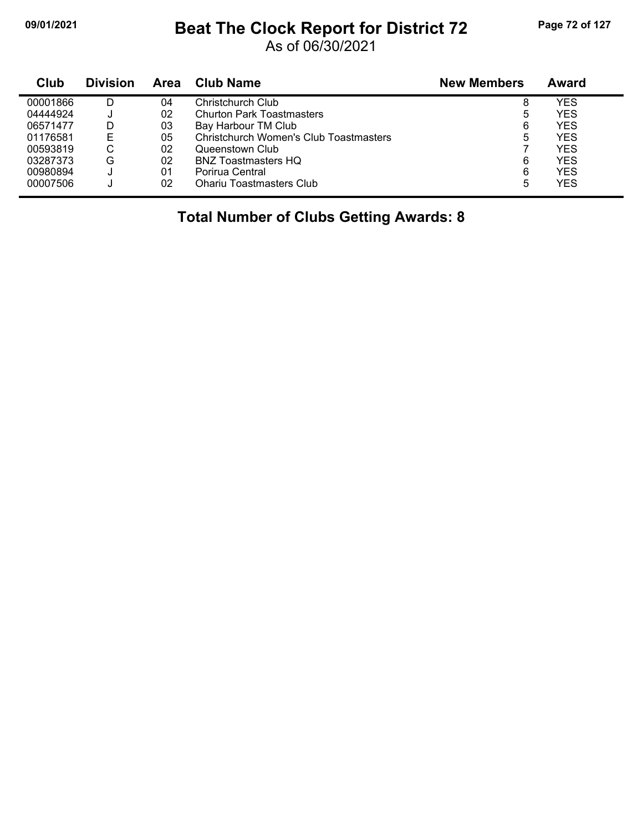# **09/01/2021 Beat The Clock Report for District 72 Page 72 of 127**

As of 06/30/2021

| Club     | <b>Division</b> | Area | Club Name                              | <b>New Members</b> | Award |
|----------|-----------------|------|----------------------------------------|--------------------|-------|
| 00001866 | D               | 04   | Christchurch Club                      | 8                  | YES   |
| 04444924 |                 | 02   | <b>Churton Park Toastmasters</b>       | 5                  | YES   |
| 06571477 | D               | 03   | Bay Harbour TM Club                    | 6                  | YES   |
| 01176581 | Е               | 05   | Christchurch Women's Club Toastmasters | 5                  | YES   |
| 00593819 | С               | 02   | Queenstown Club                        |                    | YES   |
| 03287373 | G               | 02   | <b>BNZ Toastmasters HQ</b>             | 6                  | YES   |
| 00980894 |                 | 01   | Porirua Central                        | 6                  | YES   |
| 00007506 |                 | 02   | <b>Ohariu Toastmasters Club</b>        | 5                  | YES   |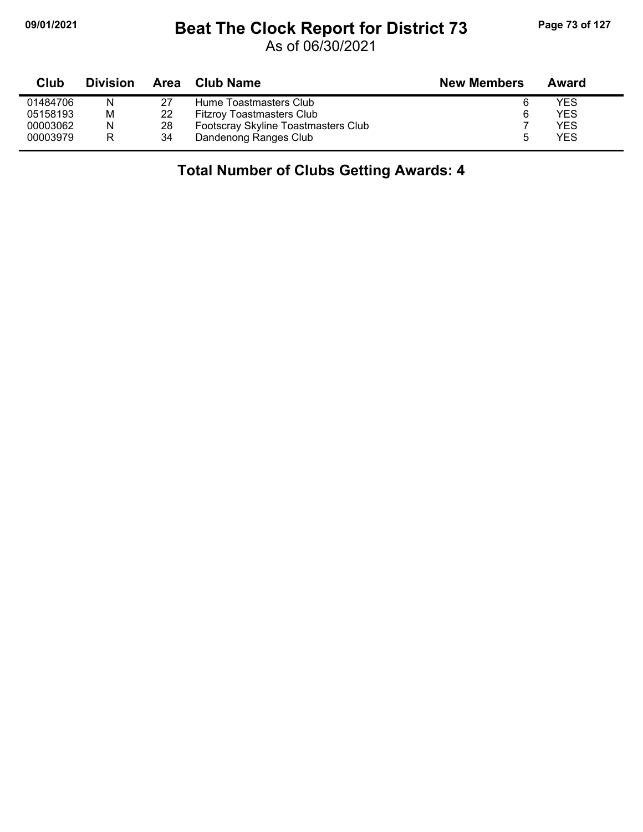## **09/01/2021 Beat The Clock Report for District 73 Page 73 of 127**

As of 06/30/2021

| Club     | <b>Division</b> | <b>Area</b> | Club Name                           | <b>New Members</b> | Award |
|----------|-----------------|-------------|-------------------------------------|--------------------|-------|
| 01484706 | N               | 27          | Hume Toastmasters Club              |                    | YES   |
| 05158193 | М               | 22          | <b>Fitzroy Toastmasters Club</b>    |                    | YES   |
| 00003062 | N               | 28          | Footscray Skyline Toastmasters Club |                    | YES   |
| 00003979 | R               | 34          | Dandenong Ranges Club               |                    | YES   |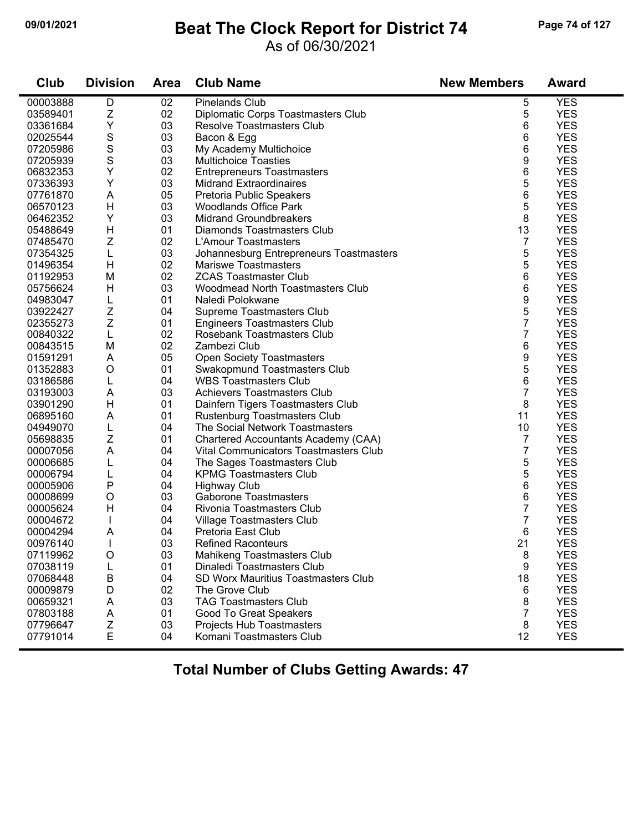## **09/01/2021 Beat The Clock Report for District 74 Page 74 of 127**

### As of 06/30/2021

| Club     | <b>Division</b> | <b>Area</b> | <b>Club Name</b>                        | <b>New Members</b> | <b>Award</b> |
|----------|-----------------|-------------|-----------------------------------------|--------------------|--------------|
| 00003888 | D               | 02          | <b>Pinelands Club</b>                   | 5                  | <b>YES</b>   |
| 03589401 | Z               | 02          | Diplomatic Corps Toastmasters Club      | 5                  | <b>YES</b>   |
| 03361684 | Υ               | 03          | <b>Resolve Toastmasters Club</b>        | 6                  | <b>YES</b>   |
| 02025544 | S               | 03          | Bacon & Egg                             | 6                  | <b>YES</b>   |
| 07205986 | S               | 03          | My Academy Multichoice                  | 6                  | <b>YES</b>   |
| 07205939 | S               | 03          | <b>Multichoice Toasties</b>             | 9                  | <b>YES</b>   |
| 06832353 | Υ               | 02          | <b>Entrepreneurs Toastmasters</b>       | 6                  | <b>YES</b>   |
| 07336393 | Υ               | 03          | <b>Midrand Extraordinaires</b>          | 5                  | <b>YES</b>   |
| 07761870 | A               | 05          | Pretoria Public Speakers                | 6                  | <b>YES</b>   |
| 06570123 | H               | 03          | <b>Woodlands Office Park</b>            | 5                  | <b>YES</b>   |
| 06462352 | Υ               | 03          | <b>Midrand Groundbreakers</b>           | 8                  | <b>YES</b>   |
| 05488649 | H               | 01          | Diamonds Toastmasters Club              | 13                 | <b>YES</b>   |
| 07485470 | Z               | 02          | L'Amour Toastmasters                    | 7                  | <b>YES</b>   |
| 07354325 | L               | 03          | Johannesburg Entrepreneurs Toastmasters | 5                  | <b>YES</b>   |
| 01496354 | H               | 02          | <b>Mariswe Toastmasters</b>             | 5                  | <b>YES</b>   |
| 01192953 | M               | 02          | <b>ZCAS Toastmaster Club</b>            | 6                  | <b>YES</b>   |
| 05756624 | H               | 03          | Woodmead North Toastmasters Club        | 6                  | <b>YES</b>   |
| 04983047 | L               | 01          | Naledi Polokwane                        | 9                  | <b>YES</b>   |
| 03922427 | Ζ               | 04          | Supreme Toastmasters Club               | 5                  | <b>YES</b>   |
| 02355273 | Z               | 01          | <b>Engineers Toastmasters Club</b>      | $\overline{7}$     | <b>YES</b>   |
| 00840322 | L               | 02          | Rosebank Toastmasters Club              | 7                  | <b>YES</b>   |
| 00843515 | M               | 02          | Zambezi Club                            | 6                  | <b>YES</b>   |
| 01591291 | A               | 05          | <b>Open Society Toastmasters</b>        | 9                  | <b>YES</b>   |
| 01352883 | $\circ$         | 01          | Swakopmund Toastmasters Club            | 5                  | <b>YES</b>   |
| 03186586 | L               | 04          | <b>WBS Toastmasters Club</b>            | 6                  | <b>YES</b>   |
| 03193003 | A               | 03          | <b>Achievers Toastmasters Club</b>      | $\overline{7}$     | <b>YES</b>   |
| 03901290 | H               | 01          | Dainfern Tigers Toastmasters Club       | 8                  | <b>YES</b>   |
| 06895160 | A               | 01          | Rustenburg Toastmasters Club            | 11                 | <b>YES</b>   |
| 04949070 | L               | 04          | The Social Network Toastmasters         | 10                 | <b>YES</b>   |
| 05698835 | Ζ               | 01          | Chartered Accountants Academy (CAA)     | 7                  | <b>YES</b>   |
| 00007056 | A               | 04          | Vital Communicators Toastmasters Club   | 7                  | <b>YES</b>   |
| 00006685 | L               | 04          | The Sages Toastmasters Club             | 5                  | <b>YES</b>   |
| 00006794 | L               | 04          | <b>KPMG Toastmasters Club</b>           | 5                  | <b>YES</b>   |
| 00005906 | P               | 04          | <b>Highway Club</b>                     | 6                  | <b>YES</b>   |
| 00008699 | $\circ$         | 03          | <b>Gaborone Toastmasters</b>            | 6                  | <b>YES</b>   |
| 00005624 | H               | 04          | Rivonia Toastmasters Club               | 7                  | <b>YES</b>   |
| 00004672 |                 | 04          | Village Toastmasters Club               | 7                  | <b>YES</b>   |
| 00004294 | A               | 04          | Pretoria East Club                      | 6                  | <b>YES</b>   |
| 00976140 |                 | 03          | <b>Refined Raconteurs</b>               | 21                 | <b>YES</b>   |
| 07119962 | $\circ$         | 03          | Mahikeng Toastmasters Club              | 8                  | <b>YES</b>   |
| 07038119 | L               | 01          | Dinaledi Toastmasters Club              | 9                  | <b>YES</b>   |
| 07068448 | B               | 04          | SD Worx Mauritius Toastmasters Club     | 18                 | <b>YES</b>   |
| 00009879 | D               | 02          | The Grove Club                          | 6                  | <b>YES</b>   |
| 00659321 | A               | 03          | <b>TAG Toastmasters Club</b>            | 8                  | <b>YES</b>   |
| 07803188 | A               | 01          | Good To Great Speakers                  | $\overline{7}$     | <b>YES</b>   |
| 07796647 | Z               | 03          | Projects Hub Toastmasters               | 8                  | <b>YES</b>   |
| 07791014 | E               | 04          | Komani Toastmasters Club                | 12                 | <b>YES</b>   |
|          |                 |             |                                         |                    |              |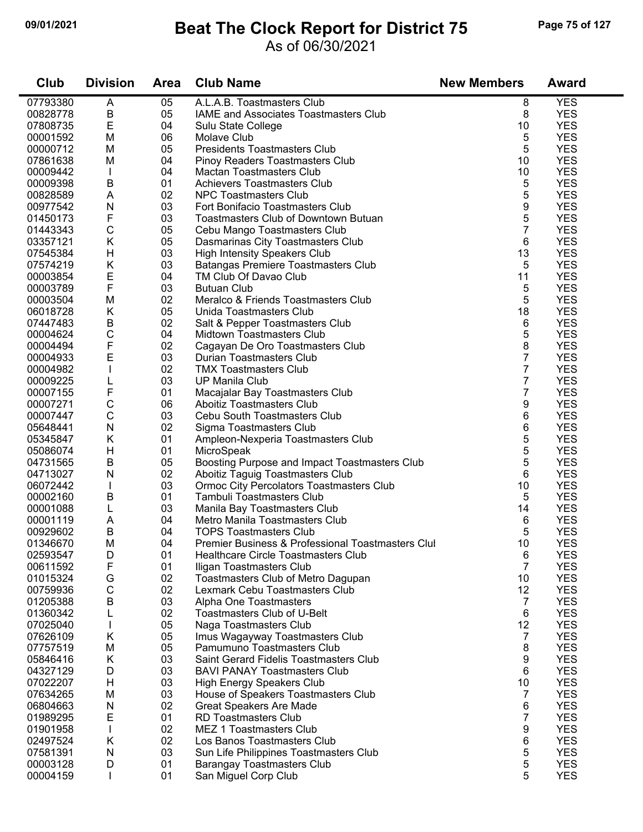## **09/01/2021 Beat The Clock Report for District 75 Page 75 of 127**

#### As of 06/30/2021

| Club     | <b>Division</b> | <b>Area</b> | <b>Club Name</b>                                  | <b>New Members</b> | <b>Award</b> |
|----------|-----------------|-------------|---------------------------------------------------|--------------------|--------------|
| 07793380 | A               | 05          | A.L.A.B. Toastmasters Club                        | 8                  | <b>YES</b>   |
| 00828778 | B               | 05          | IAME and Associates Toastmasters Club             | 8                  | <b>YES</b>   |
| 07808735 | E               | 04          | Sulu State College                                | 10                 | <b>YES</b>   |
| 00001592 | M               | 06          | Molave Club                                       | 5                  | <b>YES</b>   |
| 00000712 | M               | 05          | <b>Presidents Toastmasters Club</b>               | 5                  | <b>YES</b>   |
| 07861638 | M               | 04          | Pinoy Readers Toastmasters Club                   | 10                 | <b>YES</b>   |
| 00009442 |                 | 04          | <b>Mactan Toastmasters Club</b>                   | 10                 | <b>YES</b>   |
| 00009398 | В               | 01          | <b>Achievers Toastmasters Club</b>                | 5                  | <b>YES</b>   |
| 00828589 | A               | 02          | <b>NPC Toastmasters Club</b>                      | 5                  | <b>YES</b>   |
| 00977542 | ${\sf N}$       | 03          | Fort Bonifacio Toastmasters Club                  | 9                  | <b>YES</b>   |
| 01450173 | F               | 03          | Toastmasters Club of Downtown Butuan              | 5                  | <b>YES</b>   |
| 01443343 | C               | 05          | Cebu Mango Toastmasters Club                      | $\overline{7}$     | <b>YES</b>   |
| 03357121 | Κ               | 05          | Dasmarinas City Toastmasters Club                 | 6                  | <b>YES</b>   |
| 07545384 | H               | 03          | High Intensity Speakers Club                      | 13                 | <b>YES</b>   |
| 07574219 | Κ               | 03          | Batangas Premiere Toastmasters Club               | 5                  | <b>YES</b>   |
| 00003854 | E               | 04          | TM Club Of Davao Club                             | 11                 | <b>YES</b>   |
| 00003789 | F               | 03          | <b>Butuan Club</b>                                | 5                  | <b>YES</b>   |
| 00003504 | M               | 02          | Meralco & Friends Toastmasters Club               | 5                  | <b>YES</b>   |
| 06018728 | K               | 05          | Unida Toastmasters Club                           | 18                 | <b>YES</b>   |
| 07447483 | B               | 02          | Salt & Pepper Toastmasters Club                   | 6                  | <b>YES</b>   |
| 00004624 | C               | 04          | Midtown Toastmasters Club                         | 5                  | <b>YES</b>   |
| 00004494 | F               | 02          | Cagayan De Oro Toastmasters Club                  | 8                  | <b>YES</b>   |
| 00004933 | E               | 03          | Durian Toastmasters Club                          | 7                  | <b>YES</b>   |
| 00004982 |                 | 02          | <b>TMX Toastmasters Club</b>                      | 7                  | <b>YES</b>   |
| 00009225 |                 | 03          | <b>UP Manila Club</b>                             | 7                  | <b>YES</b>   |
| 00007155 | F               | 01          | Macajalar Bay Toastmasters Club                   | 7                  | <b>YES</b>   |
| 00007271 | С               | 06          | Aboitiz Toastmasters Club                         | 9                  | <b>YES</b>   |
| 00007447 | C               | 03          | <b>Cebu South Toastmasters Club</b>               | 6                  | <b>YES</b>   |
| 05648441 | ${\sf N}$       | 02          | Sigma Toastmasters Club                           | 6                  | <b>YES</b>   |
| 05345847 | K               | 01          | Ampleon-Nexperia Toastmasters Club                | 5                  | <b>YES</b>   |
| 05086074 | H               | 01          | MicroSpeak                                        | 5                  | <b>YES</b>   |
| 04731565 | B               | 05          | Boosting Purpose and Impact Toastmasters Club     | 5                  | <b>YES</b>   |
| 04713027 | Ν               | 02          | Aboitiz Taguig Toastmasters Club                  | 6                  | <b>YES</b>   |
| 06072442 | $\mathbf{I}$    | 03          | Ormoc City Percolators Toastmasters Club          | 10                 | <b>YES</b>   |
| 00002160 | B               | 01          | <b>Tambuli Toastmasters Club</b>                  | 5                  | <b>YES</b>   |
| 00001088 | L               | 03          | Manila Bay Toastmasters Club                      | 14                 | <b>YES</b>   |
| 00001119 | A               | 04          | Metro Manila Toastmasters Club                    | 6                  | <b>YES</b>   |
| 00929602 | В               | 04          | <b>TOPS Toastmasters Club</b>                     | 5                  | <b>YES</b>   |
| 01346670 | M               | 04          | Premier Business & Professional Toastmasters Clul | 10                 | <b>YES</b>   |
| 02593547 | D               | 01          | Healthcare Circle Toastmasters Club               | 6                  | <b>YES</b>   |
| 00611592 | F               | 01          | Iligan Toastmasters Club                          | 7                  | <b>YES</b>   |
| 01015324 | G               | 02          | Toastmasters Club of Metro Dagupan                | 10                 | <b>YES</b>   |
| 00759936 | C               | 02          | Lexmark Cebu Toastmasters Club                    | 12                 | <b>YES</b>   |
| 01205388 | В               | 03          | Alpha One Toastmasters                            | $\overline{7}$     | <b>YES</b>   |
| 01360342 |                 | 02          | <b>Toastmasters Club of U-Belt</b>                | 6                  | <b>YES</b>   |
| 07025040 |                 | 05          | Naga Toastmasters Club                            | 12                 | <b>YES</b>   |
| 07626109 | Κ               | 05          | Imus Wagayway Toastmasters Club                   | $\overline{7}$     | <b>YES</b>   |
| 07757519 | M               | 05          | Pamumuno Toastmasters Club                        | 8                  | <b>YES</b>   |
| 05846416 | K               | 03          | Saint Gerard Fidelis Toastmasters Club            | 9                  | <b>YES</b>   |
| 04327129 | D               | 03          | <b>BAVI PANAY Toastmasters Club</b>               | 6                  | <b>YES</b>   |
| 07022207 | H               | 03          | <b>High Energy Speakers Club</b>                  | 10                 | <b>YES</b>   |
| 07634265 | M               | 03          | House of Speakers Toastmasters Club               | 7                  | <b>YES</b>   |
| 06804663 | ${\sf N}$       | 02          | <b>Great Speakers Are Made</b>                    | 6                  | <b>YES</b>   |
| 01989295 | E               | 01          | <b>RD Toastmasters Club</b>                       | 7                  | <b>YES</b>   |
| 01901958 | T               | 02          | MEZ 1 Toastmasters Club                           | 9                  | <b>YES</b>   |
| 02497524 | K               | 02          | Los Banos Toastmasters Club                       | 6                  | <b>YES</b>   |
| 07581391 | N               | 03          | Sun Life Philippines Toastmasters Club            | 5                  | <b>YES</b>   |
| 00003128 | D               | 01          | <b>Barangay Toastmasters Club</b>                 | 5                  | <b>YES</b>   |
| 00004159 | L               | 01          | San Miguel Corp Club                              | 5                  | <b>YES</b>   |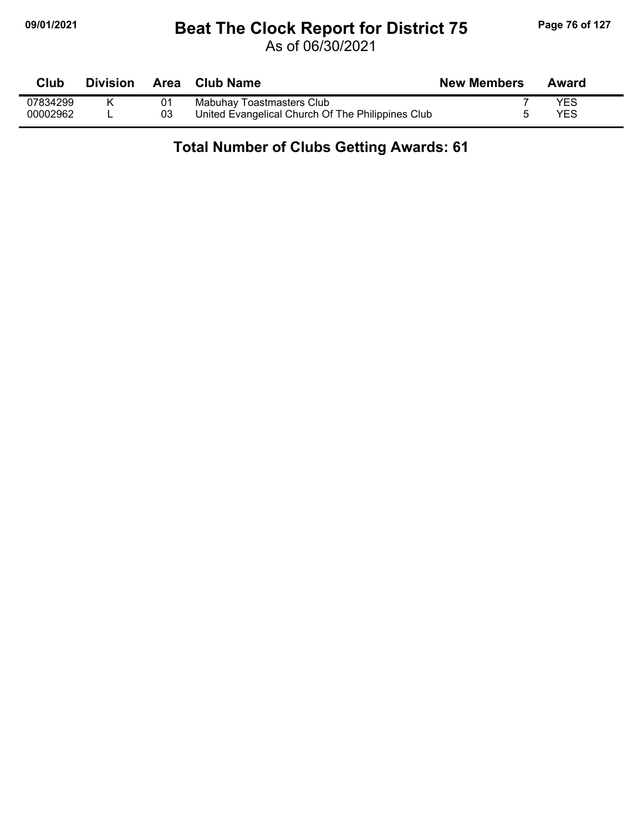## **09/01/2021 Beat The Clock Report for District 75 Page 76 of 127**

As of 06/30/2021

| Club     | <b>Division</b> |    | Area Club Name                                    | <b>New Members</b> | Award |
|----------|-----------------|----|---------------------------------------------------|--------------------|-------|
| 07834299 |                 |    | Mabuhay Toastmasters Club                         |                    | YES   |
| 00002962 |                 | 03 | United Evangelical Church Of The Philippines Club |                    | YES   |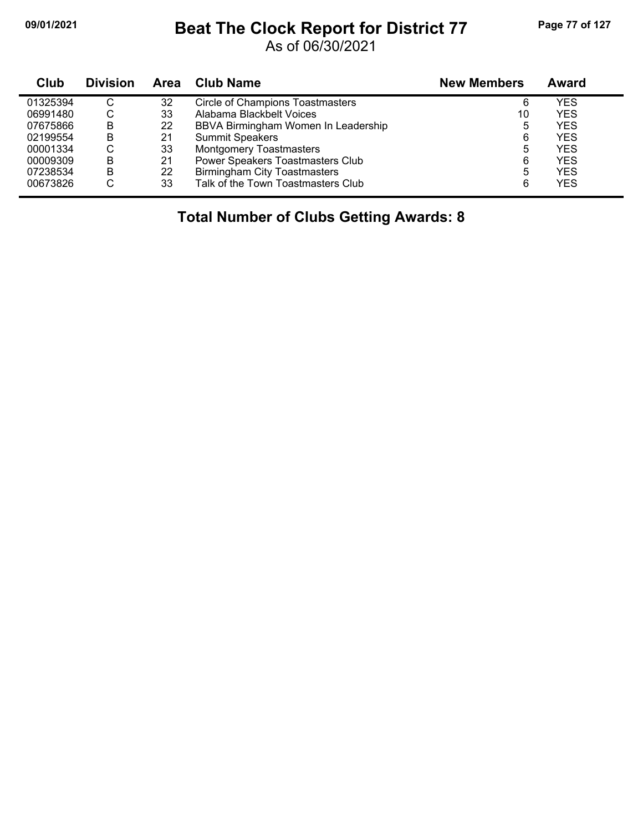## **09/01/2021 Beat The Clock Report for District 77 Page 77 of 127**

As of 06/30/2021

| Club     | <b>Division</b> | Area | Club Name                               | <b>New Members</b> | Award      |
|----------|-----------------|------|-----------------------------------------|--------------------|------------|
| 01325394 | C               | 32   | <b>Circle of Champions Toastmasters</b> | 6                  | YES        |
| 06991480 | С               | 33   | Alabama Blackbelt Voices                | 10                 | YES        |
| 07675866 | B               | 22   | BBVA Birmingham Women In Leadership     | 5                  | YES        |
| 02199554 | B               | 21   | <b>Summit Speakers</b>                  | 6                  | YES        |
| 00001334 | С               | 33   | <b>Montgomery Toastmasters</b>          | 5                  | YES        |
| 00009309 | B               | 21   | Power Speakers Toastmasters Club        | 6                  | YES        |
| 07238534 | B               | 22   | <b>Birmingham City Toastmasters</b>     | 5                  | <b>YES</b> |
| 00673826 | С               | 33   | Talk of the Town Toastmasters Club      | 6                  | <b>YES</b> |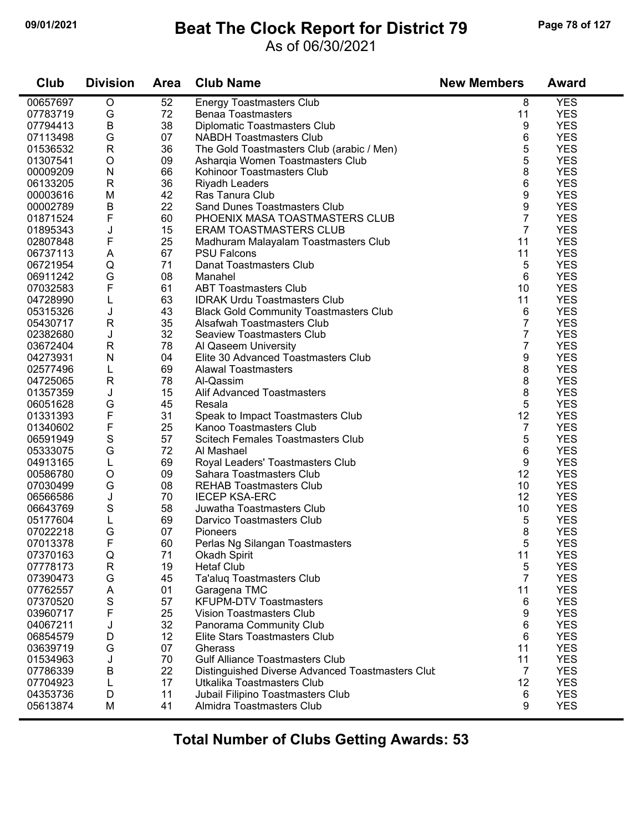## **09/01/2021 Beat The Clock Report for District 79 Page 78 of 127**

### As of 06/30/2021

| Club     | <b>Division</b> | <b>Area</b> | <b>Club Name</b>                                 | <b>New Members</b> | <b>Award</b> |  |
|----------|-----------------|-------------|--------------------------------------------------|--------------------|--------------|--|
| 00657697 | $\mathsf O$     | 52          | <b>Energy Toastmasters Club</b>                  | 8                  | <b>YES</b>   |  |
| 07783719 | G               | 72          | <b>Benaa Toastmasters</b>                        | 11                 | <b>YES</b>   |  |
| 07794413 | B               | 38          | Diplomatic Toastmasters Club                     | 9                  | <b>YES</b>   |  |
| 07113498 | G               | 07          | <b>NABDH Toastmasters Club</b>                   | 6                  | <b>YES</b>   |  |
| 01536532 | R               | 36          | The Gold Toastmasters Club (arabic / Men)        | 5                  | <b>YES</b>   |  |
| 01307541 | $\circ$         | 09          | Asharqia Women Toastmasters Club                 | 5                  | <b>YES</b>   |  |
| 00009209 | ${\sf N}$       | 66          | Kohinoor Toastmasters Club                       | 8                  | <b>YES</b>   |  |
| 06133205 | ${\sf R}$       | 36          | Riyadh Leaders                                   | 6                  | <b>YES</b>   |  |
| 00003616 | M               | 42          | Ras Tanura Club                                  | 9                  | <b>YES</b>   |  |
| 00002789 | В               | 22          | Sand Dunes Toastmasters Club                     | 9                  | <b>YES</b>   |  |
| 01871524 | F               | 60          | PHOENIX MASA TOASTMASTERS CLUB                   | 7                  | <b>YES</b>   |  |
| 01895343 | J               | 15          | <b>ERAM TOASTMASTERS CLUB</b>                    | $\overline{7}$     | <b>YES</b>   |  |
| 02807848 | F               | 25          | Madhuram Malayalam Toastmasters Club             | 11                 | <b>YES</b>   |  |
| 06737113 | A               | 67          | <b>PSU Falcons</b>                               | 11                 | <b>YES</b>   |  |
| 06721954 | $\mathsf Q$     | 71          | Danat Toastmasters Club                          | 5                  | <b>YES</b>   |  |
| 06911242 | G               | 08          | Manahel                                          | 6                  | <b>YES</b>   |  |
| 07032583 | F               | 61          | <b>ABT Toastmasters Club</b>                     | 10                 | <b>YES</b>   |  |
| 04728990 | L               | 63          | <b>IDRAK Urdu Toastmasters Club</b>              | 11                 | <b>YES</b>   |  |
| 05315326 | J               | 43          | <b>Black Gold Community Toastmasters Club</b>    | 6                  | <b>YES</b>   |  |
| 05430717 | R               | 35          | Alsafwah Toastmasters Club                       | 7                  | <b>YES</b>   |  |
| 02382680 | J               | 32          | <b>Seaview Toastmasters Club</b>                 | 7                  | <b>YES</b>   |  |
| 03672404 | $\mathsf{R}$    | 78          | Al Qaseem University                             | 7                  | <b>YES</b>   |  |
| 04273931 | ${\sf N}$       | 04          | Elite 30 Advanced Toastmasters Club              | 9                  | <b>YES</b>   |  |
| 02577496 | L               | 69          | <b>Alawal Toastmasters</b>                       | 8                  | <b>YES</b>   |  |
| 04725065 | $\mathsf{R}$    | 78          | Al-Qassim                                        | 8                  | <b>YES</b>   |  |
| 01357359 | J               | 15          | <b>Alif Advanced Toastmasters</b>                | 8                  | <b>YES</b>   |  |
| 06051628 | G               | 45          | Resala                                           | 5                  | <b>YES</b>   |  |
| 01331393 | F               | 31          | Speak to Impact Toastmasters Club                | 12                 | <b>YES</b>   |  |
| 01340602 | F               | 25          | Kanoo Toastmasters Club                          | 7                  | <b>YES</b>   |  |
| 06591949 | $\mathbf S$     | 57          | <b>Scitech Females Toastmasters Club</b>         | 5                  | <b>YES</b>   |  |
| 05333075 | G               | 72          | Al Mashael                                       | 6                  | <b>YES</b>   |  |
| 04913165 | L               | 69          | Royal Leaders' Toastmasters Club                 | 9                  | <b>YES</b>   |  |
| 00586780 | $\mathsf O$     | 09          | Sahara Toastmasters Club                         | 12                 | <b>YES</b>   |  |
| 07030499 | G               | 08          | <b>REHAB Toastmasters Club</b>                   | 10                 | <b>YES</b>   |  |
| 06566586 | J               | 70          | <b>IECEP KSA-ERC</b>                             | 12                 | <b>YES</b>   |  |
| 06643769 | S               | 58          | Juwatha Toastmasters Club                        | 10                 | <b>YES</b>   |  |
| 05177604 | L               | 69          | Darvico Toastmasters Club                        | 5                  | <b>YES</b>   |  |
| 07022218 | G               | 07          | Pioneers                                         | 8                  | <b>YES</b>   |  |
| 07013378 | F               | 60          | Perlas Ng Silangan Toastmasters                  | 5                  | <b>YES</b>   |  |
| 07370163 | Q               | 71          | Okadh Spirit                                     | 11                 | <b>YES</b>   |  |
| 07778173 | R               | 19          | <b>Hetaf Club</b>                                | 5                  | <b>YES</b>   |  |
| 07390473 | G               | 45          | Ta'aluq Toastmasters Club                        | 7                  | <b>YES</b>   |  |
| 07762557 | A               | 01          | Garagena TMC                                     | 11                 | <b>YES</b>   |  |
| 07370520 | $\mathbf S$     | 57          | <b>KFUPM-DTV Toastmasters</b>                    | 6                  | <b>YES</b>   |  |
| 03960717 | F               | 25          | <b>Vision Toastmasters Club</b>                  | 9                  | <b>YES</b>   |  |
| 04067211 | J               | 32          | Panorama Community Club                          | 6                  | <b>YES</b>   |  |
| 06854579 | D               | 12          | Elite Stars Toastmasters Club                    | 6                  | <b>YES</b>   |  |
| 03639719 | G               | 07          | Gherass                                          | 11                 | <b>YES</b>   |  |
| 01534963 | J               | 70          | <b>Gulf Alliance Toastmasters Club</b>           | 11                 | <b>YES</b>   |  |
| 07786339 | В               | 22          | Distinguished Diverse Advanced Toastmasters Clut | 7                  | <b>YES</b>   |  |
| 07704923 | L               | 17          | Utkalika Toastmasters Club                       | 12                 | <b>YES</b>   |  |
| 04353736 | D               | 11          | Jubail Filipino Toastmasters Club                | 6                  | <b>YES</b>   |  |
| 05613874 | M               | 41          | Almidra Toastmasters Club                        | 9                  | <b>YES</b>   |  |
|          |                 |             |                                                  |                    |              |  |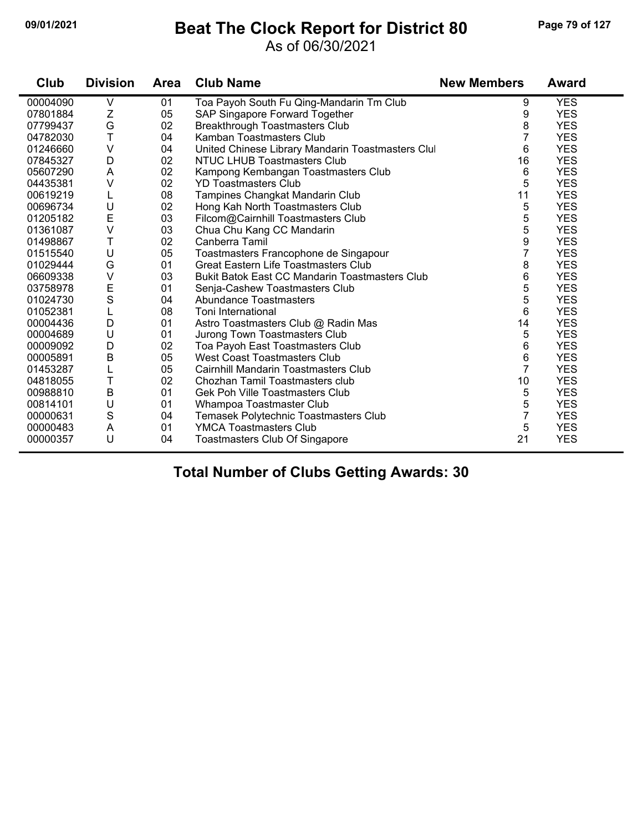## **09/01/2021 Beat The Clock Report for District 80 Page 79 of 127**

### As of 06/30/2021

| Club     | <b>Division</b> | <b>Area</b> | <b>Club Name</b>                                      | <b>New Members</b> | <b>Award</b> |
|----------|-----------------|-------------|-------------------------------------------------------|--------------------|--------------|
| 00004090 | V               | 01          | Toa Payoh South Fu Qing-Mandarin Tm Club              | 9                  | <b>YES</b>   |
| 07801884 | Z               | 05          | SAP Singapore Forward Together                        | 9                  | <b>YES</b>   |
| 07799437 | G               | 02          | <b>Breakthrough Toastmasters Club</b>                 | 8                  | <b>YES</b>   |
| 04782030 | T               | 04          | Kamban Toastmasters Club                              | 7                  | <b>YES</b>   |
| 01246660 | V               | 04          | United Chinese Library Mandarin Toastmasters Clu      | 6                  | <b>YES</b>   |
| 07845327 | D               | 02          | <b>NTUC LHUB Toastmasters Club</b>                    | 16                 | <b>YES</b>   |
| 05607290 | A               | 02          | Kampong Kembangan Toastmasters Club                   | 6                  | <b>YES</b>   |
| 04435381 | V               | 02          | <b>YD Toastmasters Club</b>                           | 5                  | <b>YES</b>   |
| 00619219 | L               | 08          | Tampines Changkat Mandarin Club                       | 11                 | <b>YES</b>   |
| 00696734 | U               | 02          | Hong Kah North Toastmasters Club                      | 5                  | <b>YES</b>   |
| 01205182 | E               | 03          | Filcom@Cairnhill Toastmasters Club                    | 5                  | <b>YES</b>   |
| 01361087 | $\vee$          | 03          | Chua Chu Kang CC Mandarin                             | 5                  | <b>YES</b>   |
| 01498867 | T               | 02          | Canberra Tamil                                        | 9                  | <b>YES</b>   |
| 01515540 | U               | 05          | Toastmasters Francophone de Singapour                 | 7                  | <b>YES</b>   |
| 01029444 | G               | 01          | <b>Great Eastern Life Toastmasters Club</b>           | 8                  | <b>YES</b>   |
| 06609338 | $\vee$          | 03          | <b>Bukit Batok East CC Mandarin Toastmasters Club</b> | 6                  | <b>YES</b>   |
| 03758978 | E               | 01          | Senja-Cashew Toastmasters Club                        | 5                  | <b>YES</b>   |
| 01024730 | S               | 04          | <b>Abundance Toastmasters</b>                         | 5                  | <b>YES</b>   |
| 01052381 | L               | 08          | Toni International                                    | 6                  | <b>YES</b>   |
| 00004436 | D               | 01          | Astro Toastmasters Club @ Radin Mas                   | 14                 | <b>YES</b>   |
| 00004689 | U               | 01          | Jurong Town Toastmasters Club                         | 5                  | <b>YES</b>   |
| 00009092 | D               | 02          | Toa Payoh East Toastmasters Club                      | 6                  | <b>YES</b>   |
| 00005891 | B               | 05          | West Coast Toastmasters Club                          | 6                  | <b>YES</b>   |
| 01453287 | L               | 05          | Cairnhill Mandarin Toastmasters Club                  | $\overline{7}$     | <b>YES</b>   |
| 04818055 | T               | 02          | Chozhan Tamil Toastmasters club                       | 10                 | <b>YES</b>   |
| 00988810 | B               | 01          | Gek Poh Ville Toastmasters Club                       | 5                  | <b>YES</b>   |
| 00814101 | U               | 01          | Whampoa Toastmaster Club                              | 5                  | <b>YES</b>   |
| 00000631 | S               | 04          | Temasek Polytechnic Toastmasters Club                 | $\overline{7}$     | <b>YES</b>   |
| 00000483 | A               | 01          | <b>YMCA Toastmasters Club</b>                         | 5                  | <b>YES</b>   |
| 00000357 | U               | 04          | Toastmasters Club Of Singapore                        | 21                 | <b>YES</b>   |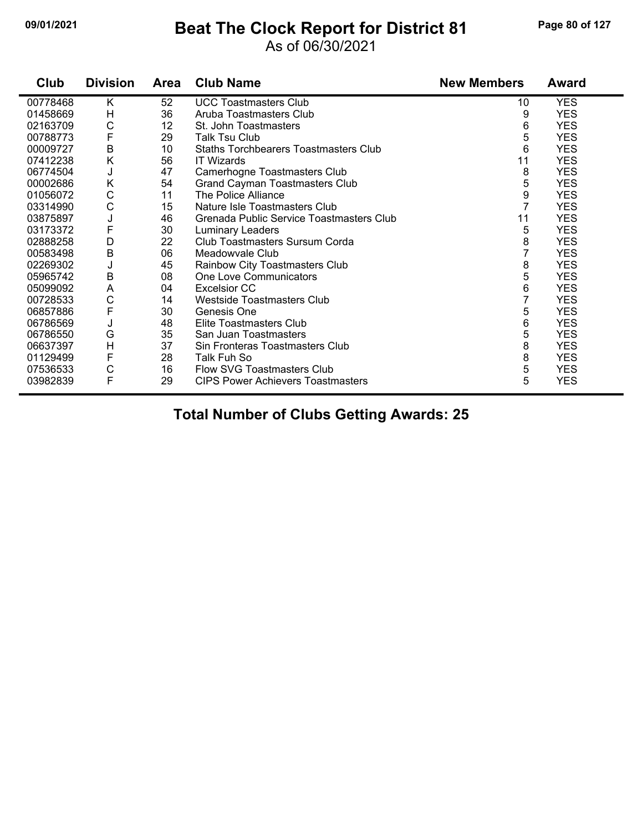# **09/01/2021 Beat The Clock Report for District 81 Page 80 of 127**

### As of 06/30/2021

| Club     | <b>Division</b> | <b>Area</b> | <b>Club Name</b>                             | <b>New Members</b> | <b>Award</b> |
|----------|-----------------|-------------|----------------------------------------------|--------------------|--------------|
| 00778468 | K               | 52          | <b>UCC Toastmasters Club</b>                 | 10                 | <b>YES</b>   |
| 01458669 | Н               | 36          | Aruba Toastmasters Club                      | 9                  | <b>YES</b>   |
| 02163709 | С               | 12          | St. John Toastmasters                        | 6                  | <b>YES</b>   |
| 00788773 | F               | 29          | <b>Talk Tsu Club</b>                         | 5                  | <b>YES</b>   |
| 00009727 | $\sf B$         | 10          | <b>Staths Torchbearers Toastmasters Club</b> | 6                  | <b>YES</b>   |
| 07412238 | K               | 56          | <b>IT Wizards</b>                            | 11                 | <b>YES</b>   |
| 06774504 | J               | 47          | Camerhogne Toastmasters Club                 | 8                  | <b>YES</b>   |
| 00002686 | Κ               | 54          | Grand Cayman Toastmasters Club               | 5                  | <b>YES</b>   |
| 01056072 | C               | 11          | The Police Alliance                          | 9                  | <b>YES</b>   |
| 03314990 | C               | 15          | Nature Isle Toastmasters Club                | $\overline{7}$     | <b>YES</b>   |
| 03875897 | J               | 46          | Grenada Public Service Toastmasters Club     | 11                 | <b>YES</b>   |
| 03173372 | F               | 30          | <b>Luminary Leaders</b>                      | 5                  | <b>YES</b>   |
| 02888258 | D               | 22          | Club Toastmasters Sursum Corda               | 8                  | <b>YES</b>   |
| 00583498 | $\sf B$         | 06          | Meadowyale Club                              | 7                  | <b>YES</b>   |
| 02269302 | J               | 45          | Rainbow City Toastmasters Club               | 8                  | <b>YES</b>   |
| 05965742 | B               | 08          | One Love Communicators                       | 5                  | <b>YES</b>   |
| 05099092 | A               | 04          | <b>Excelsior CC</b>                          | 6                  | <b>YES</b>   |
| 00728533 | C               | 14          | Westside Toastmasters Club                   | 7                  | <b>YES</b>   |
| 06857886 | F               | 30          | Genesis One                                  | 5                  | <b>YES</b>   |
| 06786569 | J               | 48          | Elite Toastmasters Club                      | 6                  | <b>YES</b>   |
| 06786550 | G               | 35          | San Juan Toastmasters                        | 5                  | <b>YES</b>   |
| 06637397 | $\overline{H}$  | 37          | Sin Fronteras Toastmasters Club              | 8                  | <b>YES</b>   |
| 01129499 | F               | 28          | Talk Fuh So                                  | 8                  | <b>YES</b>   |
| 07536533 | C               | 16          | Flow SVG Toastmasters Club                   | 5                  | <b>YES</b>   |
| 03982839 | F               | 29          | <b>CIPS Power Achievers Toastmasters</b>     | 5                  | <b>YES</b>   |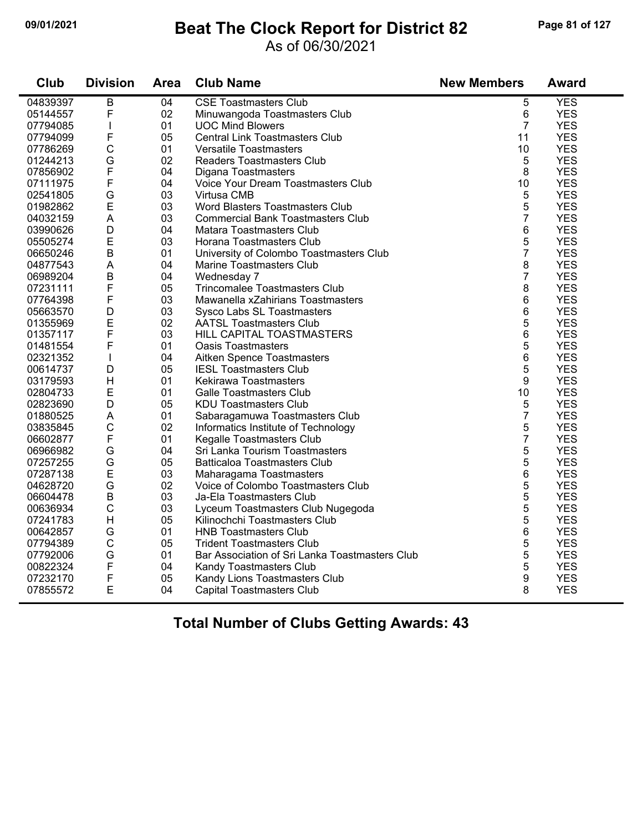## **09/01/2021 Beat The Clock Report for District 82 Page 81 of 127**

### As of 06/30/2021

| <b>Club</b> | <b>Division</b> | <b>Area</b> | <b>Club Name</b>                               | <b>New Members</b> | <b>Award</b> |
|-------------|-----------------|-------------|------------------------------------------------|--------------------|--------------|
| 04839397    | B               | 04          | <b>CSE Toastmasters Club</b>                   | 5                  | <b>YES</b>   |
| 05144557    | F               | 02          | Minuwangoda Toastmasters Club                  | 6                  | <b>YES</b>   |
| 07794085    |                 | 01          | <b>UOC Mind Blowers</b>                        | $\overline{7}$     | <b>YES</b>   |
| 07794099    | F               | 05          | <b>Central Link Toastmasters Club</b>          | 11                 | <b>YES</b>   |
| 07786269    | $\mathsf C$     | 01          | <b>Versatile Toastmasters</b>                  | 10                 | <b>YES</b>   |
| 01244213    | G               | 02          | <b>Readers Toastmasters Club</b>               | $\sqrt{5}$         | <b>YES</b>   |
| 07856902    | F               | 04          | Digana Toastmasters                            | 8                  | <b>YES</b>   |
| 07111975    | F               | 04          | Voice Your Dream Toastmasters Club             | 10                 | <b>YES</b>   |
| 02541805    | G               | 03          | Virtusa CMB                                    | 5                  | <b>YES</b>   |
| 01982862    | E               | 03          | Word Blasters Toastmasters Club                | 5                  | <b>YES</b>   |
| 04032159    | A               | 03          | <b>Commercial Bank Toastmasters Club</b>       | $\overline{7}$     | <b>YES</b>   |
| 03990626    | D               | 04          | Matara Toastmasters Club                       | 6                  | <b>YES</b>   |
| 05505274    | E               | 03          | Horana Toastmasters Club                       | 5                  | <b>YES</b>   |
| 06650246    | $\sf B$         | 01          | University of Colombo Toastmasters Club        | $\overline{7}$     | <b>YES</b>   |
| 04877543    | $\mathsf A$     | 04          | Marine Toastmasters Club                       | 8                  | <b>YES</b>   |
| 06989204    | $\sf B$         | 04          | Wednesday 7                                    | $\overline{7}$     | <b>YES</b>   |
| 07231111    | F               | 05          | <b>Trincomalee Toastmasters Club</b>           | 8                  | <b>YES</b>   |
| 07764398    | F               | 03          | Mawanella xZahirians Toastmasters              | 6                  | <b>YES</b>   |
| 05663570    | D               | 03          | Sysco Labs SL Toastmasters                     | 6                  | <b>YES</b>   |
| 01355969    | E               | 02          | <b>AATSL Toastmasters Club</b>                 | 5                  | <b>YES</b>   |
| 01357117    | F               | 03          | HILL CAPITAL TOASTMASTERS                      | 6                  | <b>YES</b>   |
| 01481554    | F               | 01          | <b>Oasis Toastmasters</b>                      | 5                  | <b>YES</b>   |
| 02321352    | T               | 04          | Aitken Spence Toastmasters                     | 6                  | <b>YES</b>   |
| 00614737    | D               | 05          | <b>IESL Toastmasters Club</b>                  | 5                  | <b>YES</b>   |
| 03179593    | H               | 01          | Kekirawa Toastmasters                          | 9                  | <b>YES</b>   |
| 02804733    | E               | 01          | <b>Galle Toastmasters Club</b>                 | 10                 | <b>YES</b>   |
| 02823690    | D               | 05          | <b>KDU Toastmasters Club</b>                   | 5                  | <b>YES</b>   |
| 01880525    | A               | 01          | Sabaragamuwa Toastmasters Club                 | $\overline{7}$     | <b>YES</b>   |
| 03835845    | $\mathsf C$     | 02          | Informatics Institute of Technology            | 5                  | <b>YES</b>   |
| 06602877    | F               | 01          | Kegalle Toastmasters Club                      | $\overline{7}$     | <b>YES</b>   |
| 06966982    | G               | 04          | Sri Lanka Tourism Toastmasters                 | 5                  | <b>YES</b>   |
| 07257255    | G               | 05          | <b>Batticaloa Toastmasters Club</b>            | 5                  | <b>YES</b>   |
| 07287138    | E               | 03          | Maharagama Toastmasters                        | 6                  | <b>YES</b>   |
| 04628720    | G               | 02          | Voice of Colombo Toastmasters Club             | 5                  | <b>YES</b>   |
| 06604478    | $\sf B$         | 03          | Ja-Ela Toastmasters Club                       | 5                  | <b>YES</b>   |
| 00636934    | $\mathsf{C}$    | 03          | Lyceum Toastmasters Club Nugegoda              | 5                  | <b>YES</b>   |
| 07241783    | H               | 05          | Kilinochchi Toastmasters Club                  | 5                  | <b>YES</b>   |
| 00642857    | G               | 01          | <b>HNB Toastmasters Club</b>                   | 6                  | <b>YES</b>   |
| 07794389    | $\mathsf C$     | 05          | <b>Trident Toastmasters Club</b>               | 5                  | <b>YES</b>   |
| 07792006    | G               | 01          | Bar Association of Sri Lanka Toastmasters Club | 5                  | <b>YES</b>   |
| 00822324    | F               | 04          | Kandy Toastmasters Club                        | 5                  | <b>YES</b>   |
| 07232170    | F               | 05          | Kandy Lions Toastmasters Club                  | 9                  | <b>YES</b>   |
| 07855572    | E               | 04          | Capital Toastmasters Club                      | 8                  | <b>YES</b>   |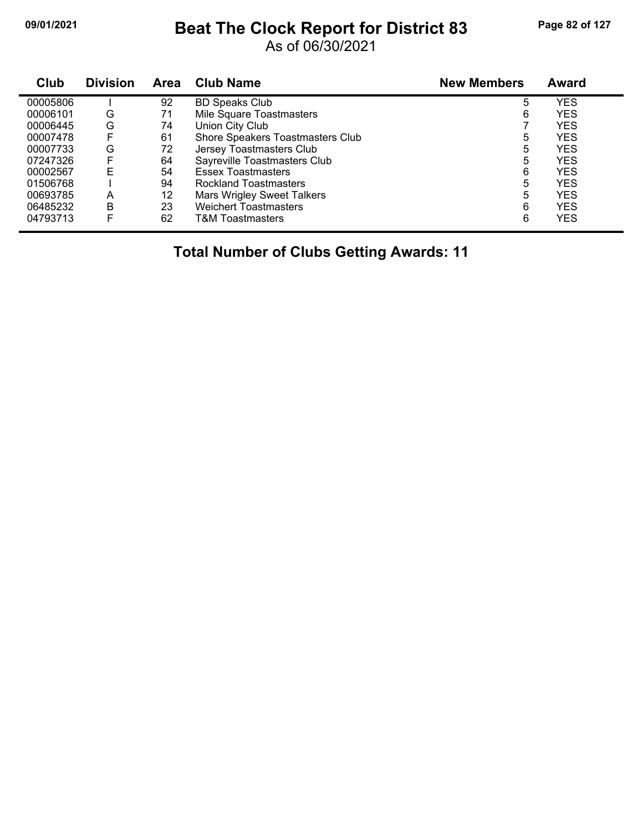## **09/01/2021 Beat The Clock Report for District 83 Page 82 of 127**

As of 06/30/2021

| Club     | <b>Division</b> | Area | <b>Club Name</b>                  | <b>New Members</b> | <b>Award</b> |
|----------|-----------------|------|-----------------------------------|--------------------|--------------|
| 00005806 |                 | 92   | <b>BD Speaks Club</b>             | 5                  | <b>YES</b>   |
| 00006101 | G               | 71   | Mile Square Toastmasters          | 6                  | YES          |
| 00006445 | G               | 74   | Union City Club                   |                    | YES          |
| 00007478 | F               | 61   | Shore Speakers Toastmasters Club  | 5                  | <b>YES</b>   |
| 00007733 | G               | 72   | Jersey Toastmasters Club          | 5                  | <b>YES</b>   |
| 07247326 | F               | 64   | Sayreville Toastmasters Club      | 5                  | <b>YES</b>   |
| 00002567 | F               | 54   | <b>Essex Toastmasters</b>         | 6                  | YES          |
| 01506768 |                 | 94   | Rockland Toastmasters             | 5                  | <b>YES</b>   |
| 00693785 | Α               | 12   | <b>Mars Wrigley Sweet Talkers</b> | 5                  | <b>YES</b>   |
| 06485232 | В               | 23   | <b>Weichert Toastmasters</b>      | 6                  | <b>YES</b>   |
| 04793713 | F               | 62   | <b>T&amp;M Toastmasters</b>       | 6                  | YES          |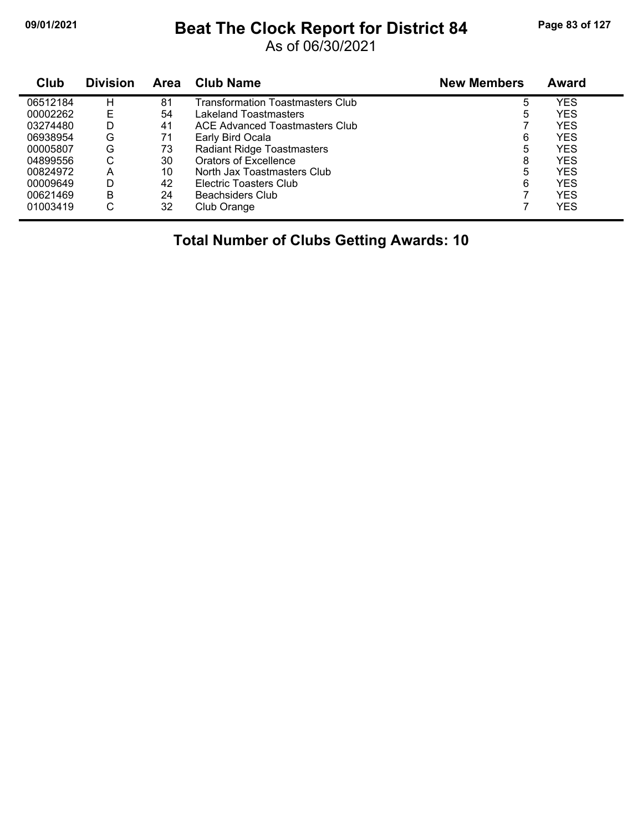## **09/01/2021 Beat The Clock Report for District 84 Page 83 of 127**

As of 06/30/2021

| Club     | <b>Division</b> | Area | <b>Club Name</b>                  | <b>New Members</b> | <b>Award</b> |
|----------|-----------------|------|-----------------------------------|--------------------|--------------|
| 06512184 | H               | 81   | Transformation Toastmasters Club  | 5                  | YES          |
| 00002262 | Е               | 54   | Lakeland Toastmasters             | 5                  | YES          |
| 03274480 | D               | 41   | ACE Advanced Toastmasters Club    |                    | YES          |
| 06938954 | G               | 71   | Early Bird Ocala                  | 6                  | YES          |
| 00005807 | G               | 73   | <b>Radiant Ridge Toastmasters</b> | 5                  | YES          |
| 04899556 | С               | 30   | Orators of Excellence             | 8                  | YES          |
| 00824972 | A               | 10   | North Jax Toastmasters Club       | 5                  | YES          |
| 00009649 | D               | 42   | Electric Toasters Club            | 6                  | YES          |
| 00621469 | B               | 24   | Beachsiders Club                  | 7                  | YES          |
| 01003419 | С               | 32   | Club Orange                       |                    | <b>YES</b>   |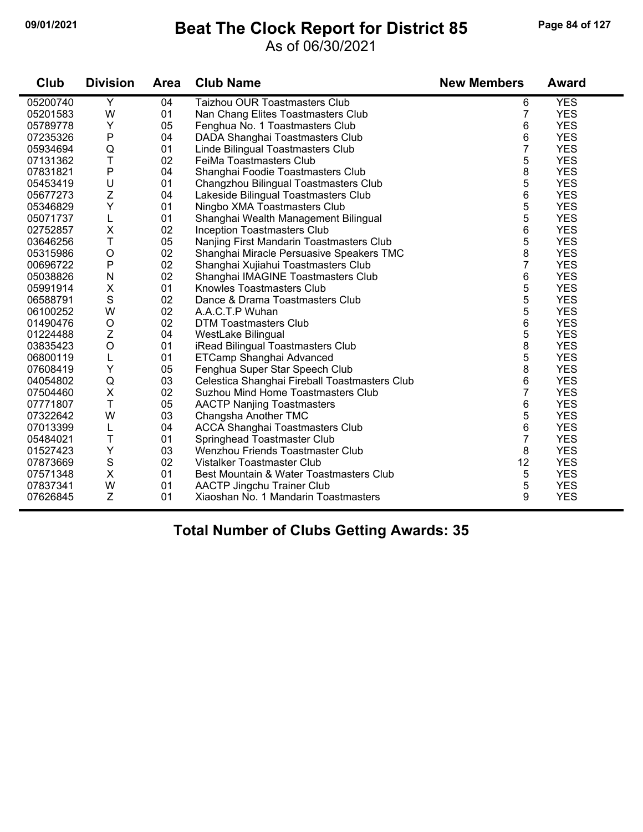## **09/01/2021 Beat The Clock Report for District 85 Page 84 of 127**

As of 06/30/2021

| Club     | <b>Division</b> | <b>Area</b> | <b>Club Name</b>                              | <b>New Members</b> | <b>Award</b> |
|----------|-----------------|-------------|-----------------------------------------------|--------------------|--------------|
| 05200740 | Υ               | 04          | Taizhou OUR Toastmasters Club                 | 6                  | <b>YES</b>   |
| 05201583 | W               | 01          | Nan Chang Elites Toastmasters Club            | 7                  | <b>YES</b>   |
| 05789778 | Y               | 05          | Fenghua No. 1 Toastmasters Club               | 6                  | <b>YES</b>   |
| 07235326 | P               | 04          | DADA Shanghai Toastmasters Club               | 6                  | <b>YES</b>   |
| 05934694 | Q               | 01          | Linde Bilingual Toastmasters Club             | 7                  | <b>YES</b>   |
| 07131362 | T               | 02          | FeiMa Toastmasters Club                       | 5                  | <b>YES</b>   |
| 07831821 | P               | 04          | Shanghai Foodie Toastmasters Club             | 8                  | <b>YES</b>   |
| 05453419 | U               | 01          | Changzhou Bilingual Toastmasters Club         | 5                  | <b>YES</b>   |
| 05677273 | Z               | 04          | Lakeside Bilingual Toastmasters Club          | 6                  | <b>YES</b>   |
| 05346829 | Y               | 01          | Ningbo XMA Toastmasters Club                  | 5                  | <b>YES</b>   |
| 05071737 | L               | 01          | Shanghai Wealth Management Bilingual          | 5                  | <b>YES</b>   |
| 02752857 | X               | 02          | <b>Inception Toastmasters Club</b>            | 6                  | <b>YES</b>   |
| 03646256 | T               | 05          | Nanjing First Mandarin Toastmasters Club      | 5                  | <b>YES</b>   |
| 05315986 | $\mathsf O$     | 02          | Shanghai Miracle Persuasive Speakers TMC      | 8                  | <b>YES</b>   |
| 00696722 | P               | 02          | Shanghai Xujiahui Toastmasters Club           | 7                  | <b>YES</b>   |
| 05038826 | ${\sf N}$       | 02          | Shanghai IMAGINE Toastmasters Club            | 6                  | <b>YES</b>   |
| 05991914 | X               | 01          | Knowles Toastmasters Club                     | 5                  | <b>YES</b>   |
| 06588791 | $\mathbf S$     | 02          | Dance & Drama Toastmasters Club               | 5                  | <b>YES</b>   |
| 06100252 | W               | 02          | A.A.C.T.P Wuhan                               | 5                  | <b>YES</b>   |
| 01490476 | O               | 02          | <b>DTM Toastmasters Club</b>                  | 6                  | <b>YES</b>   |
| 01224488 | Ζ               | 04          | WestLake Bilingual                            | 5                  | <b>YES</b>   |
| 03835423 | $\bigcirc$      | 01          | iRead Bilingual Toastmasters Club             | 8                  | <b>YES</b>   |
| 06800119 | L               | 01          | ETCamp Shanghai Advanced                      | 5                  | <b>YES</b>   |
| 07608419 | Υ               | 05          | Fenghua Super Star Speech Club                | 8                  | <b>YES</b>   |
| 04054802 | Q               | 03          | Celestica Shanghai Fireball Toastmasters Club | 6                  | <b>YES</b>   |
| 07504460 | X               | 02          | Suzhou Mind Home Toastmasters Club            | 7                  | <b>YES</b>   |
| 07771807 | T               | 05          | <b>AACTP Nanjing Toastmasters</b>             | 6                  | <b>YES</b>   |
| 07322642 | W               | 03          | Changsha Another TMC                          | 5                  | <b>YES</b>   |
| 07013399 | L               | 04          | <b>ACCA Shanghai Toastmasters Club</b>        | 6                  | <b>YES</b>   |
| 05484021 | T               | 01          | Springhead Toastmaster Club                   | 7                  | <b>YES</b>   |
| 01527423 | Υ               | 03          | Wenzhou Friends Toastmaster Club              | 8                  | <b>YES</b>   |
| 07873669 | $\mathbf S$     | 02          | Vistalker Toastmaster Club                    | 12                 | <b>YES</b>   |
| 07571348 | $\pmb{\times}$  | 01          | Best Mountain & Water Toastmasters Club       | 5                  | <b>YES</b>   |
| 07837341 | W               | 01          | <b>AACTP Jingchu Trainer Club</b>             | 5                  | <b>YES</b>   |
| 07626845 | Z               | 01          | Xiaoshan No. 1 Mandarin Toastmasters          | 9                  | <b>YES</b>   |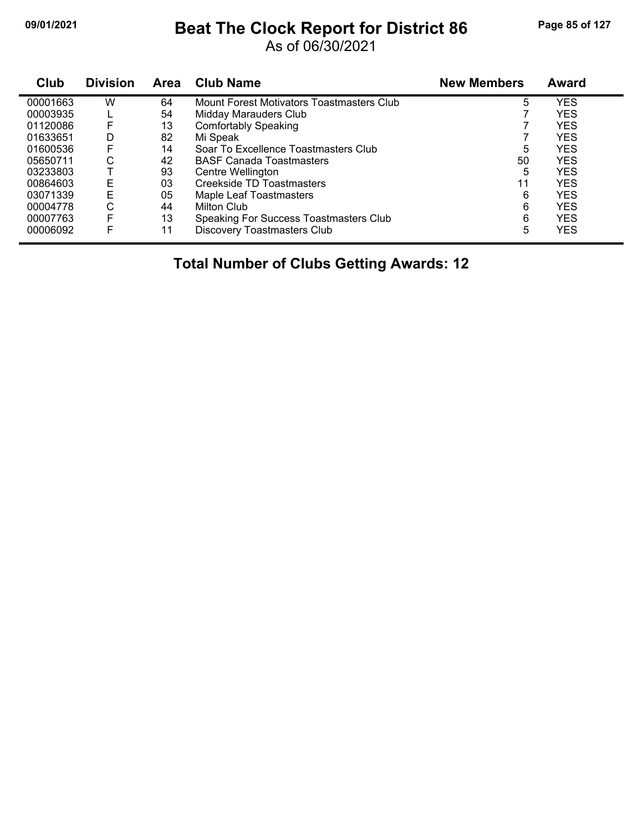## **09/01/2021 Beat The Clock Report for District 86 Page 85 of 127**

As of 06/30/2021

| Club     | <b>Division</b> | <b>Area</b> | <b>Club Name</b>                          | <b>New Members</b> | <b>Award</b> |
|----------|-----------------|-------------|-------------------------------------------|--------------------|--------------|
| 00001663 | W               | 64          | Mount Forest Motivators Toastmasters Club | 5                  | <b>YES</b>   |
| 00003935 |                 | 54          | Midday Marauders Club                     |                    | <b>YES</b>   |
| 01120086 | F               | 13          | <b>Comfortably Speaking</b>               |                    | <b>YES</b>   |
| 01633651 | D               | 82          | Mi Speak                                  |                    | <b>YES</b>   |
| 01600536 | F               | 14          | Soar To Excellence Toastmasters Club      | 5                  | <b>YES</b>   |
| 05650711 | С               | 42          | <b>BASF Canada Toastmasters</b>           | 50                 | <b>YES</b>   |
| 03233803 |                 | 93          | Centre Wellington                         | 5                  | <b>YES</b>   |
| 00864603 | Е               | 03          | Creekside TD Toastmasters                 | 11                 | <b>YES</b>   |
| 03071339 | E               | 05          | Maple Leaf Toastmasters                   | 6                  | <b>YES</b>   |
| 00004778 | С               | 44          | Milton Club                               | 6                  | <b>YES</b>   |
| 00007763 | F               | 13          | Speaking For Success Toastmasters Club    | 6                  | <b>YES</b>   |
| 00006092 | F               | 11          | <b>Discovery Toastmasters Club</b>        | 5                  | <b>YES</b>   |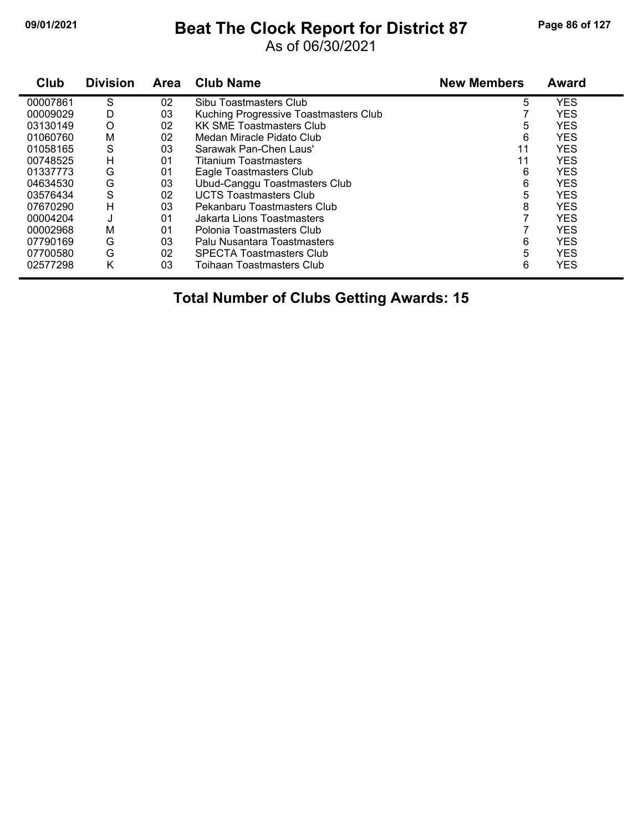## **09/01/2021 Beat The Clock Report for District 87 Page 86 of 127**

As of 06/30/2021

| Club     | <b>Division</b> | <b>Area</b> | <b>Club Name</b>                      | <b>New Members</b> | <b>Award</b> |
|----------|-----------------|-------------|---------------------------------------|--------------------|--------------|
| 00007861 | S               | 02          | Sibu Toastmasters Club                | 5                  | <b>YES</b>   |
| 00009029 | D               | 03          | Kuching Progressive Toastmasters Club |                    | <b>YES</b>   |
| 03130149 | O               | 02          | <b>KK SME Toastmasters Club</b>       | 5                  | <b>YES</b>   |
| 01060760 | M               | 02          | Medan Miracle Pidato Club             | 6                  | <b>YES</b>   |
| 01058165 | S               | 03          | Sarawak Pan-Chen Laus'                | 11                 | <b>YES</b>   |
| 00748525 | Н               | 01          | Titanium Toastmasters                 | 11                 | <b>YES</b>   |
| 01337773 | G               | 01          | Eagle Toastmasters Club               | 6                  | <b>YES</b>   |
| 04634530 | G               | 03          | Ubud-Canggu Toastmasters Club         | 6                  | <b>YES</b>   |
| 03576434 | S               | 02          | <b>UCTS Toastmasters Club</b>         | 5                  | <b>YES</b>   |
| 07670290 | H               | 03          | Pekanbaru Toastmasters Club           | 8                  | <b>YES</b>   |
| 00004204 | J               | 01          | Jakarta Lions Toastmasters            |                    | <b>YES</b>   |
| 00002968 | М               | 01          | Polonia Toastmasters Club             |                    | <b>YES</b>   |
| 07790169 | G               | 03          | Palu Nusantara Toastmasters           | 6                  | <b>YES</b>   |
| 07700580 | G               | 02          | <b>SPECTA Toastmasters Club</b>       | 5                  | <b>YES</b>   |
| 02577298 | Κ               | 03          | Toihaan Toastmasters Club             | 6                  | <b>YES</b>   |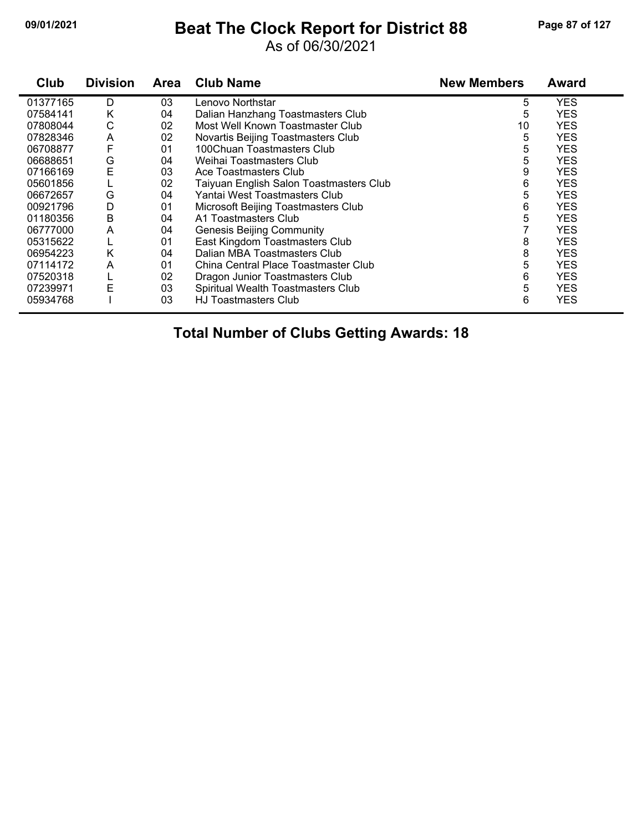## **09/01/2021 Beat The Clock Report for District 88 Page 87 of 127**

### As of 06/30/2021

| Club     | <b>Division</b> | Area | <b>Club Name</b>                        | <b>New Members</b> | <b>Award</b> |  |
|----------|-----------------|------|-----------------------------------------|--------------------|--------------|--|
| 01377165 | D               | 03   | Lenovo Northstar                        | 5                  | <b>YES</b>   |  |
| 07584141 | Κ               | 04   | Dalian Hanzhang Toastmasters Club       | 5                  | <b>YES</b>   |  |
| 07808044 | С               | 02   | Most Well Known Toastmaster Club        | 10                 | <b>YES</b>   |  |
| 07828346 | A               | 02   | Novartis Beijing Toastmasters Club      | 5                  | <b>YES</b>   |  |
| 06708877 |                 | 01   | 100Chuan Toastmasters Club              | 5                  | <b>YES</b>   |  |
| 06688651 | G               | 04   | Weihai Toastmasters Club                | 5                  | <b>YES</b>   |  |
| 07166169 | Ε               | 03   | Ace Toastmasters Club                   | 9                  | <b>YES</b>   |  |
| 05601856 |                 | 02   | Taiyuan English Salon Toastmasters Club | 6                  | <b>YES</b>   |  |
| 06672657 | G               | 04   | Yantai West Toastmasters Club           | 5                  | <b>YES</b>   |  |
| 00921796 | D               | 01   | Microsoft Beijing Toastmasters Club     | 6                  | <b>YES</b>   |  |
| 01180356 | B               | 04   | A1 Toastmasters Club                    | 5                  | <b>YES</b>   |  |
| 06777000 | A               | 04   | <b>Genesis Beijing Community</b>        |                    | <b>YES</b>   |  |
| 05315622 |                 | 01   | East Kingdom Toastmasters Club          | 8                  | <b>YES</b>   |  |
| 06954223 | Κ               | 04   | Dalian MBA Toastmasters Club            | 8                  | <b>YES</b>   |  |
| 07114172 | A               | 01   | China Central Place Toastmaster Club    | 5                  | <b>YES</b>   |  |
| 07520318 |                 | 02   | Dragon Junior Toastmasters Club         | 6                  | <b>YES</b>   |  |
| 07239971 | Е               | 03   | Spiritual Wealth Toastmasters Club      | 5                  | <b>YES</b>   |  |
| 05934768 |                 | 03   | <b>HJ Toastmasters Club</b>             | 6                  | <b>YES</b>   |  |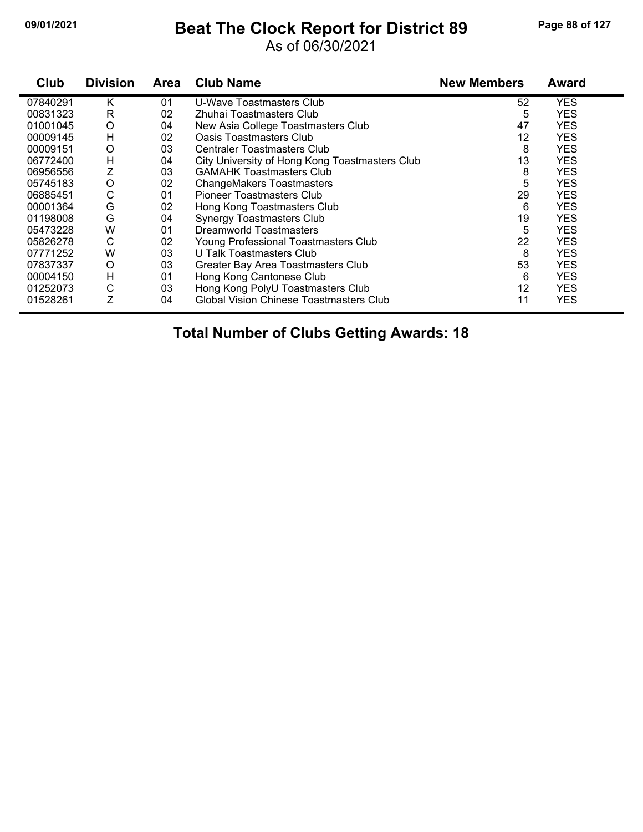## **09/01/2021 Beat The Clock Report for District 89 Page 88 of 127**

#### As of 06/30/2021

| Club     | <b>Division</b> | <b>Area</b> | <b>Club Name</b>                               | <b>New Members</b> | <b>Award</b> |  |
|----------|-----------------|-------------|------------------------------------------------|--------------------|--------------|--|
| 07840291 | Κ               | 01          | U-Wave Toastmasters Club                       | 52                 | <b>YES</b>   |  |
| 00831323 | R               | 02          | Zhuhai Toastmasters Club                       | 5                  | <b>YES</b>   |  |
| 01001045 | O               | 04          | New Asia College Toastmasters Club             | 47                 | <b>YES</b>   |  |
| 00009145 | H               | 02          | Oasis Toastmasters Club                        | 12                 | <b>YES</b>   |  |
| 00009151 | O               | 03          | <b>Centraler Toastmasters Club</b>             | 8                  | <b>YES</b>   |  |
| 06772400 | н               | 04          | City University of Hong Kong Toastmasters Club | 13                 | <b>YES</b>   |  |
| 06956556 | Ζ               | 03          | <b>GAMAHK Toastmasters Club</b>                | 8                  | <b>YES</b>   |  |
| 05745183 | O               | 02          | <b>ChangeMakers Toastmasters</b>               | 5                  | <b>YES</b>   |  |
| 06885451 | C               | 01          | Pioneer Toastmasters Club                      | 29                 | <b>YES</b>   |  |
| 00001364 | G               | 02          | Hong Kong Toastmasters Club                    | 6                  | <b>YES</b>   |  |
| 01198008 | G               | 04          | <b>Synergy Toastmasters Club</b>               | 19                 | <b>YES</b>   |  |
| 05473228 | W               | 01          | Dreamworld Toastmasters                        | 5                  | <b>YES</b>   |  |
| 05826278 | C               | 02          | Young Professional Toastmasters Club           | 22                 | <b>YES</b>   |  |
| 07771252 | W               | 03          | U Talk Toastmasters Club                       | 8                  | <b>YES</b>   |  |
| 07837337 | O               | 03          | Greater Bay Area Toastmasters Club             | 53                 | <b>YES</b>   |  |
| 00004150 | H               | 01          | Hong Kong Cantonese Club                       | 6                  | <b>YES</b>   |  |
| 01252073 | C               | 03          | Hong Kong PolyU Toastmasters Club              | 12                 | <b>YES</b>   |  |
| 01528261 | Ζ               | 04          | <b>Global Vision Chinese Toastmasters Club</b> | 11                 | <b>YES</b>   |  |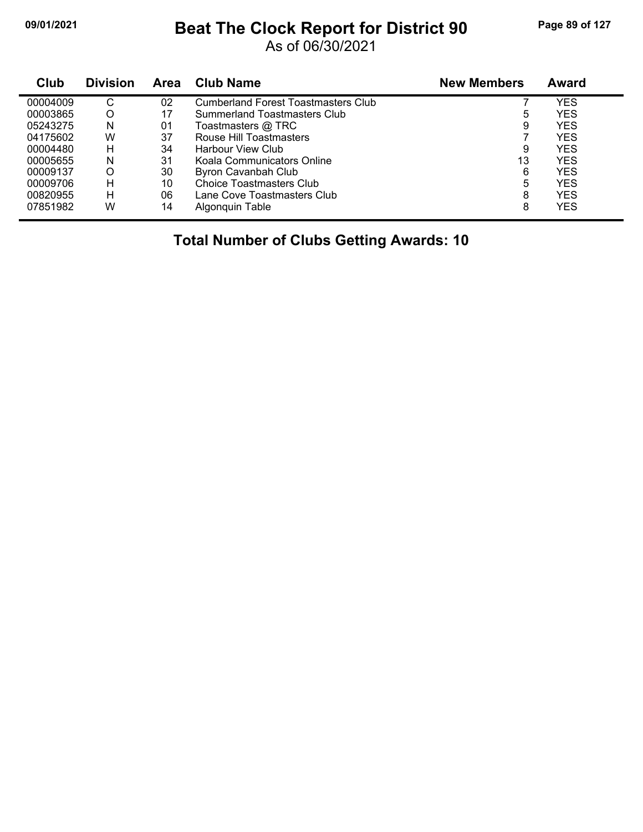## **09/01/2021 Beat The Clock Report for District 90 Page 89 of 127**

As of 06/30/2021

| Club     | <b>Division</b> | Area | <b>Club Name</b>                    | <b>New Members</b> | Award |
|----------|-----------------|------|-------------------------------------|--------------------|-------|
| 00004009 | С               | 02   | Cumberland Forest Toastmasters Club |                    | YES   |
| 00003865 | O               | 17   | <b>Summerland Toastmasters Club</b> | 5                  | YES   |
| 05243275 | N               | 01   | Toastmasters @ TRC                  | 9                  | YES   |
| 04175602 | W               | 37   | Rouse Hill Toastmasters             |                    | YES   |
| 00004480 | н               | 34   | Harbour View Club                   | 9                  | YES   |
| 00005655 | N               | 31   | Koala Communicators Online          | 13                 | YES   |
| 00009137 | O               | 30   | Byron Cavanbah Club                 | 6                  | YES   |
| 00009706 | н               | 10   | <b>Choice Toastmasters Club</b>     | 5                  | YES   |
| 00820955 | н               | 06   | Lane Cove Toastmasters Club         | 8                  | YES   |
| 07851982 | W               | 14   | Algonguin Table                     | 8                  | YES   |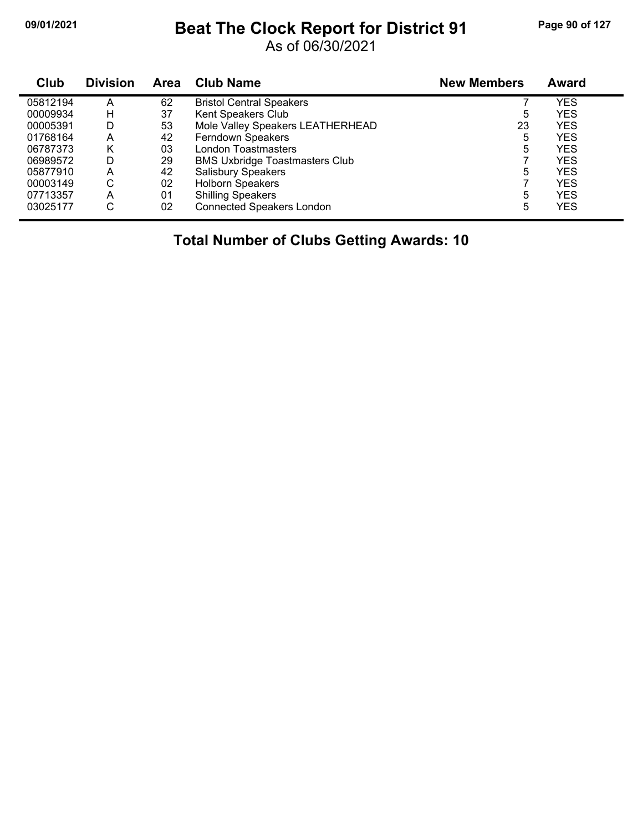## **09/01/2021 Beat The Clock Report for District 91 Page 90 of 127**

As of 06/30/2021

| Club     | <b>Division</b> | Area | <b>Club Name</b>                      | <b>New Members</b> | <b>Award</b> |
|----------|-----------------|------|---------------------------------------|--------------------|--------------|
| 05812194 | А               | 62   | <b>Bristol Central Speakers</b>       |                    | YES          |
| 00009934 | H               | 37   | Kent Speakers Club                    | 5                  | <b>YES</b>   |
| 00005391 | D               | 53   | Mole Valley Speakers LEATHERHEAD      | 23                 | YES          |
| 01768164 | A               | 42   | Ferndown Speakers                     | 5                  | YES          |
| 06787373 | K               | 03   | London Toastmasters                   | 5                  | YES          |
| 06989572 | D               | 29   | <b>BMS Uxbridge Toastmasters Club</b> |                    | <b>YES</b>   |
| 05877910 | Α               | 42   | <b>Salisbury Speakers</b>             | 5                  | YES          |
| 00003149 | С               | 02   | <b>Holborn Speakers</b>               |                    | <b>YES</b>   |
| 07713357 | Α               | 01   | <b>Shilling Speakers</b>              | 5                  | <b>YES</b>   |
| 03025177 | С               | 02   | <b>Connected Speakers London</b>      | 5                  | YES          |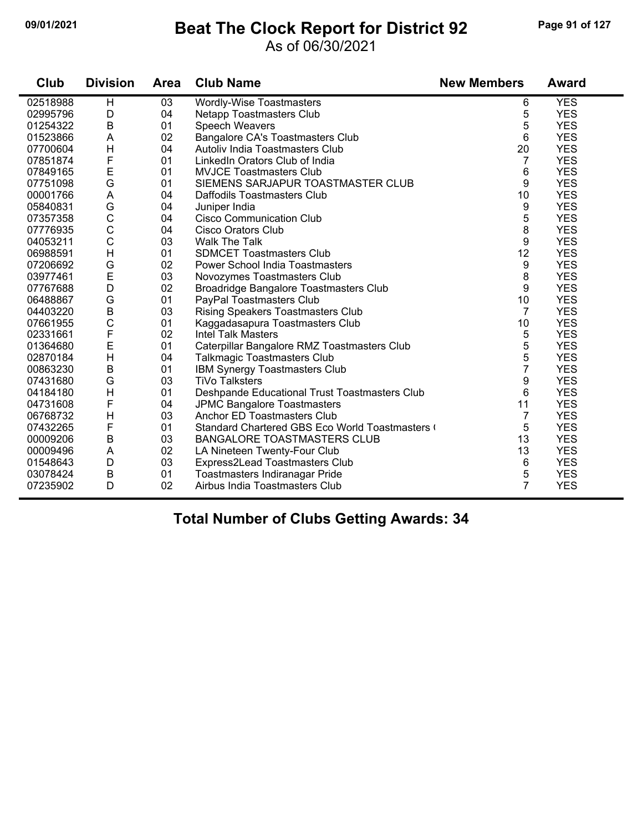## **09/01/2021 Beat The Clock Report for District 92 Page 91 of 127**

### As of 06/30/2021

| Club     | <b>Division</b> | <b>Area</b> | <b>Club Name</b>                              | <b>New Members</b> | <b>Award</b> |
|----------|-----------------|-------------|-----------------------------------------------|--------------------|--------------|
| 02518988 | H               | 03          | <b>Wordly-Wise Toastmasters</b>               | 6                  | <b>YES</b>   |
| 02995796 | D               | 04          | Netapp Toastmasters Club                      | 5                  | <b>YES</b>   |
| 01254322 | B               | 01          | <b>Speech Weavers</b>                         | 5                  | <b>YES</b>   |
| 01523866 | A               | 02          | Bangalore CA's Toastmasters Club              | 6                  | <b>YES</b>   |
| 07700604 | $\mathsf{H}$    | 04          | Autoliv India Toastmasters Club               | 20                 | <b>YES</b>   |
| 07851874 | F               | 01          | LinkedIn Orators Club of India                | 7                  | <b>YES</b>   |
| 07849165 | E               | 01          | <b>MVJCE Toastmasters Club</b>                | 6                  | <b>YES</b>   |
| 07751098 | G               | 01          | SIEMENS SARJAPUR TOASTMASTER CLUB             | 9                  | <b>YES</b>   |
| 00001766 | A               | 04          | Daffodils Toastmasters Club                   | 10                 | <b>YES</b>   |
| 05840831 | G               | 04          | Juniper India                                 | 9                  | <b>YES</b>   |
| 07357358 | $\mathsf{C}$    | 04          | <b>Cisco Communication Club</b>               | 5                  | <b>YES</b>   |
| 07776935 | $\mathsf{C}$    | 04          | Cisco Orators Club                            | 8                  | <b>YES</b>   |
| 04053211 | $\mathsf{C}$    | 03          | <b>Walk The Talk</b>                          | 9                  | <b>YES</b>   |
| 06988591 | $\mathsf{H}$    | 01          | <b>SDMCET Toastmasters Club</b>               | 12                 | <b>YES</b>   |
| 07206692 | G               | 02          | <b>Power School India Toastmasters</b>        | 9                  | <b>YES</b>   |
| 03977461 | E               | 03          | Novozymes Toastmasters Club                   | 8                  | <b>YES</b>   |
| 07767688 | D               | 02          | Broadridge Bangalore Toastmasters Club        | 9                  | <b>YES</b>   |
| 06488867 | G               | 01          | PayPal Toastmasters Club                      | 10                 | <b>YES</b>   |
| 04403220 | $\sf B$         | 03          | <b>Rising Speakers Toastmasters Club</b>      | 7                  | <b>YES</b>   |
| 07661955 | $\mathsf C$     | 01          | Kaggadasapura Toastmasters Club               | 10                 | <b>YES</b>   |
| 02331661 | $\mathsf{F}$    | 02          | <b>Intel Talk Masters</b>                     | 5                  | <b>YES</b>   |
| 01364680 | E               | 01          | Caterpillar Bangalore RMZ Toastmasters Club   | 5                  | <b>YES</b>   |
| 02870184 | H               | 04          | <b>Talkmagic Toastmasters Club</b>            | 5                  | <b>YES</b>   |
| 00863230 | $\sf B$         | 01          | IBM Synergy Toastmasters Club                 | $\overline{7}$     | <b>YES</b>   |
| 07431680 | G               | 03          | <b>TiVo Talksters</b>                         | 9                  | <b>YES</b>   |
| 04184180 | $\mathsf{H}$    | 01          | Deshpande Educational Trust Toastmasters Club | 6                  | <b>YES</b>   |
| 04731608 | $\mathsf F$     | 04          | <b>JPMC Bangalore Toastmasters</b>            | 11                 | <b>YES</b>   |
| 06768732 | $\mathsf{H}$    | 03          | Anchor ED Toastmasters Club                   | 7                  | <b>YES</b>   |
| 07432265 | F               | 01          | Standard Chartered GBS Eco World Toastmasters | 5                  | <b>YES</b>   |
| 00009206 | B               | 03          | BANGALORE TOASTMASTERS CLUB                   | 13                 | <b>YES</b>   |
| 00009496 | A               | 02          | LA Nineteen Twenty-Four Club                  | 13                 | <b>YES</b>   |
| 01548643 | D               | 03          | Express2Lead Toastmasters Club                | 6                  | <b>YES</b>   |
| 03078424 | B               | 01          | Toastmasters Indiranagar Pride                | 5                  | <b>YES</b>   |
| 07235902 | D               | 02          | Airbus India Toastmasters Club                | $\overline{7}$     | <b>YES</b>   |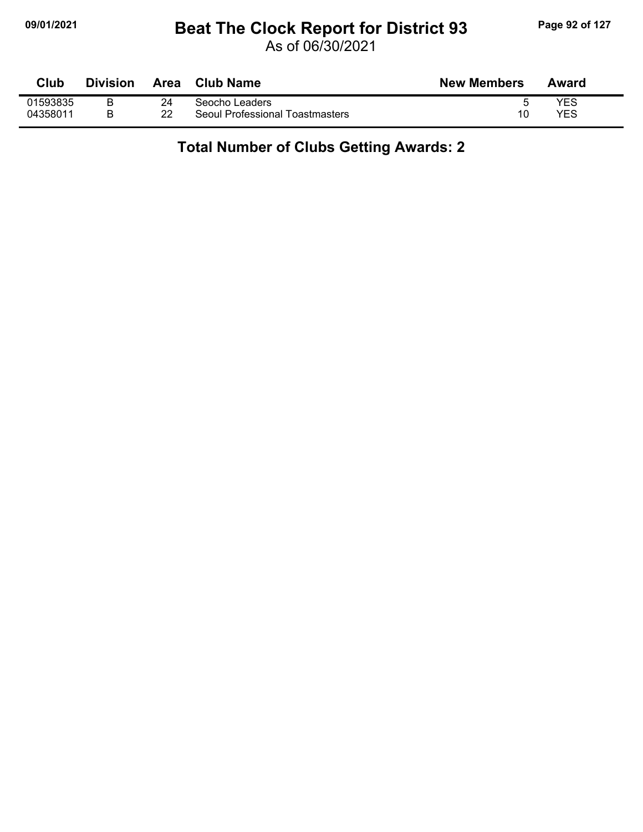## **09/01/2021 Beat The Clock Report for District 93 Page 92 of 127**

As of 06/30/2021

| Club     | <b>Division</b> | Area | Club Name                       | <b>New Members</b> | Award |
|----------|-----------------|------|---------------------------------|--------------------|-------|
| 01593835 |                 | 24   | Seocho Leaders                  |                    | YES   |
| 04358011 |                 | 22   | Seoul Professional Toastmasters | 10                 | YES   |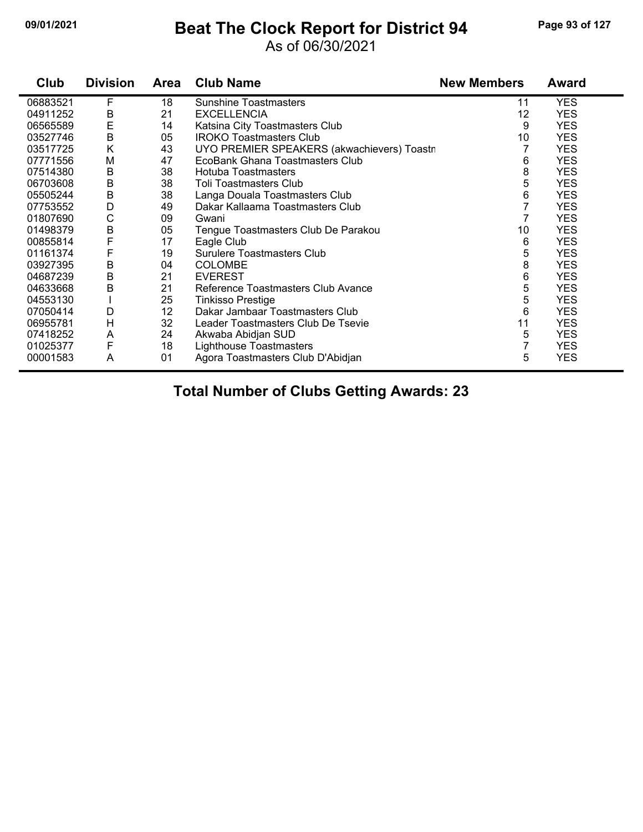## **09/01/2021 Beat The Clock Report for District 94 Page 93 of 127**

### As of 06/30/2021

| Club     | <b>Division</b> | <b>Area</b> | <b>Club Name</b>                           | <b>New Members</b> | Award      |
|----------|-----------------|-------------|--------------------------------------------|--------------------|------------|
| 06883521 | F               | 18          | <b>Sunshine Toastmasters</b>               | 11                 | <b>YES</b> |
| 04911252 | В               | 21          | <b>EXCELLENCIA</b>                         | 12                 | <b>YES</b> |
| 06565589 | E               | 14          | Katsina City Toastmasters Club             | 9                  | <b>YES</b> |
| 03527746 | B               | 05          | <b>IROKO Toastmasters Club</b>             | 10                 | <b>YES</b> |
| 03517725 | Κ               | 43          | UYO PREMIER SPEAKERS (akwachievers) Toastr |                    | <b>YES</b> |
| 07771556 | M               | 47          | EcoBank Ghana Toastmasters Club            | 6                  | <b>YES</b> |
| 07514380 | B               | 38          | <b>Hotuba Toastmasters</b>                 | 8                  | <b>YES</b> |
| 06703608 | B               | 38          | <b>Toli Toastmasters Club</b>              | 5                  | <b>YES</b> |
| 05505244 | B               | 38          | Langa Douala Toastmasters Club             | 6                  | <b>YES</b> |
| 07753552 | D               | 49          | Dakar Kallaama Toastmasters Club           |                    | <b>YES</b> |
| 01807690 | C               | 09          | Gwani                                      | 7                  | <b>YES</b> |
| 01498379 | B               | 05          | Tengue Toastmasters Club De Parakou        | 10                 | <b>YES</b> |
| 00855814 | F               | 17          | Eagle Club                                 | 6                  | <b>YES</b> |
| 01161374 | F               | 19          | <b>Surulere Toastmasters Club</b>          | 5                  | <b>YES</b> |
| 03927395 | B               | 04          | <b>COLOMBE</b>                             | 8                  | <b>YES</b> |
| 04687239 | B               | 21          | <b>EVEREST</b>                             | 6                  | <b>YES</b> |
| 04633668 | B               | 21          | Reference Toastmasters Club Avance         | 5                  | <b>YES</b> |
| 04553130 |                 | 25          | <b>Tinkisso Prestige</b>                   | 5                  | <b>YES</b> |
| 07050414 | D               | 12          | Dakar Jambaar Toastmasters Club            | 6                  | <b>YES</b> |
| 06955781 | H               | 32          | Leader Toastmasters Club De Tsevie         | 11                 | <b>YES</b> |
| 07418252 | A               | 24          | Akwaba Abidjan SUD                         | 5                  | <b>YES</b> |
| 01025377 | F               | 18          | Lighthouse Toastmasters                    | 7                  | <b>YES</b> |
| 00001583 | A               | 01          | Agora Toastmasters Club D'Abidjan          | 5                  | <b>YES</b> |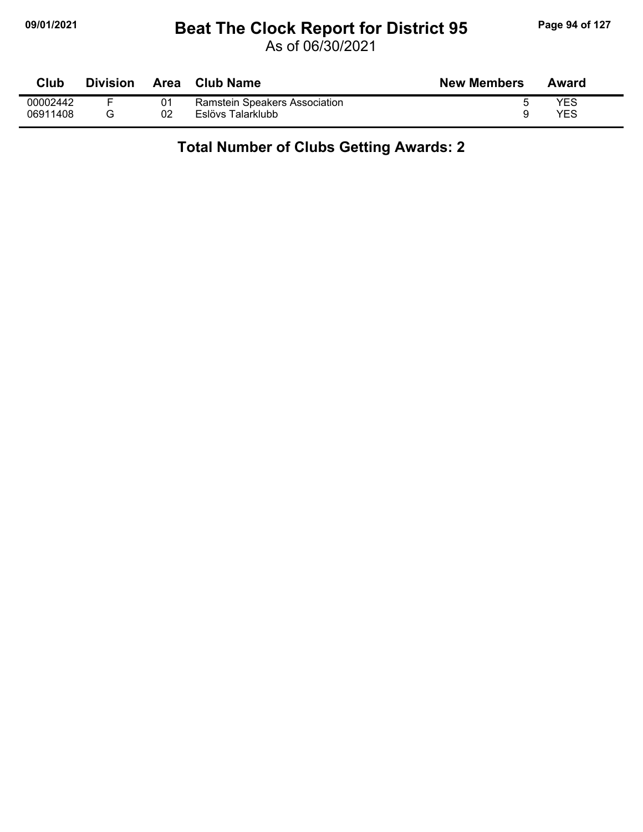## **09/01/2021 Beat The Clock Report for District 95 Page 94 of 127**

As of 06/30/2021

| Club     | <b>Division</b> | Area | Club Name                     | <b>New Members</b> | Award |
|----------|-----------------|------|-------------------------------|--------------------|-------|
| 00002442 |                 |      | Ramstein Speakers Association |                    | YES   |
| 06911408 |                 | 02   | Eslövs Talarklubb             |                    | YES   |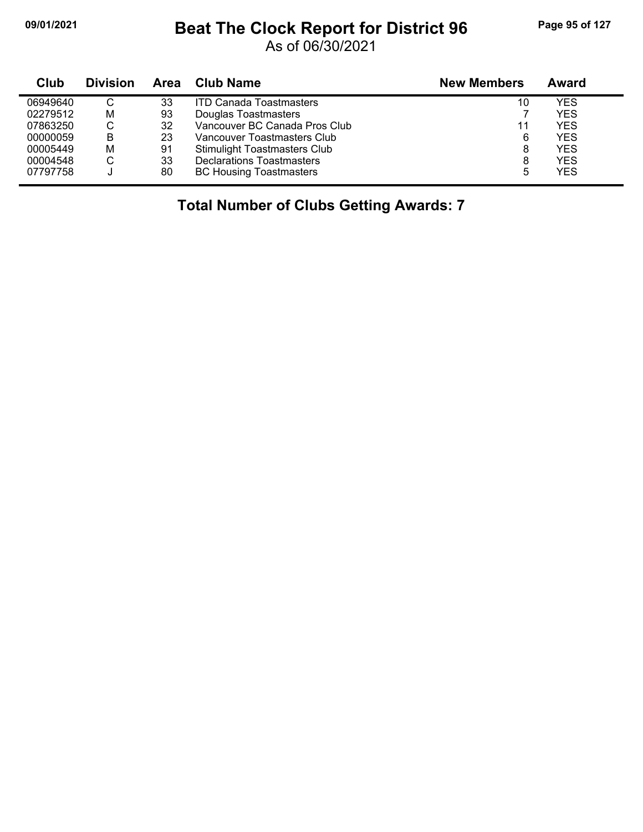## **09/01/2021 Beat The Clock Report for District 96 Page 95 of 127**

As of 06/30/2021

| Club     | <b>Division</b> | Area | Club Name                           | <b>New Members</b> | Award      |
|----------|-----------------|------|-------------------------------------|--------------------|------------|
| 06949640 | C               | 33   | <b>ITD Canada Toastmasters</b>      | 10                 | YES        |
| 02279512 | м               | 93   | Douglas Toastmasters                |                    | YES        |
| 07863250 | С               | 32   | Vancouver BC Canada Pros Club       | 11                 | YES        |
| 00000059 | В               | 23   | Vancouver Toastmasters Club         | 6                  | <b>YES</b> |
| 00005449 | M               | 91   | <b>Stimulight Toastmasters Club</b> | 8                  | <b>YES</b> |
| 00004548 | С               | 33   | <b>Declarations Toastmasters</b>    | 8                  | <b>YES</b> |
| 07797758 |                 | 80   | <b>BC Housing Toastmasters</b>      | 5                  | YES        |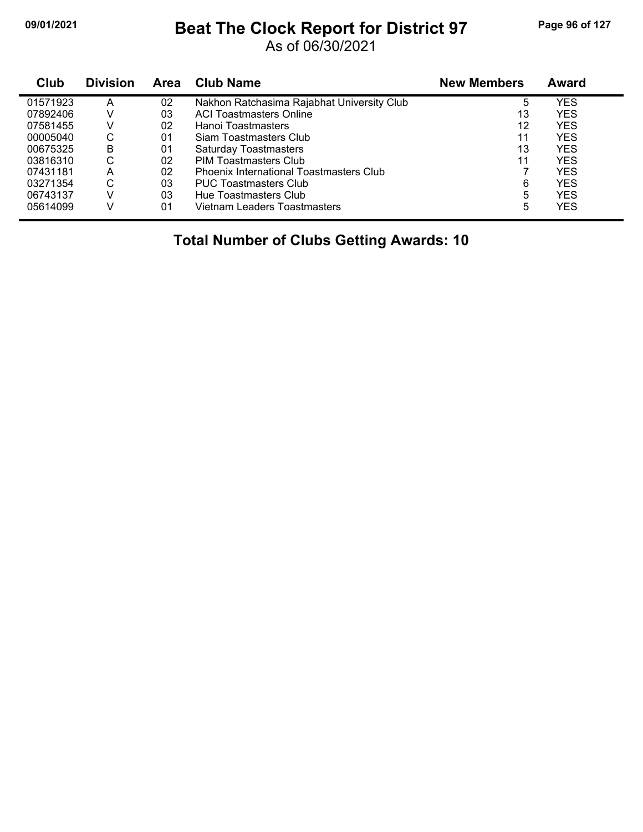## **09/01/2021 Beat The Clock Report for District 97 Page 96 of 127**

As of 06/30/2021

| Club     | <b>Division</b> | Area | <b>Club Name</b>                               | <b>New Members</b> | Award      |
|----------|-----------------|------|------------------------------------------------|--------------------|------------|
| 01571923 | А               | 02   | Nakhon Ratchasima Rajabhat University Club     | 5                  | YES        |
| 07892406 | v               | 03   | <b>ACI Toastmasters Online</b>                 | 13                 | YES        |
| 07581455 | V               | 02   | Hanoi Toastmasters                             | 12                 | YES        |
| 00005040 | С               | 01   | Siam Toastmasters Club                         | 11                 | YES        |
| 00675325 | B               | 01   | <b>Saturday Toastmasters</b>                   | 13                 | <b>YES</b> |
| 03816310 | С               | 02   | <b>PIM Toastmasters Club</b>                   | 11                 | YES        |
| 07431181 | А               | 02   | <b>Phoenix International Toastmasters Club</b> |                    | YES        |
| 03271354 | С               | 03   | <b>PUC Toastmasters Club</b>                   | 6                  | YES        |
| 06743137 | v               | 03   | Hue Toastmasters Club                          | 5                  | YES        |
| 05614099 |                 | 01   | Vietnam Leaders Toastmasters                   | 5                  | YES        |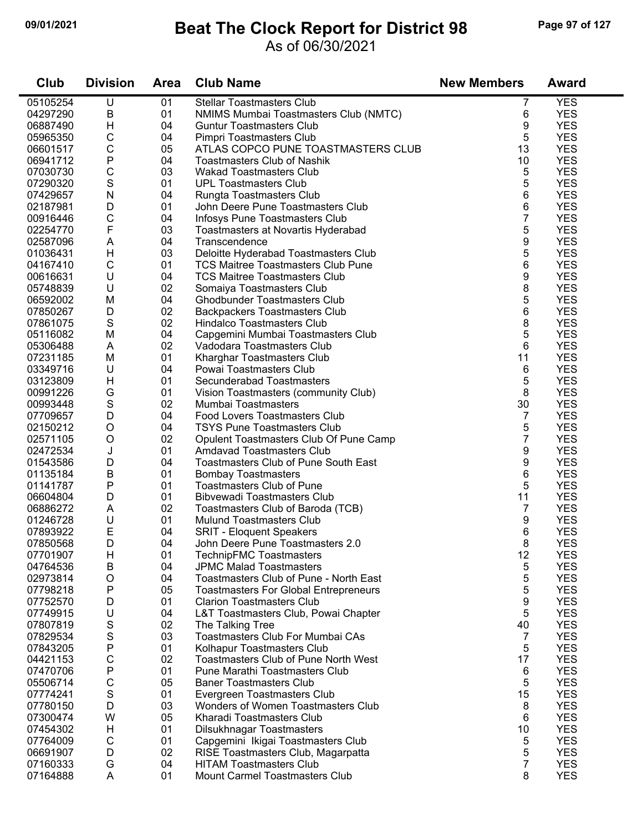## **09/01/2021 Beat The Clock Report for District 98 Page 97 of 127**

### As of 06/30/2021

| Club                 | <b>Division</b> | <b>Area</b> | <b>Club Name</b>                                                    | <b>New Members</b> | <b>Award</b> |
|----------------------|-----------------|-------------|---------------------------------------------------------------------|--------------------|--------------|
| 05105254             | U               | 01          | <b>Stellar Toastmasters Club</b>                                    | 7                  | <b>YES</b>   |
| 04297290             | $\sf B$         | 01          | NMIMS Mumbai Toastmasters Club (NMTC)                               | 6                  | <b>YES</b>   |
| 06887490             | Η               | 04          | <b>Guntur Toastmasters Club</b>                                     | 9                  | <b>YES</b>   |
| 05965350             | $\mathsf C$     | 04          | Pimpri Toastmasters Club                                            | 5                  | <b>YES</b>   |
| 06601517             | C               | 05          | ATLAS COPCO PUNE TOASTMASTERS CLUB                                  | 13                 | <b>YES</b>   |
| 06941712             | $\mathsf{P}$    | 04          | <b>Toastmasters Club of Nashik</b>                                  | 10                 | <b>YES</b>   |
| 07030730             | $\mathsf C$     | 03          | <b>Wakad Toastmasters Club</b>                                      | 5                  | <b>YES</b>   |
| 07290320             | $\mathbf S$     | 01          | <b>UPL Toastmasters Club</b>                                        | 5                  | <b>YES</b>   |
| 07429657             | ${\sf N}$       | 04          | Rungta Toastmasters Club                                            | 6                  | <b>YES</b>   |
| 02187981             | D               | 01          | John Deere Pune Toastmasters Club                                   | 6                  | <b>YES</b>   |
| 00916446             | C               | 04          | Infosys Pune Toastmasters Club                                      | 7                  | <b>YES</b>   |
| 02254770             | $\mathsf{F}$    | 03          | Toastmasters at Novartis Hyderabad                                  | 5                  | <b>YES</b>   |
| 02587096             | A               | 04          | Transcendence                                                       | 9                  | <b>YES</b>   |
| 01036431             | H               | 03          | Deloitte Hyderabad Toastmasters Club                                | 5                  | <b>YES</b>   |
| 04167410             | $\mathsf{C}$    | 01          | <b>TCS Maitree Toastmasters Club Pune</b>                           | 6                  | <b>YES</b>   |
| 00616631             | U               | 04          | <b>TCS Maitree Toastmasters Club</b>                                | 9                  | <b>YES</b>   |
| 05748839             | U               | 02          | Somaiya Toastmasters Club                                           | 8                  | <b>YES</b>   |
| 06592002             | M               | 04          | <b>Ghodbunder Toastmasters Club</b>                                 | 5                  | <b>YES</b>   |
| 07850267             | D               | 02          | <b>Backpackers Toastmasters Club</b>                                | 6                  | <b>YES</b>   |
| 07861075             | $\mathbf S$     | 02          | Hindalco Toastmasters Club                                          | 8                  | <b>YES</b>   |
| 05116082             | M               | 04          | Capgemini Mumbai Toastmasters Club                                  | 5                  | <b>YES</b>   |
| 05306488             | Α               | 02          | Vadodara Toastmasters Club                                          | 6                  | <b>YES</b>   |
| 07231185             | M               | 01          | Kharghar Toastmasters Club                                          | 11                 | <b>YES</b>   |
| 03349716             | U               | 04          | Powai Toastmasters Club                                             | 6                  | <b>YES</b>   |
| 03123809             | Н               | 01          | Secunderabad Toastmasters                                           | 5                  | <b>YES</b>   |
| 00991226             | G               | 01          |                                                                     | 8                  | <b>YES</b>   |
| 00993448             | $\mathbf S$     | 02          | Vision Toastmasters (community Club)<br>Mumbai Toastmasters         | 30                 | <b>YES</b>   |
|                      | D               | 04          | Food Lovers Toastmasters Club                                       | 7                  | <b>YES</b>   |
| 07709657<br>02150212 | O               | 04          | <b>TSYS Pune Toastmasters Club</b>                                  | 5                  | <b>YES</b>   |
| 02571105             | O               | 02          |                                                                     | 7                  | <b>YES</b>   |
|                      |                 | 01          | Opulent Toastmasters Club Of Pune Camp<br>Amdavad Toastmasters Club | 9                  | <b>YES</b>   |
| 02472534             | J<br>D          | 04          |                                                                     | 9                  | <b>YES</b>   |
| 01543586<br>01135184 | $\sf B$         | 01          | <b>Toastmasters Club of Pune South East</b>                         | 6                  | <b>YES</b>   |
| 01141787             | P               | 01          | <b>Bombay Toastmasters</b><br><b>Toastmasters Club of Pune</b>      | 5                  | <b>YES</b>   |
| 06604804             | D               | 01          | Bibvewadi Toastmasters Club                                         | 11                 | <b>YES</b>   |
| 06886272             | A               | 02          |                                                                     | 7                  | <b>YES</b>   |
|                      | U               | 01          | Toastmasters Club of Baroda (TCB)                                   |                    | <b>YES</b>   |
| 01246728<br>07893922 | E               |             | Mulund Toastmasters Club                                            | 9                  | <b>YES</b>   |
|                      | D               | 04<br>04    | <b>SRIT - Eloquent Speakers</b>                                     | 6<br>8             |              |
| 07850568             |                 |             | John Deere Pune Toastmasters 2.0                                    |                    | <b>YES</b>   |
| 07701907             | H               | 01          | TechnipFMC Toastmasters<br><b>JPMC Malad Toastmasters</b>           | 12                 | <b>YES</b>   |
| 04764536             | B               | 04          |                                                                     | 5                  | <b>YES</b>   |
| 02973814             | O               | 04          | Toastmasters Club of Pune - North East                              | 5                  | <b>YES</b>   |
| 07798218             | P               | 05          | <b>Toastmasters For Global Entrepreneurs</b>                        | 5                  | <b>YES</b>   |
| 07752570             | D               | 01          | <b>Clarion Toastmasters Club</b>                                    | 9                  | <b>YES</b>   |
| 07749915             | U               | 04          | L&T Toastmasters Club, Powai Chapter                                | 5                  | <b>YES</b>   |
| 07807819             | $\mathbf S$     | 02          | The Talking Tree                                                    | 40                 | <b>YES</b>   |
| 07829534             | $\mathbf S$     | 03          | Toastmasters Club For Mumbai CAs                                    | 7                  | <b>YES</b>   |
| 07843205             | ${\sf P}$       | 01          | Kolhapur Toastmasters Club                                          | 5                  | <b>YES</b>   |
| 04421153             | C               | 02          | <b>Toastmasters Club of Pune North West</b>                         | 17                 | <b>YES</b>   |
| 07470706             | P               | 01          | Pune Marathi Toastmasters Club                                      | 6                  | <b>YES</b>   |
| 05506714             | $\mathsf C$     | 05          | <b>Baner Toastmasters Club</b>                                      | 5                  | <b>YES</b>   |
| 07774241             | $\mathbf S$     | 01          | Evergreen Toastmasters Club                                         | 15                 | <b>YES</b>   |
| 07780150             | D               | 03          | Wonders of Women Toastmasters Club                                  | 8                  | <b>YES</b>   |
| 07300474             | W               | 05          | Kharadi Toastmasters Club                                           | 6                  | <b>YES</b>   |
| 07454302             | H               | 01          | Dilsukhnagar Toastmasters                                           | 10                 | <b>YES</b>   |
| 07764009             | C               | 01          | Capgemini Ikigai Toastmasters Club                                  | 5                  | <b>YES</b>   |
| 06691907             | D               | 02          | RISE Toastmasters Club, Magarpatta                                  | 5                  | <b>YES</b>   |
| 07160333             | G               | 04          | <b>HITAM Toastmasters Club</b>                                      | $\overline{7}$     | <b>YES</b>   |
| 07164888             | A               | 01          | <b>Mount Carmel Toastmasters Club</b>                               | 8                  | <b>YES</b>   |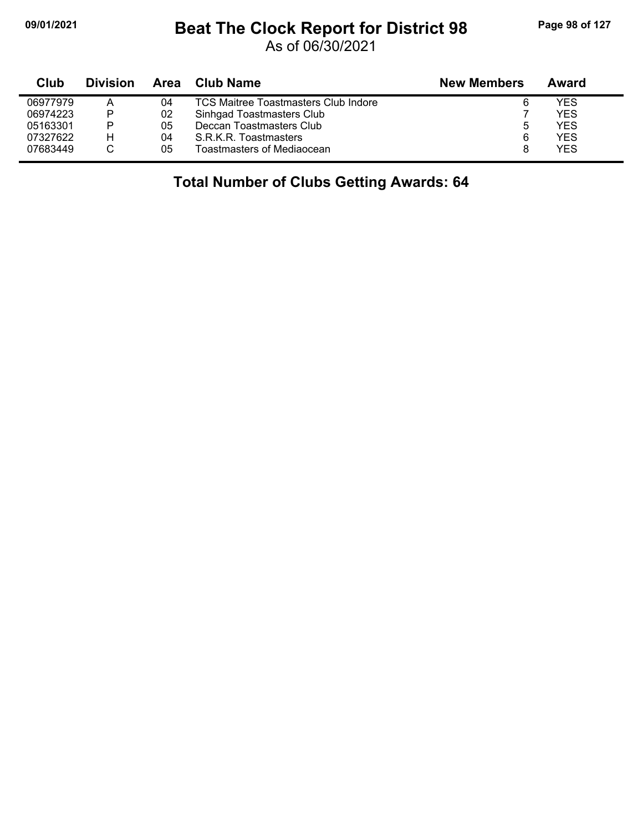## **09/01/2021 Beat The Clock Report for District 98 Page 98 of 127**

As of 06/30/2021

| Club     | <b>Division</b> | Area | Club Name                                   | <b>New Members</b> | Award |
|----------|-----------------|------|---------------------------------------------|--------------------|-------|
| 06977979 | Α               | 04   | <b>TCS Maitree Toastmasters Club Indore</b> | 6                  | YES   |
| 06974223 | P               | 02   | Sinhgad Toastmasters Club                   |                    | YES   |
| 05163301 | P               | 05   | Deccan Toastmasters Club                    | 5                  | YES   |
| 07327622 | н               | 04   | S.R.K.R. Toastmasters                       | 6                  | YES   |
| 07683449 |                 | 05   | Toastmasters of Mediaocean                  |                    | YES   |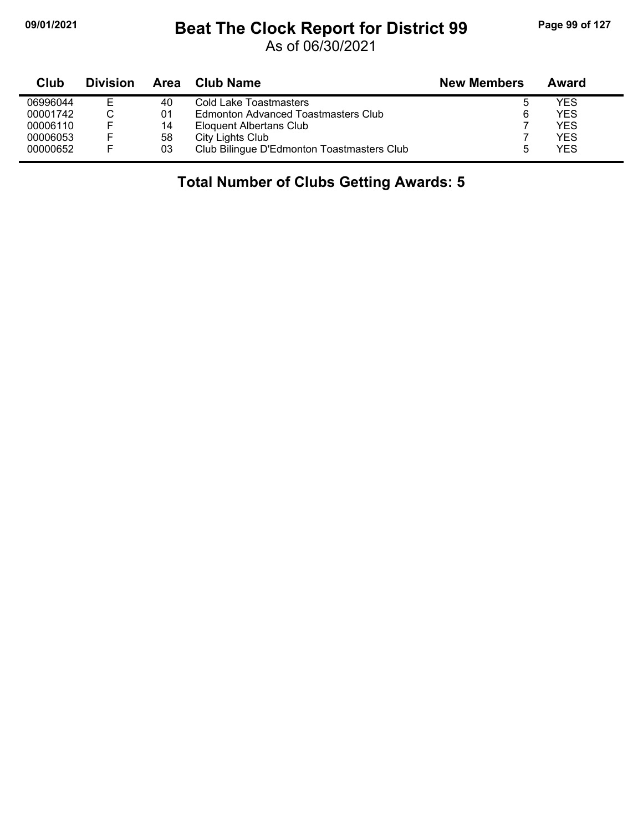$\blacksquare$ 

## **09/01/2021 Beat The Clock Report for District 99 Page 99 of 127**

As of 06/30/2021

| Club     | <b>Division</b> | Area | Club Name                                  | <b>New Members</b> | Award |
|----------|-----------------|------|--------------------------------------------|--------------------|-------|
| 06996044 |                 | 40   | Cold Lake Toastmasters                     | ა                  | YES   |
| 00001742 |                 | 01   | Edmonton Advanced Toastmasters Club        | 6                  | YES   |
| 00006110 | F               | 14   | Eloquent Albertans Club                    |                    | YES   |
| 00006053 | F               | 58   | City Lights Club                           |                    | YES   |
| 00000652 | F               | 03   | Club Bilingue D'Edmonton Toastmasters Club |                    | YES   |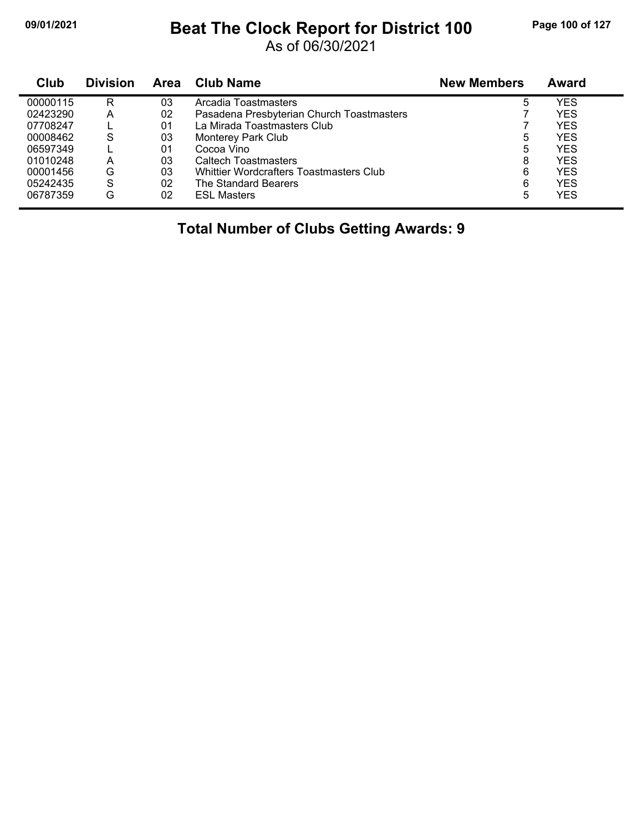## **09/01/2021 Beat The Clock Report for District 100 Page 100 of 127**

As of 06/30/2021

| Club     | <b>Division</b> | Area | <b>Club Name</b>                          | <b>New Members</b> | Award      |
|----------|-----------------|------|-------------------------------------------|--------------------|------------|
| 00000115 | R               | 03   | Arcadia Toastmasters                      | 5                  | YES        |
| 02423290 | А               | 02   | Pasadena Presbyterian Church Toastmasters |                    | <b>YES</b> |
| 07708247 |                 | 01   | La Mirada Toastmasters Club               |                    | <b>YES</b> |
| 00008462 | S               | 03   | Monterey Park Club                        | 5                  | YES        |
| 06597349 |                 | 01   | Cocoa Vino                                | 5                  | <b>YES</b> |
| 01010248 | А               | 03   | Caltech Toastmasters                      | 8                  | <b>YES</b> |
| 00001456 | G               | 03   | Whittier Wordcrafters Toastmasters Club   | 6                  | YES        |
| 05242435 | S               | 02   | The Standard Bearers                      | 6                  | <b>YES</b> |
| 06787359 | G               | 02   | <b>ESL Masters</b>                        | 5                  | YES        |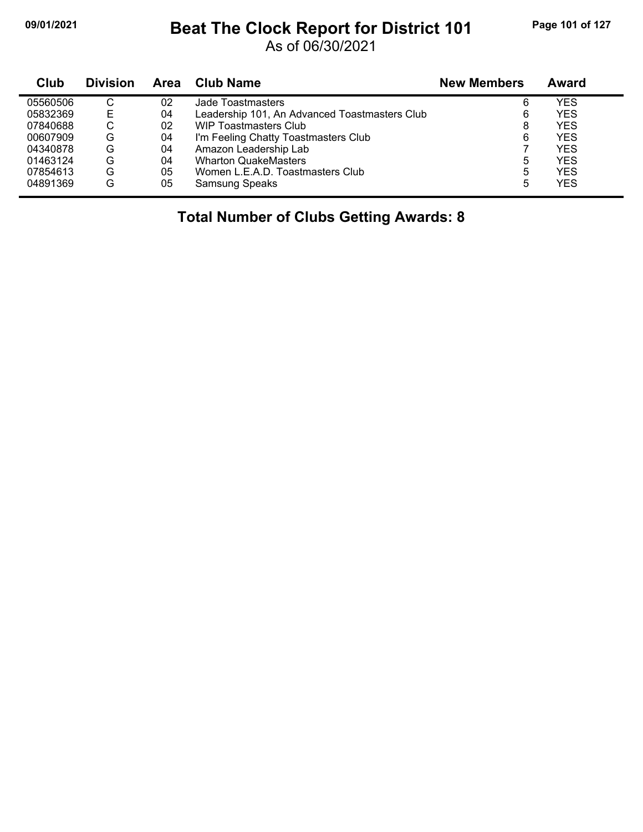## **09/01/2021 Beat The Clock Report for District 101 Page 101 of 127**

As of 06/30/2021

| Club     | <b>Division</b> | Area | <b>Club Name</b>                              | <b>New Members</b> | Award |
|----------|-----------------|------|-----------------------------------------------|--------------------|-------|
| 05560506 | C               | 02   | Jade Toastmasters                             | 6                  | YES   |
| 05832369 | Е               | 04   | Leadership 101, An Advanced Toastmasters Club | 6                  | YES   |
| 07840688 | С               | 02   | <b>WIP Toastmasters Club</b>                  | 8                  | YES   |
| 00607909 | G               | 04   | I'm Feeling Chatty Toastmasters Club          | 6                  | YES   |
| 04340878 | G               | 04   | Amazon Leadership Lab                         |                    | YES   |
| 01463124 | G               | 04   | <b>Wharton QuakeMasters</b>                   | 5                  | YES   |
| 07854613 | G               | 05   | Women L.E.A.D. Toastmasters Club              | 5                  | YES   |
| 04891369 | G               | 05   | Samsung Speaks                                | 5                  | YES   |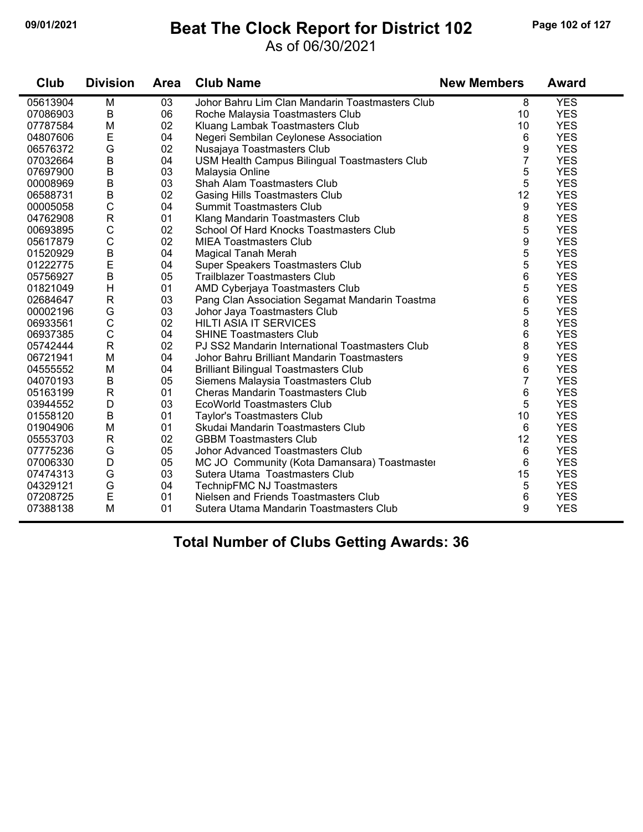## **09/01/2021 Beat The Clock Report for District 102 Page 102 of 127**

#### As of 06/30/2021

| Club     | <b>Division</b> | <b>Area</b> | <b>Club Name</b>                                | <b>New Members</b> | Award      |
|----------|-----------------|-------------|-------------------------------------------------|--------------------|------------|
| 05613904 | M               | 03          | Johor Bahru Lim Clan Mandarin Toastmasters Club | 8                  | <b>YES</b> |
| 07086903 | В               | 06          | Roche Malaysia Toastmasters Club                | 10                 | <b>YES</b> |
| 07787584 | M               | 02          | Kluang Lambak Toastmasters Club                 | 10                 | <b>YES</b> |
| 04807606 | E               | 04          | Negeri Sembilan Ceylonese Association           | 6                  | <b>YES</b> |
| 06576372 | G               | 02          | Nusajaya Toastmasters Club                      | 9                  | <b>YES</b> |
| 07032664 | $\sf B$         | 04          | USM Health Campus Bilingual Toastmasters Club   | $\overline{7}$     | <b>YES</b> |
| 07697900 | $\sf B$         | 03          | Malaysia Online                                 | 5                  | <b>YES</b> |
| 00008969 | $\sf B$         | 03          | Shah Alam Toastmasters Club                     | 5                  | <b>YES</b> |
| 06588731 | $\sf B$         | 02          | <b>Gasing Hills Toastmasters Club</b>           | 12                 | <b>YES</b> |
| 00005058 | $\mathsf C$     | 04          | <b>Summit Toastmasters Club</b>                 | 9                  | <b>YES</b> |
| 04762908 | ${\sf R}$       | 01          | Klang Mandarin Toastmasters Club                | 8                  | <b>YES</b> |
| 00693895 | $\mathsf C$     | 02          | School Of Hard Knocks Toastmasters Club         | 5                  | <b>YES</b> |
| 05617879 | $\mathsf{C}$    | 02          | <b>MIEA Toastmasters Club</b>                   | 9                  | <b>YES</b> |
| 01520929 | $\sf B$         | 04          | <b>Magical Tanah Merah</b>                      | 5                  | <b>YES</b> |
| 01222775 | E               | 04          | Super Speakers Toastmasters Club                | 5                  | <b>YES</b> |
| 05756927 | $\sf B$         | 05          | <b>Trailblazer Toastmasters Club</b>            | 6                  | <b>YES</b> |
| 01821049 | Н               | 01          | AMD Cyberjaya Toastmasters Club                 | 5                  | <b>YES</b> |
| 02684647 | $\mathsf R$     | 03          | Pang Clan Association Segamat Mandarin Toastma  | 6                  | <b>YES</b> |
| 00002196 | G               | 03          | Johor Jaya Toastmasters Club                    | 5                  | <b>YES</b> |
| 06933561 | $\mathsf C$     | 02          | <b>HILTI ASIA IT SERVICES</b>                   | 8                  | <b>YES</b> |
| 06937385 | $\mathsf C$     | 04          | <b>SHINE Toastmasters Club</b>                  | 6                  | <b>YES</b> |
| 05742444 | $\mathsf{R}$    | 02          | PJ SS2 Mandarin International Toastmasters Club | 8                  | <b>YES</b> |
| 06721941 | M               | 04          | Johor Bahru Brilliant Mandarin Toastmasters     | 9                  | <b>YES</b> |
| 04555552 | M               | 04          | <b>Brilliant Bilingual Toastmasters Club</b>    | 6                  | <b>YES</b> |
| 04070193 | B               | 05          | Siemens Malaysia Toastmasters Club              | $\overline{7}$     | <b>YES</b> |
| 05163199 | $\mathsf{R}$    | 01          | <b>Cheras Mandarin Toastmasters Club</b>        | 6                  | <b>YES</b> |
| 03944552 | D               | 03          | <b>EcoWorld Toastmasters Club</b>               | 5                  | <b>YES</b> |
| 01558120 | B               | 01          | Taylor's Toastmasters Club                      | 10                 | <b>YES</b> |
| 01904906 | M               | 01          | Skudai Mandarin Toastmasters Club               | 6                  | <b>YES</b> |
| 05553703 | $\mathsf{R}$    | 02          | <b>GBBM Toastmasters Club</b>                   | 12                 | <b>YES</b> |
| 07775236 | G               | 05          | Johor Advanced Toastmasters Club                | 6                  | <b>YES</b> |
| 07006330 | D               | 05          | MC JO Community (Kota Damansara) Toastmaster    | 6                  | <b>YES</b> |
| 07474313 | G               | 03          | Sutera Utama Toastmasters Club                  | 15                 | <b>YES</b> |
| 04329121 | G               | 04          | TechnipFMC NJ Toastmasters                      | 5                  | <b>YES</b> |
| 07208725 | E               | 01          | Nielsen and Friends Toastmasters Club           | 6                  | <b>YES</b> |
| 07388138 | M               | 01          | Sutera Utama Mandarin Toastmasters Club         | 9                  | <b>YES</b> |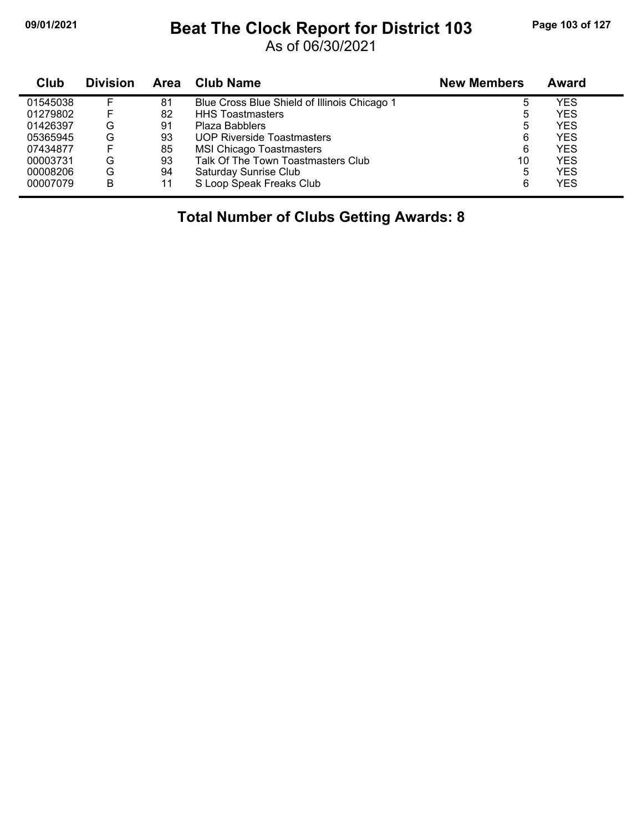## **09/01/2021 Beat The Clock Report for District 103 Page 103 of 127**

As of 06/30/2021

| <b>Club</b> | <b>Division</b> | <b>Area</b> | Club Name                                    | <b>New Members</b> | Award |
|-------------|-----------------|-------------|----------------------------------------------|--------------------|-------|
| 01545038    |                 | 81          | Blue Cross Blue Shield of Illinois Chicago 1 | 5                  | YES   |
| 01279802    |                 | 82          | <b>HHS Toastmasters</b>                      | 5                  | YES   |
| 01426397    | G               | 91          | Plaza Babblers                               | 5                  | YES   |
| 05365945    | G               | 93          | <b>UOP Riverside Toastmasters</b>            | 6                  | YES   |
| 07434877    |                 | 85          | <b>MSI Chicago Toastmasters</b>              | 6                  | YES   |
| 00003731    | G               | 93          | Talk Of The Town Toastmasters Club           | 10                 | YES   |
| 00008206    | G               | 94          | Saturday Sunrise Club                        | 5                  | YES   |
| 00007079    | B               | 11          | S Loop Speak Freaks Club                     | 6                  | YES   |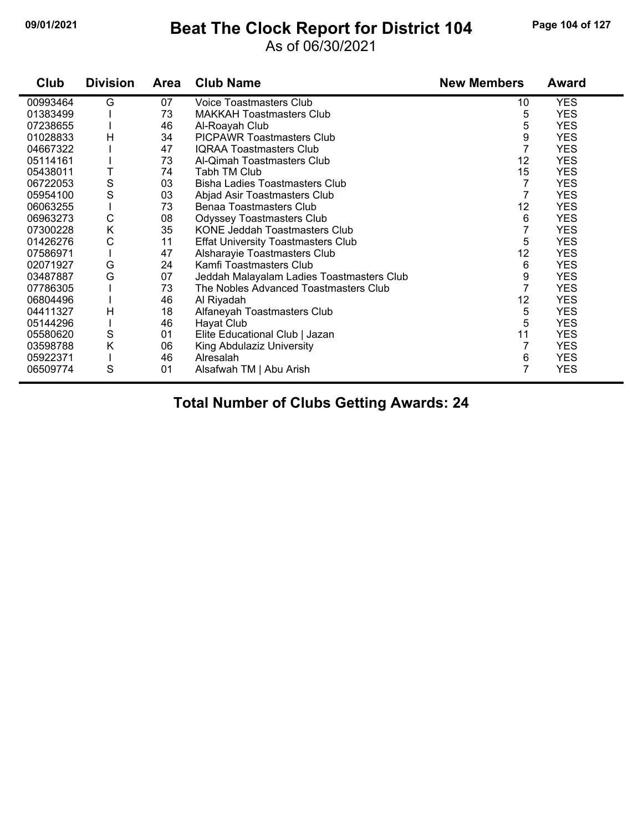## **09/01/2021 Beat The Clock Report for District 104 Page 104 of 127**

#### As of 06/30/2021

| Club     | <b>Division</b> | <b>Area</b> | <b>Club Name</b>                          | <b>New Members</b> | Award      |
|----------|-----------------|-------------|-------------------------------------------|--------------------|------------|
| 00993464 | G               | 07          | Voice Toastmasters Club                   | 10                 | <b>YES</b> |
| 01383499 |                 | 73          | <b>MAKKAH Toastmasters Club</b>           | 5                  | <b>YES</b> |
| 07238655 |                 | 46          | Al-Roayah Club                            | 5                  | <b>YES</b> |
| 01028833 | H               | 34          | <b>PICPAWR Toastmasters Club</b>          | 9                  | <b>YES</b> |
| 04667322 |                 | 47          | <b>IQRAA Toastmasters Club</b>            | 7                  | <b>YES</b> |
| 05114161 |                 | 73          | Al-Qimah Toastmasters Club                | 12                 | <b>YES</b> |
| 05438011 |                 | 74          | Tabh TM Club                              | 15                 | <b>YES</b> |
| 06722053 | S               | 03          | <b>Bisha Ladies Toastmasters Club</b>     | 7                  | <b>YES</b> |
| 05954100 | S               | 03          | Abjad Asir Toastmasters Club              | 7                  | <b>YES</b> |
| 06063255 |                 | 73          | Benaa Toastmasters Club                   | 12                 | <b>YES</b> |
| 06963273 | С               | 08          | <b>Odyssey Toastmasters Club</b>          | 6                  | <b>YES</b> |
| 07300228 | Κ               | 35          | <b>KONE Jeddah Toastmasters Club</b>      | 7                  | <b>YES</b> |
| 01426276 | С               | 11          | <b>Effat University Toastmasters Club</b> | 5                  | <b>YES</b> |
| 07586971 |                 | 47          | Alsharayie Toastmasters Club              | 12                 | <b>YES</b> |
| 02071927 | G               | 24          | Kamfi Toastmasters Club                   | 6                  | <b>YES</b> |
| 03487887 | G               | 07          | Jeddah Malayalam Ladies Toastmasters Club | 9                  | <b>YES</b> |
| 07786305 |                 | 73          | The Nobles Advanced Toastmasters Club     | $\overline{7}$     | <b>YES</b> |
| 06804496 |                 | 46          | Al Riyadah                                | 12                 | <b>YES</b> |
| 04411327 | Н               | 18          | Alfaneyah Toastmasters Club               | 5                  | <b>YES</b> |
| 05144296 |                 | 46          | Hayat Club                                | 5                  | <b>YES</b> |
| 05580620 | S               | 01          | Elite Educational Club   Jazan            | 11                 | <b>YES</b> |
| 03598788 | Κ               | 06          | King Abdulaziz University                 | 7                  | <b>YES</b> |
| 05922371 |                 | 46          | Alresalah                                 | 6                  | <b>YES</b> |
| 06509774 | S               | 01          | Alsafwah TM   Abu Arish                   | 7                  | <b>YES</b> |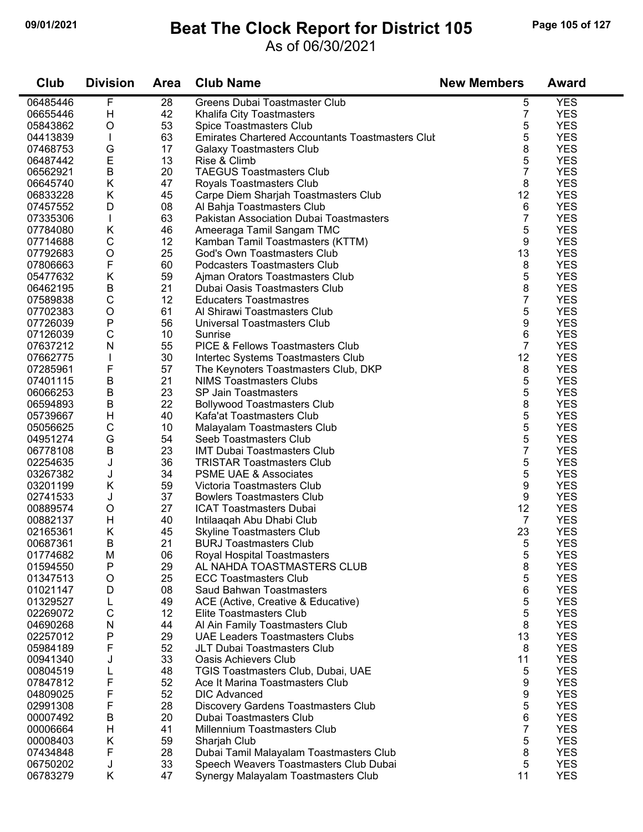## **09/01/2021 Beat The Clock Report for District 105 Page 105 of 127**

#### As of 06/30/2021

| Club                 | <b>Division</b>  | <b>Area</b> | <b>Club Name</b>                                                       | <b>New Members</b> | <b>Award</b>             |
|----------------------|------------------|-------------|------------------------------------------------------------------------|--------------------|--------------------------|
| 06485446             | F                | 28          | Greens Dubai Toastmaster Club                                          | 5                  | <b>YES</b>               |
| 06655446             | Н                | 42          | Khalifa City Toastmasters                                              | 7                  | <b>YES</b>               |
| 05843862             | O                | 53          | Spice Toastmasters Club                                                | 5                  | <b>YES</b>               |
| 04413839             |                  | 63          | <b>Emirates Chartered Accountants Toastmasters Clut</b>                | 5                  | <b>YES</b>               |
| 07468753             | G                | 17          | Galaxy Toastmasters Club                                               | 8                  | <b>YES</b>               |
| 06487442             | $\mathsf E$      | 13          | Rise & Climb                                                           | 5                  | <b>YES</b>               |
| 06562921             | $\sf B$          | 20          | <b>TAEGUS Toastmasters Club</b>                                        | 7                  | <b>YES</b>               |
| 06645740             | K                | 47          | Royals Toastmasters Club                                               | 8                  | <b>YES</b>               |
| 06833228             | Κ                | 45          | Carpe Diem Sharjah Toastmasters Club                                   | 12                 | <b>YES</b>               |
| 07457552             | D                | 08          | Al Bahja Toastmasters Club                                             | 6                  | <b>YES</b>               |
| 07335306             | L                | 63          | <b>Pakistan Association Dubai Toastmasters</b>                         | 7                  | <b>YES</b>               |
| 07784080             | Κ                | 46          | Ameeraga Tamil Sangam TMC                                              | 5                  | <b>YES</b>               |
| 07714688             | $\mathsf C$      | 12          | Kamban Tamil Toastmasters (KTTM)                                       | 9                  | <b>YES</b>               |
| 07792683             | $\mathsf O$      | 25          | God's Own Toastmasters Club                                            | 13                 | <b>YES</b>               |
| 07806663             | F                | 60          | Podcasters Toastmasters Club                                           | 8                  | <b>YES</b>               |
| 05477632             | K                | 59          | Ajman Orators Toastmasters Club                                        | 5                  | <b>YES</b>               |
| 06462195             | B                | 21          | Dubai Oasis Toastmasters Club                                          | 8                  | <b>YES</b>               |
| 07589838             | C                | 12          | <b>Educaters Toastmastres</b>                                          | 7                  | <b>YES</b>               |
| 07702383             | $\circ$          | 61          | Al Shirawi Toastmasters Club                                           | 5                  | <b>YES</b>               |
| 07726039             | P                | 56          | Universal Toastmasters Club                                            | 9                  | <b>YES</b>               |
| 07126039             | $\mathsf C$      | 10          | Sunrise                                                                | 6                  | <b>YES</b>               |
| 07637212             | N                | 55          | <b>PICE &amp; Fellows Toastmasters Club</b>                            | 7                  | <b>YES</b>               |
| 07662775             |                  | 30          | Intertec Systems Toastmasters Club                                     | 12                 | <b>YES</b>               |
| 07285961             | F                | 57          | The Keynoters Toastmasters Club, DKP                                   | 8                  | <b>YES</b>               |
| 07401115             | $\sf B$          | 21          | <b>NIMS Toastmasters Clubs</b>                                         | 5                  | <b>YES</b>               |
| 06066253             | $\sf B$          | 23          | <b>SP Jain Toastmasters</b>                                            | 5                  | <b>YES</b>               |
| 06594893             | B                | 22          | <b>Bollywood Toastmasters Club</b>                                     | 8                  | <b>YES</b>               |
| 05739667             | Н                | 40          | Kafa'at Toastmasters Club                                              | 5                  | <b>YES</b>               |
| 05056625             | С                | 10          |                                                                        | 5                  | <b>YES</b>               |
| 04951274             | G                | 54          | Malayalam Toastmasters Club<br>Seeb Toastmasters Club                  | 5                  | <b>YES</b>               |
|                      | B                | 23          |                                                                        | $\overline{7}$     | <b>YES</b>               |
| 06778108             |                  | 36          | <b>IMT Dubai Toastmasters Club</b><br><b>TRISTAR Toastmasters Club</b> | 5                  | <b>YES</b>               |
| 02254635<br>03267382 | J                | 34          | <b>PSME UAE &amp; Associates</b>                                       | 5                  | <b>YES</b>               |
| 03201199             | J<br>Κ           | 59          | Victoria Toastmasters Club                                             |                    | <b>YES</b>               |
| 02741533             |                  | 37          | <b>Bowlers Toastmasters Club</b>                                       | 9<br>9             | <b>YES</b>               |
| 00889574             | J<br>O           | 27          |                                                                        | 12                 | <b>YES</b>               |
|                      | Н                | 40          | <b>ICAT Toastmasters Dubai</b>                                         | 7                  | <b>YES</b>               |
| 00882137             | Κ                |             | Intilaaqah Abu Dhabi Club                                              |                    |                          |
| 02165361<br>00687361 | В                | 45<br>21    | <b>Skyline Toastmasters Club</b>                                       | 23<br>5            | <b>YES</b><br><b>YES</b> |
| 01774682             |                  |             | <b>BURJ Toastmasters Club</b>                                          |                    |                          |
|                      | M                | 06          | Royal Hospital Toastmasters<br>AL NAHDA TOASTMASTERS CLUB              | 5                  | <b>YES</b>               |
| 01594550             | Ρ                | 29          | <b>ECC Toastmasters Club</b>                                           | 8                  | <b>YES</b>               |
| 01347513             | O                | 25          |                                                                        | 5                  | <b>YES</b>               |
| 01021147             | D                | 08          | Saud Bahwan Toastmasters                                               | 6                  | <b>YES</b>               |
| 01329527             | L<br>$\mathsf C$ | 49<br>12    | ACE (Active, Creative & Educative)                                     | 5                  | <b>YES</b><br><b>YES</b> |
| 02269072             | ${\sf N}$        |             | Elite Toastmasters Club                                                | 5                  | <b>YES</b>               |
| 04690268             |                  | 44          | Al Ain Family Toastmasters Club                                        | 8                  |                          |
| 02257012             | Ρ                | 29          | <b>UAE Leaders Toastmasters Clubs</b>                                  | 13                 | <b>YES</b>               |
| 05984189             | F                | 52          | JLT Dubai Toastmasters Club                                            | 8                  | <b>YES</b>               |
| 00941340             | J                | 33          | <b>Oasis Achievers Club</b>                                            | 11                 | <b>YES</b>               |
| 00804519             | L                | 48          | TGIS Toastmasters Club, Dubai, UAE                                     | 5                  | <b>YES</b>               |
| 07847812             | F                | 52          | Ace It Marina Toastmasters Club                                        | 9                  | <b>YES</b>               |
| 04809025             | F                | 52          | <b>DIC Advanced</b>                                                    | 9                  | <b>YES</b>               |
| 02991308             | F                | 28          | Discovery Gardens Toastmasters Club                                    | 5                  | <b>YES</b>               |
| 00007492             | В                | 20          | Dubai Toastmasters Club                                                | 6                  | <b>YES</b>               |
| 00006664             | Н                | 41          | Millennium Toastmasters Club                                           | 7                  | <b>YES</b>               |
| 00008403             | Κ                | 59          | Sharjah Club                                                           | 5                  | <b>YES</b>               |
| 07434848             | F                | 28          | Dubai Tamil Malayalam Toastmasters Club                                | 8                  | <b>YES</b>               |
| 06750202             | J                | 33          | Speech Weavers Toastmasters Club Dubai                                 | 5                  | <b>YES</b>               |
| 06783279             | K.               | 47          | Synergy Malayalam Toastmasters Club                                    | 11                 | <b>YES</b>               |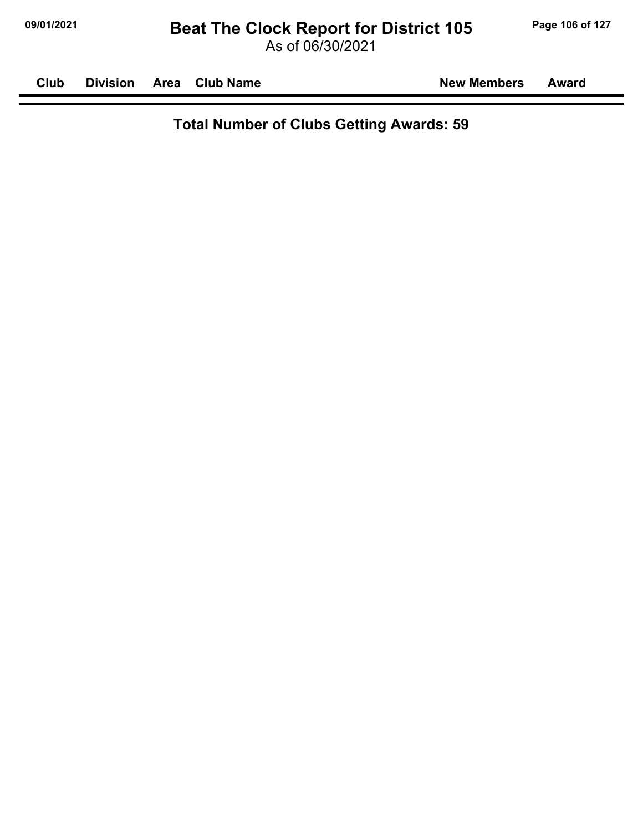**Club Division Area Club Name New Members Award**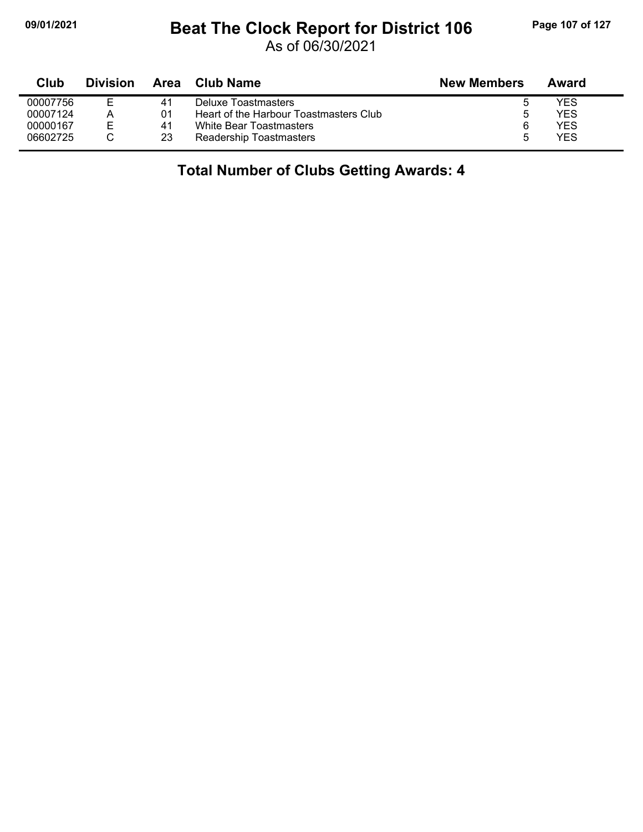## **09/01/2021 Beat The Clock Report for District 106 Page 107 of 127**

As of 06/30/2021

| Club     | <b>Division</b> | Area | Club Name                              | <b>New Members</b> | Award |
|----------|-----------------|------|----------------------------------------|--------------------|-------|
| 00007756 | ⊢               | 41   | Deluxe Toastmasters                    |                    | YES   |
| 00007124 | Α               | 01   | Heart of the Harbour Toastmasters Club |                    | YES   |
| 00000167 | E               | 41   | White Bear Toastmasters                |                    | YES   |
| 06602725 |                 | 23   | Readership Toastmasters                |                    | YES   |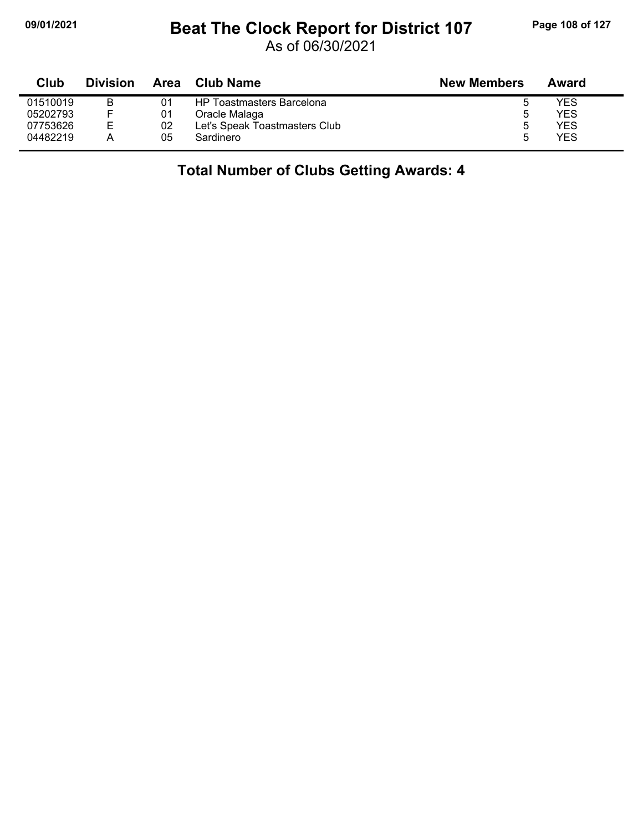## **09/01/2021 Beat The Clock Report for District 107 Page 108 of 127**

As of 06/30/2021

| Club     | <b>Division</b> | Area | Club Name                        | <b>New Members</b> | Award |
|----------|-----------------|------|----------------------------------|--------------------|-------|
| 01510019 | B               |      | <b>HP Toastmasters Barcelona</b> |                    | YES   |
| 05202793 |                 | 01   | Oracle Malaga                    | b                  | YES   |
| 07753626 | Е               | 02   | Let's Speak Toastmasters Club    |                    | YES   |
| 04482219 |                 | 05   | Sardinero                        | 5                  | YES   |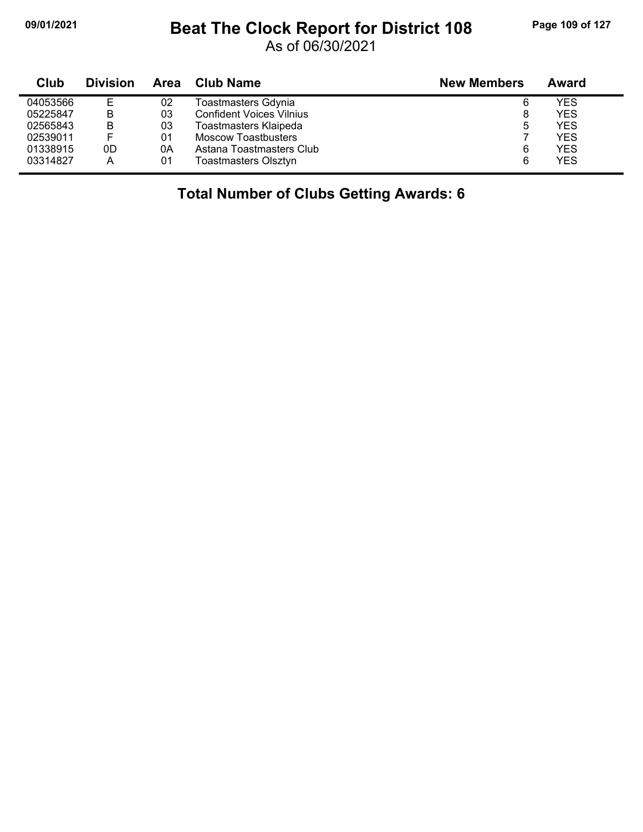## **09/01/2021 Beat The Clock Report for District 108 Page 109 of 127**

As of 06/30/2021

| Club     | <b>Division</b> | Area | <b>Club Name</b>                | <b>New Members</b> | Award      |
|----------|-----------------|------|---------------------------------|--------------------|------------|
| 04053566 | E               | 02   | Toastmasters Gdynia             | 6                  | YES        |
| 05225847 | В               | 03   | <b>Confident Voices Vilnius</b> | 8                  | <b>YES</b> |
| 02565843 | B               | 03   | Toastmasters Klaipeda           | 5                  | <b>YES</b> |
| 02539011 |                 | 01   | Moscow Toastbusters             |                    | <b>YES</b> |
| 01338915 | 0D              | 0Α   | Astana Toastmasters Club        | 6                  | <b>YES</b> |
| 03314827 | A               | 01   | Toastmasters Olsztyn            | 6                  | <b>YES</b> |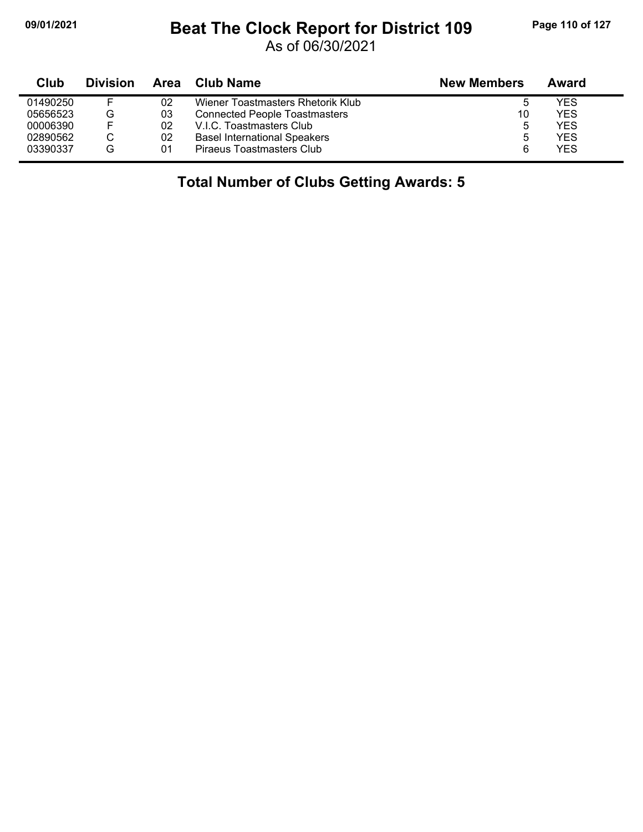## **09/01/2021 Beat The Clock Report for District 109 Page 110 of 127**

As of 06/30/2021

| Club     | <b>Division</b> | Area | <b>Club Name</b>                     | <b>New Members</b> | Award      |
|----------|-----------------|------|--------------------------------------|--------------------|------------|
| 01490250 | E               | 02   | Wiener Toastmasters Rhetorik Klub    | 5                  | YES        |
| 05656523 | G               | 03   | <b>Connected People Toastmasters</b> | 10                 | <b>YES</b> |
| 00006390 | E               | 02   | V.I.C. Toastmasters Club             | 5                  | <b>YES</b> |
| 02890562 |                 | 02   | <b>Basel International Speakers</b>  | ა                  | <b>YES</b> |
| 03390337 | G               | 01   | Piraeus Toastmasters Club            | 6                  | <b>YES</b> |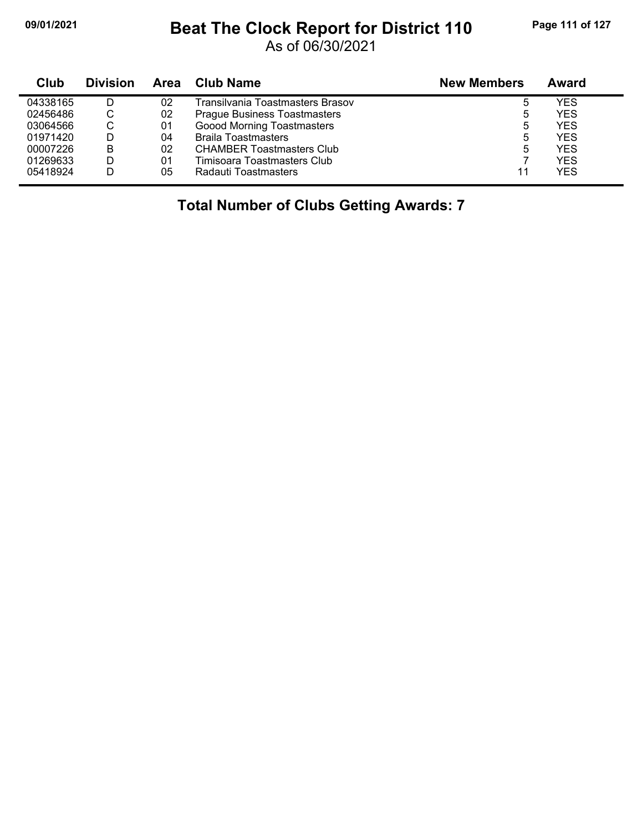## **09/01/2021 Beat The Clock Report for District 110 Page 111 of 127**

As of 06/30/2021

| Club     | <b>Division</b> | Area | Club Name                           | <b>New Members</b> | Award      |
|----------|-----------------|------|-------------------------------------|--------------------|------------|
| 04338165 |                 | 02   | Transilvania Toastmasters Brasov    | 5                  | YES        |
| 02456486 | С               | 02   | <b>Prague Business Toastmasters</b> | 5                  | YES        |
| 03064566 | С               | 01   | Goood Morning Toastmasters          | 5                  | <b>YES</b> |
| 01971420 |                 | 04   | <b>Braila Toastmasters</b>          | 5                  | <b>YES</b> |
| 00007226 | В               | 02   | <b>CHAMBER Toastmasters Club</b>    | 5                  | <b>YES</b> |
| 01269633 | D               | 01   | Timisoara Toastmasters Club         |                    | <b>YES</b> |
| 05418924 |                 | 05   | Radauti Toastmasters                | 11                 | YES        |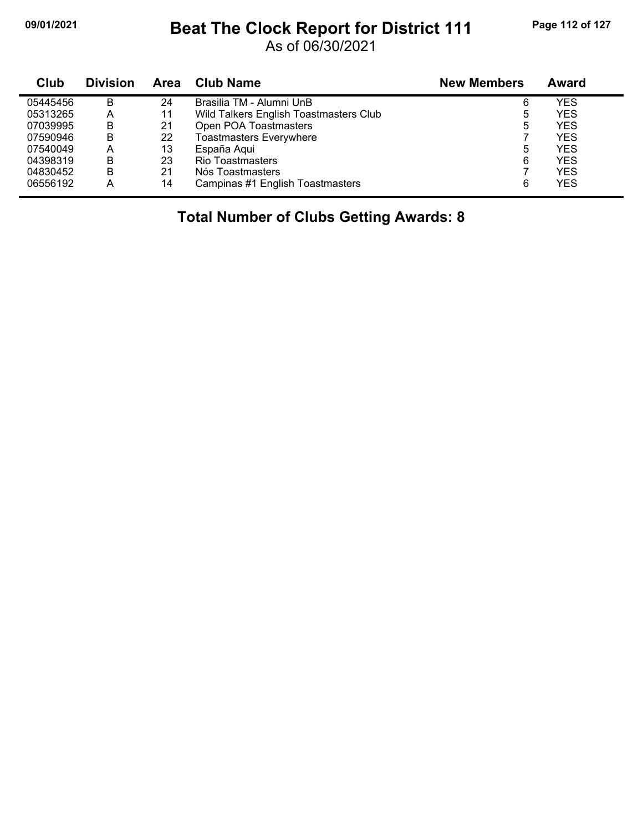## **09/01/2021 Beat The Clock Report for District 111 Page 112 of 127**

As of 06/30/2021

| Club     | <b>Division</b> | <b>Area</b> | <b>Club Name</b>                       | <b>New Members</b> | Award      |
|----------|-----------------|-------------|----------------------------------------|--------------------|------------|
| 05445456 | В               | 24          | Brasilia TM - Alumni UnB               | 6                  | YES        |
| 05313265 | А               | 11          | Wild Talkers English Toastmasters Club | 5                  | YES        |
| 07039995 | В               | 21          | Open POA Toastmasters                  | 5                  | YES        |
| 07590946 | В               | 22          | <b>Toastmasters Everywhere</b>         |                    | <b>YES</b> |
| 07540049 | A               | 13          | España Aqui                            | 5                  | YES        |
| 04398319 | в               | 23          | <b>Rio Toastmasters</b>                | 6                  | YES        |
| 04830452 | B               | 21          | Nós Toastmasters                       |                    | YES        |
| 06556192 | Α               | 14          | Campinas #1 English Toastmasters       | 6                  | YES        |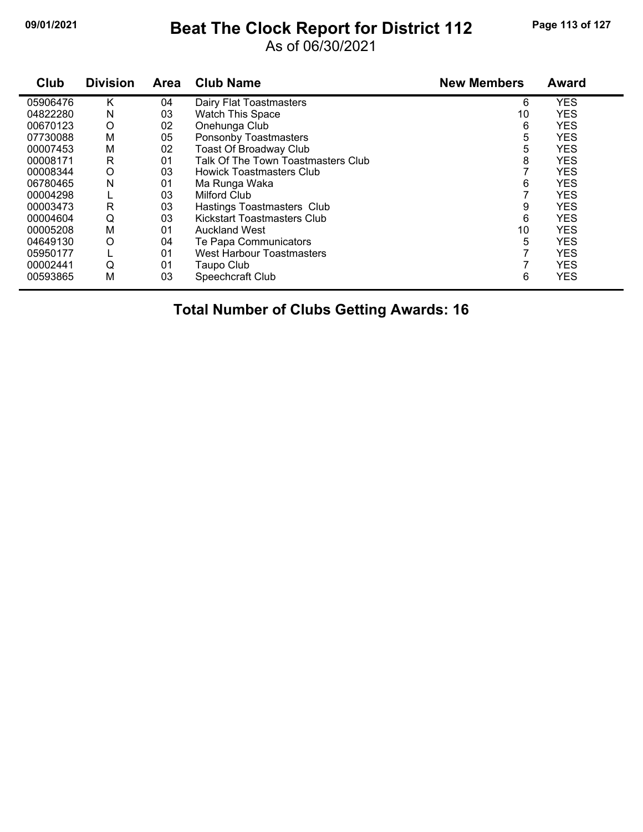## **09/01/2021 Beat The Clock Report for District 112 Page 113 of 127**

As of 06/30/2021

| Club     | <b>Division</b> | <b>Area</b> | <b>Club Name</b>                   | <b>New Members</b> | <b>Award</b> |
|----------|-----------------|-------------|------------------------------------|--------------------|--------------|
| 05906476 | Κ               | 04          | Dairy Flat Toastmasters            | 6                  | <b>YES</b>   |
| 04822280 | N               | 03          | <b>Watch This Space</b>            | 10                 | <b>YES</b>   |
| 00670123 | O               | 02          | Onehunga Club                      | 6                  | <b>YES</b>   |
| 07730088 | M               | 05          | Ponsonby Toastmasters              | 5                  | <b>YES</b>   |
| 00007453 | М               | 02          | <b>Toast Of Broadway Club</b>      | 5                  | <b>YES</b>   |
| 00008171 | R               | 01          | Talk Of The Town Toastmasters Club | 8                  | <b>YES</b>   |
| 00008344 | O               | 03          | <b>Howick Toastmasters Club</b>    |                    | <b>YES</b>   |
| 06780465 | N               | 01          | Ma Runga Waka                      | 6                  | <b>YES</b>   |
| 00004298 |                 | 03          | Milford Club                       |                    | <b>YES</b>   |
| 00003473 | R               | 03          | Hastings Toastmasters Club         | 9                  | <b>YES</b>   |
| 00004604 | Q               | 03          | Kickstart Toastmasters Club        | 6                  | <b>YES</b>   |
| 00005208 | М               | 01          | <b>Auckland West</b>               | 10                 | <b>YES</b>   |
| 04649130 | O               | 04          | Te Papa Communicators              | 5                  | <b>YES</b>   |
| 05950177 |                 | 01          | <b>West Harbour Toastmasters</b>   |                    | <b>YES</b>   |
| 00002441 | Q               | 01          | Taupo Club                         |                    | <b>YES</b>   |
| 00593865 | M               | 03          | Speechcraft Club                   | 6                  | <b>YES</b>   |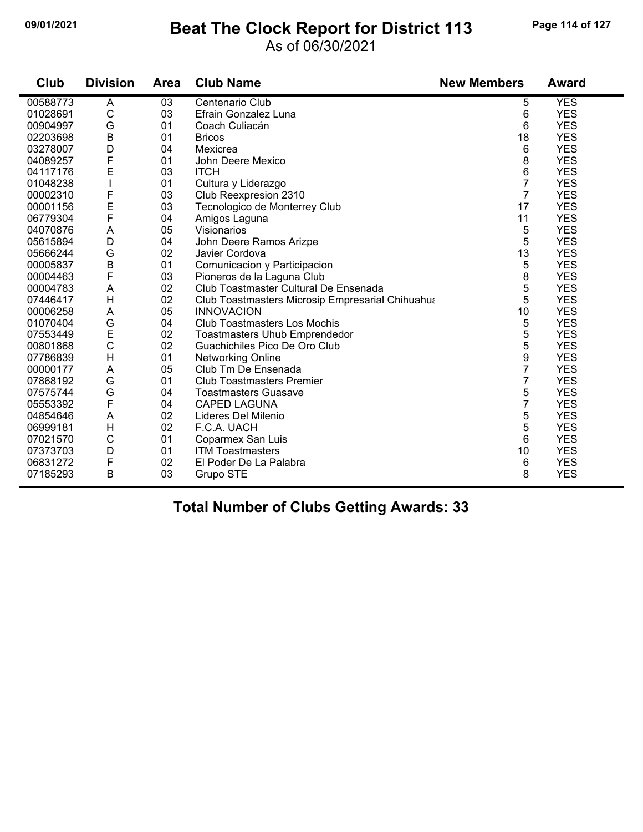## **09/01/2021 Beat The Clock Report for District 113 Page 114 of 127**

#### As of 06/30/2021

| Club     | <b>Division</b> | Area | <b>Club Name</b>                                 | <b>New Members</b> | <b>Award</b> |
|----------|-----------------|------|--------------------------------------------------|--------------------|--------------|
| 00588773 | A               | 03   | Centenario Club                                  | 5                  | <b>YES</b>   |
| 01028691 | $\mathsf{C}$    | 03   | Efrain Gonzalez Luna                             | 6                  | <b>YES</b>   |
| 00904997 | G               | 01   | Coach Culiacán                                   | 6                  | <b>YES</b>   |
| 02203698 | B               | 01   | <b>Bricos</b>                                    | 18                 | <b>YES</b>   |
| 03278007 | D               | 04   | Mexicrea                                         | 6                  | <b>YES</b>   |
| 04089257 | F               | 01   | John Deere Mexico                                | 8                  | <b>YES</b>   |
| 04117176 | E               | 03   | <b>ITCH</b>                                      | 6                  | <b>YES</b>   |
| 01048238 |                 | 01   | Cultura y Liderazgo                              | $\overline{7}$     | <b>YES</b>   |
| 00002310 | F               | 03   | Club Reexpresion 2310                            | $\overline{7}$     | <b>YES</b>   |
| 00001156 | E<br>F          | 03   | Tecnologico de Monterrey Club                    | 17                 | <b>YES</b>   |
| 06779304 |                 | 04   | Amigos Laguna                                    | 11                 | <b>YES</b>   |
| 04070876 | A               | 05   | Visionarios                                      | 5                  | <b>YES</b>   |
| 05615894 | D               | 04   | John Deere Ramos Arizpe                          | 5                  | <b>YES</b>   |
| 05666244 | G               | 02   | Javier Cordova                                   | 13                 | <b>YES</b>   |
| 00005837 | B               | 01   | Comunicacion y Participacion                     | 5                  | <b>YES</b>   |
| 00004463 | F               | 03   | Pioneros de la Laguna Club                       | 8                  | <b>YES</b>   |
| 00004783 | A               | 02   | Club Toastmaster Cultural De Ensenada            | 5                  | <b>YES</b>   |
| 07446417 | H               | 02   | Club Toastmasters Microsip Empresarial Chihuahua | 5                  | <b>YES</b>   |
| 00006258 | A               | 05   | <b>INNOVACION</b>                                | 10                 | <b>YES</b>   |
| 01070404 | G               | 04   | <b>Club Toastmasters Los Mochis</b>              | 5                  | <b>YES</b>   |
| 07553449 | E               | 02   | <b>Toastmasters Uhub Emprendedor</b>             | 5                  | <b>YES</b>   |
| 00801868 | $\mathbf C$     | 02   | Guachichiles Pico De Oro Club                    | 5                  | <b>YES</b>   |
| 07786839 | $\mathsf{H}$    | 01   | <b>Networking Online</b>                         | 9                  | <b>YES</b>   |
| 00000177 | A               | 05   | Club Tm De Ensenada                              | 7                  | <b>YES</b>   |
| 07868192 | G               | 01   | <b>Club Toastmasters Premier</b>                 | $\overline{7}$     | <b>YES</b>   |
| 07575744 | G               | 04   | <b>Toastmasters Guasave</b>                      | 5                  | <b>YES</b>   |
| 05553392 | F               | 04   | <b>CAPED LAGUNA</b>                              | $\overline{7}$     | <b>YES</b>   |
| 04854646 | A               | 02   | Lideres Del Milenio                              | 5                  | <b>YES</b>   |
| 06999181 | H               | 02   | F.C.A. UACH                                      | 5                  | <b>YES</b>   |
| 07021570 | $\mathsf{C}$    | 01   | Coparmex San Luis                                | 6                  | <b>YES</b>   |
| 07373703 | D               | 01   | <b>ITM Toastmasters</b>                          | 10                 | <b>YES</b>   |
| 06831272 | F               | 02   | El Poder De La Palabra                           | 6                  | <b>YES</b>   |
| 07185293 | B               | 03   | Grupo STE                                        | 8                  | <b>YES</b>   |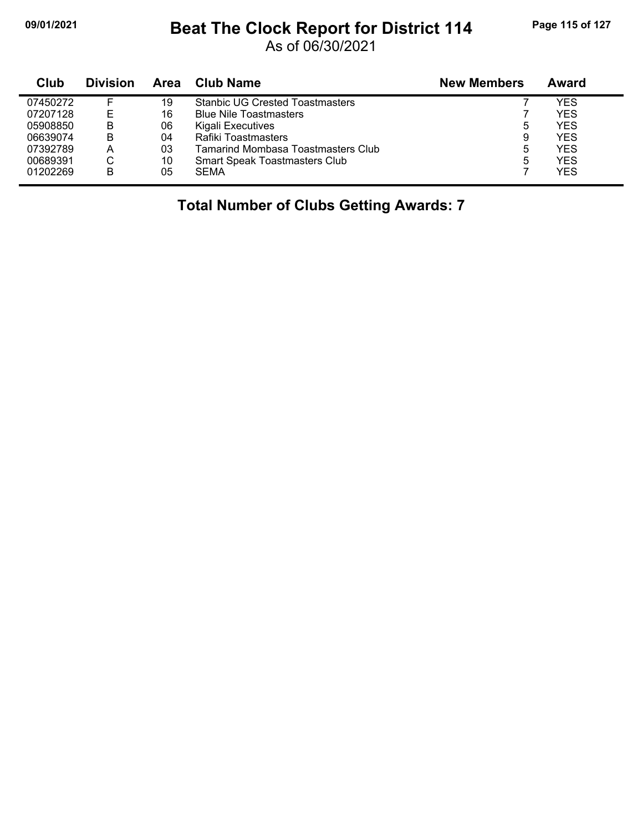## **09/01/2021 Beat The Clock Report for District 114 Page 115 of 127**

As of 06/30/2021

| Club     | <b>Division</b> | Area | Club Name                              | <b>New Members</b> | Award      |
|----------|-----------------|------|----------------------------------------|--------------------|------------|
| 07450272 |                 | 19   | <b>Stanbic UG Crested Toastmasters</b> |                    | YES        |
| 07207128 |                 | 16   | <b>Blue Nile Toastmasters</b>          |                    | <b>YES</b> |
| 05908850 | В               | 06   | Kigali Executives                      | 5                  | <b>YES</b> |
| 06639074 | B               | 04   | Rafiki Toastmasters                    | 9                  | <b>YES</b> |
| 07392789 | Α               | 03   | Tamarind Mombasa Toastmasters Club     | 5                  | <b>YES</b> |
| 00689391 | С               | 10   | <b>Smart Speak Toastmasters Club</b>   | 5                  | <b>YES</b> |
| 01202269 | в               | 05   | <b>SEMA</b>                            |                    | <b>YES</b> |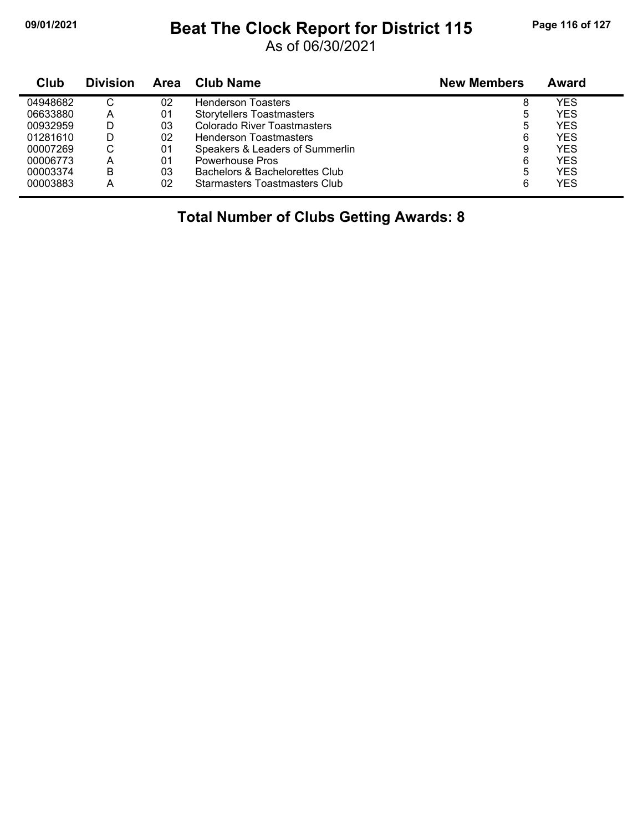## **09/01/2021 Beat The Clock Report for District 115 Page 116 of 127**

As of 06/30/2021

| Club     | <b>Division</b> | Area | Club Name                            | <b>New Members</b> | Award      |
|----------|-----------------|------|--------------------------------------|--------------------|------------|
| 04948682 | С               | 02   | <b>Henderson Toasters</b>            | 8                  | YES        |
| 06633880 | Α               | 01   | <b>Storytellers Toastmasters</b>     | b                  | <b>YES</b> |
| 00932959 | D               | 03   | Colorado River Toastmasters          | 5                  | <b>YES</b> |
| 01281610 | D               | 02   | <b>Henderson Toastmasters</b>        | 6                  | <b>YES</b> |
| 00007269 | С               | 01   | Speakers & Leaders of Summerlin      | 9                  | <b>YES</b> |
| 00006773 | Α               | 01   | Powerhouse Pros                      | 6                  | YES        |
| 00003374 | B               | 03   | Bachelors & Bachelorettes Club       | 5                  | <b>YES</b> |
| 00003883 | А               | 02   | <b>Starmasters Toastmasters Club</b> | 6                  | <b>YES</b> |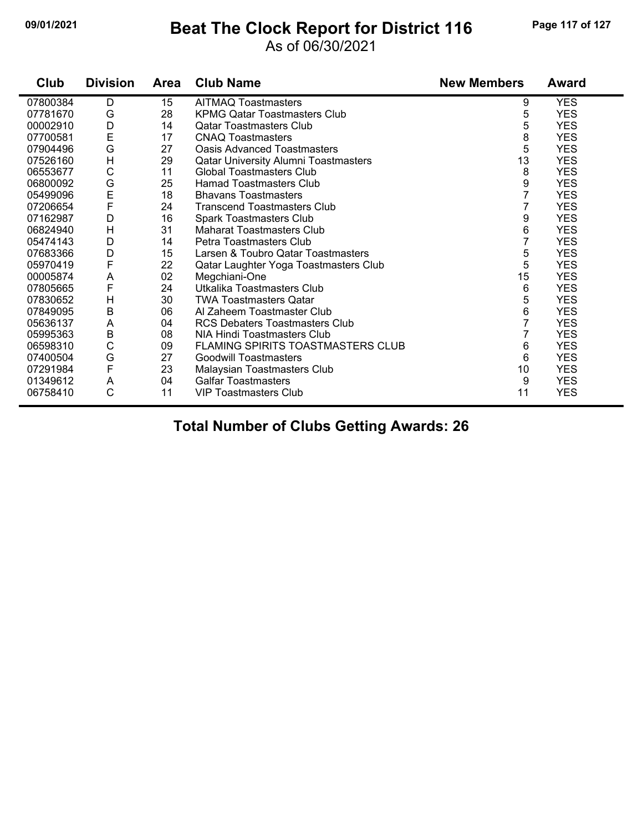## **09/01/2021 Beat The Clock Report for District 116 Page 117 of 127**

### As of 06/30/2021

| Club     | <b>Division</b> | Area | <b>Club Name</b>                            | <b>New Members</b> | Award      |
|----------|-----------------|------|---------------------------------------------|--------------------|------------|
| 07800384 | D               | 15   | <b>AITMAQ Toastmasters</b>                  | 9                  | <b>YES</b> |
| 07781670 | G               | 28   | <b>KPMG Qatar Toastmasters Club</b>         | 5                  | <b>YES</b> |
| 00002910 | D               | 14   | <b>Qatar Toastmasters Club</b>              | 5                  | <b>YES</b> |
| 07700581 | E               | 17   | <b>CNAQ Toastmasters</b>                    | $\bf 8$            | <b>YES</b> |
| 07904496 | G               | 27   | <b>Oasis Advanced Toastmasters</b>          | 5                  | <b>YES</b> |
| 07526160 | $\mathsf{H}$    | 29   | <b>Qatar University Alumni Toastmasters</b> | 13                 | <b>YES</b> |
| 06553677 | C               | 11   | <b>Global Toastmasters Club</b>             | 8                  | <b>YES</b> |
| 06800092 | G               | 25   | <b>Hamad Toastmasters Club</b>              | 9                  | <b>YES</b> |
| 05499096 | E               | 18   | <b>Bhavans Toastmasters</b>                 | $\overline{7}$     | <b>YES</b> |
| 07206654 | F               | 24   | <b>Transcend Toastmasters Club</b>          | 7                  | <b>YES</b> |
| 07162987 | D               | 16   | <b>Spark Toastmasters Club</b>              | 9                  | <b>YES</b> |
| 06824940 | H               | 31   | <b>Maharat Toastmasters Club</b>            | 6                  | <b>YES</b> |
| 05474143 | D               | 14   | Petra Toastmasters Club                     | 7                  | <b>YES</b> |
| 07683366 | D               | 15   | Larsen & Toubro Qatar Toastmasters          | 5                  | <b>YES</b> |
| 05970419 | F               | 22   | Qatar Laughter Yoga Toastmasters Club       | 5                  | <b>YES</b> |
| 00005874 | A               | 02   | Megchiani-One                               | 15                 | <b>YES</b> |
| 07805665 | F               | 24   | Utkalika Toastmasters Club                  | 6                  | <b>YES</b> |
| 07830652 | H               | 30   | <b>TWA Toastmasters Qatar</b>               | 5                  | <b>YES</b> |
| 07849095 | $\sf B$         | 06   | Al Zaheem Toastmaster Club                  | 6                  | <b>YES</b> |
| 05636137 | A               | 04   | <b>RCS Debaters Toastmasters Club</b>       | 7                  | <b>YES</b> |
| 05995363 | B               | 08   | NIA Hindi Toastmasters Club                 |                    | <b>YES</b> |
| 06598310 | C               | 09   | FLAMING SPIRITS TOASTMASTERS CLUB           | 6                  | <b>YES</b> |
| 07400504 | G               | 27   | <b>Goodwill Toastmasters</b>                | 6                  | <b>YES</b> |
| 07291984 | F               | 23   | Malaysian Toastmasters Club                 | 10                 | <b>YES</b> |
| 01349612 | A               | 04   | <b>Galfar Toastmasters</b>                  | 9                  | <b>YES</b> |
| 06758410 | C               | 11   | <b>VIP Toastmasters Club</b>                | 11                 | <b>YES</b> |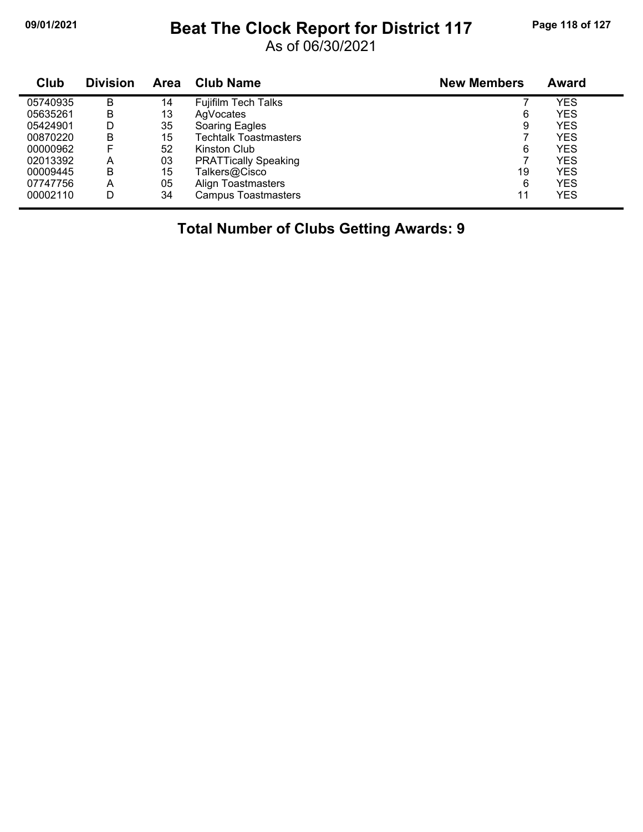## **09/01/2021 Beat The Clock Report for District 117 Page 118 of 127**

As of 06/30/2021

| Club     | <b>Division</b> | <b>Area</b> | <b>Club Name</b>             | <b>New Members</b> | <b>Award</b> |
|----------|-----------------|-------------|------------------------------|--------------------|--------------|
| 05740935 | в               | 14          | <b>Fujifilm Tech Talks</b>   |                    | YES          |
| 05635261 | в               | 13          | AgVocates                    | 6                  | <b>YES</b>   |
| 05424901 | D               | 35          | Soaring Eagles               | 9                  | YES          |
| 00870220 | B               | 15          | <b>Techtalk Toastmasters</b> |                    | <b>YES</b>   |
| 00000962 | F               | 52          | Kinston Club                 | 6                  | YES          |
| 02013392 | А               | 03          | <b>PRATTically Speaking</b>  |                    | <b>YES</b>   |
| 00009445 | в               | 15          | Talkers@Cisco                | 19                 | <b>YES</b>   |
| 07747756 | A               | 05          | <b>Align Toastmasters</b>    | 6                  | <b>YES</b>   |
| 00002110 | D               | 34          | <b>Campus Toastmasters</b>   | 11                 | <b>YES</b>   |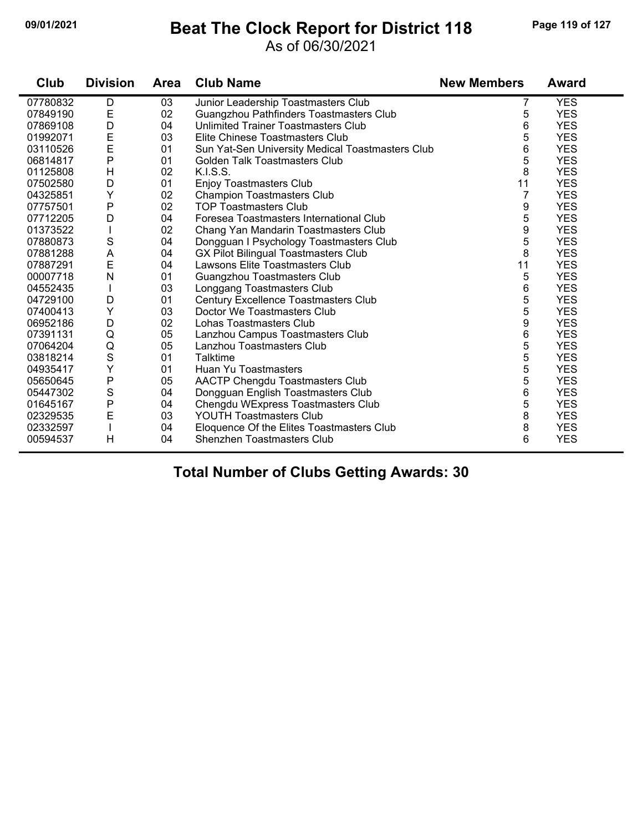## **09/01/2021 Beat The Clock Report for District 118 Page 119 of 127**

#### As of 06/30/2021

| Club     | <b>Division</b> | <b>Area</b> | <b>Club Name</b>                                 | <b>New Members</b> | <b>Award</b> |
|----------|-----------------|-------------|--------------------------------------------------|--------------------|--------------|
| 07780832 | D               | 03          | Junior Leadership Toastmasters Club              |                    | <b>YES</b>   |
| 07849190 | E               | 02          | Guangzhou Pathfinders Toastmasters Club          | 5                  | <b>YES</b>   |
| 07869108 | D               | 04          | Unlimited Trainer Toastmasters Club              | 6                  | <b>YES</b>   |
| 01992071 | E               | 03          | Elite Chinese Toastmasters Club                  | 5                  | <b>YES</b>   |
| 03110526 | E               | 01          | Sun Yat-Sen University Medical Toastmasters Club | 6                  | <b>YES</b>   |
| 06814817 | P               | 01          | Golden Talk Toastmasters Club                    | 5                  | <b>YES</b>   |
| 01125808 | H               | 02          | K.I.S.S.                                         | 8                  | <b>YES</b>   |
| 07502580 | D               | 01          | Enjoy Toastmasters Club                          | 11                 | <b>YES</b>   |
| 04325851 | Y               | 02          | <b>Champion Toastmasters Club</b>                | 7                  | <b>YES</b>   |
| 07757501 | P               | 02          | <b>TOP Toastmasters Club</b>                     | 9                  | <b>YES</b>   |
| 07712205 | D               | 04          | Foresea Toastmasters International Club          | 5                  | <b>YES</b>   |
| 01373522 |                 | 02          | Chang Yan Mandarin Toastmasters Club             | 9                  | <b>YES</b>   |
| 07880873 | S               | 04          | Dongguan I Psychology Toastmasters Club          | 5                  | <b>YES</b>   |
| 07881288 | A               | 04          | <b>GX Pilot Bilingual Toastmasters Club</b>      | 8                  | <b>YES</b>   |
| 07887291 | E               | 04          | Lawsons Elite Toastmasters Club                  | 11                 | <b>YES</b>   |
| 00007718 | $\mathsf{N}$    | 01          | Guangzhou Toastmasters Club                      | 5                  | <b>YES</b>   |
| 04552435 |                 | 03          | Longgang Toastmasters Club                       | 6                  | <b>YES</b>   |
| 04729100 | D               | 01          | Century Excellence Toastmasters Club             | 5                  | <b>YES</b>   |
| 07400413 | Υ               | 03          | Doctor We Toastmasters Club                      | 5                  | <b>YES</b>   |
| 06952186 | D               | 02          | Lohas Toastmasters Club                          | 9                  | <b>YES</b>   |
| 07391131 | Q               | 05          | Lanzhou Campus Toastmasters Club                 | 6                  | <b>YES</b>   |
| 07064204 | Q               | 05          | Lanzhou Toastmasters Club                        | 5                  | <b>YES</b>   |
| 03818214 | $\mathbf S$     | 01          | Talktime                                         | 5                  | <b>YES</b>   |
| 04935417 | Y               | 01          | Huan Yu Toastmasters                             | 5                  | <b>YES</b>   |
| 05650645 | P               | 05          | AACTP Chengdu Toastmasters Club                  | 5                  | <b>YES</b>   |
| 05447302 | $\mathbf S$     | 04          | Dongguan English Toastmasters Club               | 6                  | <b>YES</b>   |
| 01645167 | P               | 04          | Chengdu WExpress Toastmasters Club               | 5                  | <b>YES</b>   |
| 02329535 | E               | 03          | <b>YOUTH Toastmasters Club</b>                   | 8                  | <b>YES</b>   |
| 02332597 |                 | 04          | Eloquence Of the Elites Toastmasters Club        | 8                  | <b>YES</b>   |
| 00594537 | H               | 04          | <b>Shenzhen Toastmasters Club</b>                | 6                  | <b>YES</b>   |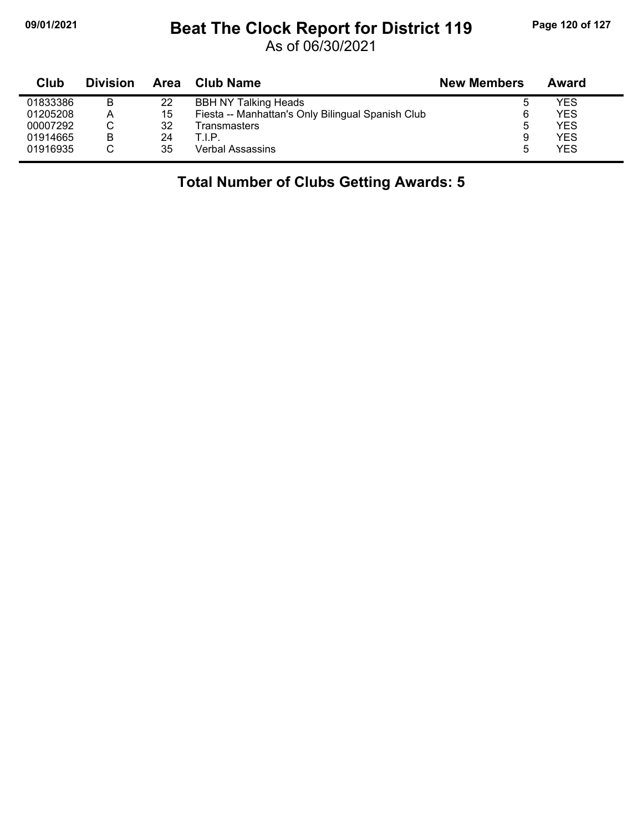## **09/01/2021 Beat The Clock Report for District 119 Page 120 of 127**

As of 06/30/2021

| Club     | <b>Division</b> | Area | <b>Club Name</b>                                  | <b>New Members</b> | Award |
|----------|-----------------|------|---------------------------------------------------|--------------------|-------|
| 01833386 | B               | 22   | <b>BBH NY Talking Heads</b>                       |                    | YES   |
| 01205208 | A               | 15   | Fiesta -- Manhattan's Only Bilingual Spanish Club |                    | YES   |
| 00007292 | С               | 32   | Transmasters                                      | 5                  | YES   |
| 01914665 | B               | 24   | T.I.P.                                            | 9                  | YES   |
| 01916935 |                 | 35   | Verbal Assassins                                  | 5                  | YES   |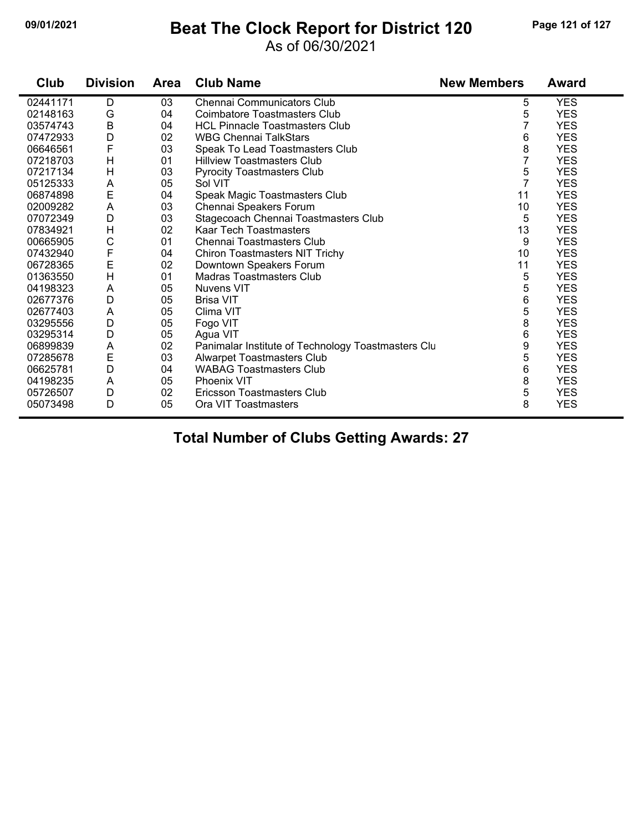## **09/01/2021 Beat The Clock Report for District 120 Page 121 of 127**

### As of 06/30/2021

| Club     | <b>Division</b> | <b>Area</b> | <b>Club Name</b>                                   | <b>New Members</b> | <b>Award</b> |
|----------|-----------------|-------------|----------------------------------------------------|--------------------|--------------|
| 02441171 | D               | 03          | Chennai Communicators Club                         | 5                  | <b>YES</b>   |
| 02148163 | G               | 04          | <b>Coimbatore Toastmasters Club</b>                | 5                  | <b>YES</b>   |
| 03574743 | B               | 04          | <b>HCL Pinnacle Toastmasters Club</b>              | 7                  | <b>YES</b>   |
| 07472933 | D               | 02          | <b>WBG Chennai TalkStars</b>                       | 6                  | <b>YES</b>   |
| 06646561 | F               | 03          | Speak To Lead Toastmasters Club                    | 8                  | <b>YES</b>   |
| 07218703 | H               | 01          | <b>Hillview Toastmasters Club</b>                  | 7                  | <b>YES</b>   |
| 07217134 | Н               | 03          | <b>Pyrocity Toastmasters Club</b>                  | 5                  | <b>YES</b>   |
| 05125333 | A               | 05          | Sol VIT                                            | $\overline{7}$     | <b>YES</b>   |
| 06874898 | E               | 04          | Speak Magic Toastmasters Club                      | 11                 | <b>YES</b>   |
| 02009282 | A               | 03          | Chennai Speakers Forum                             | 10                 | <b>YES</b>   |
| 07072349 | D               | 03          | Stagecoach Chennai Toastmasters Club               | 5                  | <b>YES</b>   |
| 07834921 | Н               | 02          | Kaar Tech Toastmasters                             | 13                 | <b>YES</b>   |
| 00665905 | C               | 01          | Chennai Toastmasters Club                          | 9                  | <b>YES</b>   |
| 07432940 | F               | 04          | Chiron Toastmasters NIT Trichy                     | 10                 | <b>YES</b>   |
| 06728365 | E               | 02          | Downtown Speakers Forum                            | 11                 | <b>YES</b>   |
| 01363550 | H               | 01          | <b>Madras Toastmasters Club</b>                    | 5                  | <b>YES</b>   |
| 04198323 | A               | 05          | Nuvens VIT                                         | 5                  | <b>YES</b>   |
| 02677376 | D               | 05          | <b>Brisa VIT</b>                                   | 6                  | <b>YES</b>   |
| 02677403 | A               | 05          | Clima VIT                                          | 5                  | <b>YES</b>   |
| 03295556 | D               | 05          | Fogo VIT                                           | 8                  | <b>YES</b>   |
| 03295314 | D               | 05          | Agua VIT                                           | 6                  | <b>YES</b>   |
| 06899839 | A               | 02          | Panimalar Institute of Technology Toastmasters Clu | 9                  | <b>YES</b>   |
| 07285678 | E               | 03          | <b>Alwarpet Toastmasters Club</b>                  | 5                  | <b>YES</b>   |
| 06625781 | D               | 04          | <b>WABAG Toastmasters Club</b>                     | 6                  | <b>YES</b>   |
| 04198235 | A               | 05          | <b>Phoenix VIT</b>                                 | 8                  | <b>YES</b>   |
| 05726507 | D               | 02          | Ericsson Toastmasters Club                         | 5                  | <b>YES</b>   |
| 05073498 | D               | 05          | Ora VIT Toastmasters                               | 8                  | <b>YES</b>   |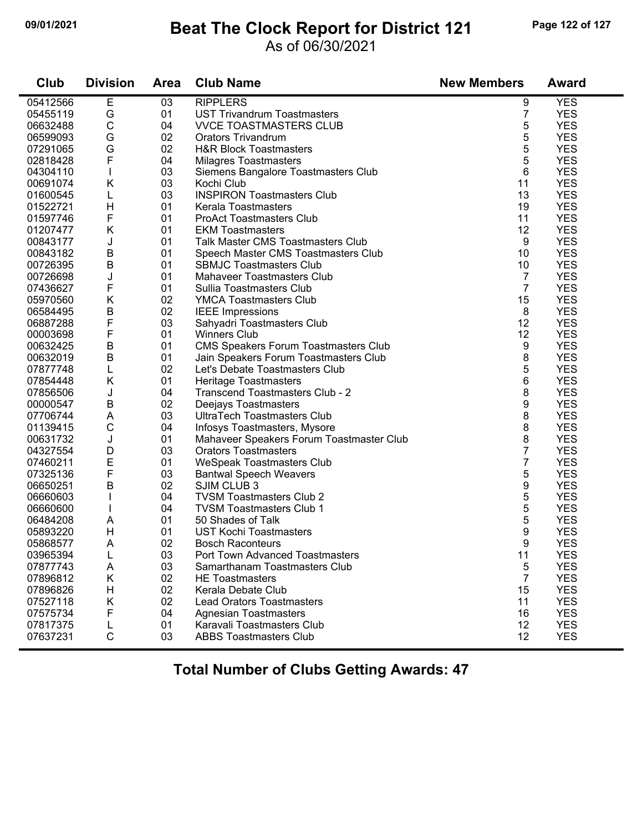## **09/01/2021 Beat The Clock Report for District 121 Page 122 of 127**

#### As of 06/30/2021

| Club     | <b>Division</b> | <b>Area</b> | <b>Club Name</b>                            | <b>New Members</b> | <b>Award</b> |
|----------|-----------------|-------------|---------------------------------------------|--------------------|--------------|
| 05412566 | Е               | 03          | <b>RIPPLERS</b>                             | 9                  | <b>YES</b>   |
| 05455119 | G               | 01          | <b>UST Trivandrum Toastmasters</b>          | 7                  | <b>YES</b>   |
| 06632488 | $\mathsf C$     | 04          | <b>VVCE TOASTMASTERS CLUB</b>               | 5                  | <b>YES</b>   |
| 06599093 | G               | 02          | <b>Orators Trivandrum</b>                   | 5                  | <b>YES</b>   |
| 07291065 | G               | 02          | <b>H&amp;R Block Toastmasters</b>           | 5                  | <b>YES</b>   |
| 02818428 | F               | 04          | <b>Milagres Toastmasters</b>                | 5                  | <b>YES</b>   |
| 04304110 | T               | 03          | Siemens Bangalore Toastmasters Club         | 6                  | <b>YES</b>   |
| 00691074 | Κ               | 03          | Kochi Club                                  | 11                 | <b>YES</b>   |
| 01600545 | L               | 03          | <b>INSPIRON Toastmasters Club</b>           | 13                 | <b>YES</b>   |
| 01522721 | H               | 01          | Kerala Toastmasters                         | 19                 | <b>YES</b>   |
| 01597746 | F               | 01          | <b>ProAct Toastmasters Club</b>             | 11                 | <b>YES</b>   |
| 01207477 | K               | 01          | <b>EKM Toastmasters</b>                     | 12                 | <b>YES</b>   |
| 00843177 | J               | 01          | <b>Talk Master CMS Toastmasters Club</b>    | 9                  | <b>YES</b>   |
| 00843182 | B               | 01          | Speech Master CMS Toastmasters Club         | 10                 | <b>YES</b>   |
| 00726395 | B               | 01          | <b>SBMJC Toastmasters Club</b>              | 10                 | <b>YES</b>   |
| 00726698 | J               | 01          | <b>Mahaveer Toastmasters Club</b>           | 7                  | <b>YES</b>   |
| 07436627 | F               | 01          | Sullia Toastmasters Club                    | $\overline{7}$     | <b>YES</b>   |
| 05970560 | K               | 02          | <b>YMCA Toastmasters Club</b>               | 15                 | <b>YES</b>   |
| 06584495 | B               | 02          | <b>IEEE</b> Impressions                     | 8                  | <b>YES</b>   |
| 06887288 | F               | 03          | Sahyadri Toastmasters Club                  | 12                 | <b>YES</b>   |
| 00003698 | F               | 01          | <b>Winners Club</b>                         | 12                 | <b>YES</b>   |
| 00632425 | $\sf B$         | 01          | <b>CMS Speakers Forum Toastmasters Club</b> | 9                  | <b>YES</b>   |
| 00632019 | B               | 01          | Jain Speakers Forum Toastmasters Club       | 8                  | <b>YES</b>   |
| 07877748 | L               | 02          | Let's Debate Toastmasters Club              | 5                  | <b>YES</b>   |
| 07854448 | K               | 01          | Heritage Toastmasters                       | 6                  | <b>YES</b>   |
| 07856506 | J               | 04          | Transcend Toastmasters Club - 2             | 8                  | <b>YES</b>   |
| 00000547 | B               | 02          | Deejays Toastmasters                        | 9                  | <b>YES</b>   |
| 07706744 | A               | 03          | UltraTech Toastmasters Club                 | 8                  | <b>YES</b>   |
| 01139415 | $\mathsf C$     | 04          | Infosys Toastmasters, Mysore                | 8                  | <b>YES</b>   |
| 00631732 | J               | 01          | Mahaveer Speakers Forum Toastmaster Club    | 8                  | <b>YES</b>   |
| 04327554 | D               | 03          | <b>Orators Toastmasters</b>                 | 7                  | <b>YES</b>   |
| 07460211 | E               | 01          | WeSpeak Toastmasters Club                   | 7                  | <b>YES</b>   |
| 07325136 | F               | 03          | <b>Bantwal Speech Weavers</b>               | 5                  | <b>YES</b>   |
| 06650251 | B               | 02          | SJIM CLUB 3                                 | 9                  | <b>YES</b>   |
| 06660603 |                 | 04          | <b>TVSM Toastmasters Club 2</b>             | 5                  | <b>YES</b>   |
| 06660600 |                 | 04          | <b>TVSM Toastmasters Club 1</b>             | 5                  | <b>YES</b>   |
| 06484208 | A               | 01          | 50 Shades of Talk                           | 5                  | <b>YES</b>   |
| 05893220 | H               | 01          | <b>UST Kochi Toastmasters</b>               | 9                  | <b>YES</b>   |
| 05868577 | A               | 02          | <b>Bosch Raconteurs</b>                     | 9                  | <b>YES</b>   |
| 03965394 | L               | 03          | <b>Port Town Advanced Toastmasters</b>      | 11                 | <b>YES</b>   |
| 07877743 | Α               | 03          | Samarthanam Toastmasters Club               | 5                  | <b>YES</b>   |
| 07896812 | Κ               | 02          | <b>HE Toastmasters</b>                      | $\overline{7}$     | <b>YES</b>   |
| 07896826 | H               | 02          | Kerala Debate Club                          | 15                 | <b>YES</b>   |
| 07527118 | Κ               | 02          | <b>Lead Orators Toastmasters</b>            | 11                 | <b>YES</b>   |
| 07575734 | F               | 04          | <b>Agnesian Toastmasters</b>                | 16                 | <b>YES</b>   |
| 07817375 | L               | 01          | Karavali Toastmasters Club                  | 12                 | <b>YES</b>   |
| 07637231 | $\mathsf C$     | 03          | <b>ABBS Toastmasters Club</b>               | 12                 | <b>YES</b>   |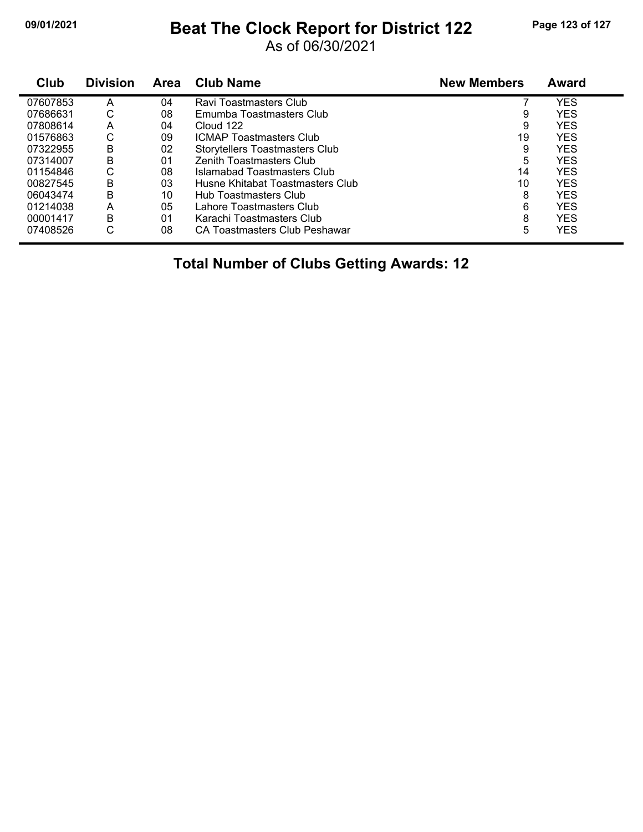## **09/01/2021 Beat The Clock Report for District 122 Page 123 of 127**

As of 06/30/2021

| Club     | <b>Division</b> | <b>Area</b> | <b>Club Name</b>                 | <b>New Members</b> | <b>Award</b> |
|----------|-----------------|-------------|----------------------------------|--------------------|--------------|
| 07607853 | A               | 04          | Ravi Toastmasters Club           |                    | <b>YES</b>   |
| 07686631 | С               | 08          | Emumba Toastmasters Club         | 9                  | <b>YES</b>   |
| 07808614 | Α               | 04          | Cloud 122                        | 9                  | <b>YES</b>   |
| 01576863 | С               | 09          | <b>ICMAP Toastmasters Club</b>   | 19                 | <b>YES</b>   |
| 07322955 | B               | 02          | Storytellers Toastmasters Club   | 9                  | <b>YES</b>   |
| 07314007 | B               | 01          | <b>Zenith Toastmasters Club</b>  | 5                  | <b>YES</b>   |
| 01154846 | С               | 08          | Islamabad Toastmasters Club      | 14                 | <b>YES</b>   |
| 00827545 | B               | 03          | Husne Khitabat Toastmasters Club | 10                 | <b>YES</b>   |
| 06043474 | B               | 10          | Hub Toastmasters Club            | 8                  | <b>YES</b>   |
| 01214038 | А               | 05          | Lahore Toastmasters Club         | 6                  | <b>YES</b>   |
| 00001417 | B               | 01          | Karachi Toastmasters Club        | 8                  | <b>YES</b>   |
| 07408526 | С               | 08          | CA Toastmasters Club Peshawar    | 5                  | <b>YES</b>   |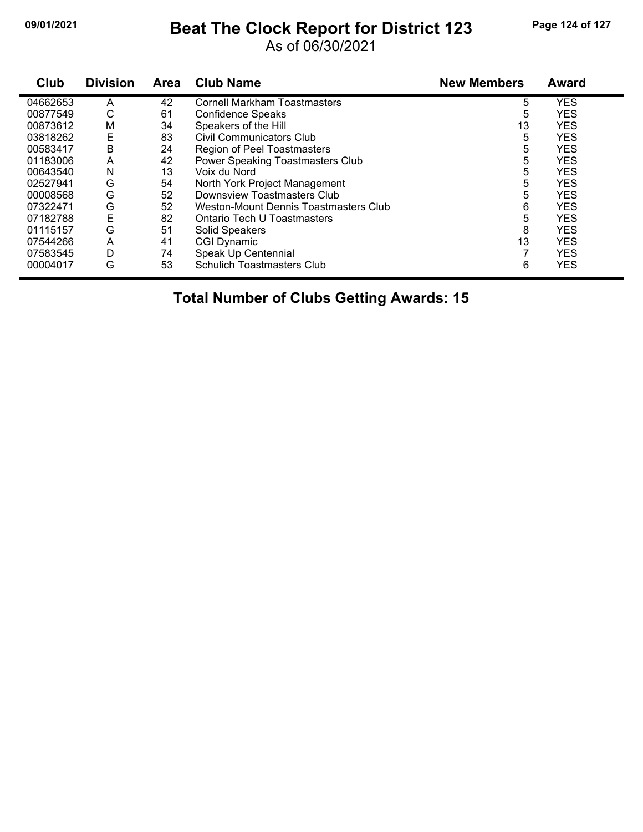## **09/01/2021 Beat The Clock Report for District 123 Page 124 of 127**

As of 06/30/2021

| Club     | <b>Division</b> | <b>Area</b> | <b>Club Name</b>                      | <b>New Members</b> | <b>Award</b> |
|----------|-----------------|-------------|---------------------------------------|--------------------|--------------|
| 04662653 | A               | 42          | <b>Cornell Markham Toastmasters</b>   | 5                  | <b>YES</b>   |
| 00877549 | С               | 61          | <b>Confidence Speaks</b>              | 5                  | <b>YES</b>   |
| 00873612 | M               | 34          | Speakers of the Hill                  | 13                 | <b>YES</b>   |
| 03818262 | Ε               | 83          | Civil Communicators Club              | 5                  | <b>YES</b>   |
| 00583417 | Β               | 24          | Region of Peel Toastmasters           | 5                  | <b>YES</b>   |
| 01183006 | A               | 42          | Power Speaking Toastmasters Club      | 5                  | <b>YES</b>   |
| 00643540 | N               | 13          | Voix du Nord                          | 5                  | <b>YES</b>   |
| 02527941 | G               | 54          | North York Project Management         | 5                  | <b>YES</b>   |
| 00008568 | G               | 52          | Downsview Toastmasters Club           | 5                  | <b>YES</b>   |
| 07322471 | G               | 52          | Weston-Mount Dennis Toastmasters Club | 6                  | <b>YES</b>   |
| 07182788 | E               | 82          | Ontario Tech U Toastmasters           | 5                  | <b>YES</b>   |
| 01115157 | G               | 51          | Solid Speakers                        | 8                  | <b>YES</b>   |
| 07544266 | A               | 41          | <b>CGI Dynamic</b>                    | 13                 | <b>YES</b>   |
| 07583545 | D               | 74          | Speak Up Centennial                   | 7                  | <b>YES</b>   |
| 00004017 | G               | 53          | <b>Schulich Toastmasters Club</b>     | 6                  | <b>YES</b>   |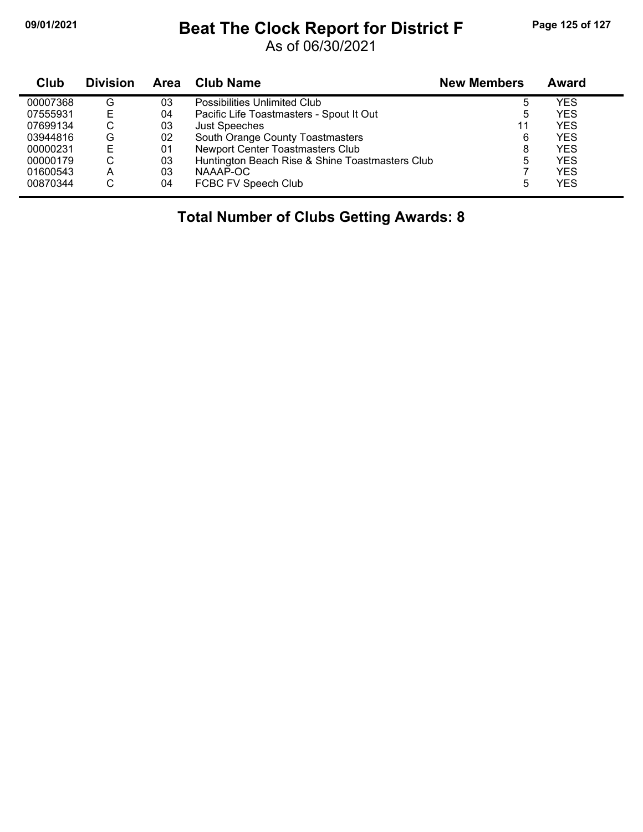## **09/01/2021 Beat The Clock Report for District F Page 125 of 127**

As of 06/30/2021

| Club     | <b>Division</b> | <b>Area</b> | Club Name                                       | <b>New Members</b> | Award      |
|----------|-----------------|-------------|-------------------------------------------------|--------------------|------------|
| 00007368 | G               | 03          | Possibilities Unlimited Club                    | 5                  | YES        |
| 07555931 |                 | 04          | Pacific Life Toastmasters - Spout It Out        | 5                  | YES        |
| 07699134 | С               | 03          | <b>Just Speeches</b>                            | 11                 | YES        |
| 03944816 | G               | 02          | South Orange County Toastmasters                | 6                  | YES        |
| 00000231 |                 | 01          | Newport Center Toastmasters Club                | 8                  | YES        |
| 00000179 | С               | 03          | Huntington Beach Rise & Shine Toastmasters Club | 5                  | YES        |
| 01600543 | A               | 03          | NAAAP-OC                                        |                    | YES        |
| 00870344 | С               | 04          | FCBC FV Speech Club                             | 5                  | <b>YES</b> |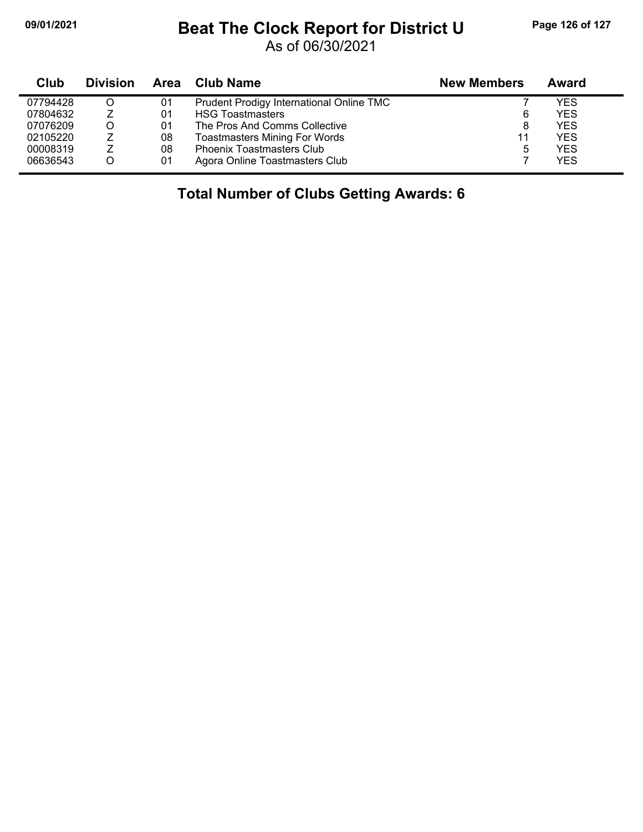# **09/01/2021 Beat The Clock Report for District U Page 126 of 127**

As of 06/30/2021

| <b>Club</b> | <b>Division</b> |    | Area Club Name                           | <b>New Members</b> | Award      |
|-------------|-----------------|----|------------------------------------------|--------------------|------------|
| 07794428    |                 | 01 | Prudent Prodigy International Online TMC |                    | YES        |
| 07804632    |                 | 01 | <b>HSG Toastmasters</b>                  | 6                  | <b>YES</b> |
| 07076209    |                 | 01 | The Pros And Comms Collective            | 8                  | <b>YES</b> |
| 02105220    |                 | 08 | <b>Toastmasters Mining For Words</b>     | 11                 | <b>YES</b> |
| 00008319    |                 | 08 | <b>Phoenix Toastmasters Club</b>         | 5                  | <b>YES</b> |
| 06636543    |                 | 01 | Agora Online Toastmasters Club           |                    | <b>YES</b> |